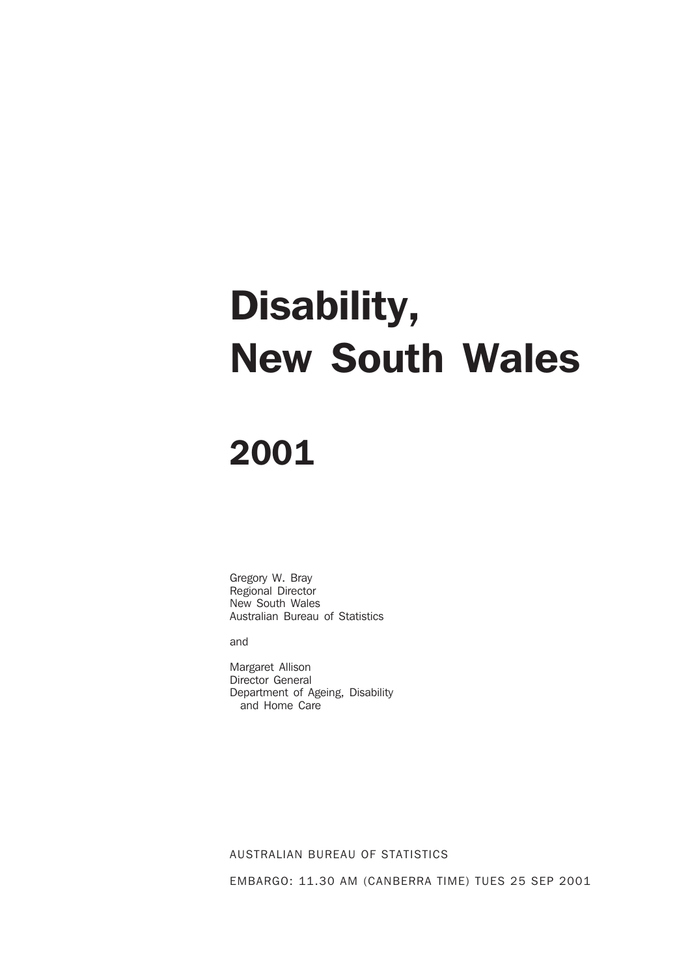# Disability, New South Wales

## 2001

Gregory W. Bray Regional Director New South Wales Australian Bureau of Statistics

and

Margaret Allison Director General Department of Ageing, Disability and Home Care

AUSTRALIAN BUREAU OF STATISTICS

EMBARGO: 11.30 AM (CANBERRA TIME) TUES 25 SEP 2001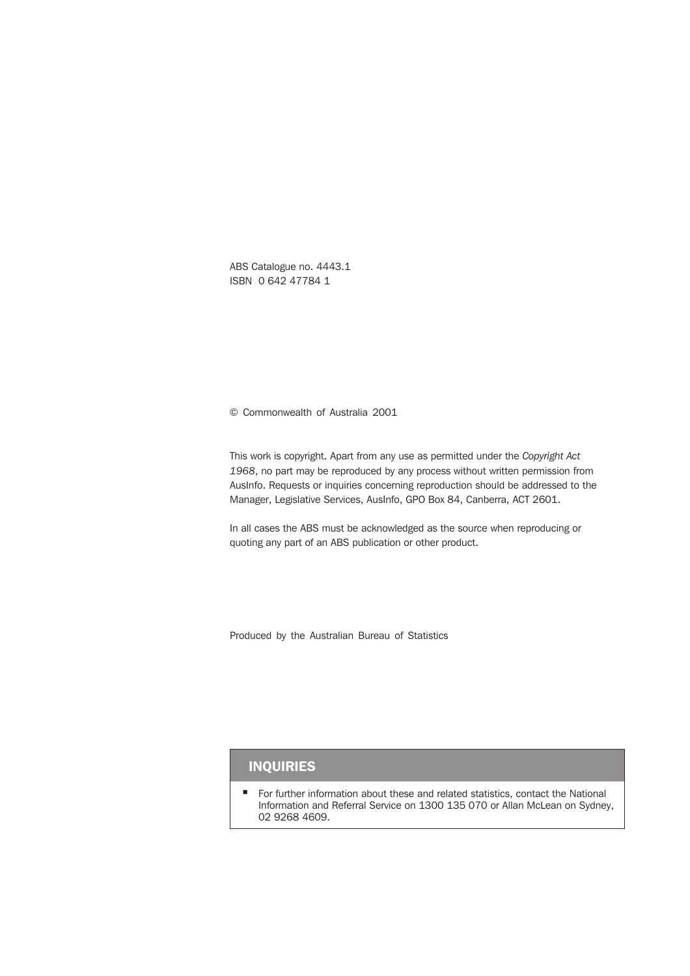ABS Catalogue no. 4443.1 ISBN 0 642 47784 1

© Commonwealth of Australia 2001

This work is copyright. Apart from any use as permitted under the *Copyright Act 1968*, no part may be reproduced by any process without written permission from AusInfo. Requests or inquiries concerning reproduction should be addressed to the Manager, Legislative Services, AusInfo, GPO Box 84, Canberra, ACT 2601.

In all cases the ABS must be acknowledged as the source when reproducing or quoting any part of an ABS publication or other product.

Produced by the Australian Bureau of Statistics

### INQUIRIES

 For further information about these and related statistics, contact the National Information and Referral Service on 1300 135 070 or Allan McLean on Sydney, 02 9268 4609.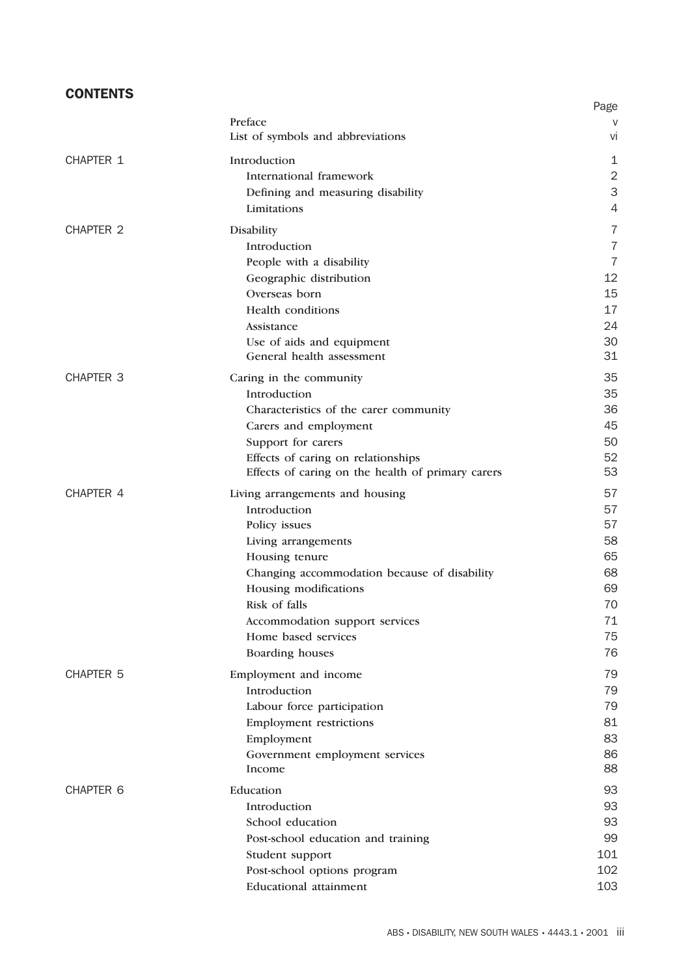### **CONTENTS**

|                  |                                                   | Page           |
|------------------|---------------------------------------------------|----------------|
|                  | Preface                                           |                |
|                  | List of symbols and abbreviations                 | Vİ             |
| CHAPTER 1        | Introduction                                      | 1              |
|                  | International framework                           | $\overline{2}$ |
|                  | Defining and measuring disability                 | 3              |
|                  | Limitations                                       | 4              |
| <b>CHAPTER 2</b> | Disability                                        | 7              |
|                  | Introduction                                      | $\overline{7}$ |
|                  | People with a disability                          | $\overline{7}$ |
|                  | Geographic distribution                           | 12             |
|                  | Overseas born                                     | 15             |
|                  | <b>Health</b> conditions                          | 17             |
|                  | Assistance                                        | 24             |
|                  | Use of aids and equipment                         | 30             |
|                  | General health assessment                         | 31             |
| <b>CHAPTER 3</b> | Caring in the community                           | 35             |
|                  | Introduction                                      | 35             |
|                  | Characteristics of the carer community            | 36             |
|                  | Carers and employment                             | 45             |
|                  | Support for carers                                | 50             |
|                  | Effects of caring on relationships                | 52             |
|                  | Effects of caring on the health of primary carers | 53             |
| CHAPTER 4        | Living arrangements and housing                   | 57             |
|                  | Introduction                                      | 57             |
|                  | Policy issues                                     | 57             |
|                  | Living arrangements                               | 58             |
|                  | Housing tenure                                    | 65             |
|                  | Changing accommodation because of disability      | 68             |
|                  | Housing modifications                             | 69             |
|                  | Risk of falls                                     | 70             |
|                  | Accommodation support services                    | $71 \,$        |
|                  | Home based services                               | 75             |
|                  | Boarding houses                                   | 76             |
| <b>CHAPTER 5</b> | Employment and income                             | 79             |
|                  | Introduction                                      | 79             |
|                  | Labour force participation                        | 79             |
|                  | <b>Employment restrictions</b>                    | 81             |
|                  | Employment                                        | 83             |
|                  | Government employment services                    | 86             |
|                  | Income                                            | 88             |
| <b>CHAPTER 6</b> | Education                                         | 93             |
|                  | Introduction                                      | 93             |
|                  | School education                                  | 93             |
|                  | Post-school education and training                | 99             |
|                  | Student support                                   | 101            |
|                  | Post-school options program                       | 102            |
|                  | <b>Educational attainment</b>                     | 103            |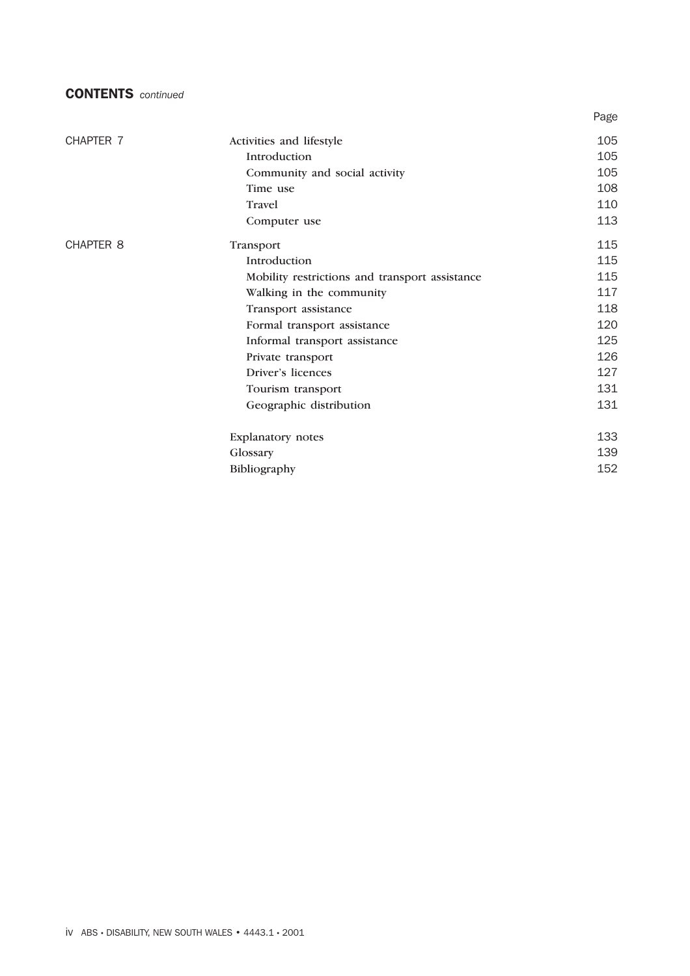#### CONTENTS *continued*

|                  |                                                | Page |
|------------------|------------------------------------------------|------|
| CHAPTER 7        | Activities and lifestyle                       | 105  |
|                  | Introduction                                   | 105  |
|                  | Community and social activity                  | 105  |
|                  | Time use                                       | 108  |
|                  | <b>Travel</b>                                  | 110  |
|                  | Computer use                                   | 113  |
| <b>CHAPTER 8</b> | Transport                                      | 115  |
|                  | Introduction                                   | 115  |
|                  | Mobility restrictions and transport assistance | 115  |
|                  | Walking in the community                       | 117  |
|                  | Transport assistance                           | 118  |
|                  | Formal transport assistance                    | 120  |
|                  | Informal transport assistance                  | 125  |
|                  | Private transport                              | 126  |
|                  | Driver's licences                              | 127  |
|                  | Tourism transport                              | 131  |
|                  | Geographic distribution                        | 131  |
|                  | Explanatory notes                              | 133  |
|                  | Glossary                                       | 139  |
|                  | Bibliography                                   | 152  |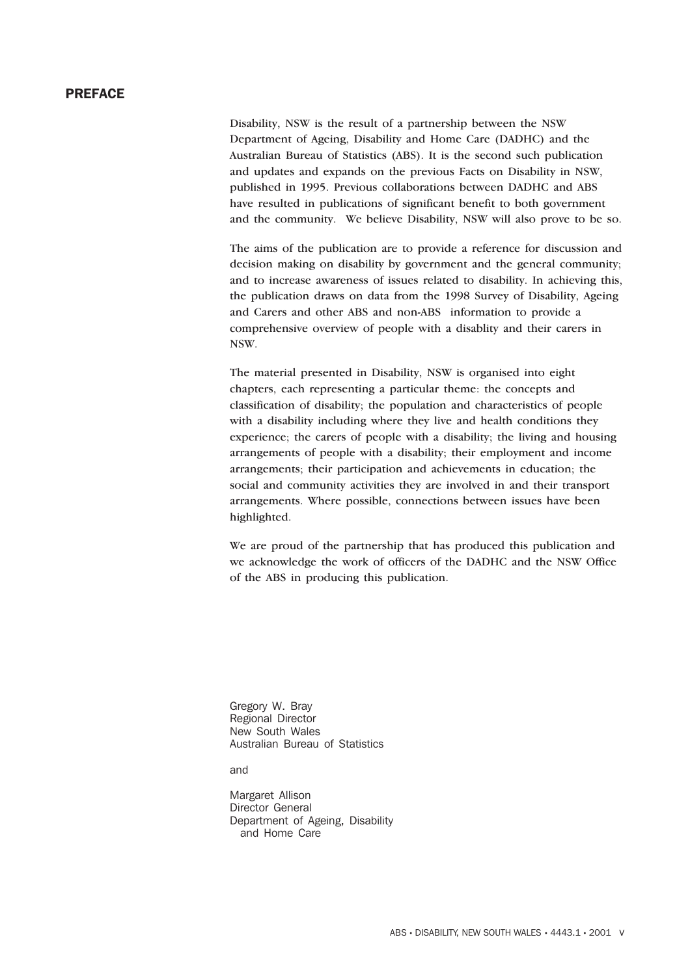#### PREFACE

Disability, NSW is the result of a partnership between the NSW Department of Ageing, Disability and Home Care (DADHC) and the Australian Bureau of Statistics (ABS). It is the second such publication and updates and expands on the previous Facts on Disability in NSW, published in 1995. Previous collaborations between DADHC and ABS have resulted in publications of significant benefit to both government and the community. We believe Disability, NSW will also prove to be so.

The aims of the publication are to provide a reference for discussion and decision making on disability by government and the general community; and to increase awareness of issues related to disability. In achieving this, the publication draws on data from the 1998 Survey of Disability, Ageing and Carers and other ABS and non-ABS information to provide a comprehensive overview of people with a disablity and their carers in NSW.

The material presented in Disability, NSW is organised into eight chapters, each representing a particular theme: the concepts and classification of disability; the population and characteristics of people with a disability including where they live and health conditions they experience; the carers of people with a disability; the living and housing arrangements of people with a disability; their employment and income arrangements; their participation and achievements in education; the social and community activities they are involved in and their transport arrangements. Where possible, connections between issues have been highlighted.

We are proud of the partnership that has produced this publication and we acknowledge the work of officers of the DADHC and the NSW Office of the ABS in producing this publication.

Gregory W. Bray Regional Director New South Wales Australian Bureau of Statistics

and

Margaret Allison Director General Department of Ageing, Disability and Home Care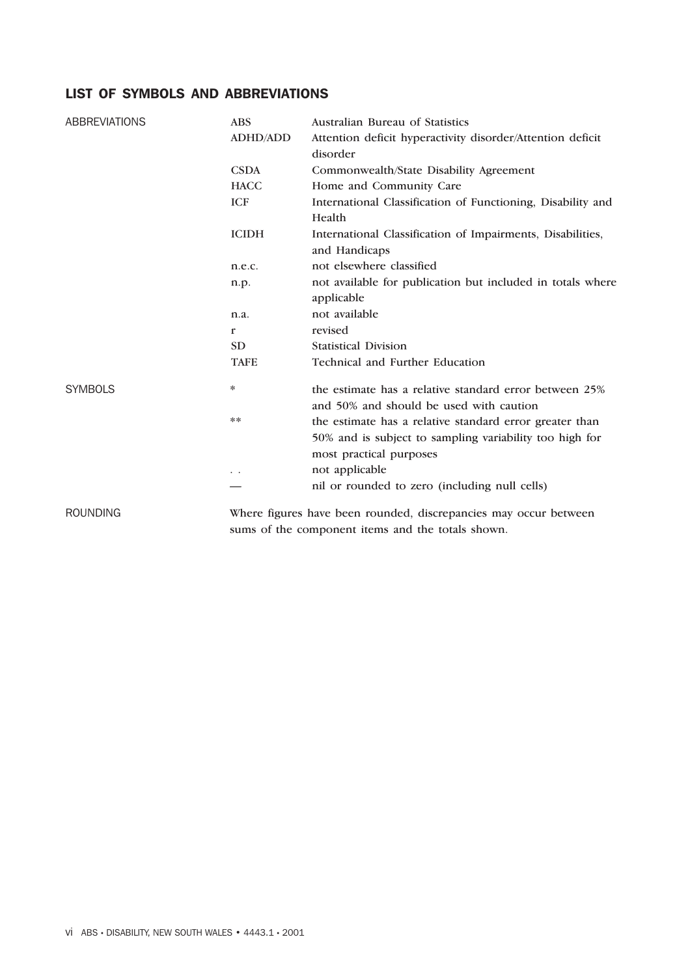#### LIST OF SYMBOLS AND ABBREVIATIONS

| <b>ABBREVIATIONS</b> | <b>ABS</b>      | Australian Bureau of Statistics                                                                                    |  |  |  |  |
|----------------------|-----------------|--------------------------------------------------------------------------------------------------------------------|--|--|--|--|
|                      | <b>ADHD/ADD</b> | Attention deficit hyperactivity disorder/Attention deficit                                                         |  |  |  |  |
|                      |                 | disorder                                                                                                           |  |  |  |  |
|                      | <b>CSDA</b>     | Commonwealth/State Disability Agreement                                                                            |  |  |  |  |
|                      | <b>HACC</b>     | Home and Community Care                                                                                            |  |  |  |  |
|                      | <b>ICF</b>      | International Classification of Functioning, Disability and<br>Health                                              |  |  |  |  |
|                      | <b>ICIDH</b>    | International Classification of Impairments, Disabilities,<br>and Handicaps                                        |  |  |  |  |
|                      | n.e.c.          | not elsewhere classified                                                                                           |  |  |  |  |
|                      | n.p.            | not available for publication but included in totals where                                                         |  |  |  |  |
|                      |                 | applicable                                                                                                         |  |  |  |  |
|                      | n.a.            | not available                                                                                                      |  |  |  |  |
|                      | r               | revised                                                                                                            |  |  |  |  |
|                      | <b>SD</b>       | <b>Statistical Division</b>                                                                                        |  |  |  |  |
|                      | <b>TAFE</b>     | Technical and Further Education                                                                                    |  |  |  |  |
| <b>SYMBOLS</b>       | $\ast$          | the estimate has a relative standard error between 25%<br>and 50% and should be used with caution                  |  |  |  |  |
|                      | $* *$           | the estimate has a relative standard error greater than<br>50% and is subject to sampling variability too high for |  |  |  |  |
|                      |                 | most practical purposes                                                                                            |  |  |  |  |
|                      | $\ddotsc$       | not applicable                                                                                                     |  |  |  |  |
|                      |                 | nil or rounded to zero (including null cells)                                                                      |  |  |  |  |
| <b>ROUNDING</b>      |                 | Where figures have been rounded, discrepancies may occur between                                                   |  |  |  |  |

sums of the component items and the totals shown.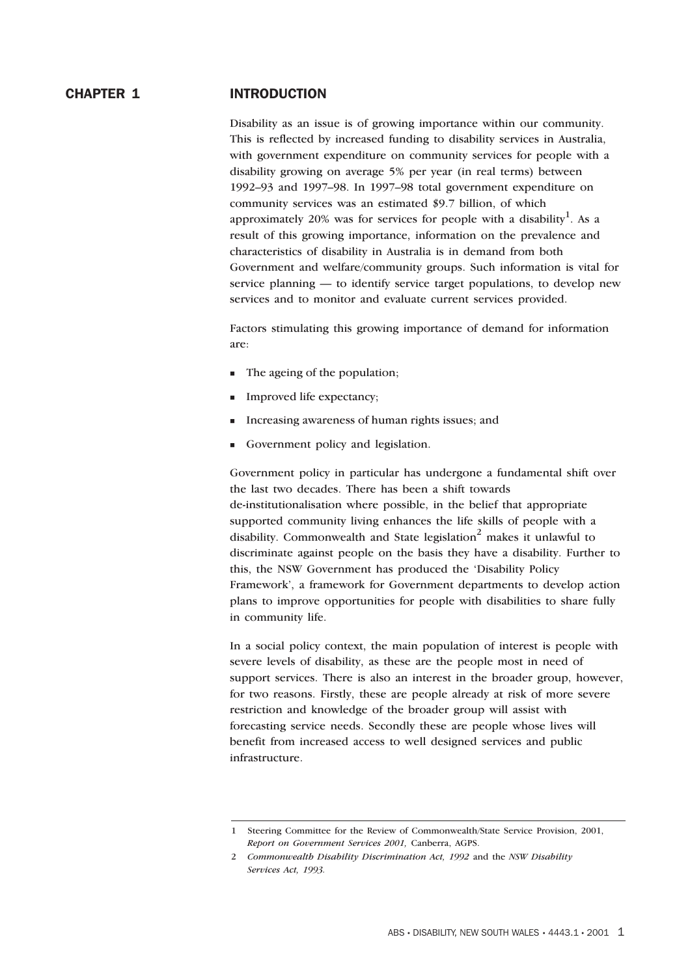#### CHAPTER 1 INTRODUCTION

Disability as an issue is of growing importance within our community. This is reflected by increased funding to disability services in Australia, with government expenditure on community services for people with a disability growing on average 5% per year (in real terms) between 1992–93 and 1997–98. In 1997–98 total government expenditure on community services was an estimated \$9.7 billion, of which approximately 20% was for services for people with a disability<sup>1</sup>. As a result of this growing importance, information on the prevalence and characteristics of disability in Australia is in demand from both Government and welfare/community groups. Such information is vital for service planning — to identify service target populations, to develop new services and to monitor and evaluate current services provided.

Factors stimulating this growing importance of demand for information are:

- The ageing of the population;
- Improved life expectancy;
- -Increasing awareness of human rights issues; and
- -Government policy and legislation.

Government policy in particular has undergone a fundamental shift over the last two decades. There has been a shift towards de-institutionalisation where possible, in the belief that appropriate supported community living enhances the life skills of people with a disability. Commonwealth and State legislation<sup>2</sup> makes it unlawful to discriminate against people on the basis they have a disability. Further to this, the NSW Government has produced the 'Disability Policy Framework', a framework for Government departments to develop action plans to improve opportunities for people with disabilities to share fully in community life.

In a social policy context, the main population of interest is people with severe levels of disability, as these are the people most in need of support services. There is also an interest in the broader group, however, for two reasons. Firstly, these are people already at risk of more severe restriction and knowledge of the broader group will assist with forecasting service needs. Secondly these are people whose lives will benefit from increased access to well designed services and public infrastructure.

<sup>1</sup> Steering Committee for the Review of Commonwealth/State Service Provision, 2001, *Report on Government Services 2001,* Canberra, AGPS.

<sup>2</sup> *Commonwealth Disability Discrimination Act, 1992* and the *NSW Disability Services Act, 1993.*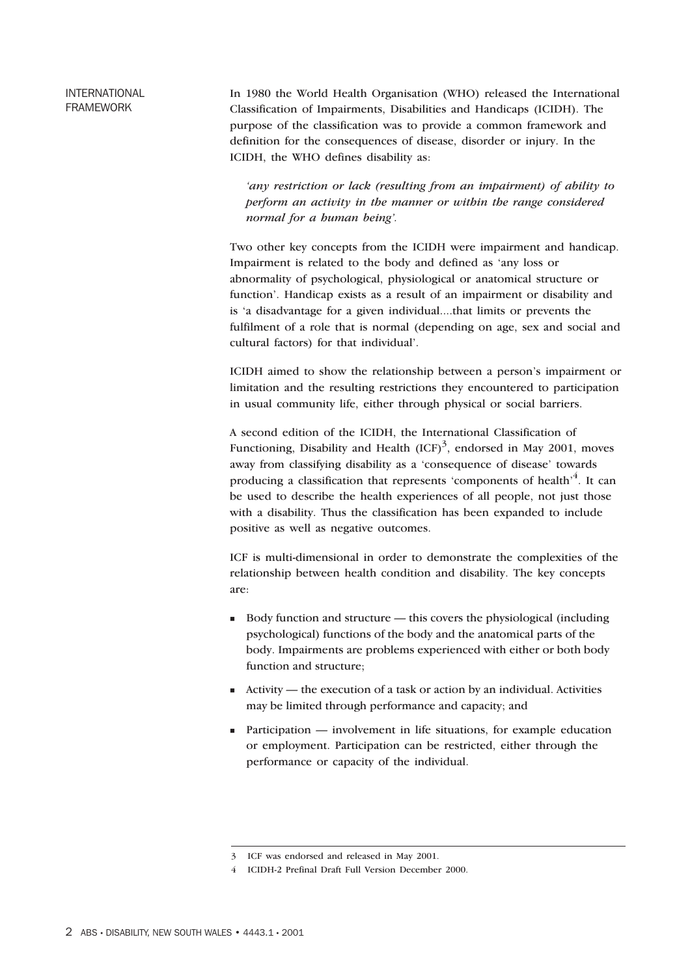#### INTERNATIONAL FRAMEWORK

In 1980 the World Health Organisation (WHO) released the International Classification of Impairments, Disabilities and Handicaps (ICIDH). The purpose of the classification was to provide a common framework and definition for the consequences of disease, disorder or injury. In the ICIDH, the WHO defines disability as:

*'any restriction or lack (resulting from an impairment) of ability to perform an activity in the manner or within the range considered normal for a human being'.*

Two other key concepts from the ICIDH were impairment and handicap. Impairment is related to the body and defined as 'any loss or abnormality of psychological, physiological or anatomical structure or function'. Handicap exists as a result of an impairment or disability and is 'a disadvantage for a given individual....that limits or prevents the fulfilment of a role that is normal (depending on age, sex and social and cultural factors) for that individual'.

ICIDH aimed to show the relationship between a person's impairment or limitation and the resulting restrictions they encountered to participation in usual community life, either through physical or social barriers.

A second edition of the ICIDH, the International Classification of Functioning, Disability and Health  ${(ICF)}^3$ , endorsed in May 2001, moves away from classifying disability as a 'consequence of disease' towards producing a classification that represents 'components of health'<sup>4</sup>. It can be used to describe the health experiences of all people, not just those with a disability. Thus the classification has been expanded to include positive as well as negative outcomes.

ICF is multi-dimensional in order to demonstrate the complexities of the relationship between health condition and disability. The key concepts are:

- Body function and structure this covers the physiological (including psychological) functions of the body and the anatomical parts of the body. Impairments are problems experienced with either or both body function and structure;
- Activity the execution of a task or action by an individual. Activities may be limited through performance and capacity; and
- Participation involvement in life situations, for example education or employment. Participation can be restricted, either through the performance or capacity of the individual.

<sup>3</sup> ICF was endorsed and released in May 2001.

<sup>4</sup> ICIDH-2 Prefinal Draft Full Version December 2000.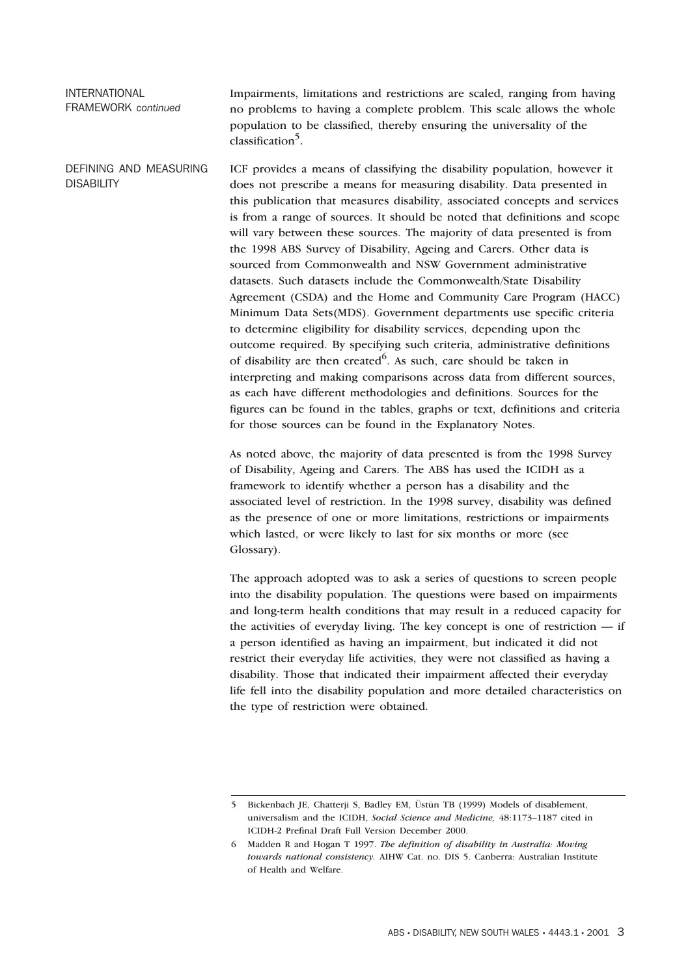#### INTERNATIONAL FRAMEWORK *continued*

Impairments, limitations and restrictions are scaled, ranging from having no problems to having a complete problem. This scale allows the whole population to be classified, thereby ensuring the universality of the classification<sup>5</sup>.

DEFINING AND MEASURING **DISABILITY** ICF provides a means of classifying the disability population, however it does not prescribe a means for measuring disability. Data presented in this publication that measures disability, associated concepts and services is from a range of sources. It should be noted that definitions and scope will vary between these sources. The majority of data presented is from the 1998 ABS Survey of Disability, Ageing and Carers. Other data is sourced from Commonwealth and NSW Government administrative datasets. Such datasets include the Commonwealth/State Disability Agreement (CSDA) and the Home and Community Care Program (HACC) Minimum Data Sets(MDS). Government departments use specific criteria to determine eligibility for disability services, depending upon the outcome required. By specifying such criteria, administrative definitions of disability are then created<sup>6</sup>. As such, care should be taken in interpreting and making comparisons across data from different sources, as each have different methodologies and definitions. Sources for the figures can be found in the tables, graphs or text, definitions and criteria for those sources can be found in the Explanatory Notes.

> As noted above, the majority of data presented is from the 1998 Survey of Disability, Ageing and Carers. The ABS has used the ICIDH as a framework to identify whether a person has a disability and the associated level of restriction. In the 1998 survey, disability was defined as the presence of one or more limitations, restrictions or impairments which lasted, or were likely to last for six months or more (see Glossary).

The approach adopted was to ask a series of questions to screen people into the disability population. The questions were based on impairments and long-term health conditions that may result in a reduced capacity for the activities of everyday living. The key concept is one of restriction — if a person identified as having an impairment, but indicated it did not restrict their everyday life activities, they were not classified as having a disability. Those that indicated their impairment affected their everyday life fell into the disability population and more detailed characteristics on the type of restriction were obtained.

<sup>5</sup> Bickenbach JE, Chatterji S, Badley EM, Üstün TB (1999) Models of disablement, universalism and the ICIDH, *Social Science and Medicine,* 48:1173–1187 cited in ICIDH-2 Prefinal Draft Full Version December 2000.

<sup>6</sup> Madden R and Hogan T 1997. *The definition of disability in Australia: Moving towards national consistency.* AIHW Cat. no. DIS 5. Canberra: Australian Institute of Health and Welfare.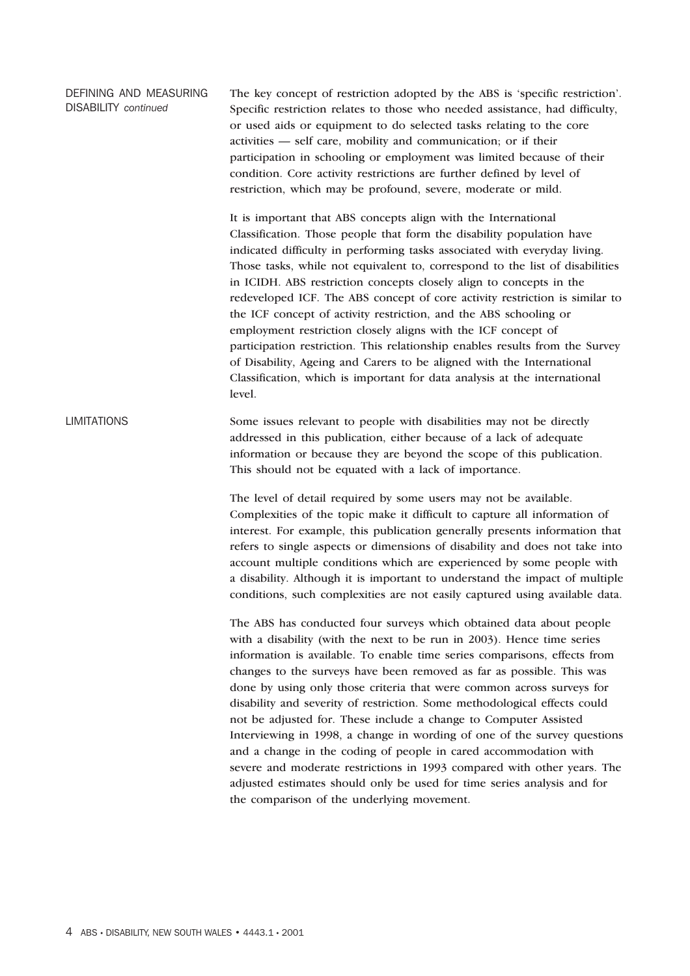DEFINING AND MEASURING DISABILITY *continued* The key concept of restriction adopted by the ABS is 'specific restriction'. Specific restriction relates to those who needed assistance, had difficulty, or used aids or equipment to do selected tasks relating to the core activities — self care, mobility and communication; or if their participation in schooling or employment was limited because of their condition. Core activity restrictions are further defined by level of restriction, which may be profound, severe, moderate or mild.

> It is important that ABS concepts align with the International Classification. Those people that form the disability population have indicated difficulty in performing tasks associated with everyday living. Those tasks, while not equivalent to, correspond to the list of disabilities in ICIDH. ABS restriction concepts closely align to concepts in the redeveloped ICF. The ABS concept of core activity restriction is similar to the ICF concept of activity restriction, and the ABS schooling or employment restriction closely aligns with the ICF concept of participation restriction. This relationship enables results from the Survey of Disability, Ageing and Carers to be aligned with the International Classification, which is important for data analysis at the international level.

LIMITATIONS Some issues relevant to people with disabilities may not be directly addressed in this publication, either because of a lack of adequate information or because they are beyond the scope of this publication. This should not be equated with a lack of importance.

> The level of detail required by some users may not be available. Complexities of the topic make it difficult to capture all information of interest. For example, this publication generally presents information that refers to single aspects or dimensions of disability and does not take into account multiple conditions which are experienced by some people with a disability. Although it is important to understand the impact of multiple conditions, such complexities are not easily captured using available data.

> The ABS has conducted four surveys which obtained data about people with a disability (with the next to be run in 2003). Hence time series information is available. To enable time series comparisons, effects from changes to the surveys have been removed as far as possible. This was done by using only those criteria that were common across surveys for disability and severity of restriction. Some methodological effects could not be adjusted for. These include a change to Computer Assisted Interviewing in 1998, a change in wording of one of the survey questions and a change in the coding of people in cared accommodation with severe and moderate restrictions in 1993 compared with other years. The adjusted estimates should only be used for time series analysis and for the comparison of the underlying movement.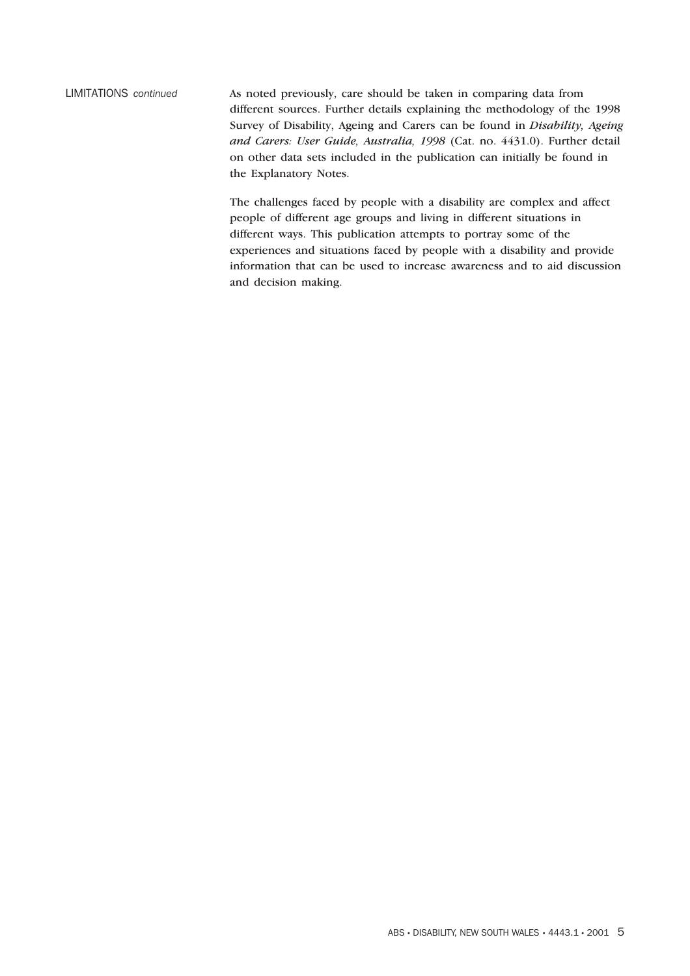LIMITATIONS *continued* As noted previously, care should be taken in comparing data from different sources. Further details explaining the methodology of the 1998 Survey of Disability, Ageing and Carers can be found in *Disability, Ageing and Carers: User Guide, Australia, 1998* (Cat. no. 4431.0). Further detail on other data sets included in the publication can initially be found in the Explanatory Notes.

> The challenges faced by people with a disability are complex and affect people of different age groups and living in different situations in different ways. This publication attempts to portray some of the experiences and situations faced by people with a disability and provide information that can be used to increase awareness and to aid discussion and decision making.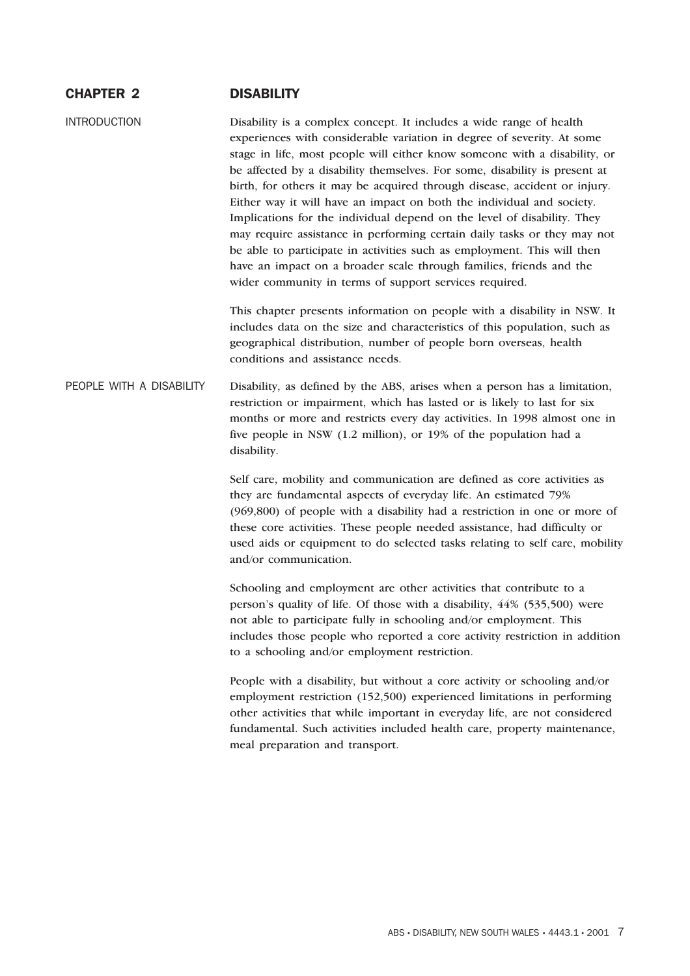### CHAPTER 2 DISABILITY

INTRODUCTION Disability is a complex concept. It includes a wide range of health experiences with considerable variation in degree of severity. At some stage in life, most people will either know someone with a disability, or be affected by a disability themselves. For some, disability is present at birth, for others it may be acquired through disease, accident or injury. Either way it will have an impact on both the individual and society. Implications for the individual depend on the level of disability. They may require assistance in performing certain daily tasks or they may not be able to participate in activities such as employment. This will then have an impact on a broader scale through families, friends and the wider community in terms of support services required.

> This chapter presents information on people with a disability in NSW. It includes data on the size and characteristics of this population, such as geographical distribution, number of people born overseas, health conditions and assistance needs.

PEOPLE WITH A DISABILITY Disability, as defined by the ABS, arises when a person has a limitation, restriction or impairment, which has lasted or is likely to last for six months or more and restricts every day activities. In 1998 almost one in five people in NSW (1.2 million), or 19% of the population had a disability.

> Self care, mobility and communication are defined as core activities as they are fundamental aspects of everyday life. An estimated 79% (969,800) of people with a disability had a restriction in one or more of these core activities. These people needed assistance, had difficulty or used aids or equipment to do selected tasks relating to self care, mobility and/or communication.

> Schooling and employment are other activities that contribute to a person's quality of life. Of those with a disability, 44% (535,500) were not able to participate fully in schooling and/or employment. This includes those people who reported a core activity restriction in addition to a schooling and/or employment restriction.

People with a disability, but without a core activity or schooling and/or employment restriction (152,500) experienced limitations in performing other activities that while important in everyday life, are not considered fundamental. Such activities included health care, property maintenance, meal preparation and transport.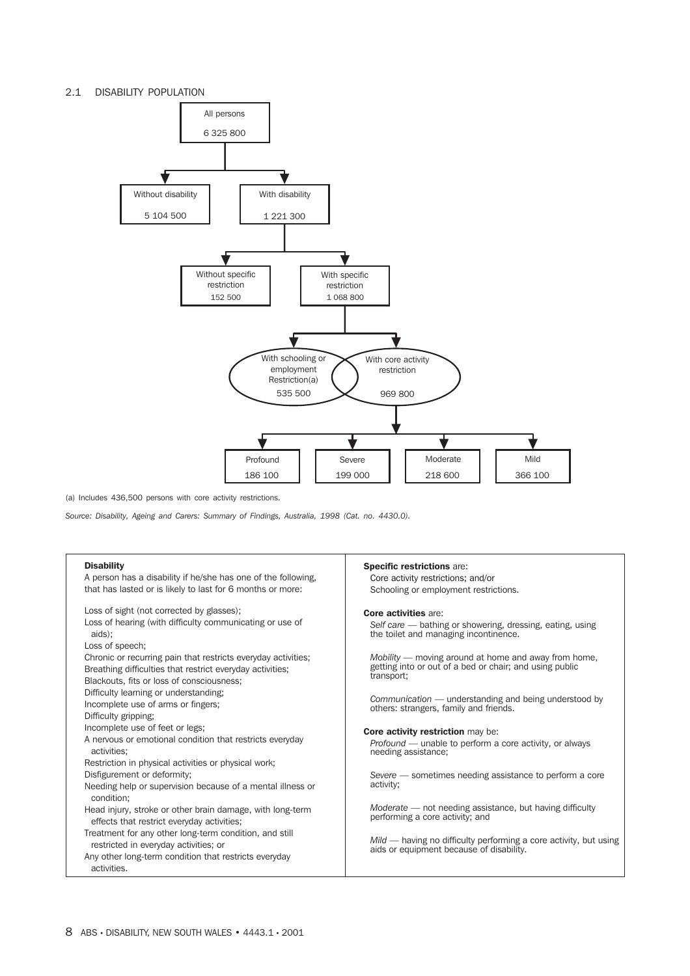#### 2.1 DISABILITY POPULATION



(a) Includes 436,500 persons with core activity restrictions.

*Source: Disability, Ageing and Carers: Summary of Findings, Australia, 1998 (Cat. no. 4430.0).*

#### Disability

| <b>Disability</b><br>A person has a disability if he/she has one of the following,<br>that has lasted or is likely to last for 6 months or more:                        | <b>Specific restrictions are:</b><br>Core activity restrictions; and/or<br>Schooling or employment restrictions.                  |
|-------------------------------------------------------------------------------------------------------------------------------------------------------------------------|-----------------------------------------------------------------------------------------------------------------------------------|
| Loss of sight (not corrected by glasses);<br>Loss of hearing (with difficulty communicating or use of<br>aids):<br>Loss of speech;                                      | <b>Core activities are:</b><br>Self care — bathing or showering, dressing, eating, using<br>the toilet and managing incontinence. |
| Chronic or recurring pain that restricts everyday activities;<br>Breathing difficulties that restrict everyday activities;<br>Blackouts, fits or loss of consciousness; | Mobility — moving around at home and away from home,<br>getting into or out of a bed or chair; and using public<br>transport;     |
| Difficulty learning or understanding;<br>Incomplete use of arms or fingers;<br>Difficulty gripping:                                                                     | Communication — understanding and being understood by<br>others: strangers, family and friends.                                   |
| Incomplete use of feet or legs;<br>A nervous or emotional condition that restricts everyday<br>activities:                                                              | <b>Core activity restriction may be:</b><br>Profound — unable to perform a core activity, or always<br>needing assistance;        |
| Restriction in physical activities or physical work;<br>Disfigurement or deformity;<br>Needing help or supervision because of a mental illness or<br>condition:         | Severe – sometimes needing assistance to perform a core<br>activity;                                                              |
| Head injury, stroke or other brain damage, with long-term<br>effects that restrict everyday activities;                                                                 | Moderate – not needing assistance, but having difficulty<br>performing a core activity; and                                       |
| Treatment for any other long-term condition, and still<br>restricted in everyday activities; or<br>Any other long-term condition that restricts everyday<br>activities. | Mild — having no difficulty performing a core activity, but using<br>aids or equipment because of disability.                     |
|                                                                                                                                                                         |                                                                                                                                   |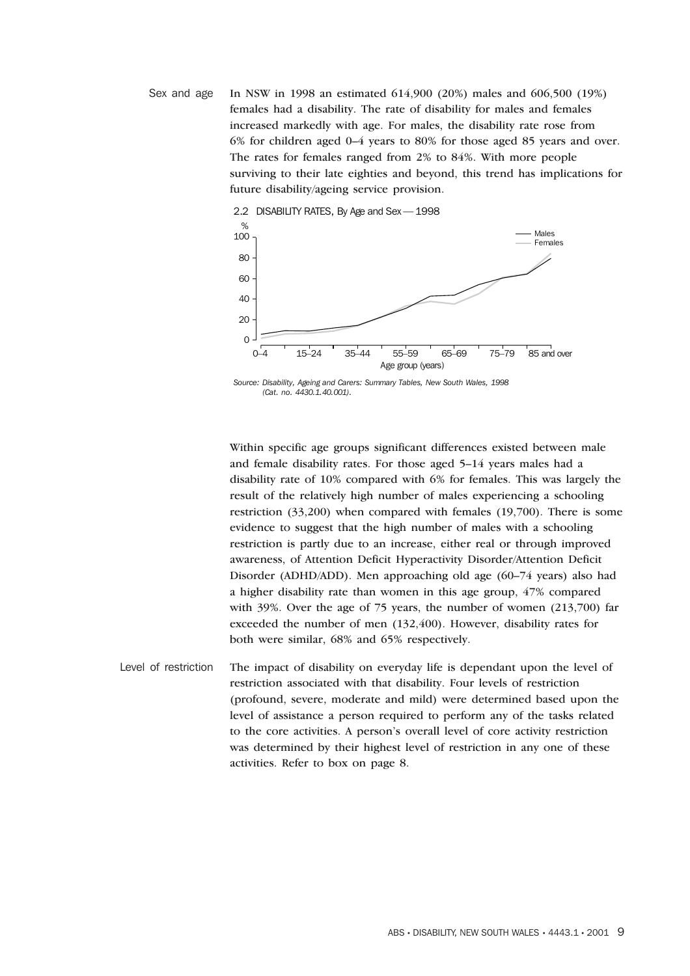Sex and age In NSW in 1998 an estimated 614,900 (20%) males and 606,500 (19%) females had a disability. The rate of disability for males and females increased markedly with age. For males, the disability rate rose from 6% for children aged 0–4 years to 80% for those aged 85 years and over. The rates for females ranged from 2% to 84%. With more people surviving to their late eighties and beyond, this trend has implications for future disability/ageing service provision.



*Source: Disability, Ageing and Carers: Summary Tables, New South Wales, 1998 (Cat. no. 4430.1.40.001).*

Within specific age groups significant differences existed between male and female disability rates. For those aged 5–14 years males had a disability rate of 10% compared with 6% for females. This was largely the result of the relatively high number of males experiencing a schooling restriction (33,200) when compared with females (19,700). There is some evidence to suggest that the high number of males with a schooling restriction is partly due to an increase, either real or through improved awareness, of Attention Deficit Hyperactivity Disorder/Attention Deficit Disorder (ADHD/ADD). Men approaching old age (60–74 years) also had a higher disability rate than women in this age group, 47% compared with 39%. Over the age of 75 years, the number of women (213,700) far exceeded the number of men (132,400). However, disability rates for both were similar, 68% and 65% respectively.

Level of restriction The impact of disability on everyday life is dependant upon the level of restriction associated with that disability. Four levels of restriction (profound, severe, moderate and mild) were determined based upon the level of assistance a person required to perform any of the tasks related to the core activities. A person's overall level of core activity restriction was determined by their highest level of restriction in any one of these activities. Refer to box on page 8.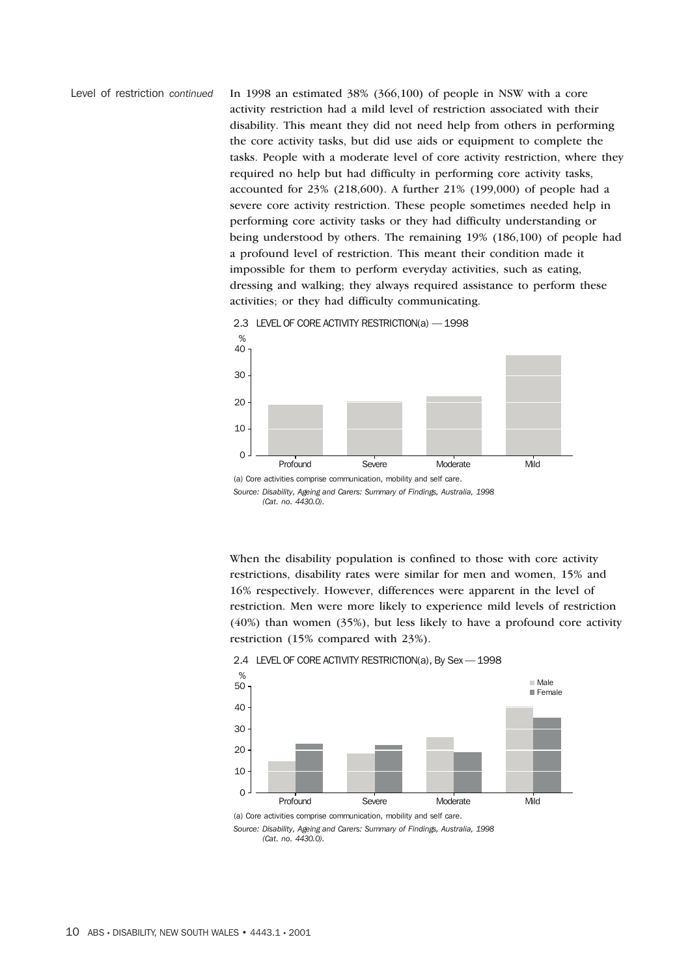Level of restriction *continued* In 1998 an estimated 38% (366,100) of people in NSW with a core activity restriction had a mild level of restriction associated with their disability. This meant they did not need help from others in performing the core activity tasks, but did use aids or equipment to complete the tasks. People with a moderate level of core activity restriction, where they required no help but had difficulty in performing core activity tasks, accounted for 23% (218,600). A further 21% (199,000) of people had a severe core activity restriction. These people sometimes needed help in performing core activity tasks or they had difficulty understanding or being understood by others. The remaining 19% (186,100) of people had a profound level of restriction. This meant their condition made it impossible for them to perform everyday activities, such as eating, dressing and walking; they always required assistance to perform these activities; or they had difficulty communicating.



2.3 LEVEL OF CORE ACTIVITY RESTRICTION(a) — 1998

*Source: Disability, Ageing and Carers: Summary of Findings, Australia, 1998 (Cat. no. 4430.0).*

When the disability population is confined to those with core activity restrictions, disability rates were similar for men and women, 15% and 16% respectively. However, differences were apparent in the level of restriction. Men were more likely to experience mild levels of restriction (40%) than women (35%), but less likely to have a profound core activity restriction (15% compared with 23%).



2.4 LEVEL OF CORE ACTIVITY RESTRICTION(a), By Sex — 1998

(a) Core activities comprise communication, mobility and self care.

*Source: Disability, Ageing and Carers: Summary of Findings, Australia, 1998 (Cat. no. 4430.0).*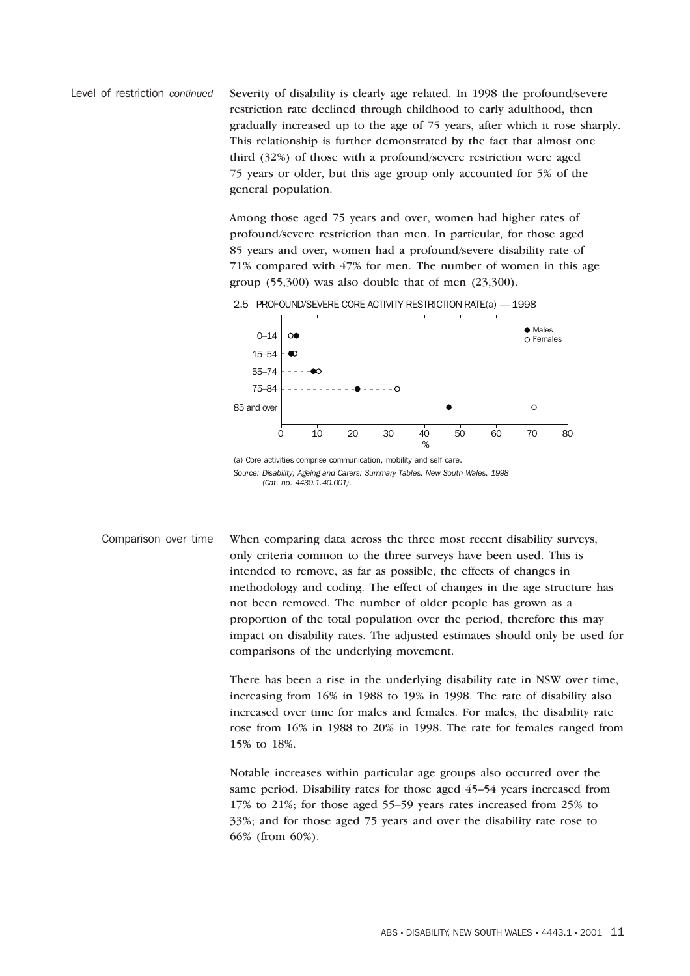Level of restriction *continued* Severity of disability is clearly age related. In 1998 the profound/severe restriction rate declined through childhood to early adulthood, then gradually increased up to the age of 75 years, after which it rose sharply. This relationship is further demonstrated by the fact that almost one third (32%) of those with a profound/severe restriction were aged 75 years or older, but this age group only accounted for 5% of the general population.

> Among those aged 75 years and over, women had higher rates of profound/severe restriction than men. In particular, for those aged 85 years and over, women had a profound/severe disability rate of 71% compared with 47% for men. The number of women in this age group  $(55,300)$  was also double that of men  $(23,300)$ .



(a) Core activities comprise communication, mobility and self care. *Source: Disability, Ageing and Carers: Summary Tables, New South Wales, 1998 (Cat. no. 4430.1.40.001).*

Comparison over time When comparing data across the three most recent disability surveys, only criteria common to the three surveys have been used. This is intended to remove, as far as possible, the effects of changes in methodology and coding. The effect of changes in the age structure has not been removed. The number of older people has grown as a proportion of the total population over the period, therefore this may impact on disability rates. The adjusted estimates should only be used for comparisons of the underlying movement.

> There has been a rise in the underlying disability rate in NSW over time, increasing from 16% in 1988 to 19% in 1998. The rate of disability also increased over time for males and females. For males, the disability rate rose from 16% in 1988 to 20% in 1998. The rate for females ranged from 15% to 18%.

Notable increases within particular age groups also occurred over the same period. Disability rates for those aged 45–54 years increased from 17% to 21%; for those aged 55–59 years rates increased from 25% to 33%; and for those aged 75 years and over the disability rate rose to 66% (from 60%).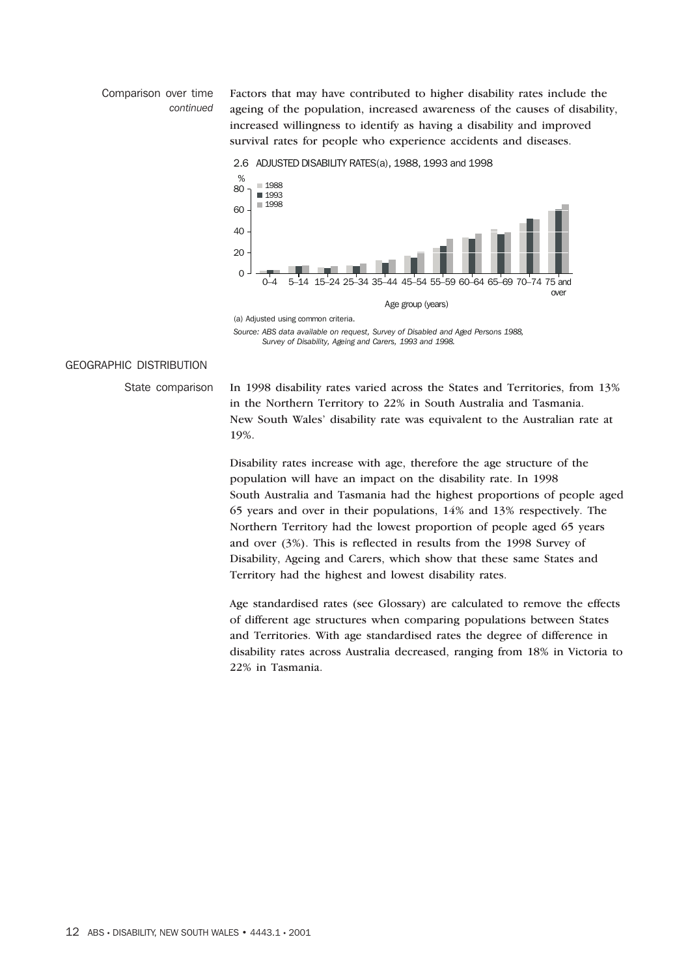#### Comparison over time *continued*

Factors that may have contributed to higher disability rates include the ageing of the population, increased awareness of the causes of disability, increased willingness to identify as having a disability and improved survival rates for people who experience accidents and diseases.

2.6 ADJUSTED DISABILITY RATES(a), 1988, 1993 and 1998



*Source: ABS data available on request, Survey of Disabled and Aged Persons 1988, Survey of Disability, Ageing and Carers, 1993 and 1998.*

#### GEOGRAPHIC DISTRIBUTION

State comparison In 1998 disability rates varied across the States and Territories, from 13% in the Northern Territory to 22% in South Australia and Tasmania. New South Wales' disability rate was equivalent to the Australian rate at 19%.

> Disability rates increase with age, therefore the age structure of the population will have an impact on the disability rate. In 1998 South Australia and Tasmania had the highest proportions of people aged 65 years and over in their populations, 14% and 13% respectively. The Northern Territory had the lowest proportion of people aged 65 years and over (3%). This is reflected in results from the 1998 Survey of Disability, Ageing and Carers, which show that these same States and Territory had the highest and lowest disability rates.

> Age standardised rates (see Glossary) are calculated to remove the effects of different age structures when comparing populations between States and Territories. With age standardised rates the degree of difference in disability rates across Australia decreased, ranging from 18% in Victoria to 22% in Tasmania.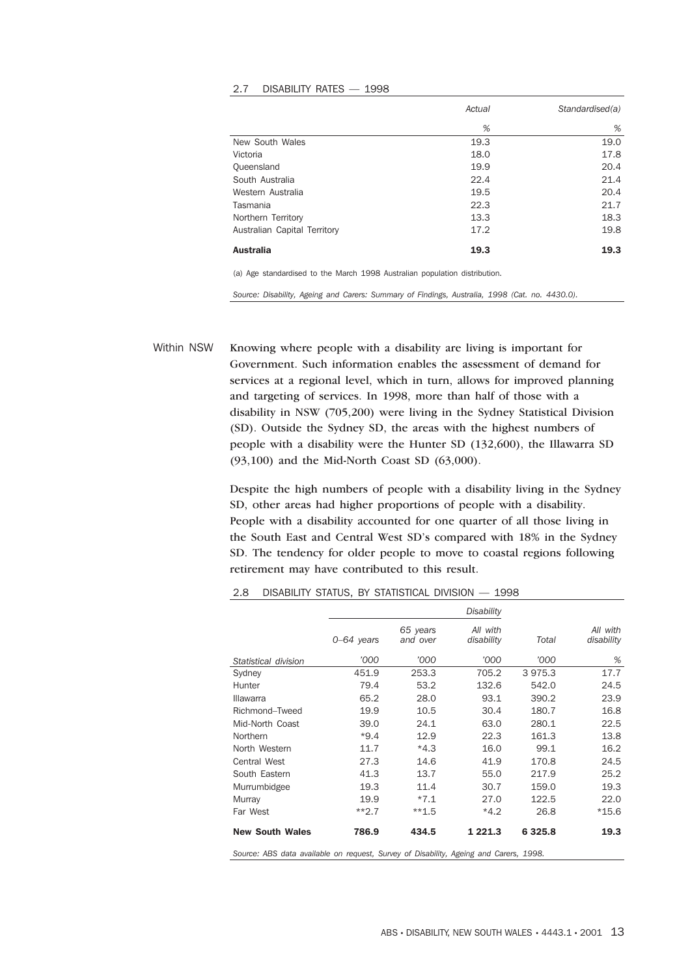#### 2.7 DISABILITY RATES — 1998

|                              | Actual | Standardised(a) |
|------------------------------|--------|-----------------|
|                              | %      | %               |
| New South Wales              | 19.3   | 19.0            |
| Victoria                     | 18.0   | 17.8            |
| Queensland                   | 19.9   | 20.4            |
| South Australia              | 22.4   | 21.4            |
| Western Australia            | 19.5   | 20.4            |
| Tasmania                     | 22.3   | 21.7            |
| Northern Territory           | 13.3   | 18.3            |
| Australian Capital Territory | 17.2   | 19.8            |
| <b>Australia</b>             | 19.3   | 19.3            |

(a) Age standardised to the March 1998 Australian population distribution.

*Source: Disability, Ageing and Carers: Summary of Findings, Australia, 1998 (Cat. no. 4430.0).*

Within NSW Knowing where people with a disability are living is important for Government. Such information enables the assessment of demand for services at a regional level, which in turn, allows for improved planning and targeting of services. In 1998, more than half of those with a disability in NSW (705,200) were living in the Sydney Statistical Division (SD). Outside the Sydney SD, the areas with the highest numbers of people with a disability were the Hunter SD (132,600), the Illawarra SD (93,100) and the Mid-North Coast SD (63,000).

> Despite the high numbers of people with a disability living in the Sydney SD, other areas had higher proportions of people with a disability. People with a disability accounted for one quarter of all those living in the South East and Central West SD's compared with 18% in the Sydney SD. The tendency for older people to move to coastal regions following retirement may have contributed to this result.

|                                                                                       |              |                      | <b>Disability</b>      |             |                        |  |  |  |  |  |
|---------------------------------------------------------------------------------------|--------------|----------------------|------------------------|-------------|------------------------|--|--|--|--|--|
|                                                                                       | $0-64$ years | 65 years<br>and over | All with<br>disability | Total       | All with<br>disability |  |  |  |  |  |
| Statistical division                                                                  | '000         | '000                 | '000                   | '000        | %                      |  |  |  |  |  |
| Sydney                                                                                | 451.9        | 253.3                | 705.2                  | 3975.3      | 17.7                   |  |  |  |  |  |
| Hunter                                                                                | 79.4         | 53.2                 | 132.6                  | 542.0       | 24.5                   |  |  |  |  |  |
| Illawarra                                                                             | 65.2         | 28.0                 | 93.1                   | 390.2       | 23.9                   |  |  |  |  |  |
| Richmond-Tweed                                                                        | 19.9         | 10.5                 | 30.4                   | 180.7       | 16.8                   |  |  |  |  |  |
| Mid-North Coast                                                                       | 39.0         | 24.1                 | 63.0                   | 280.1       | 22.5                   |  |  |  |  |  |
| Northern                                                                              | $*9.4$       | 12.9                 | 22.3                   | 161.3       | 13.8                   |  |  |  |  |  |
| North Western                                                                         | 11.7         | $*4.3$               | 16.0                   | 99.1        | 16.2                   |  |  |  |  |  |
| <b>Central West</b>                                                                   | 27.3         | 14.6                 | 41.9                   | 170.8       | 24.5                   |  |  |  |  |  |
| South Eastern                                                                         | 41.3         | 13.7                 | 55.0                   | 217.9       | 25.2                   |  |  |  |  |  |
| Murrumbidgee                                                                          | 19.3         | 11.4                 | 30.7                   | 159.0       | 19.3                   |  |  |  |  |  |
| Murray                                                                                | 19.9         | $*7.1$               | 27.0                   | 122.5       | 22.0                   |  |  |  |  |  |
| Far West                                                                              | $**2.7$      | $**1.5$              | $*4.2$                 | 26.8        | $*15.6$                |  |  |  |  |  |
| <b>New South Wales</b>                                                                | 786.9        | 434.5                | 1 2 2 1 . 3            | 6 3 2 5 . 8 | 19.3                   |  |  |  |  |  |
| Source: ABS data available on request, Survey of Disability, Ageing and Carers, 1998. |              |                      |                        |             |                        |  |  |  |  |  |

2.8 DISABILITY STATUS, BY STATISTICAL DIVISION — 1998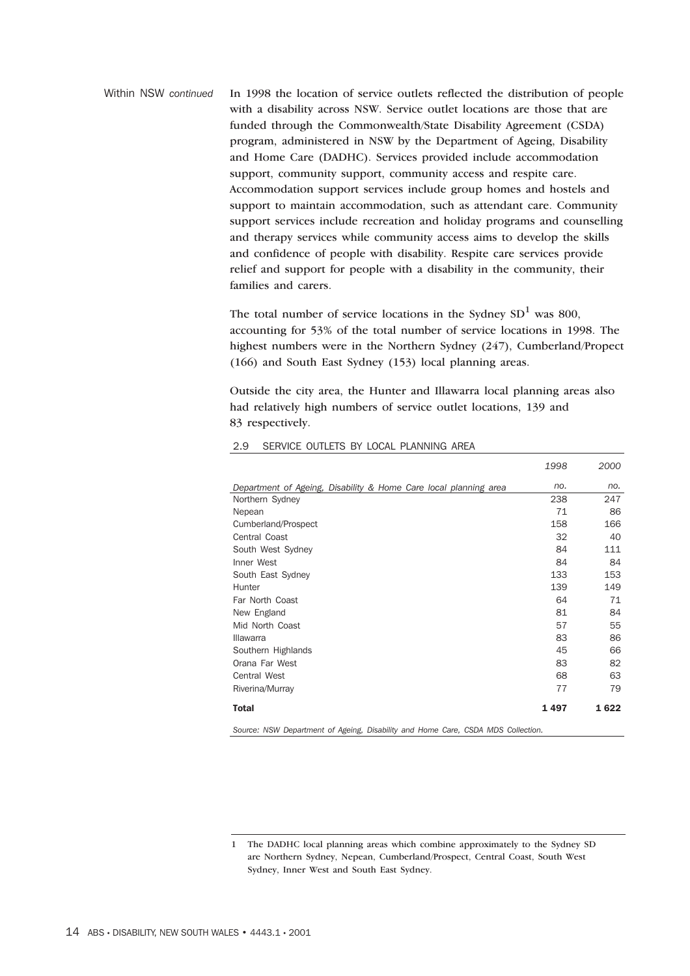Within NSW *continued* In 1998 the location of service outlets reflected the distribution of people with a disability across NSW. Service outlet locations are those that are funded through the Commonwealth/State Disability Agreement (CSDA) program, administered in NSW by the Department of Ageing, Disability and Home Care (DADHC). Services provided include accommodation support, community support, community access and respite care. Accommodation support services include group homes and hostels and support to maintain accommodation, such as attendant care. Community support services include recreation and holiday programs and counselling and therapy services while community access aims to develop the skills and confidence of people with disability. Respite care services provide relief and support for people with a disability in the community, their families and carers.

> The total number of service locations in the Sydney  $SD<sup>1</sup>$  was 800, accounting for 53% of the total number of service locations in 1998. The highest numbers were in the Northern Sydney (247), Cumberland/Propect (166) and South East Sydney (153) local planning areas.

Outside the city area, the Hunter and Illawarra local planning areas also had relatively high numbers of service outlet locations, 139 and 83 respectively.

*1998*

*2000*

| Department of Ageing, Disability & Home Care local planning area                 | no.   | no.   |
|----------------------------------------------------------------------------------|-------|-------|
| Northern Sydney                                                                  | 238   | 247   |
| Nepean                                                                           | 71    | 86    |
|                                                                                  |       |       |
| Cumberland/Prospect                                                              | 158   | 166   |
| Central Coast                                                                    | 32    | 40    |
| South West Sydney                                                                | 84    | 111   |
| Inner West                                                                       | 84    | 84    |
| South East Sydney                                                                | 133   | 153   |
| Hunter                                                                           | 139   | 149   |
| Far North Coast                                                                  | 64    | 71    |
| New England                                                                      | 81    | 84    |
| Mid North Coast                                                                  | 57    | 55    |
| Illawarra                                                                        | 83    | 86    |
| Southern Highlands                                                               | 45    | 66    |
| Orana Far West                                                                   | 83    | 82    |
| <b>Central West</b>                                                              | 68    | 63    |
| Riverina/Murray                                                                  | 77    | 79    |
| Total                                                                            | 1 497 | 1 622 |
| Source: NSW Department of Ageing, Disability and Home Care, CSDA MDS Collection. |       |       |

#### 2.9 SERVICE OUTLETS BY LOCAL PLANNING AREA

<sup>1</sup> The DADHC local planning areas which combine approximately to the Sydney SD are Northern Sydney, Nepean, Cumberland/Prospect, Central Coast, South West Sydney, Inner West and South East Sydney.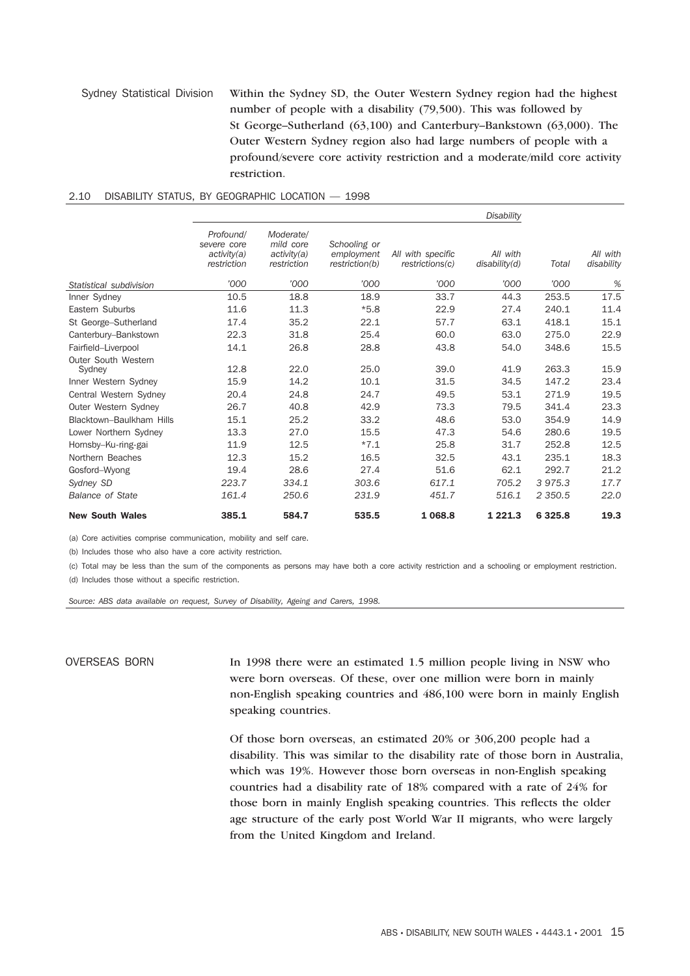#### Sydney Statistical Division Within the Sydney SD, the Outer Western Sydney region had the highest number of people with a disability (79,500). This was followed by St George–Sutherland (63,100) and Canterbury–Bankstown (63,000). The Outer Western Sydney region also had large numbers of people with a profound/severe core activity restriction and a moderate/mild core activity restriction.

|                               |                                                        |                                                      |                                              |                                      | <b>Disability</b>         |             |                        |
|-------------------------------|--------------------------------------------------------|------------------------------------------------------|----------------------------------------------|--------------------------------------|---------------------------|-------------|------------------------|
|                               | Profound/<br>severe core<br>activity(a)<br>restriction | Moderate/<br>mild core<br>activity(a)<br>restriction | Schooling or<br>employment<br>restriction(b) | All with specific<br>restrictions(c) | All with<br>disability(d) | Total       | All with<br>disability |
| Statistical subdivision       | '000                                                   | '000                                                 | '000                                         | '000                                 | '000                      | '000        | %                      |
| Inner Sydney                  | 10.5                                                   | 18.8                                                 | 18.9                                         | 33.7                                 | 44.3                      | 253.5       | 17.5                   |
| Eastern Suburbs               | 11.6                                                   | 11.3                                                 | $*5.8$                                       | 22.9                                 | 27.4                      | 240.1       | 11.4                   |
| St George-Sutherland          | 17.4                                                   | 35.2                                                 | 22.1                                         | 57.7                                 | 63.1                      | 418.1       | 15.1                   |
| Canterbury-Bankstown          | 22.3                                                   | 31.8                                                 | 25.4                                         | 60.0                                 | 63.0                      | 275.0       | 22.9                   |
| Fairfield-Liverpool           | 14.1                                                   | 26.8                                                 | 28.8                                         | 43.8                                 | 54.0                      | 348.6       | 15.5                   |
| Outer South Western<br>Sydney | 12.8                                                   | 22.0                                                 | 25.0                                         | 39.0                                 | 41.9                      | 263.3       | 15.9                   |
| Inner Western Sydney          | 15.9                                                   | 14.2                                                 | 10.1                                         | 31.5                                 | 34.5                      | 147.2       | 23.4                   |
| Central Western Sydney        | 20.4                                                   | 24.8                                                 | 24.7                                         | 49.5                                 | 53.1                      | 271.9       | 19.5                   |
| Outer Western Sydney          | 26.7                                                   | 40.8                                                 | 42.9                                         | 73.3                                 | 79.5                      | 341.4       | 23.3                   |
| Blacktown-Baulkham Hills      | 15.1                                                   | 25.2                                                 | 33.2                                         | 48.6                                 | 53.0                      | 354.9       | 14.9                   |
| Lower Northern Sydney         | 13.3                                                   | 27.0                                                 | 15.5                                         | 47.3                                 | 54.6                      | 280.6       | 19.5                   |
| Hornsby-Ku-ring-gai           | 11.9                                                   | 12.5                                                 | $*7.1$                                       | 25.8                                 | 31.7                      | 252.8       | 12.5                   |
| Northern Beaches              | 12.3                                                   | 15.2                                                 | 16.5                                         | 32.5                                 | 43.1                      | 235.1       | 18.3                   |
| Gosford-Wyong                 | 19.4                                                   | 28.6                                                 | 27.4                                         | 51.6                                 | 62.1                      | 292.7       | 21.2                   |
| Sydney SD                     | 223.7                                                  | 334.1                                                | 303.6                                        | 617.1                                | 705.2                     | 3975.3      | 17.7                   |
| <b>Balance of State</b>       | 161.4                                                  | 250.6                                                | 231.9                                        | 451.7                                | 516.1                     | 2 3 5 0.5   | 22.0                   |
| <b>New South Wales</b>        | 385.1                                                  | 584.7                                                | 535.5                                        | 1 068.8                              | 1 2 2 1 . 3               | 6 3 2 5 . 8 | 19.3                   |

#### 2.10 DISABILITY STATUS, BY GEOGRAPHIC LOCATION — 1998

(a) Core activities comprise communication, mobility and self care.

(b) Includes those who also have a core activity restriction.

(c) Total may be less than the sum of the components as persons may have both a core activity restriction and a schooling or employment restriction. (d) Includes those without a specific restriction.

*Source: ABS data available on request, Survey of Disability, Ageing and Carers, 1998.*

OVERSEAS BORN In 1998 there were an estimated 1.5 million people living in NSW who were born overseas. Of these, over one million were born in mainly non-English speaking countries and 486,100 were born in mainly English speaking countries.

> Of those born overseas, an estimated 20% or 306,200 people had a disability. This was similar to the disability rate of those born in Australia, which was 19%. However those born overseas in non-English speaking countries had a disability rate of 18% compared with a rate of 24% for those born in mainly English speaking countries. This reflects the older age structure of the early post World War II migrants, who were largely from the United Kingdom and Ireland.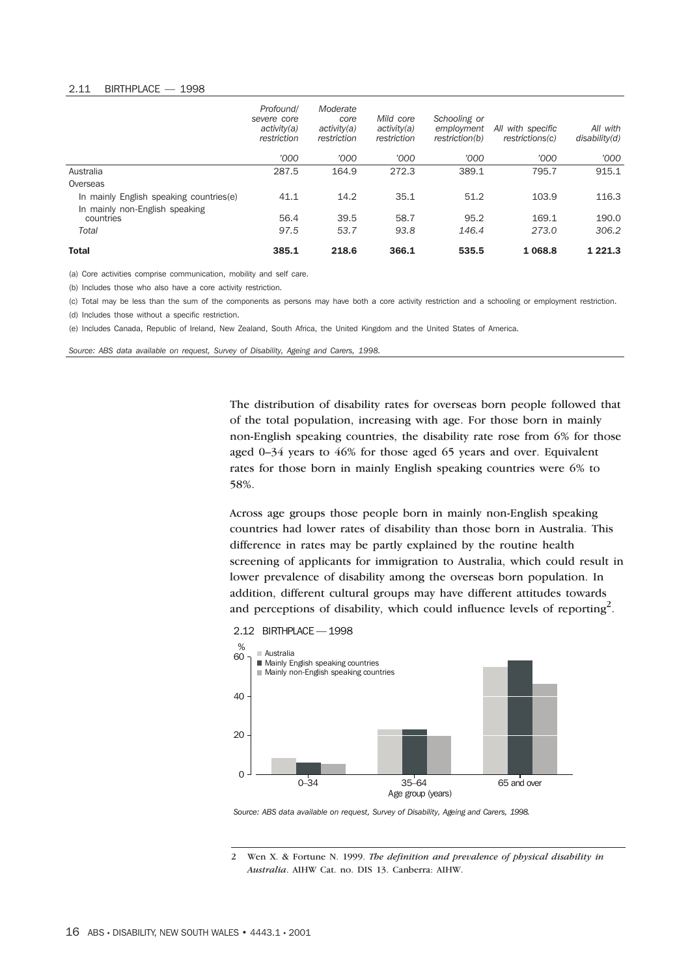#### 2.11 BIRTHPLACE — 1998

|                                          | Profound/<br>severe core<br>activity(a)<br>restriction | Moderate<br>core<br>activity(a)<br>restriction | Mild core<br>activity(a)<br>restriction | Schooling or<br>employment<br>restriction(b) | All with specific<br>restrictions(c) | All with<br>disability(d) |
|------------------------------------------|--------------------------------------------------------|------------------------------------------------|-----------------------------------------|----------------------------------------------|--------------------------------------|---------------------------|
|                                          | '000                                                   | '000                                           | '000                                    | '000                                         | '000                                 | '000                      |
| Australia                                | 287.5                                                  | 164.9                                          | 272.3                                   | 389.1                                        | 795.7                                | 915.1                     |
| Overseas                                 |                                                        |                                                |                                         |                                              |                                      |                           |
| In mainly English speaking countries (e) | 41.1                                                   | 14.2                                           | 35.1                                    | 51.2                                         | 103.9                                | 116.3                     |
| In mainly non-English speaking           |                                                        |                                                |                                         |                                              |                                      |                           |
| countries                                | 56.4                                                   | 39.5                                           | 58.7                                    | 95.2                                         | 169.1                                | 190.0                     |
| Total                                    | 97.5                                                   | 53.7                                           | 93.8                                    | 146.4                                        | 273.0                                | 306.2                     |
| <b>Total</b>                             | 385.1                                                  | 218.6                                          | 366.1                                   | 535.5                                        | 1 0 68.8                             | 1 2 2 1 . 3               |

(a) Core activities comprise communication, mobility and self care.

(b) Includes those who also have a core activity restriction.

(c) Total may be less than the sum of the components as persons may have both a core activity restriction and a schooling or employment restriction. (d) Includes those without a specific restriction.

(e) Includes Canada, Republic of Ireland, New Zealand, South Africa, the United Kingdom and the United States of America.

*Source: ABS data available on request, Survey of Disability, Ageing and Carers, 1998.*

The distribution of disability rates for overseas born people followed that of the total population, increasing with age. For those born in mainly non-English speaking countries, the disability rate rose from 6% for those aged 0–34 years to 46% for those aged 65 years and over. Equivalent rates for those born in mainly English speaking countries were 6% to 58%.

Across age groups those people born in mainly non-English speaking countries had lower rates of disability than those born in Australia. This difference in rates may be partly explained by the routine health screening of applicants for immigration to Australia, which could result in lower prevalence of disability among the overseas born population. In addition, different cultural groups may have different attitudes towards and perceptions of disability, which could influence levels of reporting<sup>2</sup>.



*Source: ABS data available on request, Survey of Disability, Ageing and Carers, 1998.*

2 Wen X. & Fortune N. 1999. *The definition and prevalence of physical disability in Australia*. AIHW Cat. no. DIS 13. Canberra: AIHW.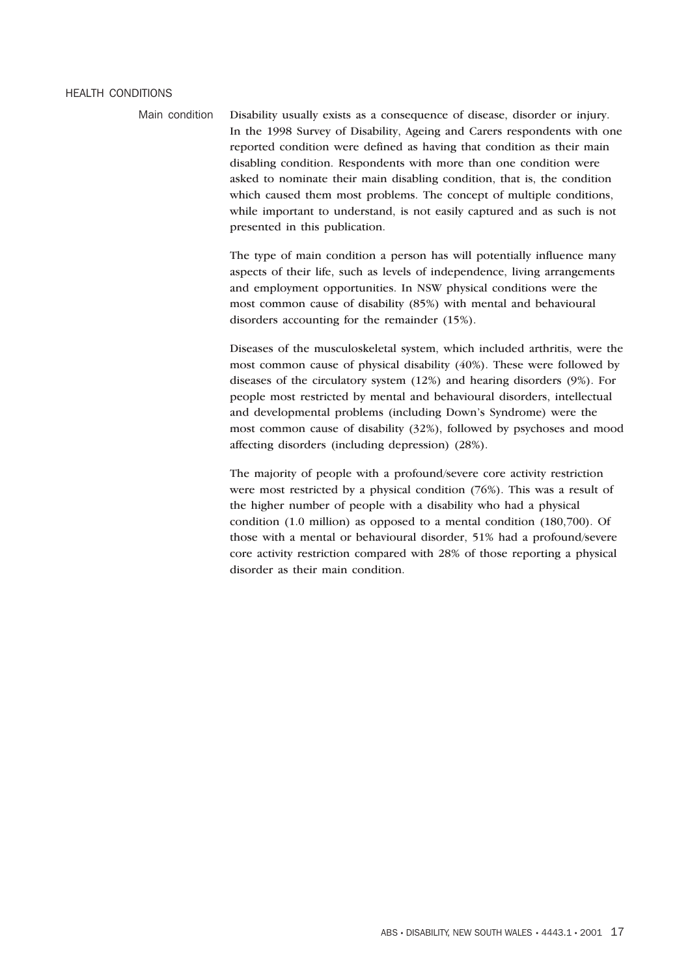#### HEALTH CONDITIONS

Main condition Disability usually exists as a consequence of disease, disorder or injury. In the 1998 Survey of Disability, Ageing and Carers respondents with one reported condition were defined as having that condition as their main disabling condition. Respondents with more than one condition were asked to nominate their main disabling condition, that is, the condition which caused them most problems. The concept of multiple conditions, while important to understand, is not easily captured and as such is not presented in this publication.

> The type of main condition a person has will potentially influence many aspects of their life, such as levels of independence, living arrangements and employment opportunities. In NSW physical conditions were the most common cause of disability (85%) with mental and behavioural disorders accounting for the remainder (15%).

Diseases of the musculoskeletal system, which included arthritis, were the most common cause of physical disability (40%). These were followed by diseases of the circulatory system (12%) and hearing disorders (9%). For people most restricted by mental and behavioural disorders, intellectual and developmental problems (including Down's Syndrome) were the most common cause of disability (32%), followed by psychoses and mood affecting disorders (including depression) (28%).

The majority of people with a profound/severe core activity restriction were most restricted by a physical condition (76%). This was a result of the higher number of people with a disability who had a physical condition (1.0 million) as opposed to a mental condition (180,700). Of those with a mental or behavioural disorder, 51% had a profound/severe core activity restriction compared with 28% of those reporting a physical disorder as their main condition.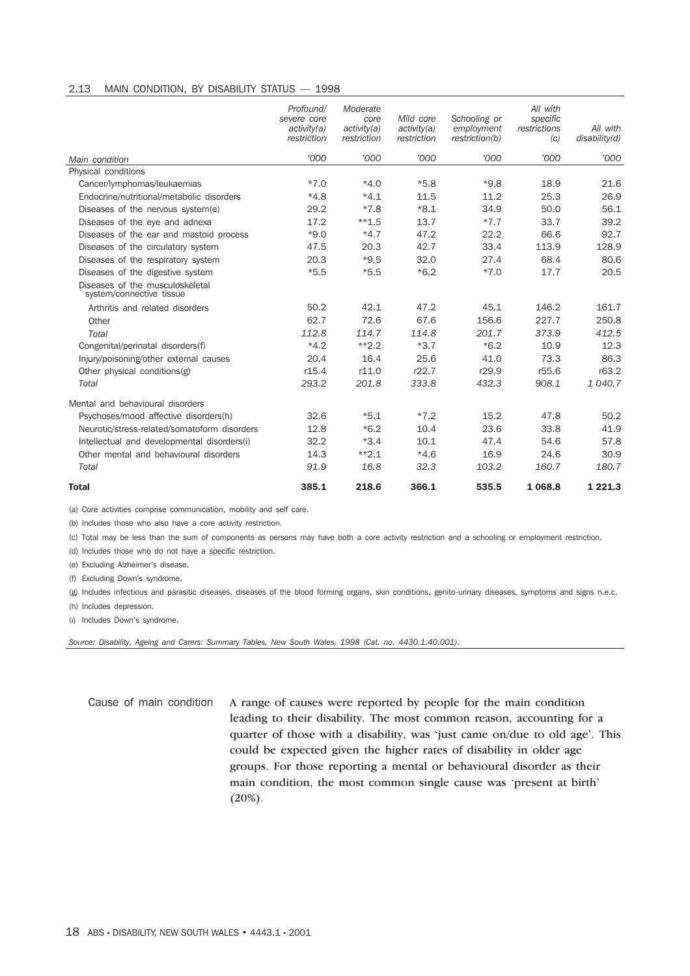#### 2.13 MAIN CONDITION, BY DISABILITY STATUS — 1998

|                                                             | Profound/<br>severe core<br>activity(a)<br>restriction | Moderate<br>core<br>activity(a)<br>restriction | Mild core<br>activity(a)<br>restriction | Schooling or<br>employment<br>restriction(b) | All with<br>specific<br>restrictions<br>(c) | All with<br>disability(d) |
|-------------------------------------------------------------|--------------------------------------------------------|------------------------------------------------|-----------------------------------------|----------------------------------------------|---------------------------------------------|---------------------------|
| Main condition                                              | '000                                                   | '000                                           | '000                                    | '000                                         | '000                                        | '000                      |
| Physical conditions                                         |                                                        |                                                |                                         |                                              |                                             |                           |
| Cancer/lymphomas/leukaemias                                 | $*7.0$                                                 | $*4.0$                                         | $*5.8$                                  | $*9.8$                                       | 18.9                                        | 21.6                      |
| Endocrine/nutritional/metabolic disorders                   | $*4.8$                                                 | $*4.1$                                         | 11.5                                    | 11.2                                         | 25.3                                        | 26.9                      |
| Diseases of the nervous system(e)                           | 29.2                                                   | $*7.8$                                         | $*8.1$                                  | 34.9                                         | 50.0                                        | 56.1                      |
| Diseases of the eye and adnexa                              | 17.2                                                   | $**1.5$                                        | 13.7                                    | $*7.7$                                       | 33.7                                        | 39.2                      |
| Diseases of the ear and mastoid process                     | $*9.0$                                                 | $*4.7$                                         | 47.2                                    | 22.2                                         | 66.6                                        | 92.7                      |
| Diseases of the circulatory system                          | 47.5                                                   | 20.3                                           | 42.7                                    | 33.4                                         | 113.9                                       | 128.9                     |
| Diseases of the respiratory system                          | 20.3                                                   | $*9.5$                                         | 32.0                                    | 27.4                                         | 68.4                                        | 80.6                      |
| Diseases of the digestive system                            | $*5.5$                                                 | $*5.5$                                         | $*6.2$                                  | $*7.0$                                       | 17.7                                        | 20.5                      |
| Diseases of the musculoskeletal<br>system/connective tissue |                                                        |                                                |                                         |                                              |                                             |                           |
| Arthritis and related disorders                             | 50.2                                                   | 42.1                                           | 47.2                                    | 45.1                                         | 146.2                                       | 161.7                     |
| Other                                                       | 62.7                                                   | 72.6                                           | 67.6                                    | 156.6                                        | 227.7                                       | 250.8                     |
| Total                                                       | 112.8                                                  | 114.7                                          | 114.8                                   | 201.7                                        | 373.9                                       | 412.5                     |
| Congenital/perinatal disorders(f)                           | $*4.2$                                                 | $**2.2$                                        | $*3.7$                                  | $*6.2$                                       | 10.9                                        | 12.3                      |
| Injury/poisoning/other external causes                      | 20.4                                                   | 16.4                                           | 25.6                                    | 41.0                                         | 73.3                                        | 86.3                      |
| Other physical conditions(g)                                | r15.4                                                  | r11.0                                          | r22.7                                   | r29.9                                        | r55.6                                       | r63.2                     |
| Total                                                       | 293.2                                                  | 201.8                                          | 333.8                                   | 432.3                                        | 908.1                                       | 1 040.7                   |
| Mental and behavioural disorders                            |                                                        |                                                |                                         |                                              |                                             |                           |
| Psychoses/mood affective disorders(h)                       | 32.6                                                   | $*5.1$                                         | $*7.2$                                  | 15.2                                         | 47.8                                        | 50.2                      |
| Neurotic/stress-related/somatoform_disorders                | 12.8                                                   | $*6.2$                                         | 10.4                                    | 23.6                                         | 33.8                                        | 41.9                      |
| Intellectual and developmental disorders(i)                 | 32.2                                                   | $*3.4$                                         | 10.1                                    | 47.4                                         | 54.6                                        | 57.8                      |
| Other mental and behavioural disorders                      | 14.3                                                   | $*2.1$                                         | $*4.6$                                  | 16.9                                         | 24.6                                        | 30.9                      |
| Total                                                       | 91.9                                                   | 16.8                                           | 32.3                                    | 103.2                                        | 160.7                                       | 180.7                     |
| <b>Total</b>                                                | 385.1                                                  | 218.6                                          | 366.1                                   | 535.5                                        | 1 068.8                                     | 1 2 2 1 . 3               |

(a) Core activities comprise communication, mobility and self care.

(b) Includes those who also have a core activity restriction.

(c) Total may be less than the sum of components as persons may have both a core activity restriction and a schooling or employment restriction.

(d) Includes those who do not have a specific restriction.

(e) Excluding Alzheimer's disease.

(f) Excluding Down's syndrome.

(g) Includes infectious and parasitic diseases, diseases of the blood forming organs, skin conditions, genito-urinary diseases, symptoms and signs n.e.c.

(h) Includes depression.

(i) Includes Down's syndrome.

*Source: Disability, Ageing and Carers: Summary Tables, New South Wales, 1998 (Cat. no. 4430.1.40.001).*

Cause of main condition A range of causes were reported by people for the main condition leading to their disability. The most common reason, accounting for a quarter of those with a disability, was 'just came on/due to old age'. This could be expected given the higher rates of disability in older age groups. For those reporting a mental or behavioural disorder as their main condition, the most common single cause was 'present at birth'  $(20\%).$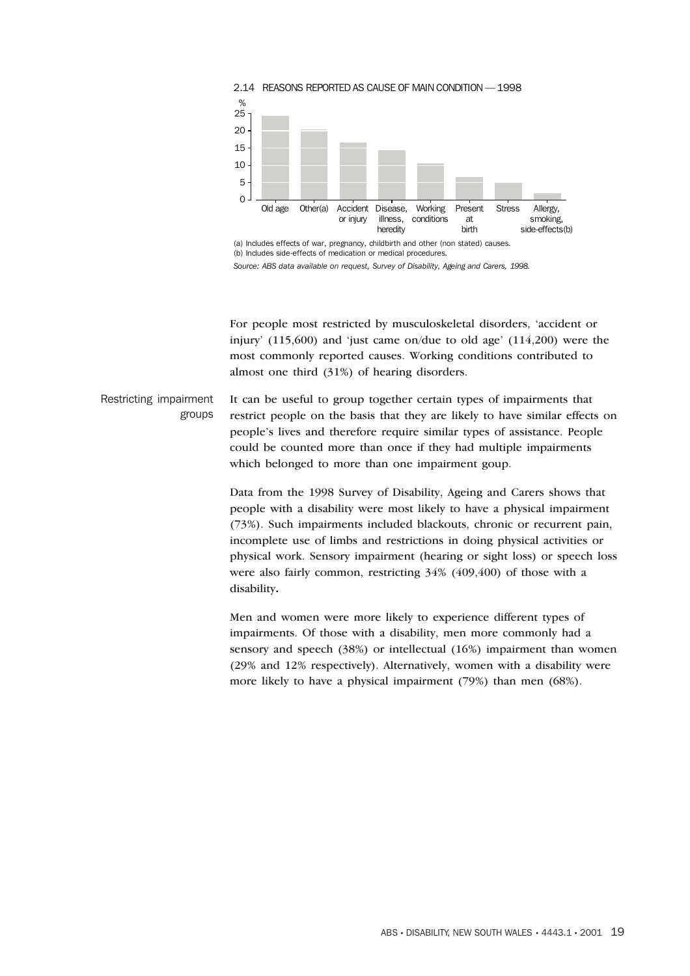



For people most restricted by musculoskeletal disorders, 'accident or injury'  $(115,600)$  and 'just came on/due to old age'  $(114,200)$  were the most commonly reported causes. Working conditions contributed to almost one third (31%) of hearing disorders.

Restricting impairment groups It can be useful to group together certain types of impairments that restrict people on the basis that they are likely to have similar effects on people's lives and therefore require similar types of assistance. People could be counted more than once if they had multiple impairments which belonged to more than one impairment goup.

> Data from the 1998 Survey of Disability, Ageing and Carers shows that people with a disability were most likely to have a physical impairment (73%). Such impairments included blackouts, chronic or recurrent pain, incomplete use of limbs and restrictions in doing physical activities or physical work. Sensory impairment (hearing or sight loss) or speech loss were also fairly common, restricting 34% (409,400) of those with a disability**.**

> Men and women were more likely to experience different types of impairments. Of those with a disability, men more commonly had a sensory and speech (38%) or intellectual (16%) impairment than women (29% and 12% respectively). Alternatively, women with a disability were more likely to have a physical impairment (79%) than men (68%).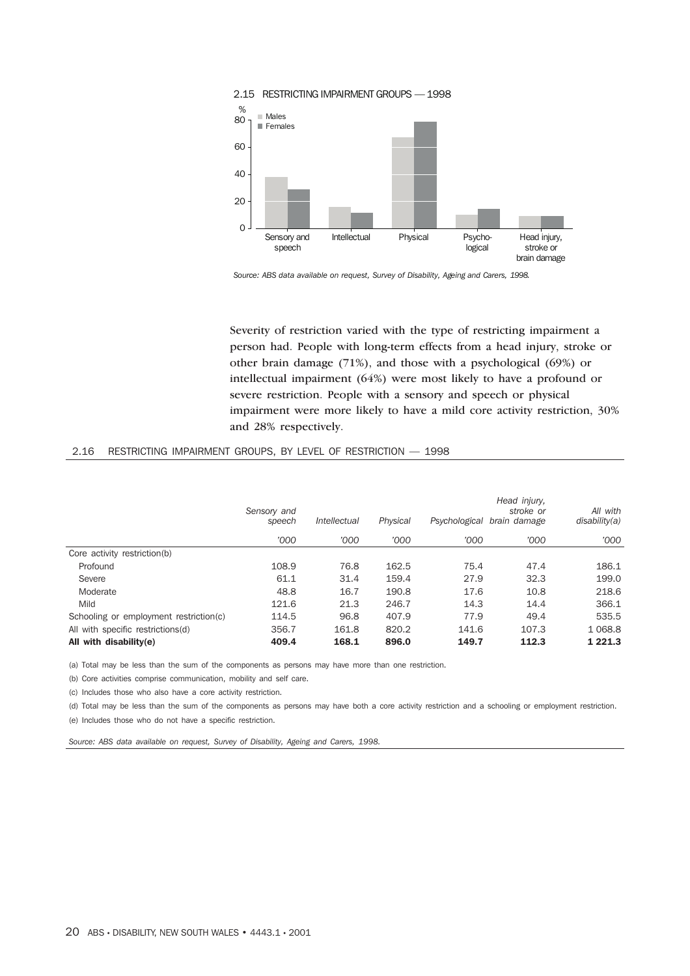

2.15 RESTRICTING IMPAIRMENT GROUPS — 1998

Severity of restriction varied with the type of restricting impairment a person had. People with long-term effects from a head injury, stroke or other brain damage (71%), and those with a psychological (69%) or intellectual impairment (64%) were most likely to have a profound or severe restriction. People with a sensory and speech or physical impairment were more likely to have a mild core activity restriction, 30% and 28% respectively.

|                                        | Sensory and<br>speech | <i><b>Intellectual</b></i> | Physical | Psychological | Head injury,<br>stroke or<br>brain damage | All with<br>disability(a) |
|----------------------------------------|-----------------------|----------------------------|----------|---------------|-------------------------------------------|---------------------------|
|                                        | '000                  | '000                       | '000     | '000          | '000                                      | '000                      |
| Core activity restriction(b)           |                       |                            |          |               |                                           |                           |
| Profound                               | 108.9                 | 76.8                       | 162.5    | 75.4          | 47.4                                      | 186.1                     |
| Severe                                 | 61.1                  | 31.4                       | 159.4    | 27.9          | 32.3                                      | 199.0                     |
| Moderate                               | 48.8                  | 16.7                       | 190.8    | 17.6          | 10.8                                      | 218.6                     |
| Mild                                   | 121.6                 | 21.3                       | 246.7    | 14.3          | 14.4                                      | 366.1                     |
| Schooling or employment restriction(c) | 114.5                 | 96.8                       | 407.9    | 77.9          | 49.4                                      | 535.5                     |
| All with specific restrictions(d)      | 356.7                 | 161.8                      | 820.2    | 141.6         | 107.3                                     | 1 0 68.8                  |
| All with disability(e)                 | 409.4                 | 168.1                      | 896.0    | 149.7         | 112.3                                     | 1 2 2 1 . 3               |

#### 2.16 RESTRICTING IMPAIRMENT GROUPS, BY LEVEL OF RESTRICTION — 1998

(a) Total may be less than the sum of the components as persons may have more than one restriction.

(b) Core activities comprise communication, mobility and self care.

(c) Includes those who also have a core activity restriction.

(d) Total may be less than the sum of the components as persons may have both a core activity restriction and a schooling or employment restriction.

(e) Includes those who do not have a specific restriction.

*Source: ABS data available on request, Survey of Disability, Ageing and Carers, 1998.*

*Source: ABS data available on request, Survey of Disability, Ageing and Carers, 1998.*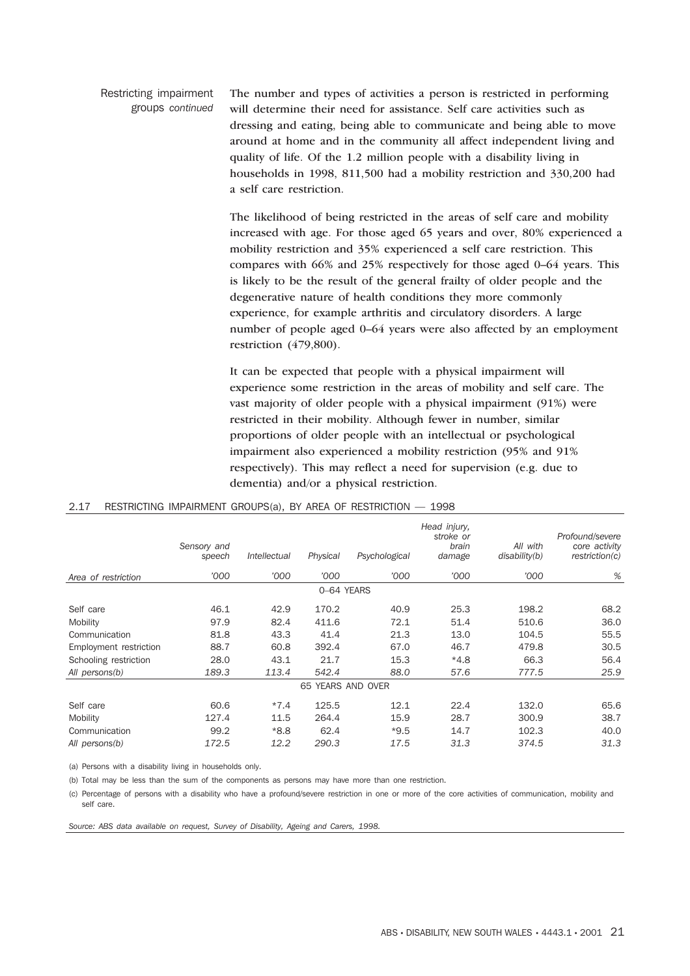Restricting impairment groups *continued* The number and types of activities a person is restricted in performing will determine their need for assistance. Self care activities such as dressing and eating, being able to communicate and being able to move around at home and in the community all affect independent living and quality of life. Of the 1.2 million people with a disability living in households in 1998, 811,500 had a mobility restriction and 330,200 had a self care restriction.

> The likelihood of being restricted in the areas of self care and mobility increased with age. For those aged 65 years and over, 80% experienced a mobility restriction and 35% experienced a self care restriction. This compares with 66% and 25% respectively for those aged 0–64 years. This is likely to be the result of the general frailty of older people and the degenerative nature of health conditions they more commonly experience, for example arthritis and circulatory disorders. A large number of people aged 0–64 years were also affected by an employment restriction (479,800).

It can be expected that people with a physical impairment will experience some restriction in the areas of mobility and self care. The vast majority of older people with a physical impairment (91%) were restricted in their mobility. Although fewer in number, similar proportions of older people with an intellectual or psychological impairment also experienced a mobility restriction (95% and 91% respectively). This may reflect a need for supervision (e.g. due to dementia) and/or a physical restriction.

|                        | Sensory and<br>speech | Intellectual | Physical          | Psychological | Head injury,<br>stroke or<br>brain<br>damage | All with<br>disability(b) | Profound/severe<br>core activity<br>restriction(c) |  |
|------------------------|-----------------------|--------------|-------------------|---------------|----------------------------------------------|---------------------------|----------------------------------------------------|--|
| Area of restriction    | '000                  | '000         | '000              | '000          | '000                                         | '000                      | %                                                  |  |
| 0-64 YEARS             |                       |              |                   |               |                                              |                           |                                                    |  |
| Self care              | 46.1                  | 42.9         | 170.2             | 40.9          | 25.3                                         | 198.2                     | 68.2                                               |  |
| Mobility               | 97.9                  | 82.4         | 411.6             | 72.1          | 51.4                                         | 510.6                     | 36.0                                               |  |
| Communication          | 81.8                  | 43.3         | 41.4              | 21.3          | 13.0                                         | 104.5                     | 55.5                                               |  |
| Employment restriction | 88.7                  | 60.8         | 392.4             | 67.0          | 46.7                                         | 479.8                     | 30.5                                               |  |
| Schooling restriction  | 28.0                  | 43.1         | 21.7              | 15.3          | $*4.8$                                       | 66.3                      | 56.4                                               |  |
| All persons(b)         | 189.3                 | 113.4        | 542.4             | 88.0          | 57.6                                         | 777.5                     | 25.9                                               |  |
|                        |                       |              | 65 YEARS AND OVER |               |                                              |                           |                                                    |  |
| Self care              | 60.6                  | $*7.4$       | 125.5             | 12.1          | 22.4                                         | 132.0                     | 65.6                                               |  |
| Mobility               | 127.4                 | 11.5         | 264.4             | 15.9          | 28.7                                         | 300.9                     | 38.7                                               |  |
| Communication          | 99.2                  | $*8.8$       | 62.4              | $*9.5$        | 14.7                                         | 102.3                     | 40.0                                               |  |
| All persons(b)         | 172.5                 | 12.2         | 290.3             | 17.5          | 31.3                                         | 374.5                     | 31.3                                               |  |

#### 2.17 RESTRICTING IMPAIRMENT GROUPS(a), BY AREA OF RESTRICTION — 1998

(a) Persons with a disability living in households only.

(b) Total may be less than the sum of the components as persons may have more than one restriction.

(c) Percentage of persons with a disability who have a profound/severe restriction in one or more of the core activities of communication, mobility and self care.

*Source: ABS data available on request, Survey of Disability, Ageing and Carers, 1998.*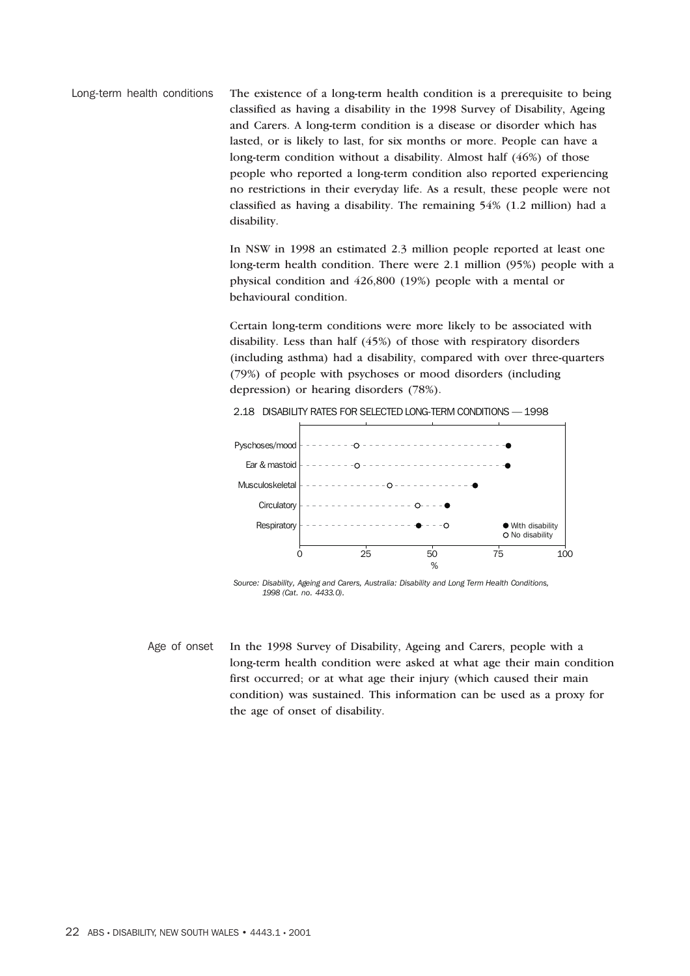Long-term health conditions The existence of a long-term health condition is a prerequisite to being classified as having a disability in the 1998 Survey of Disability, Ageing and Carers. A long-term condition is a disease or disorder which has lasted, or is likely to last, for six months or more. People can have a long-term condition without a disability. Almost half (46%) of those people who reported a long-term condition also reported experiencing no restrictions in their everyday life. As a result, these people were not classified as having a disability. The remaining 54% (1.2 million) had a disability.

> In NSW in 1998 an estimated 2.3 million people reported at least one long-term health condition. There were 2.1 million (95%) people with a physical condition and 426,800 (19%) people with a mental or behavioural condition.

Certain long-term conditions were more likely to be associated with disability. Less than half (45%) of those with respiratory disorders (including asthma) had a disability, compared with over three-quarters (79%) of people with psychoses or mood disorders (including depression) or hearing disorders (78%).



2.18 DISABILITY RATES FOR SELECTED LONG-TERM CONDITIONS —1998

*Source: Disability, Ageing and Carers, Australia: Disability and Long Term Health Conditions, 1998 (Cat. no. 4433.0).*

Age of onset In the 1998 Survey of Disability, Ageing and Carers, people with a long-term health condition were asked at what age their main condition first occurred; or at what age their injury (which caused their main condition) was sustained. This information can be used as a proxy for the age of onset of disability.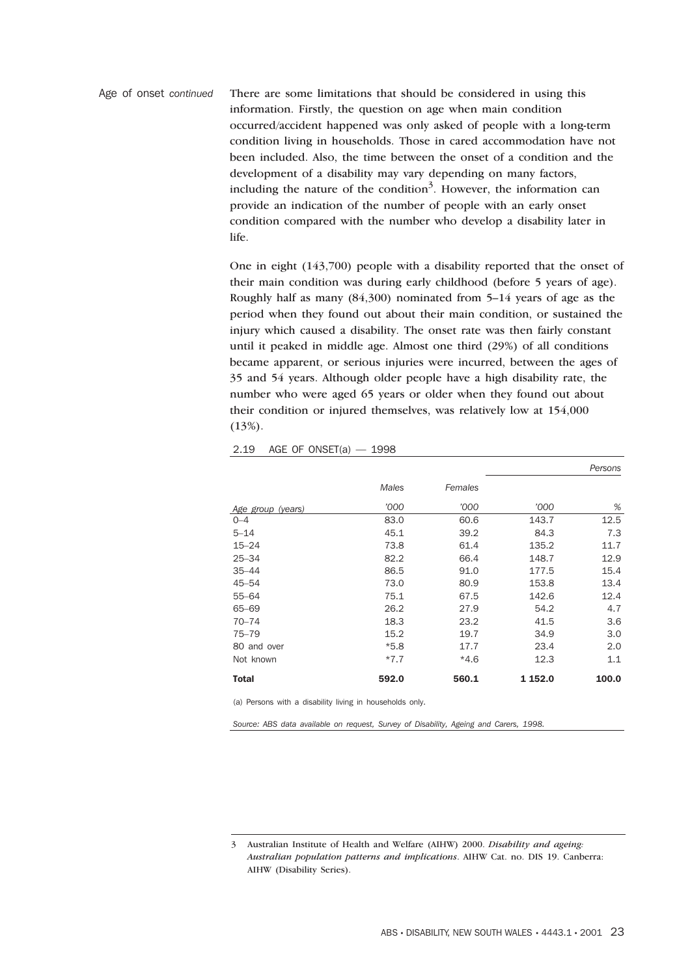Age of onset *continued* There are some limitations that should be considered in using this information. Firstly, the question on age when main condition occurred/accident happened was only asked of people with a long-term condition living in households. Those in cared accommodation have not been included. Also, the time between the onset of a condition and the development of a disability may vary depending on many factors, including the nature of the condition<sup>3</sup>. However, the information can provide an indication of the number of people with an early onset condition compared with the number who develop a disability later in life.

> One in eight (143,700) people with a disability reported that the onset of their main condition was during early childhood (before 5 years of age). Roughly half as many (84,300) nominated from 5–14 years of age as the period when they found out about their main condition, or sustained the injury which caused a disability. The onset rate was then fairly constant until it peaked in middle age. Almost one third (29%) of all conditions became apparent, or serious injuries were incurred, between the ages of 35 and 54 years. Although older people have a high disability rate, the number who were aged 65 years or older when they found out about their condition or injured themselves, was relatively low at 154,000 (13%).

|                   |        |         |         | Persons |
|-------------------|--------|---------|---------|---------|
|                   | Males  | Females |         |         |
| Age group (years) | '000   | '000    | '000    | %       |
| $0 - 4$           | 83.0   | 60.6    | 143.7   | 12.5    |
| $5 - 14$          | 45.1   | 39.2    | 84.3    | 7.3     |
| $15 - 24$         | 73.8   | 61.4    | 135.2   | 11.7    |
| $25 - 34$         | 82.2   | 66.4    | 148.7   | 12.9    |
| $35 - 44$         | 86.5   | 91.0    | 177.5   | 15.4    |
| $45 - 54$         | 73.0   | 80.9    | 153.8   | 13.4    |
| $55 - 64$         | 75.1   | 67.5    | 142.6   | 12.4    |
| 65-69             | 26.2   | 27.9    | 54.2    | 4.7     |
| $70 - 74$         | 18.3   | 23.2    | 41.5    | 3.6     |
| $75 - 79$         | 15.2   | 19.7    | 34.9    | 3.0     |
| 80 and over       | $*5.8$ | 17.7    | 23.4    | 2.0     |
| Not known         | $*7.7$ | $*4.6$  | 12.3    | 1.1     |
| <b>Total</b>      | 592.0  | 560.1   | 1 152.0 | 100.0   |

2.19 AGE OF ONSET(a) — 1998

(a) Persons with a disability living in households only.

*Source: ABS data available on request, Survey of Disability, Ageing and Carers, 1998.*

<sup>3</sup> Australian Institute of Health and Welfare (AIHW) 2000. *Disability and ageing: Australian population patterns and implications*. AIHW Cat. no. DIS 19. Canberra: AIHW (Disability Series).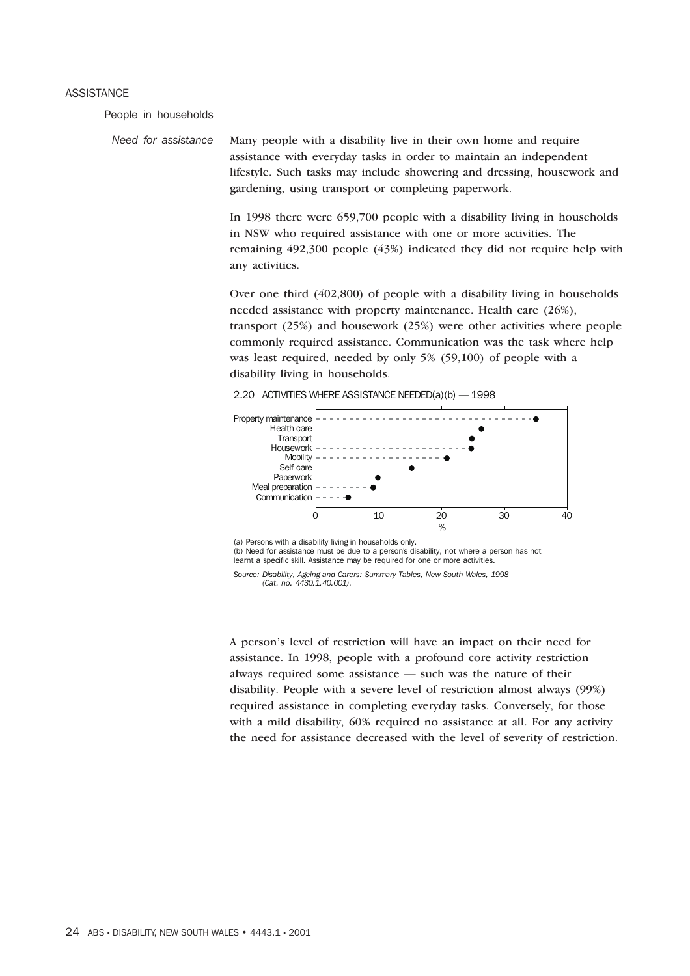#### ASSISTANCE

People in households

*Need for assistance* Many people with a disability live in their own home and require assistance with everyday tasks in order to maintain an independent lifestyle. Such tasks may include showering and dressing, housework and gardening, using transport or completing paperwork.

> In 1998 there were 659,700 people with a disability living in households in NSW who required assistance with one or more activities. The remaining 492,300 people (43%) indicated they did not require help with any activities.

> Over one third (402,800) of people with a disability living in households needed assistance with property maintenance. Health care (26%), transport (25%) and housework (25%) were other activities where people commonly required assistance. Communication was the task where help was least required, needed by only 5% (59,100) of people with a disability living in households.



2.20 ACTIVITIES WHERE ASSISTANCE NEEDED(a)(b) — 1998

(a) Persons with a disability living in households only.

(b) Need for assistance must be due to a person's disability, not where a person has not learnt a specific skill. Assistance may be required for one or more activities.

*Source: Disability, Ageing and Carers: Summary Tables, New South Wales, 1998 (Cat. no. 4430.1.40.001).*

A person's level of restriction will have an impact on their need for assistance. In 1998, people with a profound core activity restriction always required some assistance — such was the nature of their disability. People with a severe level of restriction almost always (99%) required assistance in completing everyday tasks. Conversely, for those with a mild disability, 60% required no assistance at all. For any activity the need for assistance decreased with the level of severity of restriction.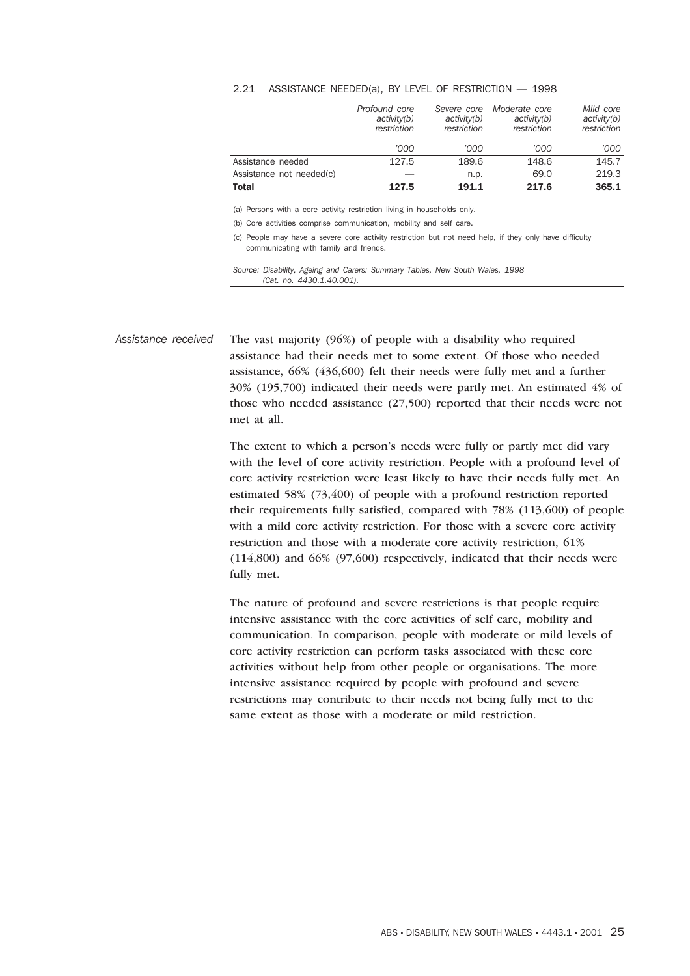#### 2.21 ASSISTANCE NEEDED(a), BY LEVEL OF RESTRICTION — 1998

|                          | Profound core<br>activity(b)<br>restriction | Severe core<br>activity(b)<br>restriction | Moderate core<br>activity(b)<br>restriction | Mild core<br>activity(b)<br>restriction |
|--------------------------|---------------------------------------------|-------------------------------------------|---------------------------------------------|-----------------------------------------|
|                          | '000                                        | '000                                      | '000                                        | '000                                    |
| Assistance needed        | 127.5                                       | 189.6                                     | 148.6                                       | 145.7                                   |
| Assistance not needed(c) |                                             | n.p.                                      | 69.0                                        | 219.3                                   |
| <b>Total</b>             | 127.5                                       | 191.1                                     | 217.6                                       | 365.1                                   |

(a) Persons with a core activity restriction living in households only.

(b) Core activities comprise communication, mobility and self care.

(c) People may have a severe core activity restriction but not need help, if they only have difficulty communicating with family and friends.

*Source: Disability, Ageing and Carers: Summary Tables, New South Wales, 1998 (Cat. no. 4430.1.40.001).*

*Assistance received* The vast majority (96%) of people with a disability who required assistance had their needs met to some extent. Of those who needed assistance, 66% (436,600) felt their needs were fully met and a further 30% (195,700) indicated their needs were partly met. An estimated 4% of those who needed assistance (27,500) reported that their needs were not met at all.

> The extent to which a person's needs were fully or partly met did vary with the level of core activity restriction. People with a profound level of core activity restriction were least likely to have their needs fully met. An estimated 58% (73,400) of people with a profound restriction reported their requirements fully satisfied, compared with 78% (113,600) of people with a mild core activity restriction. For those with a severe core activity restriction and those with a moderate core activity restriction, 61% (114,800) and 66% (97,600) respectively, indicated that their needs were fully met.

The nature of profound and severe restrictions is that people require intensive assistance with the core activities of self care, mobility and communication. In comparison, people with moderate or mild levels of core activity restriction can perform tasks associated with these core activities without help from other people or organisations. The more intensive assistance required by people with profound and severe restrictions may contribute to their needs not being fully met to the same extent as those with a moderate or mild restriction.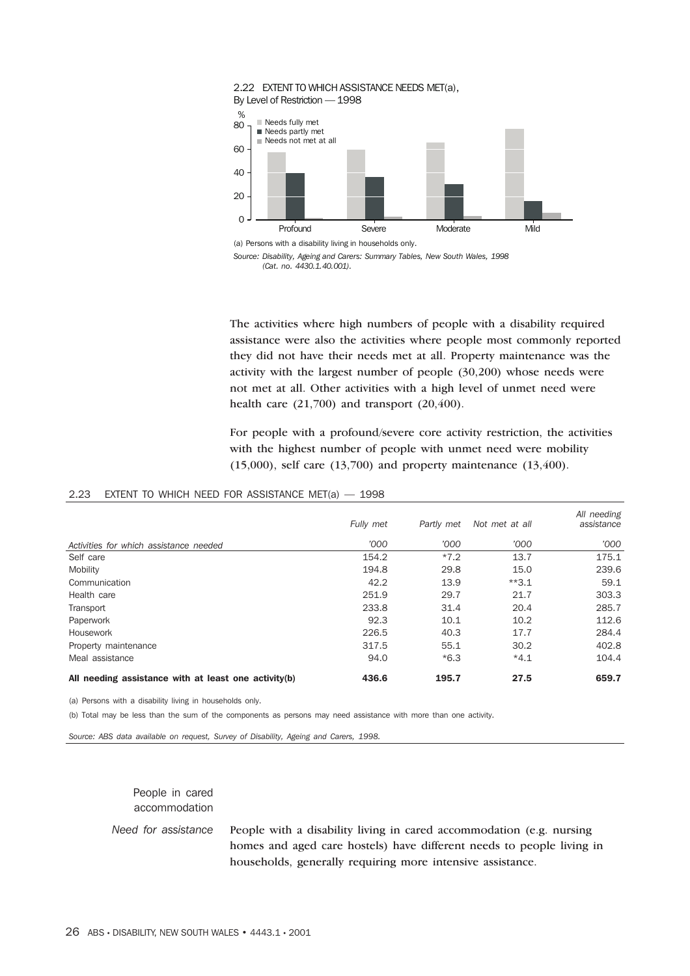

*Source: Disability, Ageing and Carers: Summary Tables, New South Wales, 1998 (Cat. no. 4430.1.40.001).*

The activities where high numbers of people with a disability required assistance were also the activities where people most commonly reported they did not have their needs met at all. Property maintenance was the activity with the largest number of people (30,200) whose needs were not met at all. Other activities with a high level of unmet need were health care  $(21,700)$  and transport  $(20,400)$ .

For people with a profound/severe core activity restriction, the activities with the highest number of people with unmet need were mobility (15,000), self care (13,700) and property maintenance (13,400).

|                                                      | Fully met | Partly met | Not met at all | All needing<br>assistance |
|------------------------------------------------------|-----------|------------|----------------|---------------------------|
| Activities for which assistance needed               | '000      | '000       | '000           | '000                      |
| Self care                                            | 154.2     | $*7.2$     | 13.7           | 175.1                     |
| Mobility                                             | 194.8     | 29.8       | 15.0           | 239.6                     |
| Communication                                        | 42.2      | 13.9       | $*3.1$         | 59.1                      |
| Health care                                          | 251.9     | 29.7       | 21.7           | 303.3                     |
| Transport                                            | 233.8     | 31.4       | 20.4           | 285.7                     |
| Paperwork                                            | 92.3      | 10.1       | 10.2           | 112.6                     |
| Housework                                            | 226.5     | 40.3       | 17.7           | 284.4                     |
| Property maintenance                                 | 317.5     | 55.1       | 30.2           | 402.8                     |
| Meal assistance                                      | 94.0      | $*6.3$     | $*4.1$         | 104.4                     |
| All needing assistance with at least one activity(b) | 436.6     | 195.7      | 27.5           | 659.7                     |

#### 2.23 EXTENT TO WHICH NEED FOR ASSISTANCE MET(a) — 1998

(a) Persons with a disability living in households only.

(b) Total may be less than the sum of the components as persons may need assistance with more than one activity.

*Source: ABS data available on request, Survey of Disability, Ageing and Carers, 1998.*

People in cared accommodation

*Need for assistance* People with a disability living in cared accommodation (e.g. nursing homes and aged care hostels) have different needs to people living in households, generally requiring more intensive assistance.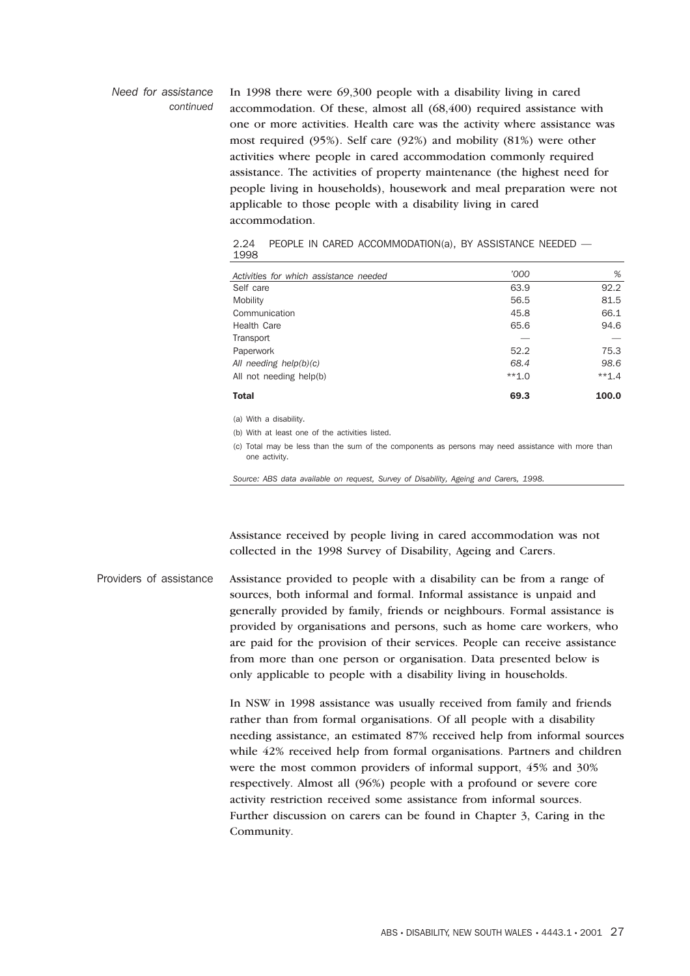#### *Need for assistance continued* In 1998 there were 69,300 people with a disability living in cared accommodation. Of these, almost all (68,400) required assistance with one or more activities. Health care was the activity where assistance was most required (95%). Self care (92%) and mobility (81%) were other activities where people in cared accommodation commonly required assistance. The activities of property maintenance (the highest need for people living in households), housework and meal preparation were not applicable to those people with a disability living in cared accommodation.

|      |  |  | 2.24 PEOPLE IN CARED ACCOMMODATION(a), BY ASSISTANCE NEEDED — |  |
|------|--|--|---------------------------------------------------------------|--|
| 1998 |  |  |                                                               |  |

| Activities for which assistance needed | '000    | %       |
|----------------------------------------|---------|---------|
| Self care                              | 63.9    | 92.2    |
| Mobility                               | 56.5    | 81.5    |
| Communication                          | 45.8    | 66.1    |
| Health Care                            | 65.6    | 94.6    |
| Transport                              |         |         |
| Paperwork                              | 52.2    | 75.3    |
| All needing help(b)(c)                 | 68.4    | 98.6    |
| All not needing help(b)                | $**1.0$ | $**1.4$ |
| Total                                  | 69.3    | 100.0   |

(a) With a disability.

(b) With at least one of the activities listed.

(c) Total may be less than the sum of the components as persons may need assistance with more than one activity.

*Source: ABS data available on request, Survey of Disability, Ageing and Carers, 1998.*

Assistance received by people living in cared accommodation was not collected in the 1998 Survey of Disability, Ageing and Carers.

Providers of assistance Assistance provided to people with a disability can be from a range of sources, both informal and formal. Informal assistance is unpaid and generally provided by family, friends or neighbours. Formal assistance is provided by organisations and persons, such as home care workers, who are paid for the provision of their services. People can receive assistance from more than one person or organisation. Data presented below is only applicable to people with a disability living in households.

> In NSW in 1998 assistance was usually received from family and friends rather than from formal organisations. Of all people with a disability needing assistance, an estimated 87% received help from informal sources while 42% received help from formal organisations. Partners and children were the most common providers of informal support, 45% and 30% respectively. Almost all (96%) people with a profound or severe core activity restriction received some assistance from informal sources. Further discussion on carers can be found in Chapter 3, Caring in the Community.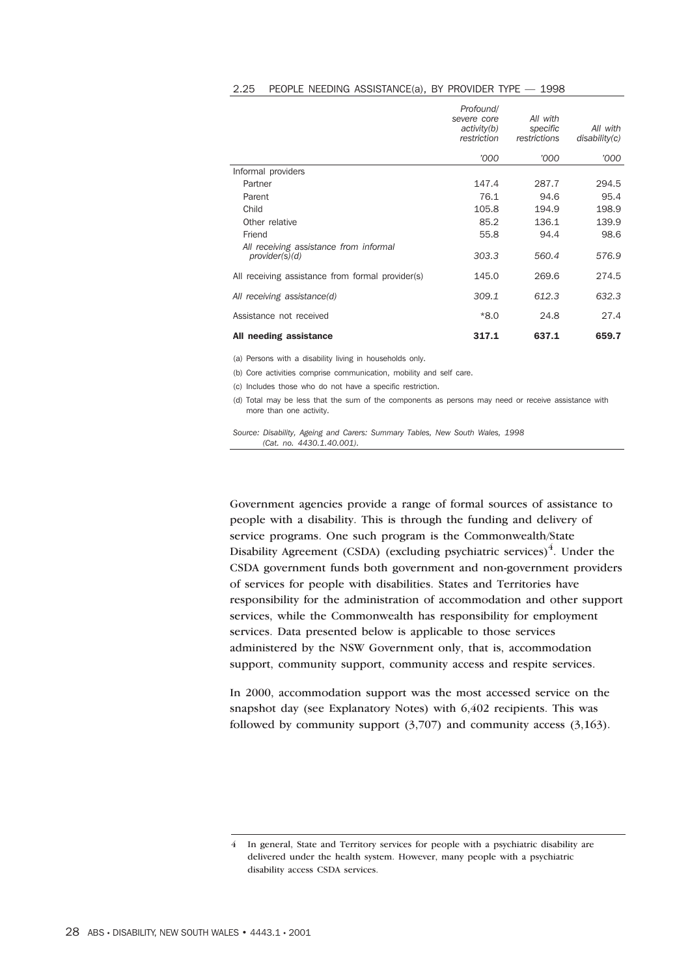|                                                          | Profound/<br>severe core<br>activity(b)<br>restriction | All with<br>specific<br>restrictions | All with<br>disability(c) |
|----------------------------------------------------------|--------------------------------------------------------|--------------------------------------|---------------------------|
|                                                          | '000                                                   | '000                                 | '000                      |
| Informal providers                                       |                                                        |                                      |                           |
| Partner                                                  | 147.4                                                  | 287.7                                | 294.5                     |
| Parent                                                   | 76.1                                                   | 94.6                                 | 95.4                      |
| Child                                                    | 105.8                                                  | 194.9                                | 198.9                     |
| Other relative                                           | 85.2                                                   | 136.1                                | 139.9                     |
| Friend                                                   | 55.8                                                   | 94.4                                 | 98.6                      |
| All receiving assistance from informal<br>provider(s)(d) | 303.3                                                  | 560.4                                | 576.9                     |
| All receiving assistance from formal provider(s)         | 145.0                                                  | 269.6                                | 274.5                     |
| All receiving assistance(d)                              | 309.1                                                  | 612.3                                | 632.3                     |
| Assistance not received                                  | $*8.0$                                                 | 24.8                                 | 27.4                      |
| All needing assistance                                   | 317.1                                                  | 637.1                                | 659.7                     |

#### 2.25 PEOPLE NEEDING ASSISTANCE(a), BY PROVIDER TYPE — 1998

(a) Persons with a disability living in households only.

(b) Core activities comprise communication, mobility and self care.

(c) Includes those who do not have a specific restriction.

(d) Total may be less that the sum of the components as persons may need or receive assistance with more than one activity.

*Source: Disability, Ageing and Carers: Summary Tables, New South Wales, 1998 (Cat. no. 4430.1.40.001).*

Government agencies provide a range of formal sources of assistance to people with a disability. This is through the funding and delivery of service programs. One such program is the Commonwealth/State Disability Agreement (CSDA) (excluding psychiatric services) $4$ . Under the CSDA government funds both government and non-government providers of services for people with disabilities. States and Territories have responsibility for the administration of accommodation and other support services, while the Commonwealth has responsibility for employment services. Data presented below is applicable to those services administered by the NSW Government only, that is, accommodation support, community support, community access and respite services.

In 2000, accommodation support was the most accessed service on the snapshot day (see Explanatory Notes) with 6,402 recipients. This was followed by community support  $(3,707)$  and community access  $(3,163)$ .

<sup>4</sup> In general, State and Territory services for people with a psychiatric disability are delivered under the health system. However, many people with a psychiatric disability access CSDA services.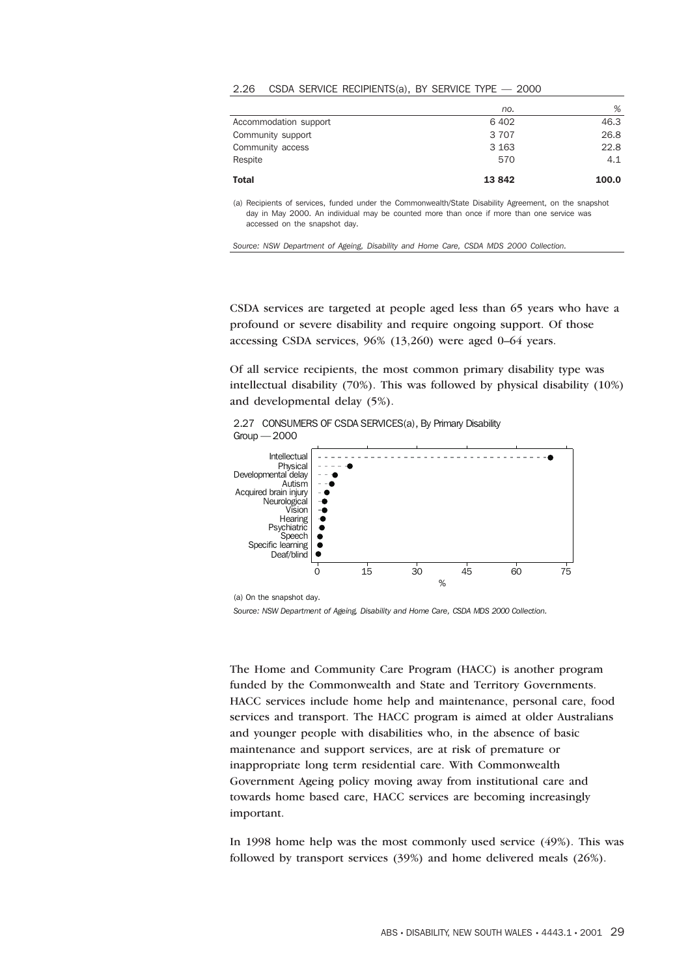#### 2.26 CSDA SERVICE RECIPIENTS(a), BY SERVICE TYPE — 2000

| <b>Total</b>          | 13842   | 100.0 |
|-----------------------|---------|-------|
| Respite               | 570     | 4.1   |
| Community access      | 3 1 6 3 | 22.8  |
| Community support     | 3 7 0 7 | 26.8  |
| Accommodation support | 6402    | 46.3  |
|                       | no.     | %     |

(a) Recipients of services, funded under the Commonwealth/State Disability Agreement, on the snapshot day in May 2000. An individual may be counted more than once if more than one service was accessed on the snapshot day.

*Source: NSW Department of Ageing, Disability and Home Care, CSDA MDS 2000 Collection.*

CSDA services are targeted at people aged less than 65 years who have a profound or severe disability and require ongoing support. Of those accessing CSDA services, 96% (13,260) were aged 0–64 years.

Of all service recipients, the most common primary disability type was intellectual disability (70%). This was followed by physical disability (10%) and developmental delay (5%).





(a) On the snapshot day.

*Source: NSW Department of Ageing, Disability and Home Care, CSDA MDS 2000 Collection.*

The Home and Community Care Program (HACC) is another program funded by the Commonwealth and State and Territory Governments. HACC services include home help and maintenance, personal care, food services and transport. The HACC program is aimed at older Australians and younger people with disabilities who, in the absence of basic maintenance and support services, are at risk of premature or inappropriate long term residential care. With Commonwealth Government Ageing policy moving away from institutional care and towards home based care, HACC services are becoming increasingly important.

In 1998 home help was the most commonly used service (49%). This was followed by transport services (39%) and home delivered meals (26%).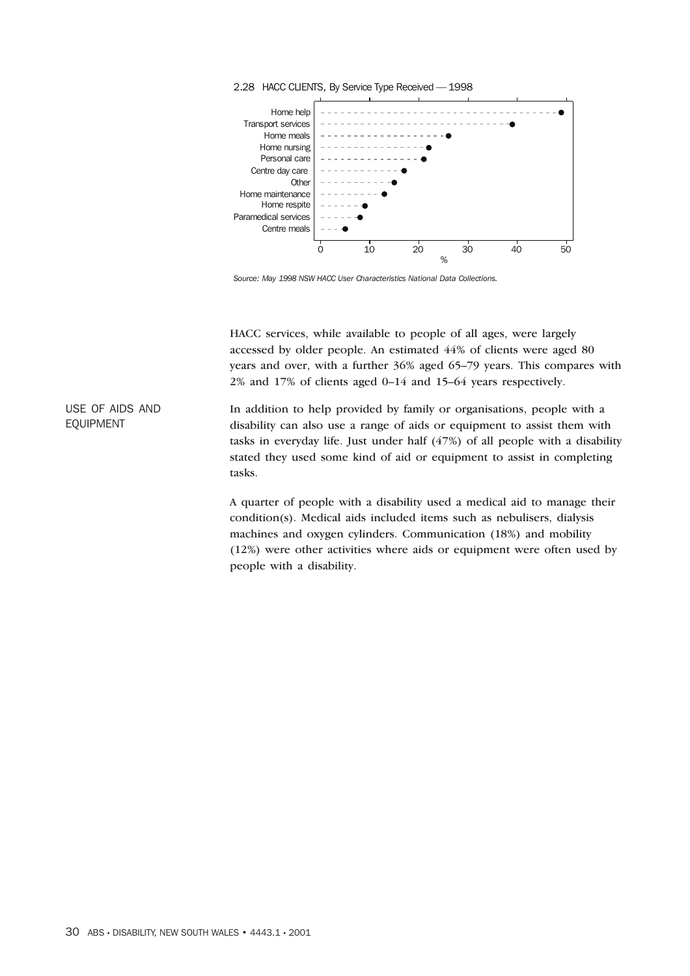

*Source: May 1998 NSW HACC User Characteristics National Data Collections.*

HACC services, while available to people of all ages, were largely accessed by older people. An estimated 44% of clients were aged 80 years and over, with a further 36% aged 65–79 years. This compares with 2% and 17% of clients aged 0–14 and 15–64 years respectively.

In addition to help provided by family or organisations, people with a disability can also use a range of aids or equipment to assist them with tasks in everyday life. Just under half (47%) of all people with a disability stated they used some kind of aid or equipment to assist in completing tasks.

A quarter of people with a disability used a medical aid to manage their condition(s). Medical aids included items such as nebulisers, dialysis machines and oxygen cylinders. Communication (18%) and mobility (12%) were other activities where aids or equipment were often used by people with a disability.

USE OF AIDS AND EQUIPMENT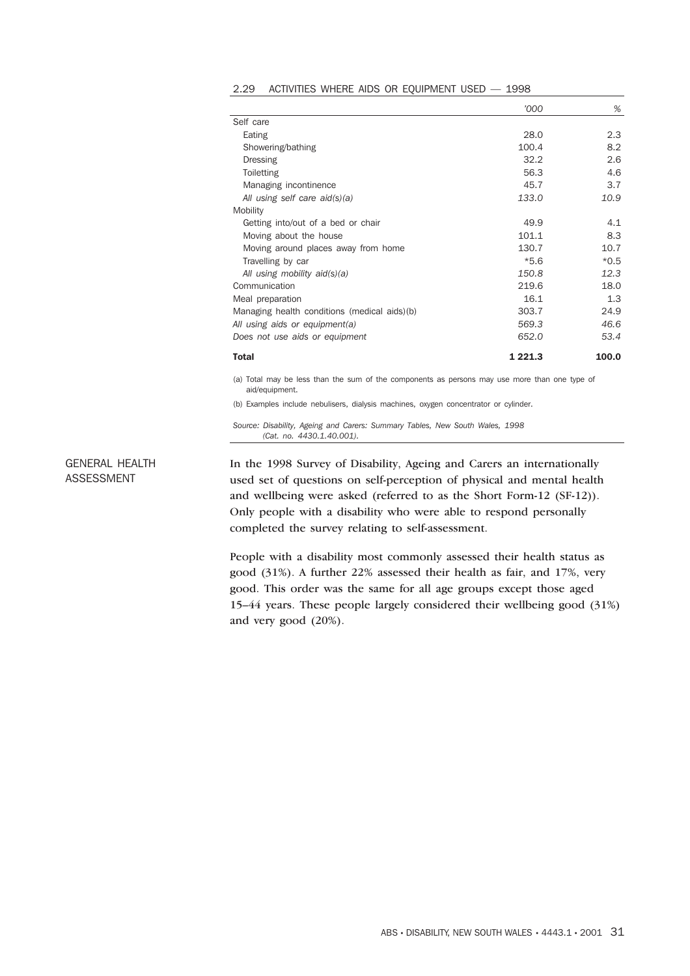|                                              | '000    | %      |
|----------------------------------------------|---------|--------|
| Self care                                    |         |        |
| Eating                                       | 28.0    | 2.3    |
| Showering/bathing                            | 100.4   | 8.2    |
| Dressing                                     | 32.2    | 2.6    |
| Toiletting                                   | 56.3    | 4.6    |
| Managing incontinence                        | 45.7    | 3.7    |
| All using self care $aid(s)(a)$              | 133.0   | 10.9   |
| Mobility                                     |         |        |
| Getting into/out of a bed or chair           | 49.9    | 4.1    |
| Moving about the house                       | 101.1   | 8.3    |
| Moving around places away from home          | 130.7   | 10.7   |
| Travelling by car                            | $*5.6$  | $*0.5$ |
| All using mobility $aid(s)(a)$               | 150.8   | 12.3   |
| Communication                                | 219.6   | 18.0   |
| Meal preparation                             | 16.1    | 1.3    |
| Managing health conditions (medical aids)(b) | 303.7   | 24.9   |
| All using aids or equipment(a)               | 569.3   | 46.6   |
| Does not use aids or equipment               | 652.0   | 53.4   |
| <b>Total</b>                                 | 1 221.3 | 100.0  |

|  |  |  |  |  |  | 2.29 ACTIVITIES WHERE AIDS OR EQUIPMENT USED - 1998 |  |  |
|--|--|--|--|--|--|-----------------------------------------------------|--|--|
|--|--|--|--|--|--|-----------------------------------------------------|--|--|

(a) Total may be less than the sum of the components as persons may use more than one type of aid/equipment.

(b) Examples include nebulisers, dialysis machines, oxygen concentrator or cylinder.

*Source: Disability, Ageing and Carers: Summary Tables, New South Wales, 1998 (Cat. no. 4430.1.40.001).*

GENERAL HEALTH ASSESSMENT

In the 1998 Survey of Disability, Ageing and Carers an internationally used set of questions on self-perception of physical and mental health and wellbeing were asked (referred to as the Short Form-12 (SF-12)). Only people with a disability who were able to respond personally completed the survey relating to self-assessment.

People with a disability most commonly assessed their health status as good (31%). A further 22% assessed their health as fair, and 17%, very good. This order was the same for all age groups except those aged 15–44 years. These people largely considered their wellbeing good (31%) and very good (20%).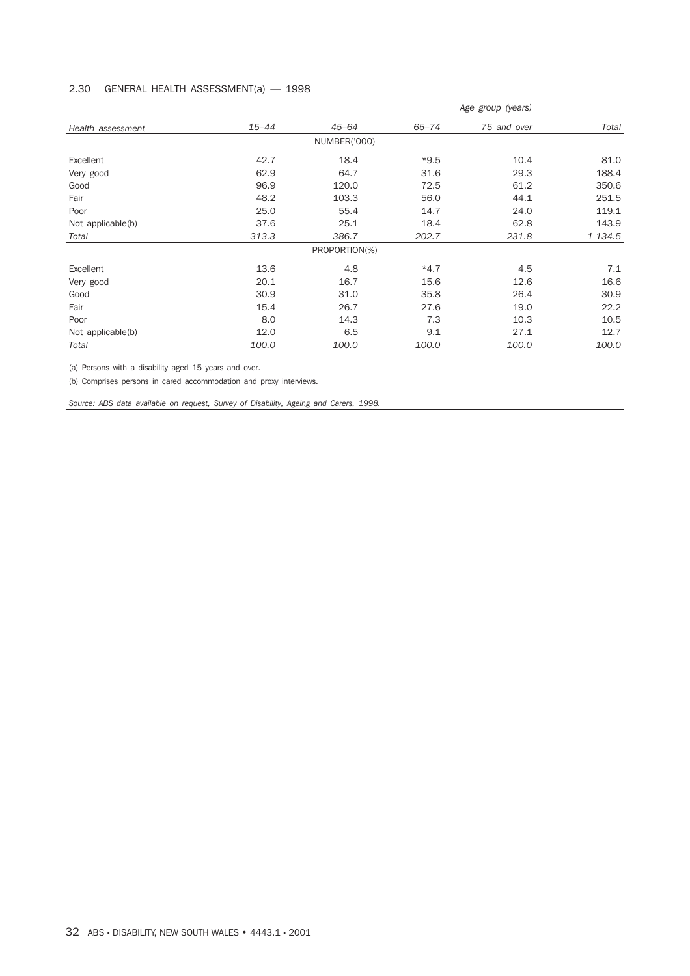# 2.30 GENERAL HEALTH ASSESSMENT(a) — 1998

|                   | Age group (years) |               |           |             |             |
|-------------------|-------------------|---------------|-----------|-------------|-------------|
| Health assessment | $15 - 44$         | $45 - 64$     | $65 - 74$ | 75 and over | Total       |
|                   |                   | NUMBER('000)  |           |             |             |
| Excellent         | 42.7              | 18.4          | $*9.5$    | 10.4        | 81.0        |
| Very good         | 62.9              | 64.7          | 31.6      | 29.3        | 188.4       |
| Good              | 96.9              | 120.0         | 72.5      | 61.2        | 350.6       |
| Fair              | 48.2              | 103.3         | 56.0      | 44.1        | 251.5       |
| Poor              | 25.0              | 55.4          | 14.7      | 24.0        | 119.1       |
| Not applicable(b) | 37.6              | 25.1          | 18.4      | 62.8        | 143.9       |
| Total             | 313.3             | 386.7         | 202.7     | 231.8       | 1 1 3 4 . 5 |
|                   |                   | PROPORTION(%) |           |             |             |
| Excellent         | 13.6              | 4.8           | $*4.7$    | 4.5         | 7.1         |
| Very good         | 20.1              | 16.7          | 15.6      | 12.6        | 16.6        |
| Good              | 30.9              | 31.0          | 35.8      | 26.4        | 30.9        |
| Fair              | 15.4              | 26.7          | 27.6      | 19.0        | 22.2        |
| Poor              | 8.0               | 14.3          | 7.3       | 10.3        | 10.5        |
| Not applicable(b) | 12.0              | 6.5           | 9.1       | 27.1        | 12.7        |
| Total             | 100.0             | 100.0         | 100.0     | 100.0       | 100.0       |

(a) Persons with a disability aged 15 years and over.

(b) Comprises persons in cared accommodation and proxy interviews.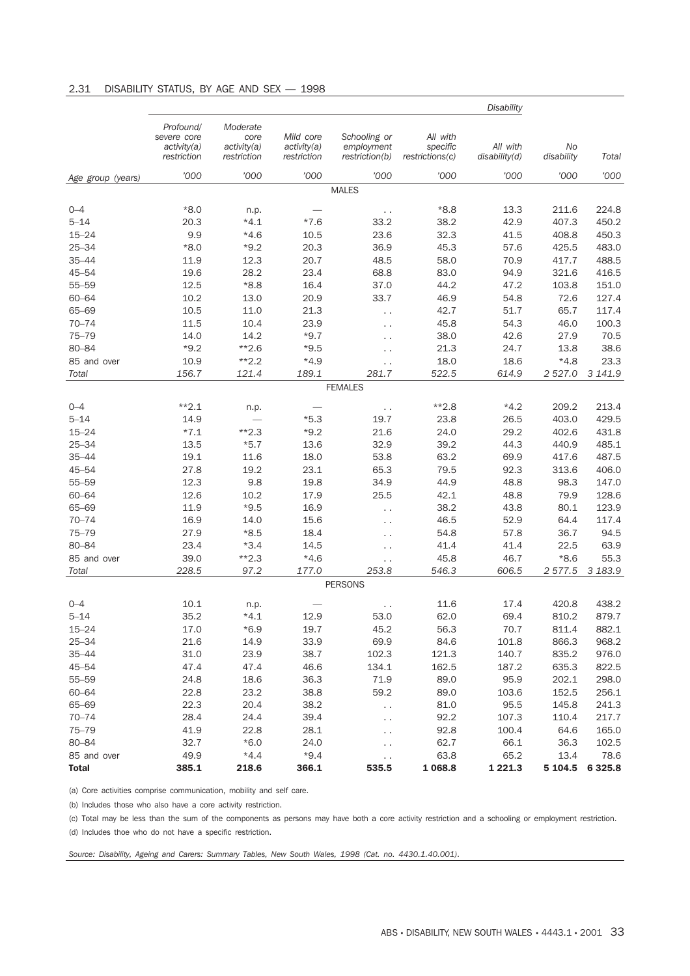# 2.31 DISABILITY STATUS, BY AGE AND SEX — 1998

|                     |                                                        |                                                |                                         |                                              |                                         | <b>Disability</b>         |                  |                |
|---------------------|--------------------------------------------------------|------------------------------------------------|-----------------------------------------|----------------------------------------------|-----------------------------------------|---------------------------|------------------|----------------|
|                     | Profound/<br>severe core<br>activity(a)<br>restriction | Moderate<br>core<br>activity(a)<br>restriction | Mild core<br>activity(a)<br>restriction | Schooling or<br>employment<br>restriction(b) | All with<br>specific<br>restrictions(c) | All with<br>disability(d) | No<br>disability | Total          |
| Age group (years)   | '000                                                   | '000                                           | '000                                    | '000                                         | '000                                    | '000                      | '000             | '000           |
|                     |                                                        |                                                |                                         | <b>MALES</b>                                 |                                         |                           |                  |                |
|                     |                                                        |                                                |                                         |                                              |                                         |                           |                  |                |
| $0 - 4$<br>$5 - 14$ | $*8.0$<br>20.3                                         | n.p.<br>$*4.1$                                 | $*7.6$                                  | $\ddotsc$<br>33.2                            | $*8.8$<br>38.2                          | 13.3<br>42.9              | 211.6<br>407.3   | 224.8<br>450.2 |
| $15 - 24$           | 9.9                                                    | $*4.6$                                         | 10.5                                    | 23.6                                         | 32.3                                    | 41.5                      | 408.8            | 450.3          |
| $25 - 34$           | $*8.0$                                                 | $*9.2$                                         | 20.3                                    | 36.9                                         | 45.3                                    | 57.6                      | 425.5            | 483.0          |
| $35 - 44$           | 11.9                                                   | 12.3                                           | 20.7                                    | 48.5                                         | 58.0                                    | 70.9                      | 417.7            | 488.5          |
| $45 - 54$           | 19.6                                                   | 28.2                                           | 23.4                                    | 68.8                                         | 83.0                                    | 94.9                      | 321.6            | 416.5          |
| $55 - 59$           | 12.5                                                   | $*8.8$                                         | 16.4                                    | 37.0                                         | 44.2                                    | 47.2                      | 103.8            | 151.0          |
| $60 - 64$           | 10.2                                                   | 13.0                                           | 20.9                                    | 33.7                                         | 46.9                                    | 54.8                      | 72.6             | 127.4          |
| 65-69               | 10.5                                                   | 11.0                                           | 21.3                                    |                                              | 42.7                                    | 51.7                      | 65.7             | 117.4          |
| $70 - 74$           | 11.5                                                   | 10.4                                           | 23.9                                    | . .                                          | 45.8                                    | 54.3                      | 46.0             | 100.3          |
| $75 - 79$           | 14.0                                                   | 14.2                                           | $*9.7$                                  | . .                                          | 38.0                                    | 42.6                      | 27.9             | 70.5           |
| 80-84               | $*9.2$                                                 | $*2.6$                                         | $*9.5$                                  | $\ddotsc$                                    | 21.3                                    | 24.7                      | 13.8             | 38.6           |
| 85 and over         | 10.9                                                   | $**2.2$                                        | $*4.9$                                  | $\ddotsc$                                    | 18.0                                    | 18.6                      | $*4.8$           | 23.3           |
| Total               | 156.7                                                  | 121.4                                          | 189.1                                   | г.<br>281.7                                  | 522.5                                   | 614.9                     | 2 5 2 7 .0       | 3 141.9        |
|                     |                                                        |                                                |                                         | <b>FEMALES</b>                               |                                         |                           |                  |                |
|                     |                                                        |                                                |                                         |                                              |                                         |                           |                  |                |
| $0 - 4$             | $*2.1$                                                 | n.p.                                           |                                         | г.                                           | $*2.8$                                  | $*4.2$                    | 209.2            | 213.4          |
| $5 - 14$            | 14.9                                                   |                                                | $*5.3$                                  | 19.7                                         | 23.8                                    | 26.5                      | 403.0            | 429.5          |
| $15 - 24$           | $*7.1$                                                 | $*2.3$                                         | $*9.2$                                  | 21.6                                         | 24.0                                    | 29.2                      | 402.6            | 431.8          |
| $25 - 34$           | 13.5                                                   | $*5.7$                                         | 13.6                                    | 32.9                                         | 39.2                                    | 44.3                      | 440.9            | 485.1          |
| $35 - 44$           | 19.1                                                   | 11.6                                           | 18.0                                    | 53.8                                         | 63.2                                    | 69.9                      | 417.6            | 487.5          |
| $45 - 54$           | 27.8                                                   | 19.2                                           | 23.1                                    | 65.3                                         | 79.5                                    | 92.3                      | 313.6            | 406.0          |
| $55 - 59$           | 12.3                                                   | 9.8                                            | 19.8                                    | 34.9                                         | 44.9                                    | 48.8                      | 98.3             | 147.0          |
| $60 - 64$           | 12.6                                                   | 10.2                                           | 17.9                                    | 25.5                                         | 42.1                                    | 48.8                      | 79.9             | 128.6          |
| 65-69               | 11.9                                                   | $*9.5$                                         | 16.9                                    | . .                                          | 38.2                                    | 43.8                      | 80.1             | 123.9          |
| $70 - 74$           | 16.9                                                   | 14.0                                           | 15.6                                    | $\ddotsc$                                    | 46.5                                    | 52.9                      | 64.4             | 117.4          |
| $75 - 79$           | 27.9                                                   | $*8.5$                                         | 18.4                                    | $\ddotsc$                                    | 54.8                                    | 57.8                      | 36.7             | 94.5           |
| 80-84               | 23.4                                                   | $*3.4$                                         | 14.5                                    | Ω,                                           | 41.4                                    | 41.4                      | 22.5             | 63.9           |
| 85 and over         | 39.0                                                   | $*2.3$                                         | $*4.6$                                  | .,                                           | 45.8                                    | 46.7                      | $*8.6$           | 55.3           |
| Total               | 228.5                                                  | 97.2                                           | 177.0                                   | 253.8                                        | 546.3                                   | 606.5                     | 2 577.5          | 3 183.9        |
|                     |                                                        |                                                |                                         | <b>PERSONS</b>                               |                                         |                           |                  |                |
| $0 - 4$             | 10.1                                                   | n.p.                                           |                                         | . .                                          | 11.6                                    | 17.4                      | 420.8            | 438.2          |
| $5 - 14$            | 35.2                                                   | $*4.1$                                         | 12.9                                    | 53.0                                         | 62.0                                    | 69.4                      | 810.2            | 879.7          |
| $15 - 24$           | 17.0                                                   | $*6.9$                                         | 19.7                                    | 45.2                                         | 56.3                                    | 70.7                      | 811.4            | 882.1          |
| $25 - 34$           | 21.6                                                   | 14.9                                           | 33.9                                    | 69.9                                         | 84.6                                    | 101.8                     | 866.3            | 968.2          |
| $35 - 44$           | 31.0                                                   | 23.9                                           | 38.7                                    | 102.3                                        | 121.3                                   | 140.7                     | 835.2            | 976.0          |
| $45 - 54$           | 47.4                                                   | 47.4                                           | 46.6                                    | 134.1                                        | 162.5                                   | 187.2                     | 635.3            | 822.5          |
| $55 - 59$           | 24.8                                                   | 18.6                                           | 36.3                                    | 71.9                                         | 89.0                                    | 95.9                      | 202.1            | 298.0          |
| 60-64               | 22.8                                                   | 23.2                                           | 38.8                                    | 59.2                                         | 89.0                                    | 103.6                     | 152.5            | 256.1          |
| 65-69               | 22.3                                                   | 20.4                                           | 38.2                                    | .,                                           | 81.0                                    | 95.5                      | 145.8            | 241.3          |
| $70 - 74$           | 28.4                                                   | 24.4                                           | 39.4                                    | Ω,                                           | 92.2                                    | 107.3                     | 110.4            | 217.7          |
| $75 - 79$           | 41.9                                                   | 22.8                                           | 28.1                                    | .,                                           | 92.8                                    | 100.4                     | 64.6             | 165.0          |
| 80-84               | 32.7                                                   | $*6.0$                                         | 24.0                                    | $\ddot{\phantom{0}}$                         | 62.7                                    | 66.1                      | 36.3             | 102.5          |
| 85 and over         | 49.9                                                   | $*4.4$                                         | $*9.4$                                  | $\ddotsc$                                    | 63.8                                    | 65.2                      | 13.4             | 78.6           |
| <b>Total</b>        | 385.1                                                  | 218.6                                          | 366.1                                   | 535.5                                        | 1 068.8                                 | 1 2 2 1 . 3               | 5 104.5          | 6 3 2 5 . 8    |

(a) Core activities comprise communication, mobility and self care.

(b) Includes those who also have a core activity restriction.

(c) Total may be less than the sum of the components as persons may have both a core activity restriction and a schooling or employment restriction.

(d) Includes thoe who do not have a specific restriction.

*Source: Disability, Ageing and Carers: Summary Tables, New South Wales, 1998 (Cat. no. 4430.1.40.001).*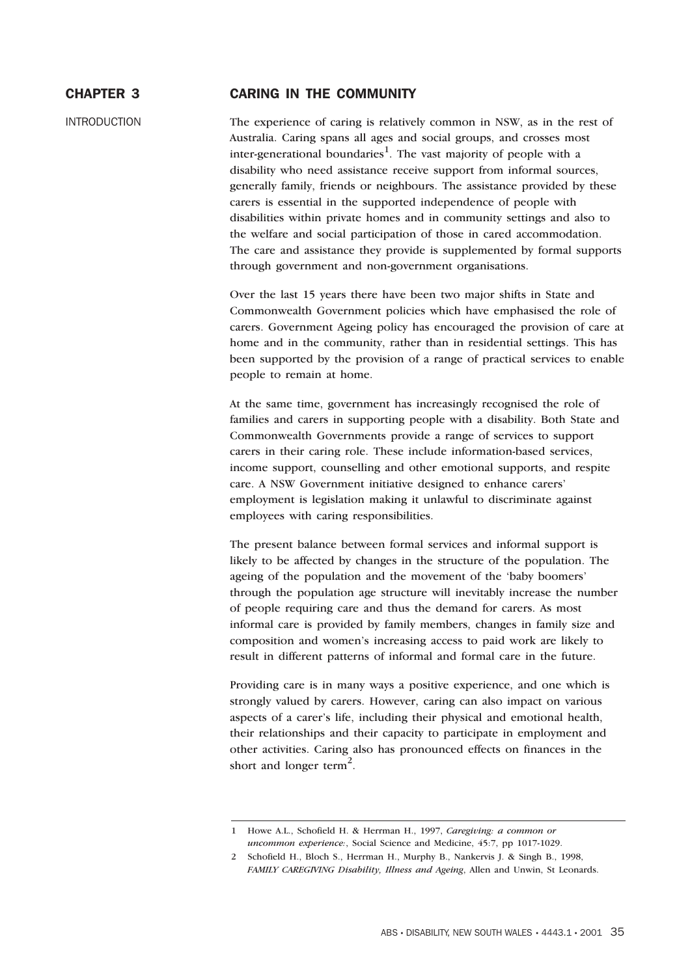# CHAPTER 3 CARING IN THE COMMUNITY

INTRODUCTION The experience of caring is relatively common in NSW, as in the rest of Australia. Caring spans all ages and social groups, and crosses most inter-generational boundaries<sup>1</sup>. The vast majority of people with a disability who need assistance receive support from informal sources, generally family, friends or neighbours. The assistance provided by these carers is essential in the supported independence of people with disabilities within private homes and in community settings and also to the welfare and social participation of those in cared accommodation. The care and assistance they provide is supplemented by formal supports through government and non-government organisations.

> Over the last 15 years there have been two major shifts in State and Commonwealth Government policies which have emphasised the role of carers. Government Ageing policy has encouraged the provision of care at home and in the community, rather than in residential settings. This has been supported by the provision of a range of practical services to enable people to remain at home.

At the same time, government has increasingly recognised the role of families and carers in supporting people with a disability. Both State and Commonwealth Governments provide a range of services to support carers in their caring role. These include information-based services, income support, counselling and other emotional supports, and respite care. A NSW Government initiative designed to enhance carers' employment is legislation making it unlawful to discriminate against employees with caring responsibilities.

The present balance between formal services and informal support is likely to be affected by changes in the structure of the population. The ageing of the population and the movement of the 'baby boomers' through the population age structure will inevitably increase the number of people requiring care and thus the demand for carers. As most informal care is provided by family members, changes in family size and composition and women's increasing access to paid work are likely to result in different patterns of informal and formal care in the future.

Providing care is in many ways a positive experience, and one which is strongly valued by carers. However, caring can also impact on various aspects of a carer's life, including their physical and emotional health, their relationships and their capacity to participate in employment and other activities. Caring also has pronounced effects on finances in the short and longer term<sup>2</sup>.

<sup>1</sup> Howe A.L., Schofield H. & Herrman H., 1997, *Caregiving: a common or uncommon experience:*, Social Science and Medicine, 45:7, pp 1017-1029.

<sup>2</sup> Schofield H., Bloch S., Herrman H., Murphy B., Nankervis J. & Singh B., 1998, *FAMILY CAREGIVING Disability, Illness and Ageing*, Allen and Unwin, St Leonards.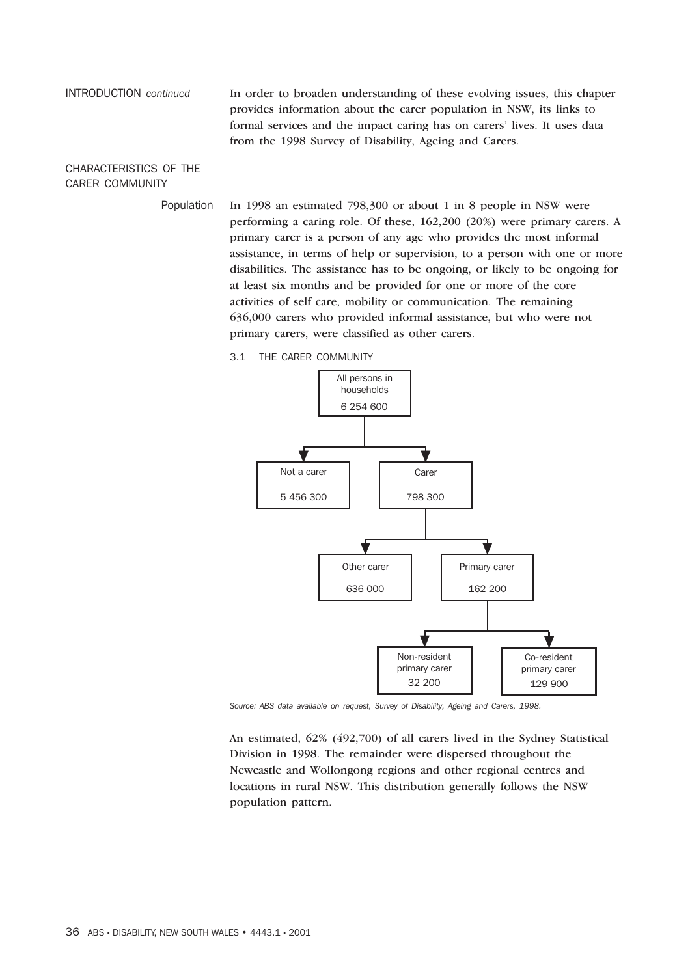INTRODUCTION *continued* In order to broaden understanding of these evolving issues, this chapter provides information about the carer population in NSW, its links to formal services and the impact caring has on carers' lives. It uses data from the 1998 Survey of Disability, Ageing and Carers.

CHARACTERISTICS OF THE CARER COMMUNITY

> Population In 1998 an estimated 798,300 or about 1 in 8 people in NSW were performing a caring role. Of these, 162,200 (20%) were primary carers. A primary carer is a person of any age who provides the most informal assistance, in terms of help or supervision, to a person with one or more disabilities. The assistance has to be ongoing, or likely to be ongoing for at least six months and be provided for one or more of the core activities of self care, mobility or communication. The remaining 636,000 carers who provided informal assistance, but who were not primary carers, were classified as other carers.

> > 3.1 THE CARER COMMUNITY



*Source: ABS data available on request, Survey of Disability, Ageing and Carers, 1998.*

An estimated, 62% (492,700) of all carers lived in the Sydney Statistical Division in 1998. The remainder were dispersed throughout the Newcastle and Wollongong regions and other regional centres and locations in rural NSW. This distribution generally follows the NSW population pattern.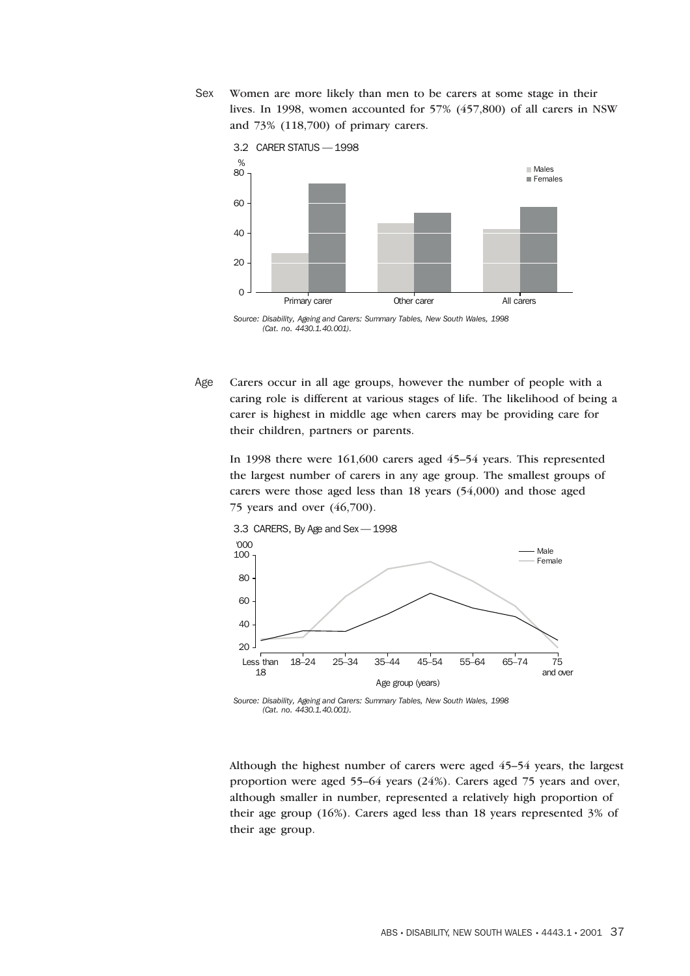Sex Women are more likely than men to be carers at some stage in their lives. In 1998, women accounted for 57% (457,800) of all carers in NSW and 73% (118,700) of primary carers.





Age Carers occur in all age groups, however the number of people with a caring role is different at various stages of life. The likelihood of being a carer is highest in middle age when carers may be providing care for their children, partners or parents.

In 1998 there were 161,600 carers aged 45–54 years. This represented the largest number of carers in any age group. The smallest groups of carers were those aged less than 18 years (54,000) and those aged 75 years and over (46,700).



*Source: Disability, Ageing and Carers: Summary Tables, New South Wales, 1998 (Cat. no. 4430.1.40.001).*

Although the highest number of carers were aged 45–54 years, the largest proportion were aged 55–64 years (24%). Carers aged 75 years and over, although smaller in number, represented a relatively high proportion of their age group (16%). Carers aged less than 18 years represented 3% of their age group.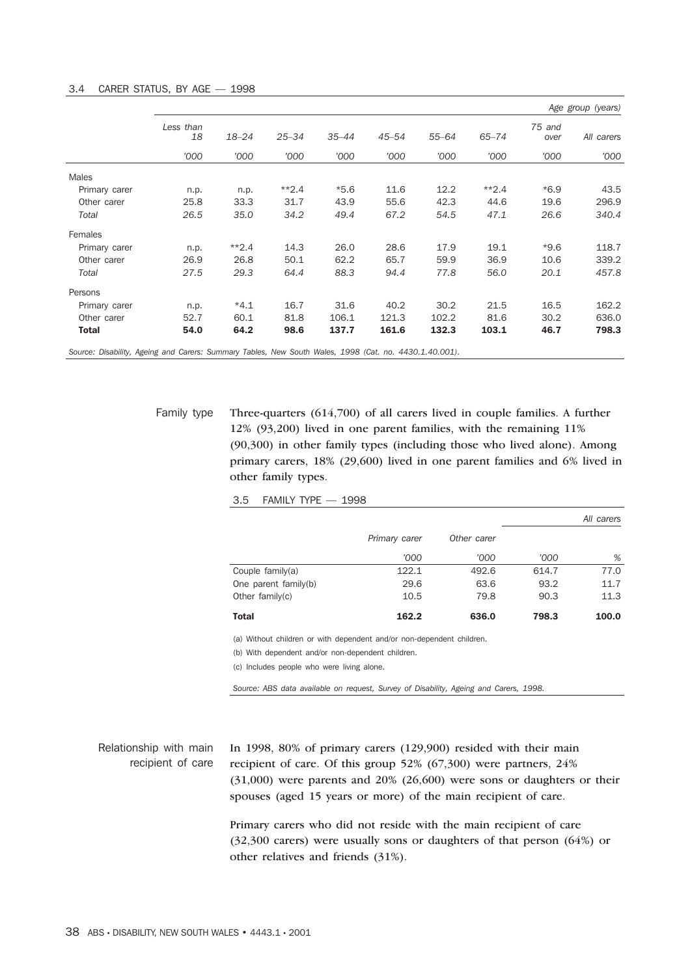|                                                                                                        |                 |           |           |           |           |           |           |                | Age group (years) |
|--------------------------------------------------------------------------------------------------------|-----------------|-----------|-----------|-----------|-----------|-----------|-----------|----------------|-------------------|
|                                                                                                        | Less than<br>18 | $18 - 24$ | $25 - 34$ | $35 - 44$ | $45 - 54$ | $55 - 64$ | $65 - 74$ | 75 and<br>over | All carers        |
|                                                                                                        | '000            | '000      | '000      | '000      | '000      | '000      | '000      | '000           | '000              |
| Males                                                                                                  |                 |           |           |           |           |           |           |                |                   |
| Primary carer                                                                                          | n.p.            | n.p.      | $*2.4$    | $*5.6$    | 11.6      | 12.2      | $*2.4$    | $*6.9$         | 43.5              |
| Other carer                                                                                            | 25.8            | 33.3      | 31.7      | 43.9      | 55.6      | 42.3      | 44.6      | 19.6           | 296.9             |
| Total                                                                                                  | 26.5            | 35.0      | 34.2      | 49.4      | 67.2      | 54.5      | 47.1      | 26.6           | 340.4             |
| Females                                                                                                |                 |           |           |           |           |           |           |                |                   |
| Primary carer                                                                                          | n.p.            | $*2.4$    | 14.3      | 26.0      | 28.6      | 17.9      | 19.1      | $*9.6$         | 118.7             |
| Other carer                                                                                            | 26.9            | 26.8      | 50.1      | 62.2      | 65.7      | 59.9      | 36.9      | 10.6           | 339.2             |
| Total                                                                                                  | 27.5            | 29.3      | 64.4      | 88.3      | 94.4      | 77.8      | 56.0      | 20.1           | 457.8             |
| Persons                                                                                                |                 |           |           |           |           |           |           |                |                   |
| Primary carer                                                                                          | n.p.            | $*4.1$    | 16.7      | 31.6      | 40.2      | 30.2      | 21.5      | 16.5           | 162.2             |
| Other carer                                                                                            | 52.7            | 60.1      | 81.8      | 106.1     | 121.3     | 102.2     | 81.6      | 30.2           | 636.0             |
| Total                                                                                                  | 54.0            | 64.2      | 98.6      | 137.7     | 161.6     | 132.3     | 103.1     | 46.7           | 798.3             |
| Source: Disability, Ageing and Carers: Summary Tables, New South Wales, 1998 (Cat. no. 4430.1.40.001). |                 |           |           |           |           |           |           |                |                   |

Family type Three-quarters (614,700) of all carers lived in couple families. A further 12% (93,200) lived in one parent families, with the remaining 11% (90,300) in other family types (including those who lived alone). Among primary carers, 18% (29,600) lived in one parent families and 6% lived in other family types.

3.5 FAMILY TYPE — 1998

|                      |               |             |       | All carers |
|----------------------|---------------|-------------|-------|------------|
|                      | Primary carer | Other carer |       |            |
|                      | '000          | '000        | '000  | %          |
| Couple $family(a)$   | 122.1         | 492.6       | 614.7 | 77.0       |
| One parent family(b) | 29.6          | 63.6        | 93.2  | 11.7       |
| Other family $(c)$   | 10.5          | 79.8        | 90.3  | 11.3       |
| <b>Total</b>         | 162.2         | 636.0       | 798.3 | 100.0      |

(a) Without children or with dependent and/or non-dependent children.

(b) With dependent and/or non-dependent children.

(c) Includes people who were living alone.

*Source: ABS data available on request, Survey of Disability, Ageing and Carers, 1998.*

Relationship with main recipient of care In 1998, 80% of primary carers (129,900) resided with their main recipient of care. Of this group 52% (67,300) were partners, 24% (31,000) were parents and 20% (26,600) were sons or daughters or their spouses (aged 15 years or more) of the main recipient of care.

> Primary carers who did not reside with the main recipient of care (32,300 carers) were usually sons or daughters of that person (64%) or other relatives and friends (31%).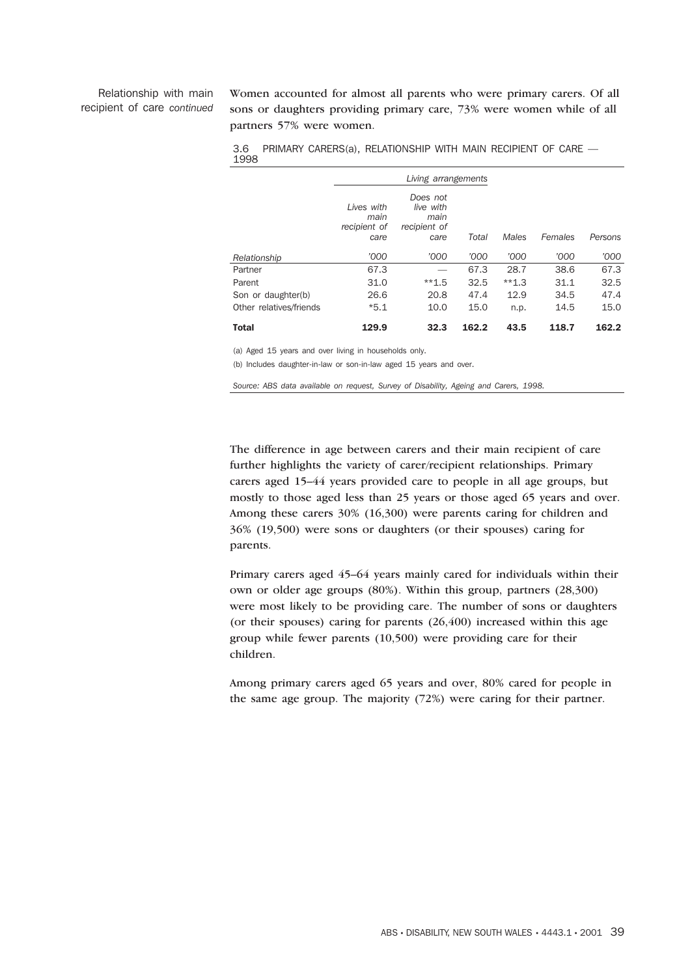# Relationship with main recipient of care *continued*

Women accounted for almost all parents who were primary carers. Of all sons or daughters providing primary care, 73% were women while of all partners 57% were women.

|                         |                                            | Living arrangements                                   |       |         |         |         |
|-------------------------|--------------------------------------------|-------------------------------------------------------|-------|---------|---------|---------|
|                         | Lives with<br>main<br>recipient of<br>care | Does not<br>live with<br>main<br>recipient of<br>care | Total | Males   | Females | Persons |
| Relationship            | '000                                       | '000                                                  | '000  | '000    | '000    | '000    |
| Partner                 | 67.3                                       |                                                       | 67.3  | 28.7    | 38.6    | 67.3    |
| Parent                  | 31.0                                       | $**1.5$                                               | 32.5  | $**1.3$ | 31.1    | 32.5    |
| Son or daughter(b)      | 26.6                                       | 20.8                                                  | 47.4  | 12.9    | 34.5    | 47.4    |
| Other relatives/friends | $*5.1$                                     | 10.0                                                  | 15.0  | n.p.    | 14.5    | 15.0    |
| <b>Total</b>            | 129.9                                      | 32.3                                                  | 162.2 | 43.5    | 118.7   | 162.2   |

3.6 PRIMARY CARERS(a), RELATIONSHIP WITH MAIN RECIPIENT OF CARE — 1998

(a) Aged 15 years and over living in households only.

(b) Includes daughter-in-law or son-in-law aged 15 years and over.

*Source: ABS data available on request, Survey of Disability, Ageing and Carers, 1998.*

The difference in age between carers and their main recipient of care further highlights the variety of carer/recipient relationships. Primary carers aged 15–44 years provided care to people in all age groups, but mostly to those aged less than 25 years or those aged 65 years and over. Among these carers 30% (16,300) were parents caring for children and 36% (19,500) were sons or daughters (or their spouses) caring for parents.

Primary carers aged 45–64 years mainly cared for individuals within their own or older age groups (80%). Within this group, partners (28,300) were most likely to be providing care. The number of sons or daughters (or their spouses) caring for parents  $(26, 400)$  increased within this age group while fewer parents (10,500) were providing care for their children.

Among primary carers aged 65 years and over, 80% cared for people in the same age group. The majority (72%) were caring for their partner.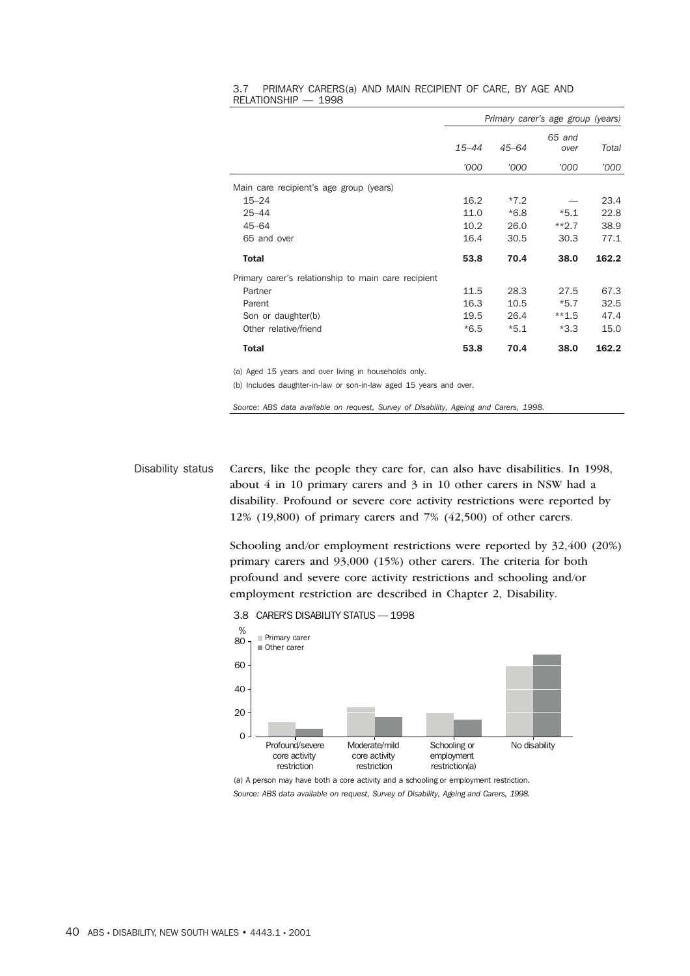|                                                      |           |           | Primary carer's age group (years) |       |
|------------------------------------------------------|-----------|-----------|-----------------------------------|-------|
|                                                      | $15 - 44$ | $45 - 64$ | 65 and<br>over                    | Total |
|                                                      | '000      | '000      | '000                              | '000  |
| Main care recipient's age group (years)              |           |           |                                   |       |
| $15 - 24$                                            | 16.2      | $*7.2$    |                                   | 23.4  |
| $25 - 44$                                            | 11.0      | $*6.8$    | $*5.1$                            | 22.8  |
| $45 - 64$                                            | 10.2      | 26.0      | $**2.7$                           | 38.9  |
| 65 and over                                          | 16.4      | 30.5      | 30.3                              | 77.1  |
| Total                                                | 53.8      | 70.4      | 38.0                              | 162.2 |
| Primary carer's relationship to main care recipient  |           |           |                                   |       |
| Partner                                              | 11.5      | 28.3      | 27.5                              | 67.3  |
| Parent                                               | 16.3      | 10.5      | $*5.7$                            | 32.5  |
| Son or daughter(b)                                   | 19.5      | 26.4      | $**1.5$                           | 47.4  |
| Other relative/friend                                | $*6.5$    | $*5.1$    | $*3.3$                            | 15.0  |
| <b>Total</b>                                         | 53.8      | 70.4      | 38.0                              | 162.2 |
| (a) Agod 15 years and over living in bouseholds only |           |           |                                   |       |

#### 3.7 PRIMARY CARERS(a) AND MAIN RECIPIENT OF CARE, BY AGE AND RELATIONSHIP — 1998

(a) Aged 15 years and over living in households only.

(b) Includes daughter-in-law or son-in-law aged 15 years and over.

*Source: ABS data available on request, Survey of Disability, Ageing and Carers, 1998.*

Disability status Carers, like the people they care for, can also have disabilities. In 1998, about 4 in 10 primary carers and 3 in 10 other carers in NSW had a disability. Profound or severe core activity restrictions were reported by 12% (19,800) of primary carers and 7% (42,500) of other carers.

> Schooling and/or employment restrictions were reported by 32,400 (20%) primary carers and 93,000 (15%) other carers. The criteria for both profound and severe core activity restrictions and schooling and/or employment restriction are described in Chapter 2, Disability.

3.8 CARER'S DISABILITY STATUS — 1998



(a) A person may have both a core activity and a schooling or employment restriction. *Source: ABS data available on request, Survey of Disability, Ageing and Carers, 1998.*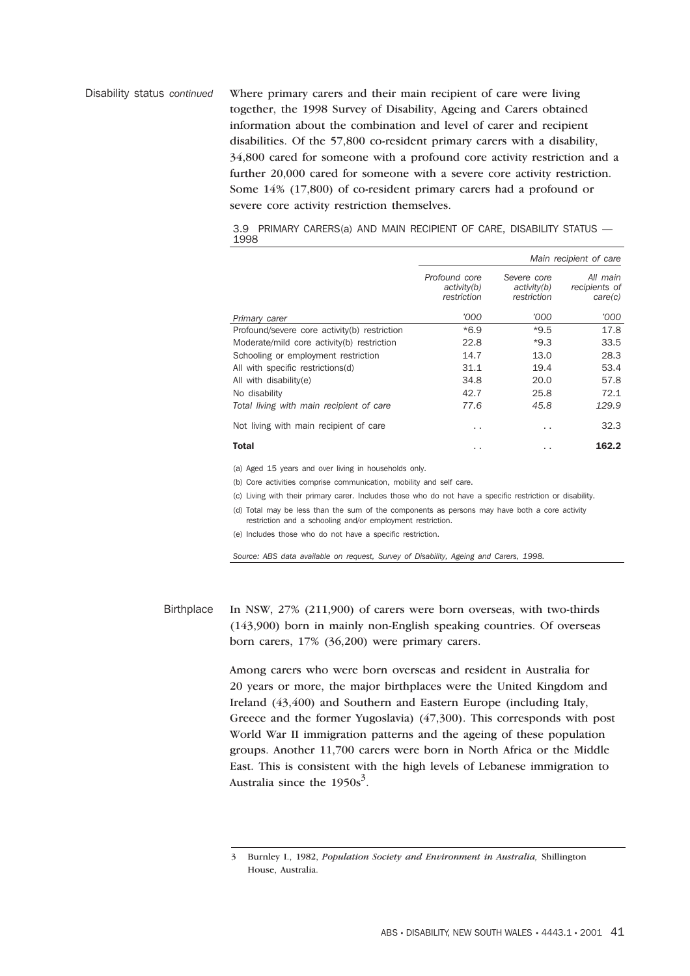Disability status *continued* Where primary carers and their main recipient of care were living together, the 1998 Survey of Disability, Ageing and Carers obtained information about the combination and level of carer and recipient disabilities. Of the 57,800 co-resident primary carers with a disability, 34,800 cared for someone with a profound core activity restriction and a further 20,000 cared for someone with a severe core activity restriction. Some 14% (17,800) of co-resident primary carers had a profound or severe core activity restriction themselves.

> 3.9 PRIMARY CARERS(a) AND MAIN RECIPIENT OF CARE, DISABILITY STATUS — 1998

|                                              | Main recipient of care                      |                                           |                                      |  |  |
|----------------------------------------------|---------------------------------------------|-------------------------------------------|--------------------------------------|--|--|
|                                              | Profound core<br>activity(b)<br>restriction | Severe core<br>activity(b)<br>restriction | All main<br>recipients of<br>care(c) |  |  |
| Primary carer                                | '000                                        | '000                                      | '000                                 |  |  |
| Profound/severe core activity(b) restriction | $*6.9$                                      | $*9.5$                                    | 17.8                                 |  |  |
| Moderate/mild core activity(b) restriction   | 22.8                                        | $*9.3$                                    | 33.5                                 |  |  |
| Schooling or employment restriction          | 14.7                                        | 13.0                                      | 28.3                                 |  |  |
| All with specific restrictions(d)            | 31.1                                        | 19.4                                      | 53.4                                 |  |  |
| All with disability(e)                       | 34.8                                        | 20.0                                      | 57.8                                 |  |  |
| No disability                                | 42.7                                        | 25.8                                      | 72.1                                 |  |  |
| Total living with main recipient of care     | 77.6                                        | 45.8                                      | 129.9                                |  |  |
| Not living with main recipient of care       | . .                                         | . .                                       | 32.3                                 |  |  |
| <b>Total</b>                                 | . .                                         | $\cdot$ $\cdot$                           | 162.2                                |  |  |

(a) Aged 15 years and over living in households only.

(b) Core activities comprise communication, mobility and self care.

(c) Living with their primary carer. Includes those who do not have a specific restriction or disability.

(d) Total may be less than the sum of the components as persons may have both a core activity restriction and a schooling and/or employment restriction.

(e) Includes those who do not have a specific restriction.

*Source: ABS data available on request, Survey of Disability, Ageing and Carers, 1998.*

Birthplace In NSW, 27% (211,900) of carers were born overseas, with two-thirds (143,900) born in mainly non-English speaking countries. Of overseas born carers, 17% (36,200) were primary carers.

> Among carers who were born overseas and resident in Australia for 20 years or more, the major birthplaces were the United Kingdom and Ireland (43,400) and Southern and Eastern Europe (including Italy, Greece and the former Yugoslavia) (47,300). This corresponds with post World War II immigration patterns and the ageing of these population groups. Another 11,700 carers were born in North Africa or the Middle East. This is consistent with the high levels of Lebanese immigration to Australia since the  $1950s^3$ .

<sup>3</sup> Burnley I., 1982, *Population Society and Environment in Australia,* Shillington House, Australia.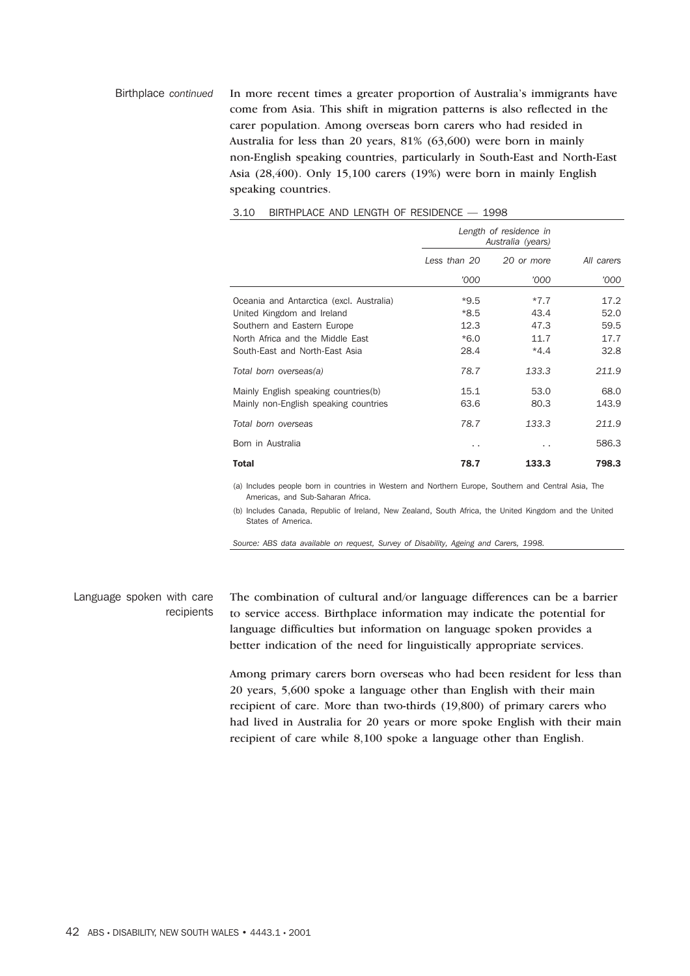Birthplace *continued* In more recent times a greater proportion of Australia's immigrants have come from Asia. This shift in migration patterns is also reflected in the carer population. Among overseas born carers who had resided in Australia for less than 20 years, 81% (63,600) were born in mainly non-English speaking countries, particularly in South-East and North-East Asia (28,400). Only 15,100 carers (19%) were born in mainly English speaking countries.

|                                          |              | Length of residence in<br>Australia (years) |            |
|------------------------------------------|--------------|---------------------------------------------|------------|
|                                          | Less than 20 | 20 or more                                  | All carers |
|                                          | '000         | '000                                        | '000       |
| Oceania and Antarctica (excl. Australia) | $*9.5$       | $*7.7$                                      | 17.2       |
| United Kingdom and Ireland               | *8.5         | 43.4                                        | 52.0       |
| Southern and Eastern Europe              | 12.3         | 47.3                                        | 59.5       |
| North Africa and the Middle East         | $*6.0$       | 11.7                                        | 17.7       |
| South-East and North-East Asia           | 28.4         | $*4.4$                                      | 32.8       |
| Total born overseas(a)                   | 78.7         | 133.3                                       | 211.9      |
| Mainly English speaking countries(b)     | 15.1         | 53.0                                        | 68.0       |
| Mainly non-English speaking countries    | 63.6         | 80.3                                        | 143.9      |
| Total born overseas                      | 78.7         | 133.3                                       | 211.9      |
| Born in Australia                        | . .          | $\cdot$ .                                   | 586.3      |
| Total                                    | 78.7         | 133.3                                       | 798.3      |

## 3.10 BIRTHPLACE AND LENGTH OF RESIDENCE — 1998

(a) Includes people born in countries in Western and Northern Europe, Southern and Central Asia, The Americas, and Sub-Saharan Africa.

(b) Includes Canada, Republic of Ireland, New Zealand, South Africa, the United Kingdom and the United States of America.

*Source: ABS data available on request, Survey of Disability, Ageing and Carers, 1998.*

# Language spoken with care recipients

The combination of cultural and/or language differences can be a barrier to service access. Birthplace information may indicate the potential for language difficulties but information on language spoken provides a better indication of the need for linguistically appropriate services.

Among primary carers born overseas who had been resident for less than 20 years, 5,600 spoke a language other than English with their main recipient of care. More than two-thirds (19,800) of primary carers who had lived in Australia for 20 years or more spoke English with their main recipient of care while 8,100 spoke a language other than English.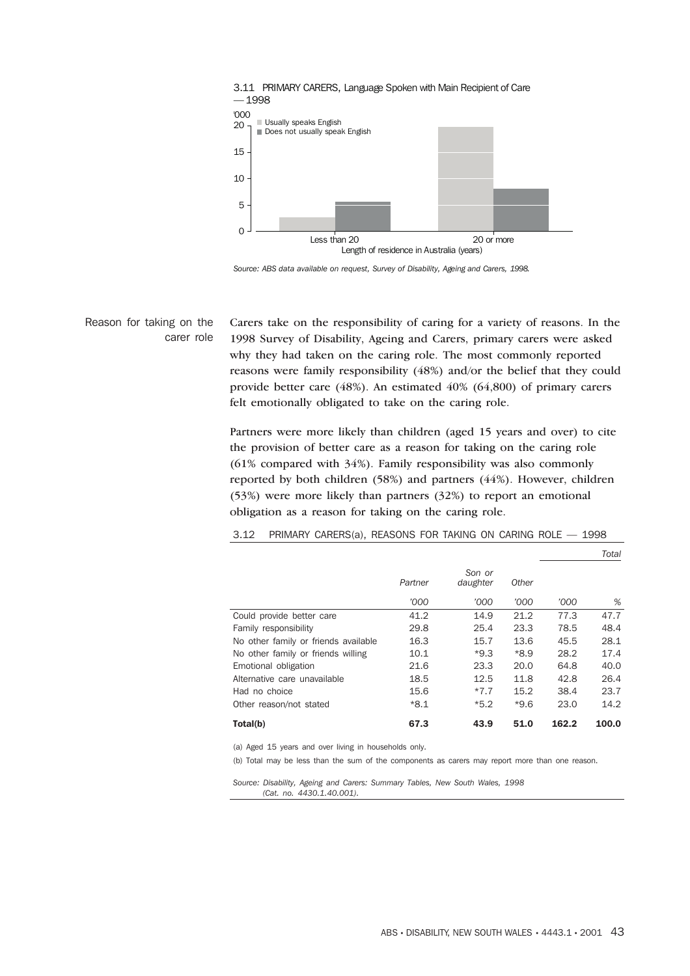

*Source: ABS data available on request, Survey of Disability, Ageing and Carers, 1998.*

Reason for taking on the carer role Carers take on the responsibility of caring for a variety of reasons. In the 1998 Survey of Disability, Ageing and Carers, primary carers were asked why they had taken on the caring role. The most commonly reported reasons were family responsibility (48%) and/or the belief that they could provide better care (48%). An estimated 40% (64,800) of primary carers felt emotionally obligated to take on the caring role.

Partners were more likely than children (aged 15 years and over) to cite the provision of better care as a reason for taking on the caring role (61% compared with 34%). Family responsibility was also commonly reported by both children (58%) and partners (44%). However, children (53%) were more likely than partners (32%) to report an emotional obligation as a reason for taking on the caring role.

|                                      |         |                    |        |       | Total |
|--------------------------------------|---------|--------------------|--------|-------|-------|
|                                      | Partner | Son or<br>daughter | Other  |       |       |
|                                      | '000    | '000               | '000   | '000  | %     |
| Could provide better care            | 41.2    | 14.9               | 21.2   | 77.3  | 47.7  |
| Family responsibility                | 29.8    | 25.4               | 23.3   | 78.5  | 48.4  |
| No other family or friends available | 16.3    | 15.7               | 13.6   | 45.5  | 28.1  |
| No other family or friends willing   | 10.1    | $*9.3$             | $*8.9$ | 28.2  | 17.4  |
| Emotional obligation                 | 21.6    | 23.3               | 20.0   | 64.8  | 40.0  |
| Alternative care unavailable         | 18.5    | 12.5               | 11.8   | 42.8  | 26.4  |
| Had no choice                        | 15.6    | $*7.7$             | 15.2   | 38.4  | 23.7  |
| Other reason/not stated              | $*8.1$  | $*5.2$             | $*9.6$ | 23.0  | 14.2  |
| Total(b)                             | 67.3    | 43.9               | 51.0   | 162.2 | 100.0 |

3.12 PRIMARY CARERS(a), REASONS FOR TAKING ON CARING ROLE — 1998

(a) Aged 15 years and over living in households only.

(b) Total may be less than the sum of the components as carers may report more than one reason.

*Source: Disability, Ageing and Carers: Summary Tables, New South Wales, 1998 (Cat. no. 4430.1.40.001).*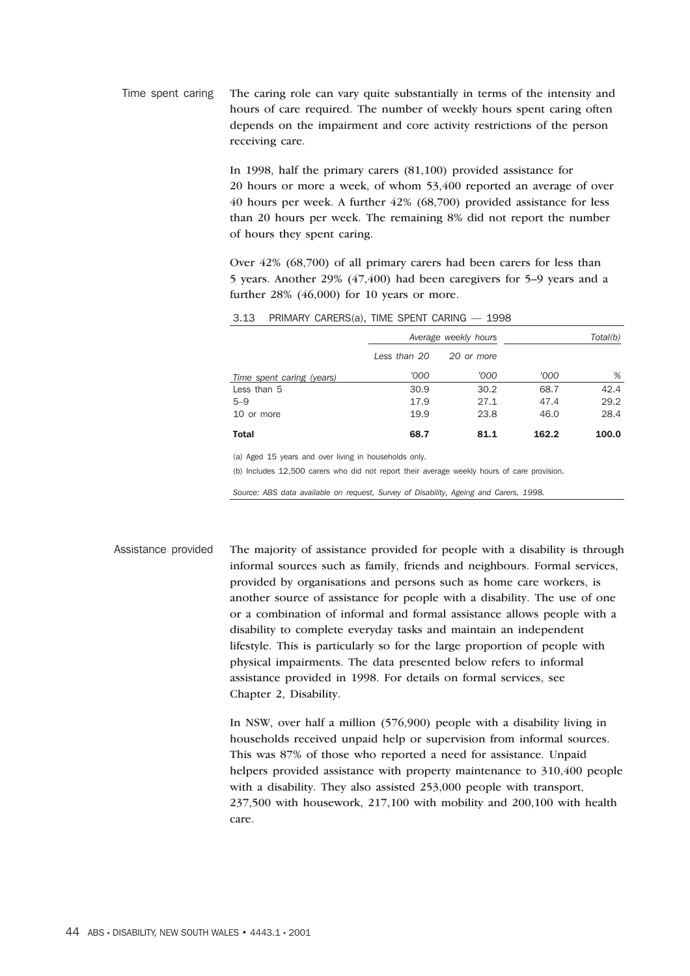Time spent caring The caring role can vary quite substantially in terms of the intensity and hours of care required. The number of weekly hours spent caring often depends on the impairment and core activity restrictions of the person receiving care.

> In 1998, half the primary carers (81,100) provided assistance for 20 hours or more a week, of whom 53,400 reported an average of over 40 hours per week. A further 42% (68,700) provided assistance for less than 20 hours per week. The remaining 8% did not report the number of hours they spent caring.

Over 42% (68,700) of all primary carers had been carers for less than 5 years. Another 29% (47,400) had been caregivers for 5–9 years and a further 28% (46,000) for 10 years or more.

| $-1$ $+1$                 |              |                      |       |          |
|---------------------------|--------------|----------------------|-------|----------|
|                           |              | Average weekly hours |       | Total(b) |
|                           | Less than 20 | 20 or more           |       |          |
| Time spent caring (years) | '000         | '000                 | '000  | %        |
| Less than 5               | 30.9         | 30.2                 | 68.7  | 42.4     |
| $5 - 9$                   | 17.9         | 27.1                 | 47.4  | 29.2     |
| 10 or more                | 19.9         | 23.8                 | 46.0  | 28.4     |
| Total                     | 68.7         | 81.1                 | 162.2 | 100.0    |

## 3.13 PRIMARY CARERS(a), TIME SPENT CARING — 1998

(a) Aged 15 years and over living in households only.

(b) Includes 12,500 carers who did not report their average weekly hours of care provision.

*Source: ABS data available on request, Survey of Disability, Ageing and Carers, 1998.*

Assistance provided The majority of assistance provided for people with a disability is through informal sources such as family, friends and neighbours. Formal services, provided by organisations and persons such as home care workers, is another source of assistance for people with a disability. The use of one or a combination of informal and formal assistance allows people with a disability to complete everyday tasks and maintain an independent lifestyle. This is particularly so for the large proportion of people with physical impairments. The data presented below refers to informal assistance provided in 1998. For details on formal services, see Chapter 2, Disability.

> In NSW, over half a million (576,900) people with a disability living in households received unpaid help or supervision from informal sources. This was 87% of those who reported a need for assistance. Unpaid helpers provided assistance with property maintenance to 310,400 people with a disability. They also assisted 253,000 people with transport, 237,500 with housework, 217,100 with mobility and 200,100 with health care.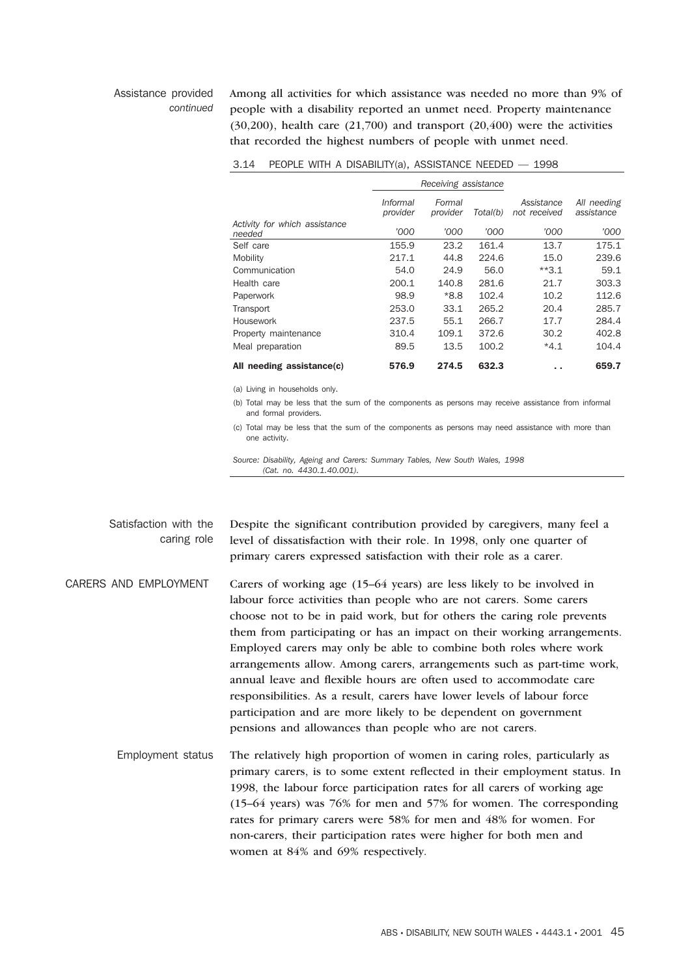### Assistance provided *continued*

Among all activities for which assistance was needed no more than 9% of people with a disability reported an unmet need. Property maintenance  $(30,200)$ , health care  $(21,700)$  and transport  $(20,400)$  were the activities that recorded the highest numbers of people with unmet need.

|                                         |                      | Receiving assistance |          |                            |                           |
|-----------------------------------------|----------------------|----------------------|----------|----------------------------|---------------------------|
|                                         | Informal<br>provider | Formal<br>provider   | Total(b) | Assistance<br>not received | All needing<br>assistance |
| Activity for which assistance<br>needed | '000                 | '000                 | '000     | '000                       | '000                      |
| Self care                               | 155.9                | 23.2                 | 161.4    | 13.7                       | 175.1                     |
| Mobility                                | 217.1                | 44.8                 | 224.6    | 15.0                       | 239.6                     |
| Communication                           | 54.0                 | 24.9                 | 56.0     | $**3.1$                    | 59.1                      |
| Health care                             | 200.1                | 140.8                | 281.6    | 21.7                       | 303.3                     |
| Paperwork                               | 98.9                 | *8.8                 | 102.4    | 10.2                       | 112.6                     |
| Transport                               | 253.0                | 33.1                 | 265.2    | 20.4                       | 285.7                     |
| Housework                               | 237.5                | 55.1                 | 266.7    | 17.7                       | 284.4                     |
| Property maintenance                    | 310.4                | 109.1                | 372.6    | 30.2                       | 402.8                     |
| Meal preparation                        | 89.5                 | 13.5                 | 100.2    | $*4.1$                     | 104.4                     |
| All needing assistance(c)               | 576.9                | 274.5                | 632.3    | . .                        | 659.7                     |

|  | 3.14 PEOPLE WITH A DISABILITY(a), ASSISTANCE NEEDED - 1998 |  |  |  |  |
|--|------------------------------------------------------------|--|--|--|--|
|--|------------------------------------------------------------|--|--|--|--|

(a) Living in households only.

(b) Total may be less that the sum of the components as persons may receive assistance from informal and formal providers.

(c) Total may be less that the sum of the components as persons may need assistance with more than one activity.

*Source: Disability, Ageing and Carers: Summary Tables, New South Wales, 1998 (Cat. no. 4430.1.40.001).*

Satisfaction with the caring role Despite the significant contribution provided by caregivers, many feel a level of dissatisfaction with their role. In 1998, only one quarter of primary carers expressed satisfaction with their role as a carer.

CARERS AND EMPLOYMENT Carers of working age (15–64 years) are less likely to be involved in labour force activities than people who are not carers. Some carers choose not to be in paid work, but for others the caring role prevents them from participating or has an impact on their working arrangements. Employed carers may only be able to combine both roles where work arrangements allow. Among carers, arrangements such as part-time work, annual leave and flexible hours are often used to accommodate care responsibilities. As a result, carers have lower levels of labour force participation and are more likely to be dependent on government pensions and allowances than people who are not carers.

Employment status The relatively high proportion of women in caring roles, particularly as primary carers, is to some extent reflected in their employment status. In 1998, the labour force participation rates for all carers of working age (15–64 years) was 76% for men and 57% for women. The corresponding rates for primary carers were 58% for men and 48% for women. For non-carers, their participation rates were higher for both men and women at 84% and 69% respectively.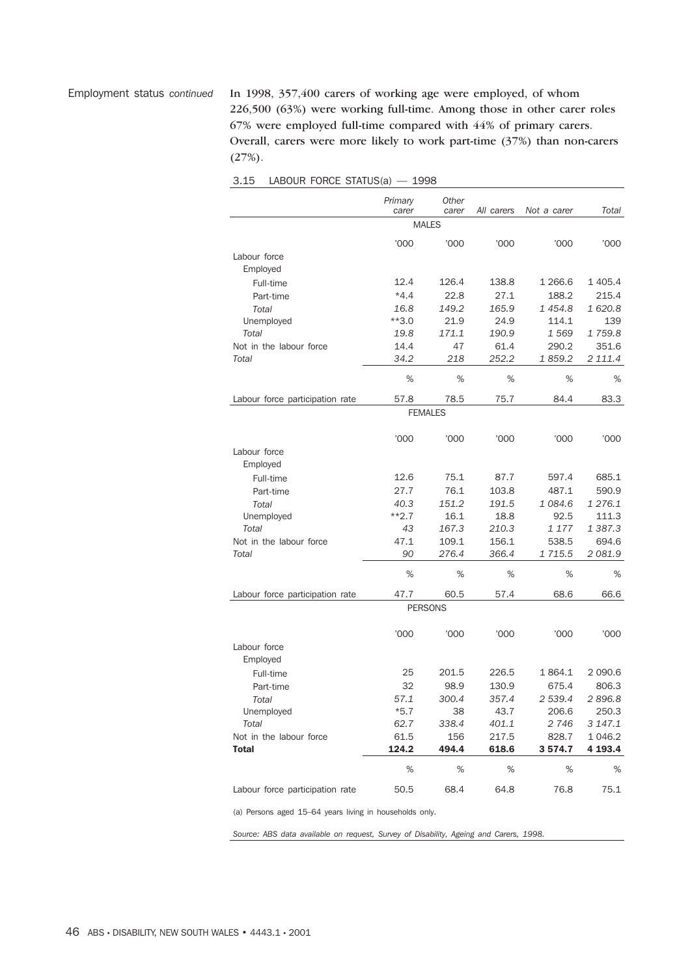Employment status *continued* In 1998, 357,400 carers of working age were employed, of whom 226,500 (63%) were working full-time. Among those in other carer roles 67% were employed full-time compared with 44% of primary carers. Overall, carers were more likely to work part-time (37%) than non-carers  $(27%)$ .

| LABOUR FORCE STATUS(a)<br>3.15 | 1998 |
|--------------------------------|------|
|--------------------------------|------|

|                                 | Primary<br>carer | <b>Other</b><br>carer | All carers | Not a carer | Total     |
|---------------------------------|------------------|-----------------------|------------|-------------|-----------|
|                                 |                  | <b>MALES</b>          |            |             |           |
|                                 |                  |                       |            |             |           |
|                                 | '000             | '000                  | '000       | '000        | '000      |
| Labour force                    |                  |                       |            |             |           |
| Employed                        |                  |                       |            |             |           |
| Full-time                       | 12.4             | 126.4                 | 138.8      | 1 266.6     | 1 405.4   |
| Part-time                       | $*4.4$           | 22.8                  | 27.1       | 188.2       | 215.4     |
| Total                           | 16.8             | 149.2                 | 165.9      | 1454.8      | 1620.8    |
| Unemployed                      | $**3.0$          | 21.9                  | 24.9       | 114.1       | 139       |
| Total                           | 19.8             | 171.1                 | 190.9      | 1569        | 1759.8    |
| Not in the labour force         | 14.4             | 47                    | 61.4       | 290.2       | 351.6     |
| Total                           | 34.2             | 218                   | 252.2      | 1859.2      | 2 111.4   |
|                                 |                  |                       |            |             |           |
|                                 | %                | %                     | %          | %           | %         |
| Labour force participation rate | 57.8             | 78.5                  | 75.7       | 84.4        | 83.3      |
|                                 |                  | <b>FEMALES</b>        |            |             |           |
|                                 |                  |                       |            |             |           |
|                                 | '000             | '000                  | '000       | '000        | '000      |
| Labour force                    |                  |                       |            |             |           |
| Employed                        |                  |                       |            |             |           |
|                                 |                  |                       |            |             |           |
| Full-time                       | 12.6             | 75.1                  | 87.7       | 597.4       | 685.1     |
| Part-time                       | 27.7             | 76.1                  | 103.8      | 487.1       | 590.9     |
| Total                           | 40.3             | 151.2                 | 191.5      | 1084.6      | 1 276.1   |
| Unemployed                      | $***2.7$         | 16.1                  | 18.8       | 92.5        | 111.3     |
| Total                           | 43               | 167.3                 | 210.3      | 1 177       | 1 387.3   |
| Not in the labour force         | 47.1             | 109.1                 | 156.1      | 538.5       | 694.6     |
| Total                           | 90               | 276.4                 | 366.4      | 1 715.5     | 2081.9    |
|                                 | %                | %                     | %          | %           | %         |
| Labour force participation rate | 47.7             | 60.5                  | 57.4       | 68.6        | 66.6      |
|                                 |                  | <b>PERSONS</b>        |            |             |           |
|                                 |                  |                       |            |             |           |
|                                 | '000             | 000'                  | '000       | '000        | '000      |
| Labour force                    |                  |                       |            |             |           |
| Employed                        |                  |                       |            |             |           |
|                                 | 25               |                       | 226.5      | 1864.1      |           |
| Full-time                       |                  | 201.5                 |            |             | 2 0 9 0.6 |
| Part-time                       | 32               | 98.9                  | 130.9      | 675.4       | 806.3     |
| Total                           | 57.1             | 300.4                 | 357.4      | 2 539.4     | 2896.8    |
| Unemployed                      | *5.7             | 38                    | 43.7       | 206.6       | 250.3     |
| Total                           | 62.7             | 338.4                 | 401.1      | 2746        | 3 147.1   |
| Not in the labour force         | 61.5             | 156                   | 217.5      | 828.7       | 1 0 4 6.2 |
| Total                           | 124.2            | 494.4                 | 618.6      | 3574.7      | 4 193.4   |
|                                 | %                | $\%$                  | %          | %           | %         |
| Labour force participation rate | 50.5             | 68.4                  | 64.8       | 76.8        | 75.1      |
|                                 |                  |                       |            |             |           |

(a) Persons aged 15–64 years living in households only.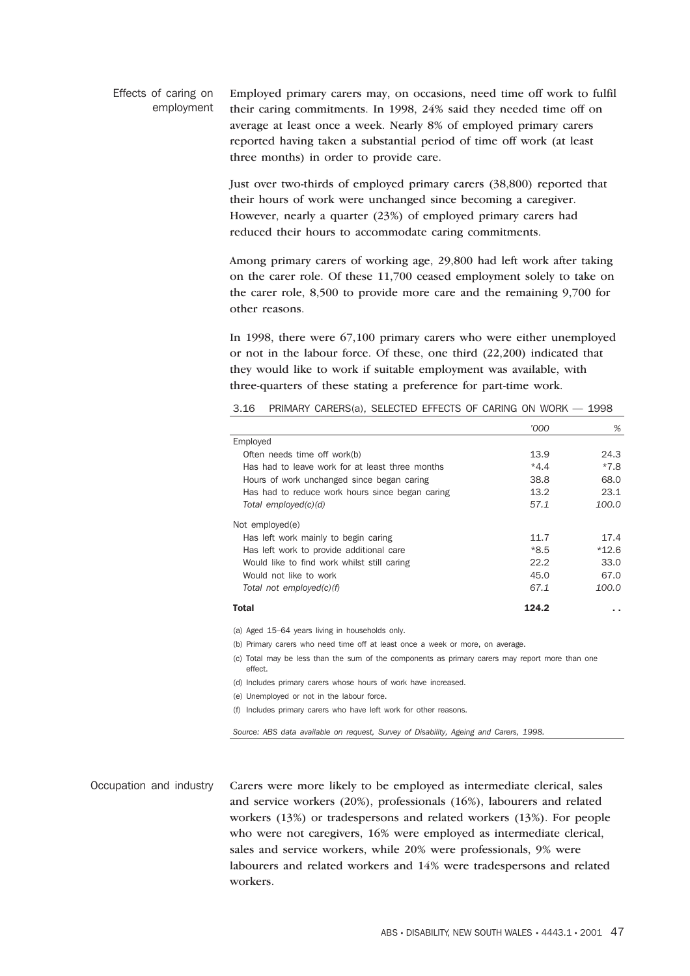Effects of caring on employment Employed primary carers may, on occasions, need time off work to fulfil their caring commitments. In 1998, 24% said they needed time off on average at least once a week. Nearly 8% of employed primary carers reported having taken a substantial period of time off work (at least three months) in order to provide care.

> Just over two-thirds of employed primary carers (38,800) reported that their hours of work were unchanged since becoming a caregiver. However, nearly a quarter (23%) of employed primary carers had reduced their hours to accommodate caring commitments.

Among primary carers of working age, 29,800 had left work after taking on the carer role. Of these 11,700 ceased employment solely to take on the carer role, 8,500 to provide more care and the remaining 9,700 for other reasons.

In 1998, there were 67,100 primary carers who were either unemployed or not in the labour force. Of these, one third (22,200) indicated that they would like to work if suitable employment was available, with three-quarters of these stating a preference for part-time work.

| '000   | %       |
|--------|---------|
|        |         |
| 13.9   | 24.3    |
| $*4.4$ | *7.8    |
| 38.8   | 68.0    |
| 13.2   | 23.1    |
| 57.1   | 100.0   |
|        |         |
| 11.7   | 17.4    |
| *8.5   | $*12.6$ |
| 22.2   | 33.0    |
| 45.0   | 67.0    |
| 67.1   | 100.0   |
| 124.2  |         |
|        |         |

3.16 PRIMARY CARERS(a), SELECTED EFFECTS OF CARING ON WORK — 1998

(a) Aged 15–64 years living in households only.

(b) Primary carers who need time off at least once a week or more, on average.

(c) Total may be less than the sum of the components as primary carers may report more than one effect.

(d) Includes primary carers whose hours of work have increased.

(e) Unemployed or not in the labour force.

(f) Includes primary carers who have left work for other reasons.

*Source: ABS data available on request, Survey of Disability, Ageing and Carers, 1998.*

Occupation and industry Carers were more likely to be employed as intermediate clerical, sales and service workers (20%), professionals (16%), labourers and related workers (13%) or tradespersons and related workers (13%). For people who were not caregivers, 16% were employed as intermediate clerical, sales and service workers, while 20% were professionals, 9% were labourers and related workers and 14% were tradespersons and related workers.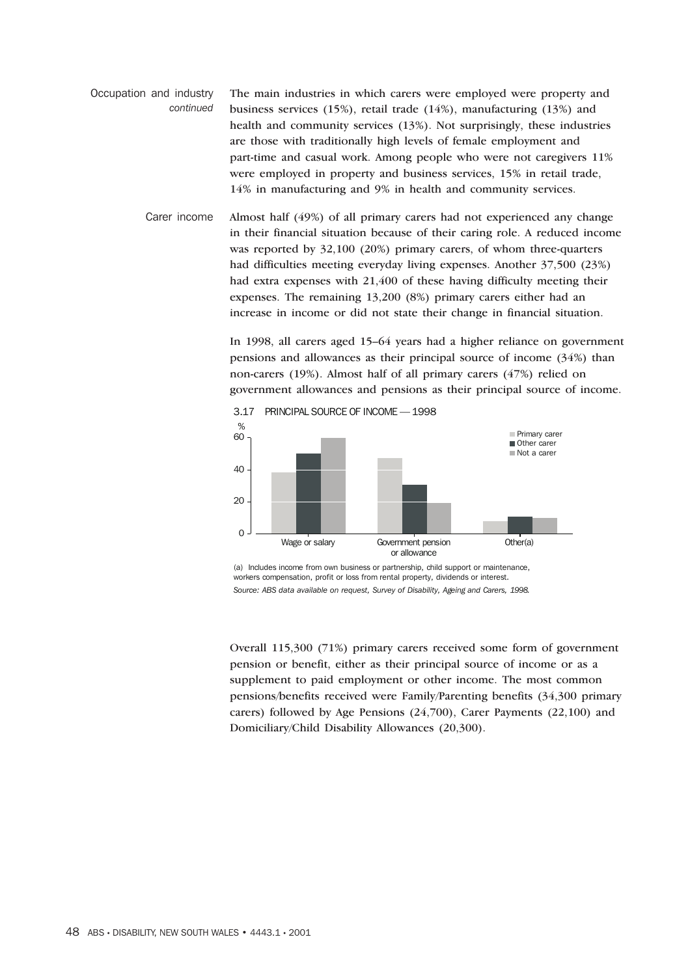- Occupation and industry *continued* The main industries in which carers were employed were property and business services (15%), retail trade (14%), manufacturing (13%) and health and community services (13%). Not surprisingly, these industries are those with traditionally high levels of female employment and part-time and casual work. Among people who were not caregivers 11% were employed in property and business services, 15% in retail trade, 14% in manufacturing and 9% in health and community services.
	- Carer income Almost half (49%) of all primary carers had not experienced any change in their financial situation because of their caring role. A reduced income was reported by 32,100 (20%) primary carers, of whom three-quarters had difficulties meeting everyday living expenses. Another 37,500 (23%) had extra expenses with 21,400 of these having difficulty meeting their expenses. The remaining 13,200 (8%) primary carers either had an increase in income or did not state their change in financial situation.

In 1998, all carers aged 15–64 years had a higher reliance on government pensions and allowances as their principal source of income (34%) than non-carers (19%). Almost half of all primary carers (47%) relied on government allowances and pensions as their principal source of income.



(a) Includes income from own business or partnership, child support or maintenance, workers compensation, profit or loss from rental property, dividends or interest. *Source: ABS data available on request, Survey of Disability, Ageing and Carers, 1998.*

Overall 115,300 (71%) primary carers received some form of government pension or benefit, either as their principal source of income or as a supplement to paid employment or other income. The most common pensions/benefits received were Family/Parenting benefits (34,300 primary carers) followed by Age Pensions (24,700), Carer Payments (22,100) and Domiciliary/Child Disability Allowances (20,300).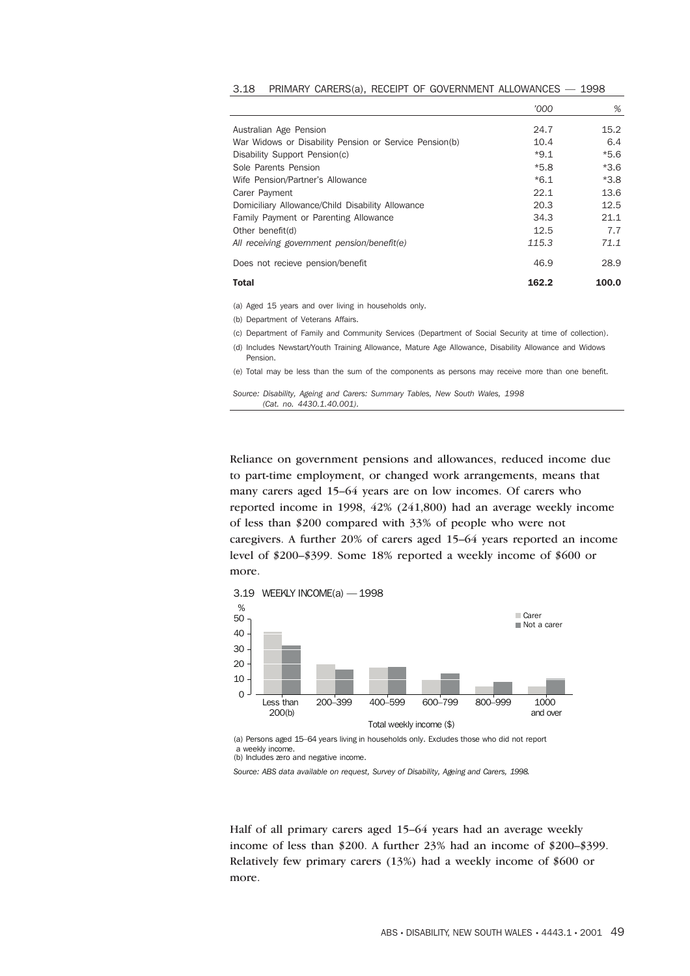|                                                        | '000   | %      |
|--------------------------------------------------------|--------|--------|
| Australian Age Pension                                 | 24.7   | 15.2   |
| War Widows or Disability Pension or Service Pension(b) | 10.4   | 6.4    |
| Disability Support Pension(c)                          | $*9.1$ | $*5.6$ |
| Sole Parents Pension                                   | $*5.8$ | $*3.6$ |
| Wife Pension/Partner's Allowance                       | $*6.1$ | $*3.8$ |
| Carer Payment                                          | 22.1   | 13.6   |
| Domiciliary Allowance/Child Disability Allowance       | 20.3   | 12.5   |
| Family Payment or Parenting Allowance                  | 34.3   | 21.1   |
| Other benefit(d)                                       | 12.5   | 7.7    |
| All receiving government pension/benefit(e)            | 115.3  | 71.1   |
| Does not recieve pension/benefit                       | 46.9   | 28.9   |
| Total                                                  | 162.2  | 100.0  |

3.18 PRIMARY CARERS(a), RECEIPT OF GOVERNMENT ALLOWANCES — 1998

(a) Aged 15 years and over living in households only.

(b) Department of Veterans Affairs.

(c) Department of Family and Community Services (Department of Social Security at time of collection).

(d) Includes Newstart/Youth Training Allowance, Mature Age Allowance, Disability Allowance and Widows Pension.

(e) Total may be less than the sum of the components as persons may receive more than one benefit.

*Source: Disability, Ageing and Carers: Summary Tables, New South Wales, 1998 (Cat. no. 4430.1.40.001).*

Reliance on government pensions and allowances, reduced income due to part-time employment, or changed work arrangements, means that many carers aged 15–64 years are on low incomes. Of carers who reported income in 1998, 42% (241,800) had an average weekly income of less than \$200 compared with 33% of people who were not caregivers. A further 20% of carers aged 15–64 years reported an income level of \$200–\$399. Some 18% reported a weekly income of \$600 or more.



(a) Persons aged 15–64 years living in households only. Excludes those who did not report a weekly income.

(b) Includes zero and negative income.

*Source: ABS data available on request, Survey of Disability, Ageing and Carers, 1998.*

Half of all primary carers aged 15–64 years had an average weekly income of less than \$200. A further 23% had an income of \$200–\$399. Relatively few primary carers (13%) had a weekly income of \$600 or more.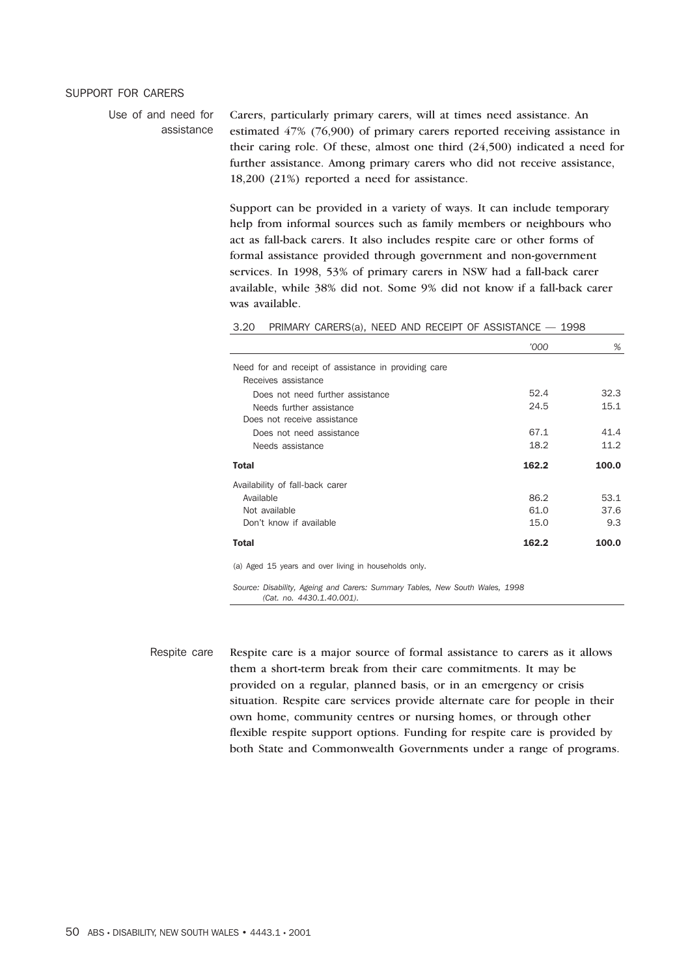## SUPPORT FOR CARERS

Use of and need for assistance

Carers, particularly primary carers, will at times need assistance. An estimated 47% (76,900) of primary carers reported receiving assistance in their caring role. Of these, almost one third (24,500) indicated a need for further assistance. Among primary carers who did not receive assistance, 18,200 (21%) reported a need for assistance.

Support can be provided in a variety of ways. It can include temporary help from informal sources such as family members or neighbours who act as fall-back carers. It also includes respite care or other forms of formal assistance provided through government and non-government services. In 1998, 53% of primary carers in NSW had a fall-back carer available, while 38% did not. Some 9% did not know if a fall-back carer was available.

3.20 PRIMARY CARERS(a), NEED AND RECEIPT OF ASSISTANCE — 1998

|                                                                             | 000'  | %     |
|-----------------------------------------------------------------------------|-------|-------|
| Need for and receipt of assistance in providing care<br>Receives assistance |       |       |
| Does not need further assistance                                            | 52.4  | 32.3  |
| Needs further assistance                                                    | 24.5  | 15.1  |
| Does not receive assistance                                                 |       |       |
| Does not need assistance                                                    | 67.1  | 41.4  |
| Needs assistance                                                            | 18.2  | 11.2  |
| <b>Total</b>                                                                | 162.2 | 100.0 |
| Availability of fall-back carer                                             |       |       |
| Available                                                                   | 86.2  | 53.1  |
| Not available                                                               | 61.0  | 37.6  |
| Don't know if available                                                     | 15.0  | 9.3   |
| <b>Total</b>                                                                | 162.2 | 100.0 |

(a) Aged 15 years and over living in households only.

*Source: Disability, Ageing and Carers: Summary Tables, New South Wales, 1998 (Cat. no. 4430.1.40.001).*

Respite care Respite care is a major source of formal assistance to carers as it allows them a short-term break from their care commitments. It may be provided on a regular, planned basis, or in an emergency or crisis situation. Respite care services provide alternate care for people in their own home, community centres or nursing homes, or through other flexible respite support options. Funding for respite care is provided by both State and Commonwealth Governments under a range of programs.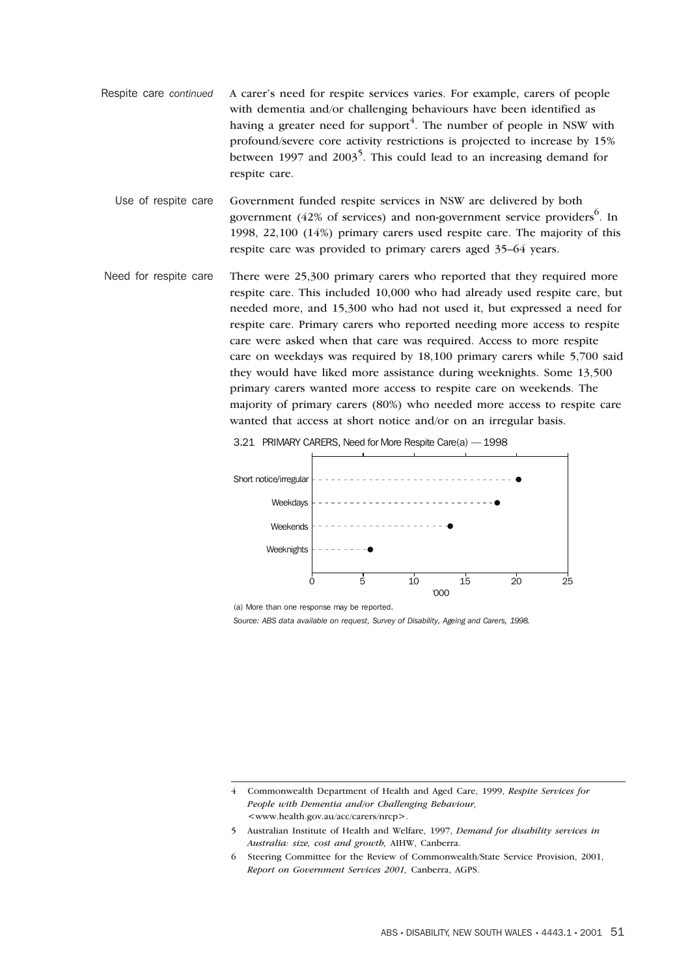Respite care *continued* A carer's need for respite services varies. For example, carers of people with dementia and/or challenging behaviours have been identified as having a greater need for support<sup>4</sup>. The number of people in NSW with profound/severe core activity restrictions is projected to increase by 15% between 1997 and 2003<sup>5</sup>. This could lead to an increasing demand for respite care.

Use of respite care Government funded respite services in NSW are delivered by both government (42% of services) and non-government service providers $<sup>6</sup>$ . In</sup> 1998, 22,100 (14%) primary carers used respite care. The majority of this respite care was provided to primary carers aged 35–64 years.

Need for respite care There were 25,300 primary carers who reported that they required more respite care. This included 10,000 who had already used respite care, but needed more, and 15,300 who had not used it, but expressed a need for respite care. Primary carers who reported needing more access to respite care were asked when that care was required. Access to more respite care on weekdays was required by 18,100 primary carers while 5,700 said they would have liked more assistance during weeknights. Some 13,500 primary carers wanted more access to respite care on weekends. The majority of primary carers (80%) who needed more access to respite care wanted that access at short notice and/or on an irregular basis.



3.21 PRIMARY CARERS, Need for More Respite Care(a) — 1998

(a) More than one response may be reported.

<sup>4</sup> Commonwealth Department of Health and Aged Care, 1999, *Respite Services for People with Dementia and/or Challenging Behaviour,* <www.health.gov.au/acc/carers/nrcp>.

<sup>5</sup> Australian Institute of Health and Welfare, 1997, *Demand for disability services in Australia: size, cost and growth,* AIHW, Canberra.

<sup>6</sup> Steering Committee for the Review of Commonwealth/State Service Provision, 2001, *Report on Government Services 2001,* Canberra, AGPS.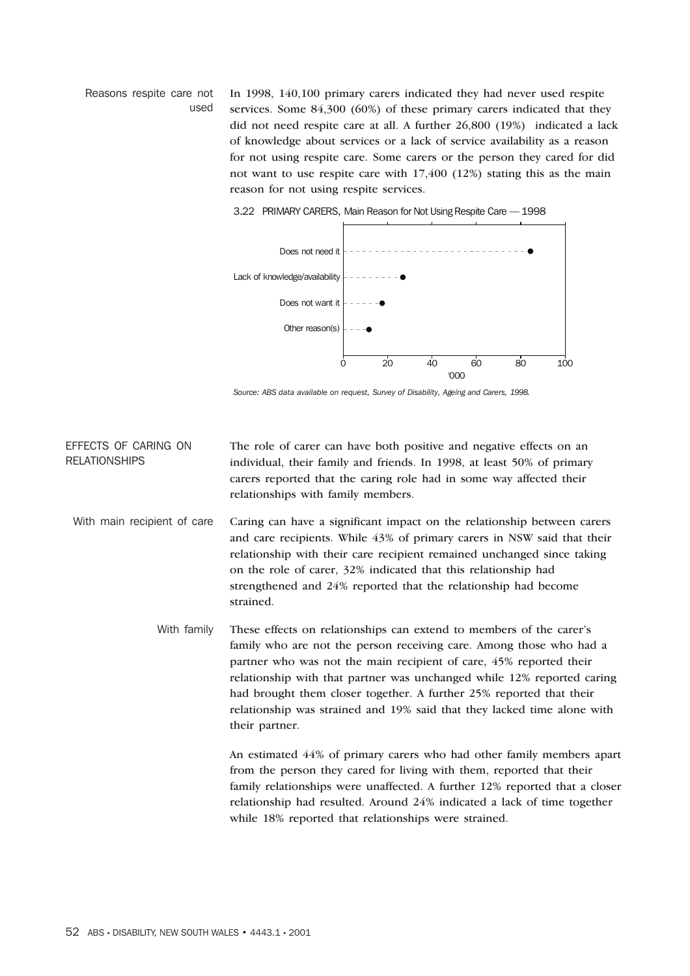Reasons respite care not used In 1998, 140,100 primary carers indicated they had never used respite services. Some 84,300 (60%) of these primary carers indicated that they did not need respite care at all. A further 26,800 (19%) indicated a lack of knowledge about services or a lack of service availability as a reason for not using respite care. Some carers or the person they cared for did not want to use respite care with 17,400 (12%) stating this as the main reason for not using respite services.



3.22 PRIMARY CARERS, Main Reason for Not Using Respite Care — 1998

*Source: ABS data available on request, Survey of Disability, Ageing and Carers, 1998.*

EFFECTS OF CARING ON RELATIONSHIPS The role of carer can have both positive and negative effects on an individual, their family and friends. In 1998, at least 50% of primary carers reported that the caring role had in some way affected their relationships with family members.

- With main recipient of care Caring can have a significant impact on the relationship between carers and care recipients. While 43% of primary carers in NSW said that their relationship with their care recipient remained unchanged since taking on the role of carer, 32% indicated that this relationship had strengthened and 24% reported that the relationship had become strained.
	- With family These effects on relationships can extend to members of the carer's family who are not the person receiving care. Among those who had a partner who was not the main recipient of care, 45% reported their relationship with that partner was unchanged while 12% reported caring had brought them closer together. A further 25% reported that their relationship was strained and 19% said that they lacked time alone with their partner.

An estimated 44% of primary carers who had other family members apart from the person they cared for living with them, reported that their family relationships were unaffected. A further 12% reported that a closer relationship had resulted. Around 24% indicated a lack of time together while 18% reported that relationships were strained.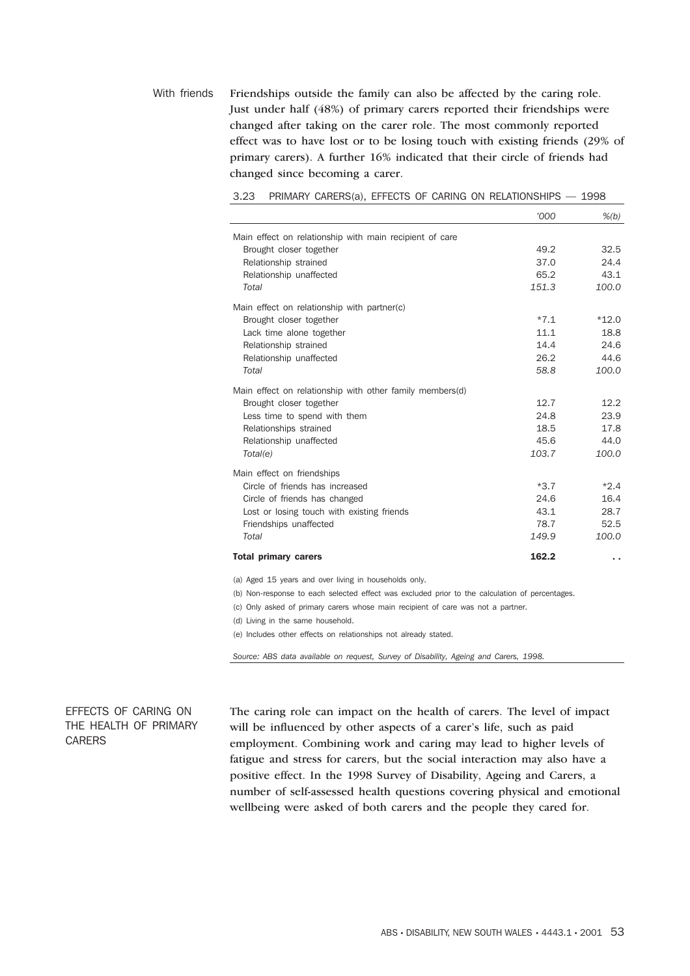With friends Friendships outside the family can also be affected by the caring role. Just under half (48%) of primary carers reported their friendships were changed after taking on the carer role. The most commonly reported effect was to have lost or to be losing touch with existing friends (29% of primary carers). A further 16% indicated that their circle of friends had changed since becoming a carer.

|                                                                                                | '000   | $\frac{\%}{b}$ |
|------------------------------------------------------------------------------------------------|--------|----------------|
| Main effect on relationship with main recipient of care                                        |        |                |
| Brought closer together                                                                        | 49.2   | 32.5           |
| Relationship strained                                                                          | 37.0   | 24.4           |
| Relationship unaffected                                                                        | 65.2   | 43.1           |
| Total                                                                                          | 151.3  | 100.0          |
| Main effect on relationship with partner(c)                                                    |        |                |
| Brought closer together                                                                        | $*7.1$ | $*12.0$        |
| Lack time alone together                                                                       | 11.1   | 18.8           |
| Relationship strained                                                                          | 14.4   | 24.6           |
| Relationship unaffected                                                                        | 26.2   | 44.6           |
| Total                                                                                          | 58.8   | 100.0          |
| Main effect on relationship with other family members(d)                                       |        |                |
| Brought closer together                                                                        | 12.7   | 12.2           |
| Less time to spend with them                                                                   | 24.8   | 23.9           |
| Relationships strained                                                                         | 18.5   | 17.8           |
| Relationship unaffected                                                                        | 45.6   | 44.0           |
| Total(e)                                                                                       | 103.7  | 100.0          |
| Main effect on friendships                                                                     |        |                |
| Circle of friends has increased                                                                | $*3.7$ | $*2.4$         |
| Circle of friends has changed                                                                  | 24.6   | 16.4           |
| Lost or losing touch with existing friends                                                     | 43.1   | 28.7           |
| Friendships unaffected                                                                         | 78.7   | 52.5           |
| Total                                                                                          | 149.9  | 100.0          |
| <b>Total primary carers</b>                                                                    | 162.2  | . .            |
| (a) Aged 15 years and over living in households only.                                          |        |                |
| (b) Non-response to each selected effect was excluded prior to the calculation of percentages. |        |                |
| (c) Only asked of primary carers whose main recipient of care was not a partner.               |        |                |
| (d) Living in the same household.                                                              |        |                |
| (e) Includes other effects on relationships not already stated.                                |        |                |

3.23 PRIMARY CARERS(a), EFFECTS OF CARING ON RELATIONSHIPS — 1998

*Source: ABS data available on request, Survey of Disability, Ageing and Carers, 1998.*

EFFECTS OF CARING ON THE HEALTH OF PRIMARY CARERS

The caring role can impact on the health of carers. The level of impact will be influenced by other aspects of a carer's life, such as paid employment. Combining work and caring may lead to higher levels of fatigue and stress for carers, but the social interaction may also have a positive effect. In the 1998 Survey of Disability, Ageing and Carers, a number of self-assessed health questions covering physical and emotional wellbeing were asked of both carers and the people they cared for.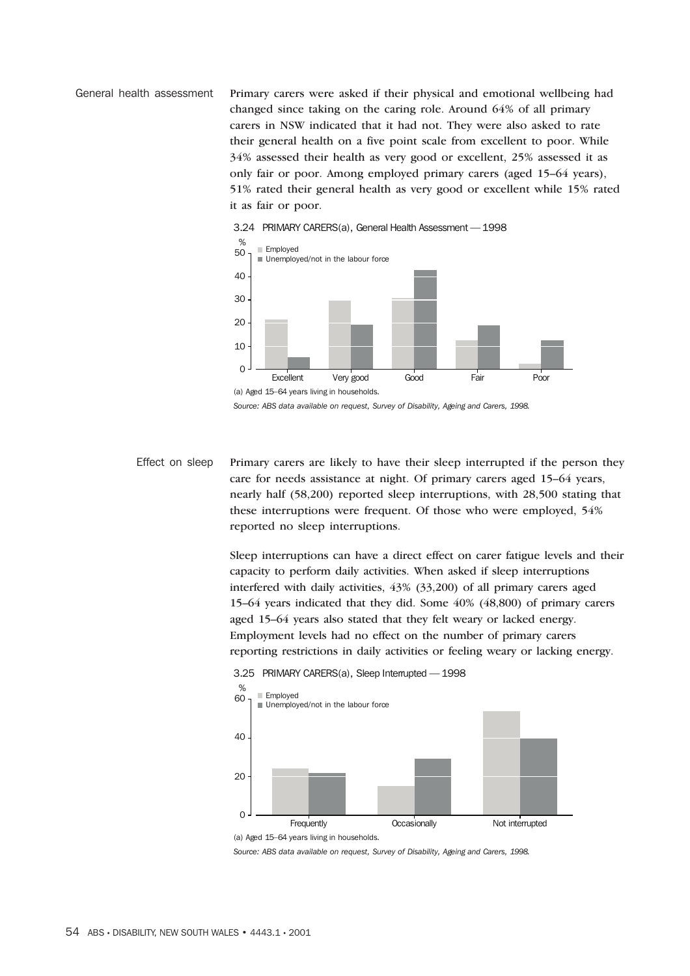General health assessment Primary carers were asked if their physical and emotional wellbeing had changed since taking on the caring role. Around 64% of all primary carers in NSW indicated that it had not. They were also asked to rate their general health on a five point scale from excellent to poor. While 34% assessed their health as very good or excellent, 25% assessed it as only fair or poor. Among employed primary carers (aged 15–64 years), 51% rated their general health as very good or excellent while 15% rated it as fair or poor.



*Source: ABS data available on request, Survey of Disability, Ageing and Carers, 1998.*

Effect on sleep Primary carers are likely to have their sleep interrupted if the person they care for needs assistance at night. Of primary carers aged 15–64 years, nearly half (58,200) reported sleep interruptions, with 28,500 stating that these interruptions were frequent. Of those who were employed, 54% reported no sleep interruptions.

> Sleep interruptions can have a direct effect on carer fatigue levels and their capacity to perform daily activities. When asked if sleep interruptions interfered with daily activities, 43% (33,200) of all primary carers aged 15–64 years indicated that they did. Some 40% (48,800) of primary carers aged 15–64 years also stated that they felt weary or lacked energy. Employment levels had no effect on the number of primary carers reporting restrictions in daily activities or feeling weary or lacking energy.



3.25 PRIMARY CARERS(a), Sleep Interrupted — 1998

(a) Aged 15–64 years living in households.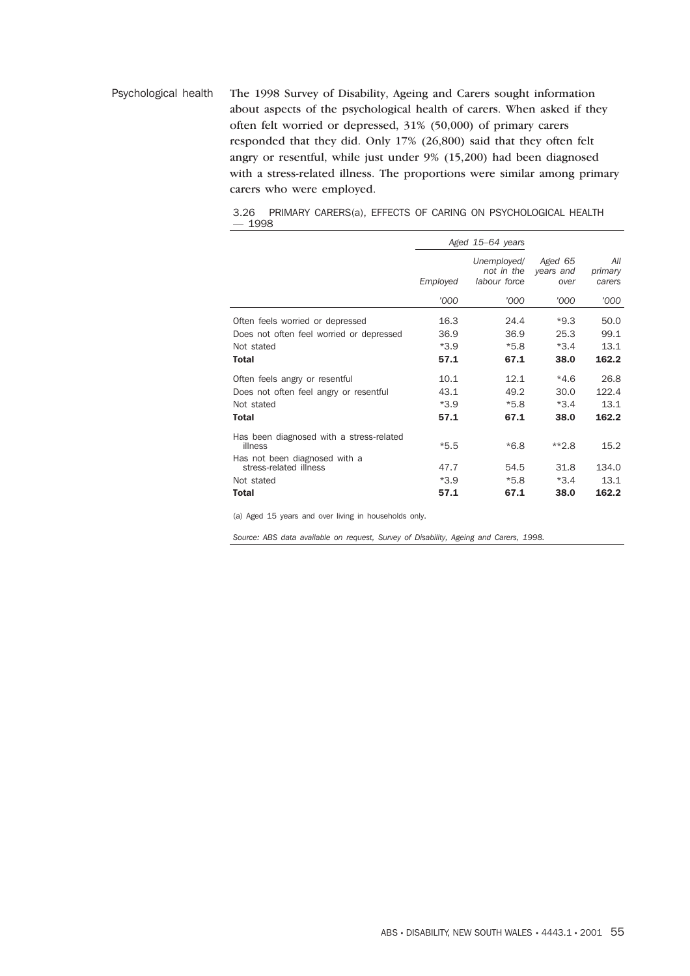Psychological health The 1998 Survey of Disability, Ageing and Carers sought information about aspects of the psychological health of carers. When asked if they often felt worried or depressed, 31% (50,000) of primary carers responded that they did. Only 17% (26,800) said that they often felt angry or resentful, while just under 9% (15,200) had been diagnosed with a stress-related illness. The proportions were similar among primary carers who were employed.

3.26 PRIMARY CARERS(a), EFFECTS OF CARING ON PSYCHOLOGICAL HEALTH — 1998

|                                                                                            |                        | Aged 15-64 years                          |                              |                          |
|--------------------------------------------------------------------------------------------|------------------------|-------------------------------------------|------------------------------|--------------------------|
|                                                                                            | Employed               | Unemployed/<br>not in the<br>labour force | Aged 65<br>years and<br>over | All<br>primary<br>carers |
|                                                                                            | '000                   | '000                                      | '000                         | '000                     |
| Often feels worried or depressed<br>Does not often feel worried or depressed<br>Not stated | 16.3<br>36.9<br>$*3.9$ | 24.4<br>36.9<br>$*5.8$                    | $*9.3$<br>25.3<br>$*3.4$     | 50.0<br>99.1<br>13.1     |
| <b>Total</b>                                                                               | 57.1                   | 67.1                                      | 38.0                         | 162.2                    |
| Often feels angry or resentful                                                             | 10.1                   | 12.1                                      | $*4.6$                       | 26.8                     |
| Does not often feel angry or resentful<br>Not stated                                       | 43.1<br>$*3.9$         | 49.2<br>$*5.8$                            | 30.0<br>$*3.4$               | 122.4<br>13.1            |
| <b>Total</b>                                                                               | 57.1                   | 67.1                                      | 38.0                         | 162.2                    |
| Has been diagnosed with a stress-related<br>illness                                        | $*5.5$                 | $*6.8$                                    | $*2.8$                       | 15.2                     |
| Has not been diagnosed with a<br>stress-related illness                                    | 47.7                   | 54.5                                      | 31.8                         | 134.0                    |
| Not stated                                                                                 | $*3.9$                 | $*5.8$                                    | $*3.4$                       | 13.1                     |
| <b>Total</b>                                                                               | 57.1                   | 67.1                                      | 38.0                         | 162.2                    |

(a) Aged 15 years and over living in households only.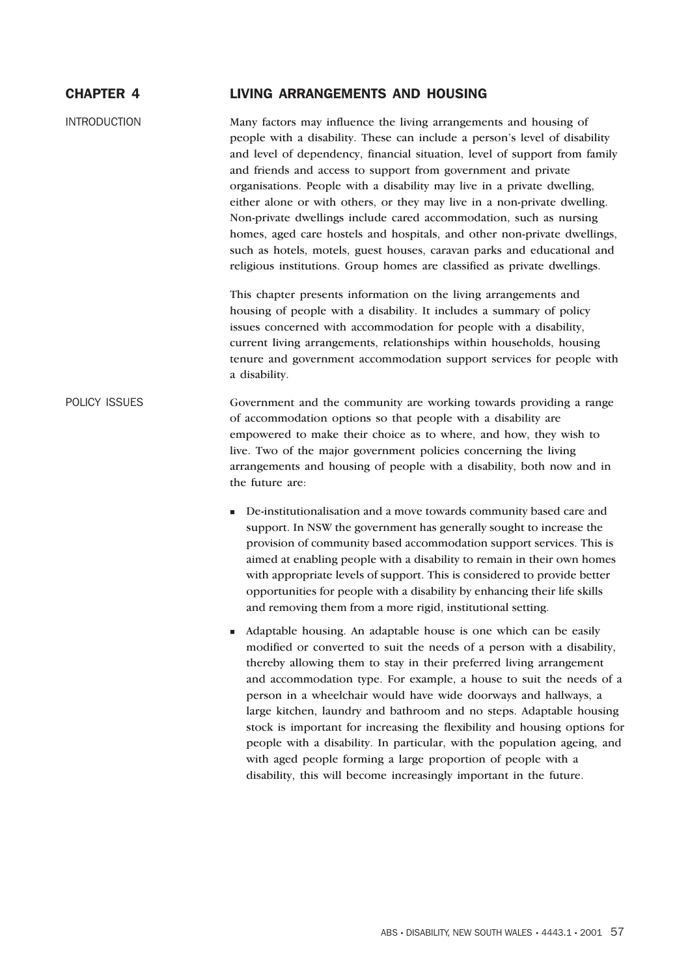| <b>CHAPTER 4</b>    | <b>LIVING ARRANGEMENTS AND HOUSING</b>                                                                                                                                                                                                                                                                                                                                                                                                                                                                                                                                                                                                                                                                                                                         |
|---------------------|----------------------------------------------------------------------------------------------------------------------------------------------------------------------------------------------------------------------------------------------------------------------------------------------------------------------------------------------------------------------------------------------------------------------------------------------------------------------------------------------------------------------------------------------------------------------------------------------------------------------------------------------------------------------------------------------------------------------------------------------------------------|
| <b>INTRODUCTION</b> | Many factors may influence the living arrangements and housing of<br>people with a disability. These can include a person's level of disability<br>and level of dependency, financial situation, level of support from family<br>and friends and access to support from government and private<br>organisations. People with a disability may live in a private dwelling,<br>either alone or with others, or they may live in a non-private dwelling.<br>Non-private dwellings include cared accommodation, such as nursing<br>homes, aged care hostels and hospitals, and other non-private dwellings,<br>such as hotels, motels, guest houses, caravan parks and educational and<br>religious institutions. Group homes are classified as private dwellings. |
|                     | This chapter presents information on the living arrangements and<br>housing of people with a disability. It includes a summary of policy<br>issues concerned with accommodation for people with a disability,<br>current living arrangements, relationships within households, housing<br>tenure and government accommodation support services for people with<br>a disability.                                                                                                                                                                                                                                                                                                                                                                                |
| POLICY ISSUES       | Government and the community are working towards providing a range<br>of accommodation options so that people with a disability are<br>empowered to make their choice as to where, and how, they wish to<br>live. Two of the major government policies concerning the living<br>arrangements and housing of people with a disability, both now and in<br>the future are:                                                                                                                                                                                                                                                                                                                                                                                       |
|                     | De-institutionalisation and a move towards community based care and<br>ш<br>support. In NSW the government has generally sought to increase the<br>provision of community based accommodation support services. This is<br>aimed at enabling people with a disability to remain in their own homes<br>with appropriate levels of support. This is considered to provide better<br>opportunities for people with a disability by enhancing their life skills                                                                                                                                                                                                                                                                                                    |

- Adaptable housing. An adaptable house is one which can be easily modified or converted to suit the needs of a person with a disability, thereby allowing them to stay in their preferred living arrangement and accommodation type. For example, a house to suit the needs of a person in a wheelchair would have wide doorways and hallways, a large kitchen, laundry and bathroom and no steps. Adaptable housing stock is important for increasing the flexibility and housing options for people with a disability. In particular, with the population ageing, and with aged people forming a large proportion of people with a disability, this will become increasingly important in the future.

and removing them from a more rigid, institutional setting.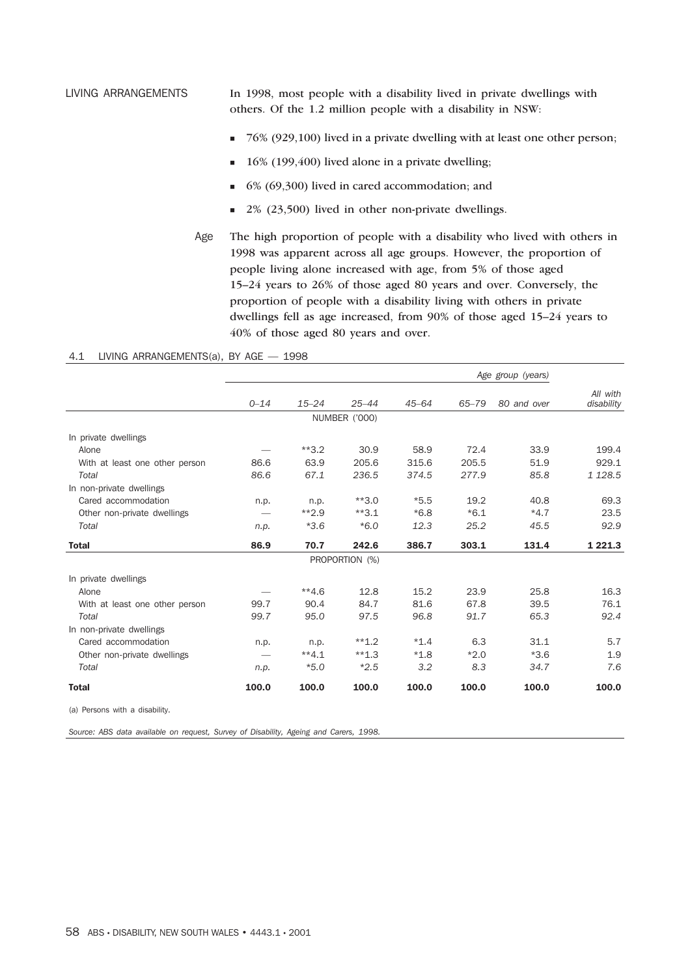LIVING ARRANGEMENTS In 1998, most people with a disability lived in private dwellings with others. Of the 1.2 million people with a disability in NSW:

- 76% (929,100) lived in a private dwelling with at least one other person;
- -16% (199,400) lived alone in a private dwelling;
- -6% (69,300) lived in cared accommodation; and
- -2% (23,500) lived in other non-private dwellings.
- Age The high proportion of people with a disability who lived with others in 1998 was apparent across all age groups. However, the proportion of people living alone increased with age, from 5% of those aged 15–24 years to 26% of those aged 80 years and over. Conversely, the proportion of people with a disability living with others in private dwellings fell as age increased, from 90% of those aged 15–24 years to 40% of those aged 80 years and over.

### 4.1 LIVING ARRANGEMENTS(a), BY AGE — 1998

|                                | Age group (years) |           |                |           |           |             |                        |
|--------------------------------|-------------------|-----------|----------------|-----------|-----------|-------------|------------------------|
|                                | $0 - 14$          | $15 - 24$ | $25 - 44$      | $45 - 64$ | $65 - 79$ | 80 and over | All with<br>disability |
|                                |                   |           | NUMBER ('000)  |           |           |             |                        |
| In private dwellings           |                   |           |                |           |           |             |                        |
| Alone                          |                   | $*3.2$    | 30.9           | 58.9      | 72.4      | 33.9        | 199.4                  |
| With at least one other person | 86.6              | 63.9      | 205.6          | 315.6     | 205.5     | 51.9        | 929.1                  |
| Total                          | 86.6              | 67.1      | 236.5          | 374.5     | 277.9     | 85.8        | 1 1 28.5               |
| In non-private dwellings       |                   |           |                |           |           |             |                        |
| Cared accommodation            | n.p.              | n.p.      | $**3.0$        | $*5.5$    | 19.2      | 40.8        | 69.3                   |
| Other non-private dwellings    |                   | $**2.9$   | $**3.1$        | $*6.8$    | $*6.1$    | $*4.7$      | 23.5                   |
| Total                          | n.p.              | $*3.6$    | $*6.0$         | 12.3      | 25.2      | 45.5        | 92.9                   |
| <b>Total</b>                   | 86.9              | 70.7      | 242.6          | 386.7     | 303.1     | 131.4       | 1 2 2 1 . 3            |
|                                |                   |           | PROPORTION (%) |           |           |             |                        |
| In private dwellings           |                   |           |                |           |           |             |                        |
| Alone                          |                   | $**4.6$   | 12.8           | 15.2      | 23.9      | 25.8        | 16.3                   |
| With at least one other person | 99.7              | 90.4      | 84.7           | 81.6      | 67.8      | 39.5        | 76.1                   |
| Total                          | 99.7              | 95.0      | 97.5           | 96.8      | 91.7      | 65.3        | 92.4                   |
| In non-private dwellings       |                   |           |                |           |           |             |                        |
| Cared accommodation            | n.p.              | n.p.      | $**1.2$        | $*1.4$    | 6.3       | 31.1        | 5.7                    |
| Other non-private dwellings    |                   | $**4.1$   | $**1.3$        | $*1.8$    | $*2.0$    | $*3.6$      | 1.9                    |
| Total                          | n.p.              | $*5.0$    | $*2.5$         | 3.2       | 8.3       | 34.7        | 7.6                    |
| <b>Total</b>                   | 100.0             | 100.0     | 100.0          | 100.0     | 100.0     | 100.0       | 100.0                  |

(a) Persons with a disability.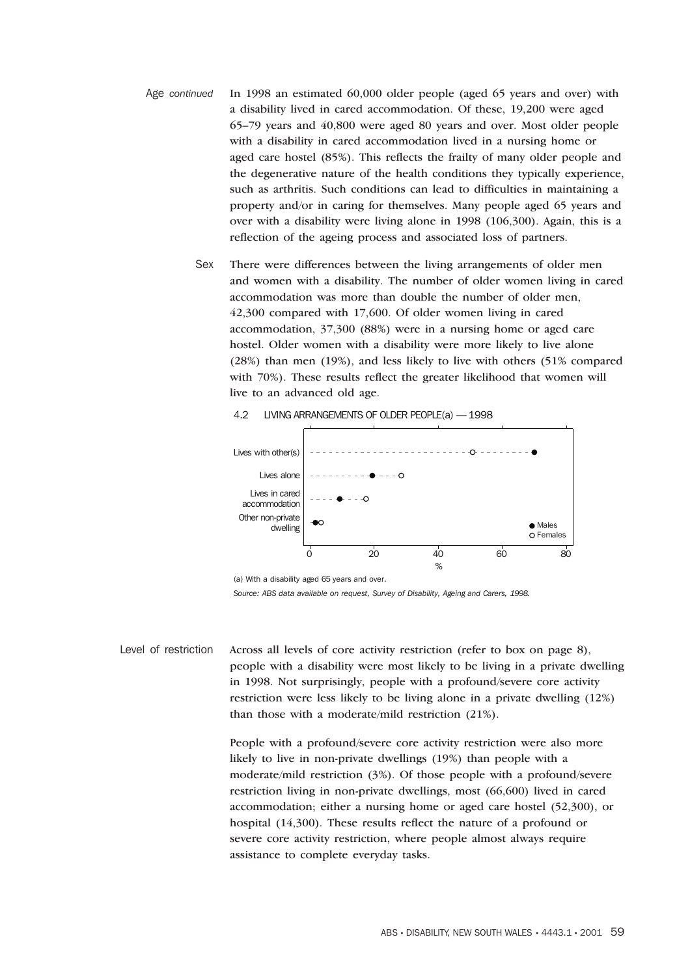- Age *continued* In 1998 an estimated 60,000 older people (aged 65 years and over) with a disability lived in cared accommodation. Of these, 19,200 were aged 65–79 years and 40,800 were aged 80 years and over. Most older people with a disability in cared accommodation lived in a nursing home or aged care hostel (85%). This reflects the frailty of many older people and the degenerative nature of the health conditions they typically experience, such as arthritis. Such conditions can lead to difficulties in maintaining a property and/or in caring for themselves. Many people aged 65 years and over with a disability were living alone in 1998 (106,300). Again, this is a reflection of the ageing process and associated loss of partners.
	- Sex There were differences between the living arrangements of older men and women with a disability. The number of older women living in cared accommodation was more than double the number of older men, 42,300 compared with 17,600. Of older women living in cared accommodation, 37,300 (88%) were in a nursing home or aged care hostel. Older women with a disability were more likely to live alone (28%) than men (19%), and less likely to live with others (51% compared with 70%). These results reflect the greater likelihood that women will live to an advanced old age.



#### 4.2 LIVING ARRANGEMENTS OF OLDER PEOPLE(a) — 1998

(a) With a disability aged 65 years and over.

*Source: ABS data available on request, Survey of Disability, Ageing and Carers, 1998.*

Level of restriction Across all levels of core activity restriction (refer to box on page 8), people with a disability were most likely to be living in a private dwelling in 1998. Not surprisingly, people with a profound/severe core activity restriction were less likely to be living alone in a private dwelling (12%) than those with a moderate/mild restriction (21%).

> People with a profound/severe core activity restriction were also more likely to live in non-private dwellings (19%) than people with a moderate/mild restriction (3%). Of those people with a profound/severe restriction living in non-private dwellings, most (66,600) lived in cared accommodation; either a nursing home or aged care hostel (52,300), or hospital (14,300). These results reflect the nature of a profound or severe core activity restriction, where people almost always require assistance to complete everyday tasks.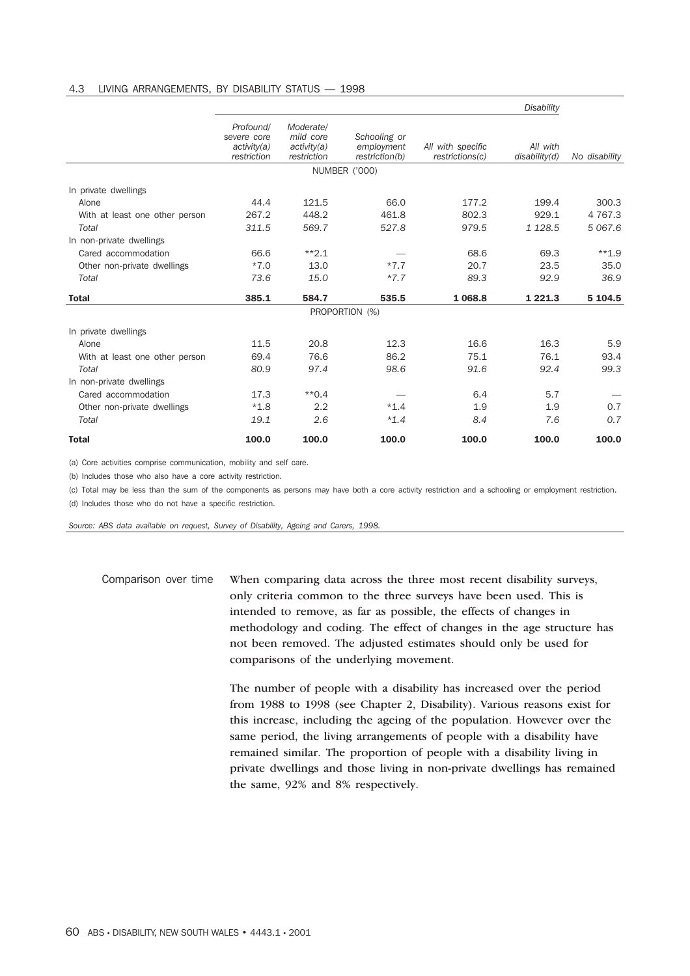#### 4.3 LIVING ARRANGEMENTS, BY DISABILITY STATUS — 1998

|                                |                                                        |                                                      |                                              |                                      | Disability                |               |
|--------------------------------|--------------------------------------------------------|------------------------------------------------------|----------------------------------------------|--------------------------------------|---------------------------|---------------|
|                                | Profound/<br>severe core<br>activity(a)<br>restriction | Moderate/<br>mild core<br>activity(a)<br>restriction | Schooling or<br>employment<br>restriction(b) | All with specific<br>restrictions(c) | All with<br>disability(d) | No disability |
|                                |                                                        |                                                      | <b>NUMBER ('000)</b>                         |                                      |                           |               |
| In private dwellings           |                                                        |                                                      |                                              |                                      |                           |               |
| Alone                          | 44.4                                                   | 121.5                                                | 66.0                                         | 177.2                                | 199.4                     | 300.3         |
| With at least one other person | 267.2                                                  | 448.2                                                | 461.8                                        | 802.3                                | 929.1                     | 4 7 6 7 . 3   |
| Total                          | 311.5                                                  | 569.7                                                | 527.8                                        | 979.5                                | 1 1 28.5                  | 5 0 6 7 . 6   |
| In non-private dwellings       |                                                        |                                                      |                                              |                                      |                           |               |
| Cared accommodation            | 66.6                                                   | $*2.1$                                               |                                              | 68.6                                 | 69.3                      | $**1.9$       |
| Other non-private dwellings    | $*7.0$                                                 | 13.0                                                 | $*7.7$                                       | 20.7                                 | 23.5                      | 35.0          |
| Total                          | 73.6                                                   | 15.0                                                 | $*7.7$                                       | 89.3                                 | 92.9                      | 36.9          |
| <b>Total</b>                   | 385.1                                                  | 584.7                                                | 535.5                                        | 1 0 68.8                             | 1 2 2 1 . 3               | 5 104.5       |
|                                |                                                        |                                                      | PROPORTION (%)                               |                                      |                           |               |
| In private dwellings           |                                                        |                                                      |                                              |                                      |                           |               |
| Alone                          | 11.5                                                   | 20.8                                                 | 12.3                                         | 16.6                                 | 16.3                      | 5.9           |
| With at least one other person | 69.4                                                   | 76.6                                                 | 86.2                                         | 75.1                                 | 76.1                      | 93.4          |
| Total                          | 80.9                                                   | 97.4                                                 | 98.6                                         | 91.6                                 | 92.4                      | 99.3          |
| In non-private dwellings       |                                                        |                                                      |                                              |                                      |                           |               |
| Cared accommodation            | 17.3                                                   | $*$ 0.4                                              |                                              | 6.4                                  | 5.7                       |               |
| Other non-private dwellings    | $*1.8$                                                 | 2.2                                                  | $*1.4$                                       | 1.9                                  | 1.9                       | 0.7           |
| Total                          | 19.1                                                   | 2.6                                                  | $*1.4$                                       | 8.4                                  | 7.6                       | 0.7           |
| <b>Total</b>                   | 100.0                                                  | 100.0                                                | 100.0                                        | 100.0                                | 100.0                     | 100.0         |

(a) Core activities comprise communication, mobility and self care.

(b) Includes those who also have a core activity restriction.

(c) Total may be less than the sum of the components as persons may have both a core activity restriction and a schooling or employment restriction.

(d) Includes those who do not have a specific restriction.

*Source: ABS data available on request, Survey of Disability, Ageing and Carers, 1998.*

Comparison over time When comparing data across the three most recent disability surveys, only criteria common to the three surveys have been used. This is intended to remove, as far as possible, the effects of changes in methodology and coding. The effect of changes in the age structure has not been removed. The adjusted estimates should only be used for comparisons of the underlying movement.

> The number of people with a disability has increased over the period from 1988 to 1998 (see Chapter 2, Disability). Various reasons exist for this increase, including the ageing of the population. However over the same period, the living arrangements of people with a disability have remained similar. The proportion of people with a disability living in private dwellings and those living in non-private dwellings has remained the same, 92% and 8% respectively.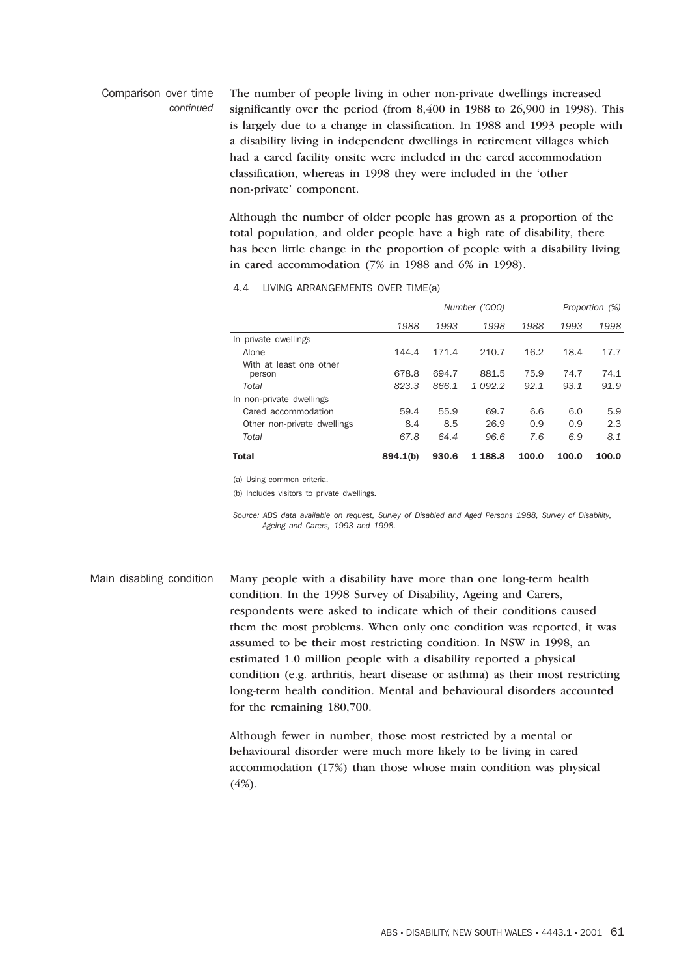Comparison over time *continued* The number of people living in other non-private dwellings increased significantly over the period (from 8,400 in 1988 to 26,900 in 1998). This is largely due to a change in classification. In 1988 and 1993 people with a disability living in independent dwellings in retirement villages which had a cared facility onsite were included in the cared accommodation classification, whereas in 1998 they were included in the 'other non-private' component.

> Although the number of older people has grown as a proportion of the total population, and older people have a high rate of disability, there has been little change in the proportion of people with a disability living in cared accommodation (7% in 1988 and 6% in 1998).

#### 4.4 LIVING ARRANGEMENTS OVER TIME(a)

|                                   |          | Proportion (%) |           |       |       |       |
|-----------------------------------|----------|----------------|-----------|-------|-------|-------|
|                                   | 1988     | 1993           | 1998      | 1988  | 1993  | 1998  |
| In private dwellings              |          |                |           |       |       |       |
| Alone                             | 144.4    | 171.4          | 210.7     | 16.2  | 18.4  | 17.7  |
| With at least one other<br>person | 678.8    | 694.7          | 881.5     | 75.9  | 74.7  | 74.1  |
| Total                             | 823.3    | 866.1          | 1 092.2   | 92.1  | 93.1  | 91.9  |
| In non-private dwellings          |          |                |           |       |       |       |
| Cared accommodation               | 59.4     | 55.9           | 69.7      | 6.6   | 6.0   | 5.9   |
| Other non-private dwellings       | 8.4      | 8.5            | 26.9      | 0.9   | 0.9   | 2.3   |
| Total                             | 67.8     | 64.4           | 96.6      | 7.6   | 6.9   | 8.1   |
| <b>Total</b>                      | 894.1(b) | 930.6          | 1 1 8 8.8 | 100.0 | 100.0 | 100.0 |
|                                   |          |                |           |       |       |       |

(a) Using common criteria.

(b) Includes visitors to private dwellings.

*Source: ABS data available on request, Survey of Disabled and Aged Persons 1988, Survey of Disability, Ageing and Carers, 1993 and 1998.*

Main disabling condition Many people with a disability have more than one long-term health condition. In the 1998 Survey of Disability, Ageing and Carers, respondents were asked to indicate which of their conditions caused them the most problems. When only one condition was reported, it was assumed to be their most restricting condition. In NSW in 1998, an estimated 1.0 million people with a disability reported a physical condition (e.g. arthritis, heart disease or asthma) as their most restricting long-term health condition. Mental and behavioural disorders accounted for the remaining 180,700.

> Although fewer in number, those most restricted by a mental or behavioural disorder were much more likely to be living in cared accommodation (17%) than those whose main condition was physical  $(4%)$ .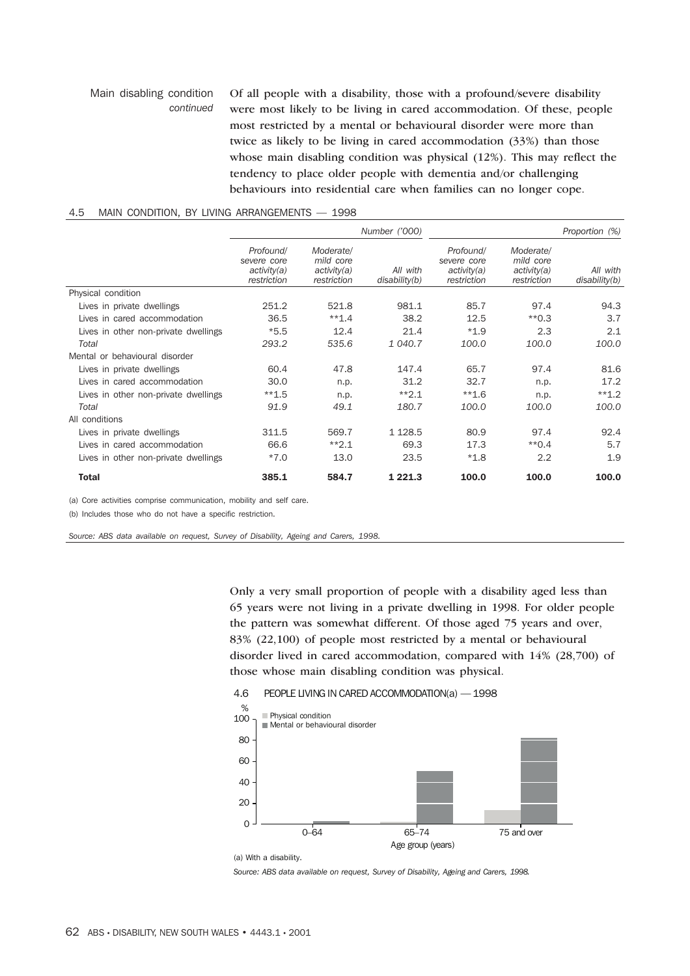## Main disabling condition *continued* Of all people with a disability, those with a profound/severe disability were most likely to be living in cared accommodation. Of these, people most restricted by a mental or behavioural disorder were more than twice as likely to be living in cared accommodation (33%) than those whose main disabling condition was physical (12%). This may reflect the tendency to place older people with dementia and/or challenging behaviours into residential care when families can no longer cope.

### 4.5 MAIN CONDITION, BY LIVING ARRANGEMENTS — 1998

|                                      |                                                        |                                                      | Number ('000)             |                                                        | Proportion (%)                                       |                           |
|--------------------------------------|--------------------------------------------------------|------------------------------------------------------|---------------------------|--------------------------------------------------------|------------------------------------------------------|---------------------------|
|                                      | Profound/<br>severe core<br>activity(a)<br>restriction | Moderate/<br>mild core<br>activity(a)<br>restriction | All with<br>disability(b) | Profound/<br>severe core<br>activity(a)<br>restriction | Moderate/<br>mild core<br>activity(a)<br>restriction | All with<br>disability(b) |
| Physical condition                   |                                                        |                                                      |                           |                                                        |                                                      |                           |
| Lives in private dwellings           | 251.2                                                  | 521.8                                                | 981.1                     | 85.7                                                   | 97.4                                                 | 94.3                      |
| Lives in cared accommodation         | 36.5                                                   | $**1.4$                                              | 38.2                      | 12.5                                                   | $*$ 0.3                                              | 3.7                       |
| Lives in other non-private dwellings | $*5.5$                                                 | 12.4                                                 | 21.4                      | $*1.9$                                                 | 2.3                                                  | 2.1                       |
| Total                                | 293.2                                                  | 535.6                                                | 1 040.7                   | 100.0                                                  | 100.0                                                | 100.0                     |
| Mental or behavioural disorder       |                                                        |                                                      |                           |                                                        |                                                      |                           |
| Lives in private dwellings           | 60.4                                                   | 47.8                                                 | 147.4                     | 65.7                                                   | 97.4                                                 | 81.6                      |
| Lives in cared accommodation         | 30.0                                                   | n.p.                                                 | 31.2                      | 32.7                                                   | n.p.                                                 | 17.2                      |
| Lives in other non-private dwellings | $**1.5$                                                | n.p.                                                 | $*2.1$                    | $**1.6$                                                | n.p.                                                 | $**1.2$                   |
| Total                                | 91.9                                                   | 49.1                                                 | 180.7                     | 100.0                                                  | 100.0                                                | 100.0                     |
| All conditions                       |                                                        |                                                      |                           |                                                        |                                                      |                           |
| Lives in private dwellings           | 311.5                                                  | 569.7                                                | 1 1 28.5                  | 80.9                                                   | 97.4                                                 | 92.4                      |
| Lives in cared accommodation         | 66.6                                                   | $*2.1$                                               | 69.3                      | 17.3                                                   | $*$ 0.4                                              | 5.7                       |
| Lives in other non-private dwellings | $*7.0$                                                 | 13.0                                                 | 23.5                      | $*1.8$                                                 | 2.2                                                  | 1.9                       |
| <b>Total</b>                         | 385.1                                                  | 584.7                                                | 1 2 2 1 . 3               | 100.0                                                  | 100.0                                                | 100.0                     |

(a) Core activities comprise communication, mobility and self care.

(b) Includes those who do not have a specific restriction.

*Source: ABS data available on request, Survey of Disability, Ageing and Carers, 1998.*

Only a very small proportion of people with a disability aged less than 65 years were not living in a private dwelling in 1998. For older people the pattern was somewhat different. Of those aged 75 years and over, 83% (22,100) of people most restricted by a mental or behavioural disorder lived in cared accommodation, compared with 14% (28,700) of those whose main disabling condition was physical.

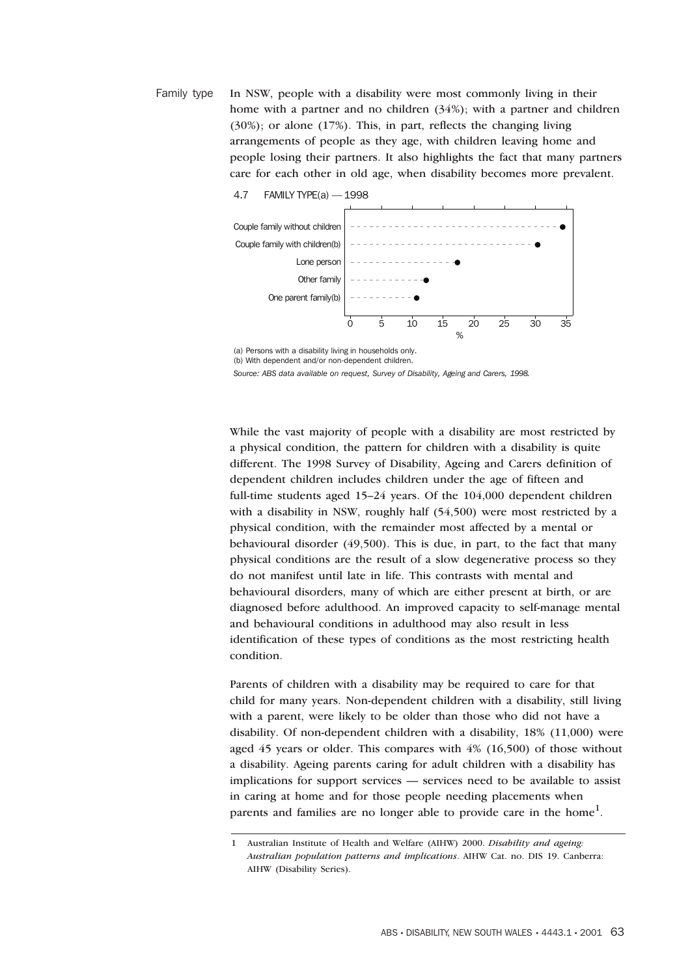Family type In NSW, people with a disability were most commonly living in their home with a partner and no children (34%); with a partner and children (30%); or alone (17%). This, in part, reflects the changing living arrangements of people as they age, with children leaving home and people losing their partners. It also highlights the fact that many partners care for each other in old age, when disability becomes more prevalent.



(a) Persons with a disability living in households only.

(b) With dependent and/or non-dependent children.

*Source: ABS data available on request, Survey of Disability, Ageing and Carers, 1998.*

While the vast majority of people with a disability are most restricted by a physical condition, the pattern for children with a disability is quite different. The 1998 Survey of Disability, Ageing and Carers definition of dependent children includes children under the age of fifteen and full-time students aged 15–24 years. Of the 104,000 dependent children with a disability in NSW, roughly half (54,500) were most restricted by a physical condition, with the remainder most affected by a mental or behavioural disorder (49,500). This is due, in part, to the fact that many physical conditions are the result of a slow degenerative process so they do not manifest until late in life. This contrasts with mental and behavioural disorders, many of which are either present at birth, or are diagnosed before adulthood. An improved capacity to self-manage mental and behavioural conditions in adulthood may also result in less identification of these types of conditions as the most restricting health condition.

Parents of children with a disability may be required to care for that child for many years. Non-dependent children with a disability, still living with a parent, were likely to be older than those who did not have a disability. Of non-dependent children with a disability, 18% (11,000) were aged 45 years or older. This compares with 4% (16,500) of those without a disability. Ageing parents caring for adult children with a disability has implications for support services — services need to be available to assist in caring at home and for those people needing placements when parents and families are no longer able to provide care in the home<sup>1</sup>.

<sup>1</sup> Australian Institute of Health and Welfare (AIHW) 2000. *Disability and ageing: Australian population patterns and implications*. AIHW Cat. no. DIS 19. Canberra: AIHW (Disability Series).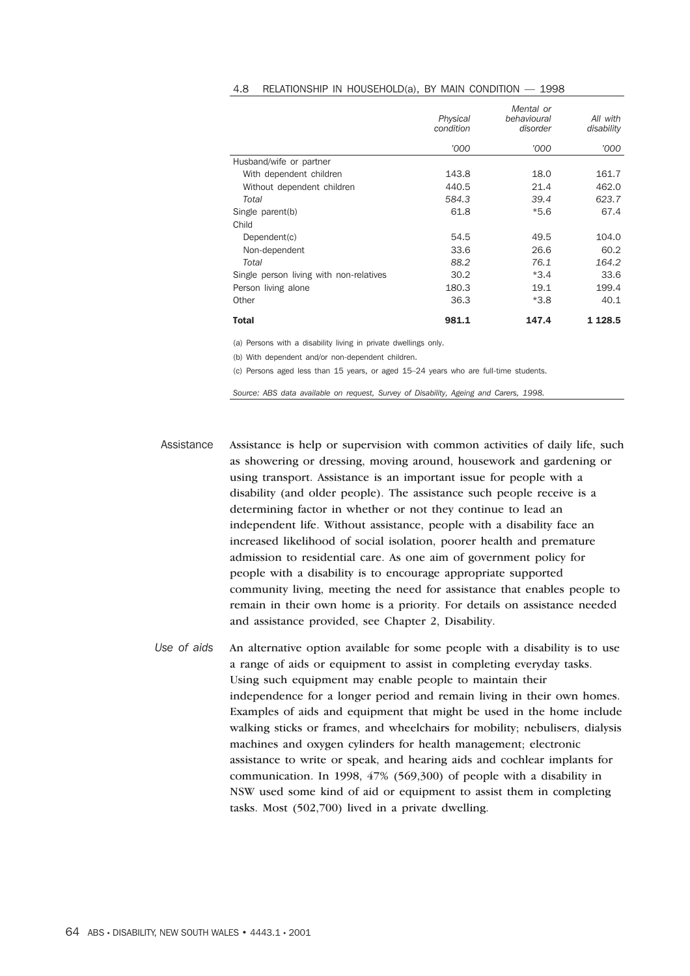|                                         | Physical<br>condition | Mental or<br>behavioural<br>disorder | All with<br>disability |
|-----------------------------------------|-----------------------|--------------------------------------|------------------------|
|                                         | '000                  | '000                                 | '000                   |
| Husband/wife or partner                 |                       |                                      |                        |
| With dependent children                 | 143.8                 | 18.0                                 | 161.7                  |
| Without dependent children              | 440.5                 | 21.4                                 | 462.0                  |
| Total                                   | 584.3                 | 39.4                                 | 623.7                  |
| Single parent(b)                        | 61.8                  | $*5.6$                               | 67.4                   |
| Child                                   |                       |                                      |                        |
| Dependent(c)                            | 54.5                  | 49.5                                 | 104.0                  |
| Non-dependent                           | 33.6                  | 26.6                                 | 60.2                   |
| Total                                   | 88.2                  | 76.1                                 | 164.2                  |
| Single person living with non-relatives | 30.2                  | $*3.4$                               | 33.6                   |
| Person living alone                     | 180.3                 | 19.1                                 | 199.4                  |
| Other                                   | 36.3                  | $*3.8$                               | 40.1                   |
| Total                                   | 981.1                 | 147.4                                | 1 1 28.5               |

#### 4.8 RELATIONSHIP IN HOUSEHOLD(a), BY MAIN CONDITION — 1998

(a) Persons with a disability living in private dwellings only.

(b) With dependent and/or non-dependent children.

(c) Persons aged less than 15 years, or aged 15–24 years who are full-time students.

*Source: ABS data available on request, Survey of Disability, Ageing and Carers, 1998.*

Assistance Assistance is help or supervision with common activities of daily life, such as showering or dressing, moving around, housework and gardening or using transport. Assistance is an important issue for people with a disability (and older people). The assistance such people receive is a determining factor in whether or not they continue to lead an independent life. Without assistance, people with a disability face an increased likelihood of social isolation, poorer health and premature admission to residential care. As one aim of government policy for people with a disability is to encourage appropriate supported community living, meeting the need for assistance that enables people to remain in their own home is a priority. For details on assistance needed and assistance provided, see Chapter 2, Disability.

*Use of aids* An alternative option available for some people with a disability is to use a range of aids or equipment to assist in completing everyday tasks. Using such equipment may enable people to maintain their independence for a longer period and remain living in their own homes. Examples of aids and equipment that might be used in the home include walking sticks or frames, and wheelchairs for mobility; nebulisers, dialysis machines and oxygen cylinders for health management; electronic assistance to write or speak, and hearing aids and cochlear implants for communication. In 1998, 47% (569,300) of people with a disability in NSW used some kind of aid or equipment to assist them in completing tasks. Most (502,700) lived in a private dwelling.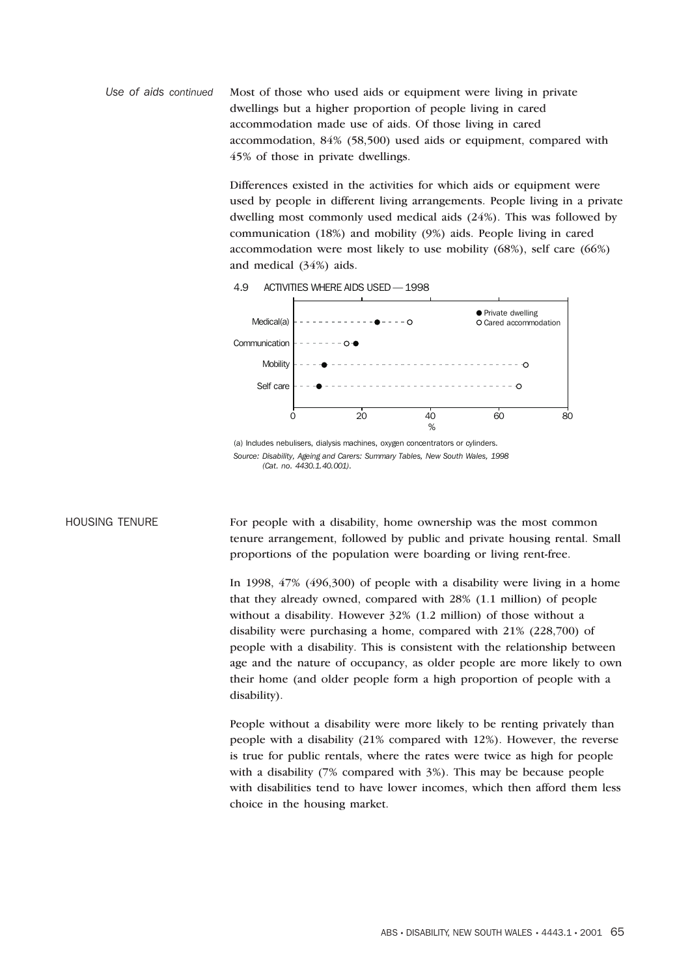*Use of aids continued* Most of those who used aids or equipment were living in private dwellings but a higher proportion of people living in cared accommodation made use of aids. Of those living in cared accommodation, 84% (58,500) used aids or equipment, compared with 45% of those in private dwellings.

> Differences existed in the activities for which aids or equipment were used by people in different living arrangements. People living in a private dwelling most commonly used medical aids (24%). This was followed by communication (18%) and mobility (9%) aids. People living in cared accommodation were most likely to use mobility (68%), self care (66%) and medical (34%) aids.



4.9 ACTIVITIES WHERE AIDS USED — 1998

HOUSING TENURE For people with a disability, home ownership was the most common tenure arrangement, followed by public and private housing rental. Small proportions of the population were boarding or living rent-free.

> In 1998, 47% (496,300) of people with a disability were living in a home that they already owned, compared with 28% (1.1 million) of people without a disability. However 32% (1.2 million) of those without a disability were purchasing a home, compared with 21% (228,700) of people with a disability. This is consistent with the relationship between age and the nature of occupancy, as older people are more likely to own their home (and older people form a high proportion of people with a disability).

> People without a disability were more likely to be renting privately than people with a disability (21% compared with 12%). However, the reverse is true for public rentals, where the rates were twice as high for people with a disability (7% compared with 3%). This may be because people with disabilities tend to have lower incomes, which then afford them less choice in the housing market.

<sup>(</sup>a) Includes nebulisers, dialysis machines, oxygen concentrators or cylinders. *Source: Disability, Ageing and Carers: Summary Tables, New South Wales, 1998 (Cat. no. 4430.1.40.001).*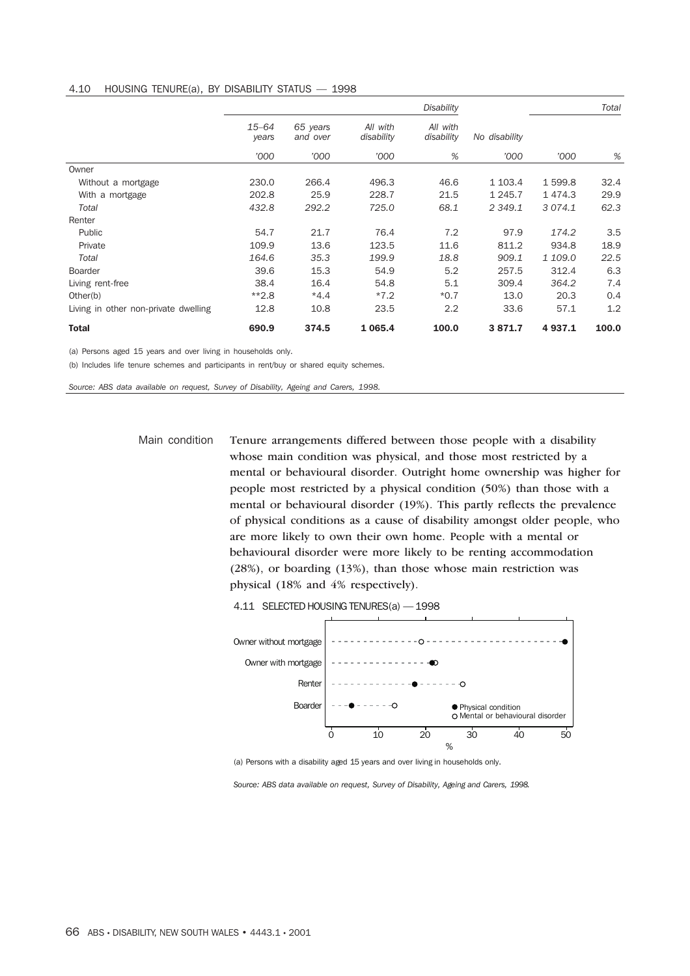### 4.10 HOUSING TENURE(a), BY DISABILITY STATUS — 1998

|                                                               | <b>Disability</b>  |                      |                        |                        |               | Total     |       |
|---------------------------------------------------------------|--------------------|----------------------|------------------------|------------------------|---------------|-----------|-------|
|                                                               | $15 - 64$<br>years | 65 years<br>and over | All with<br>disability | All with<br>disability | No disability |           |       |
|                                                               | '000               | '000                 | '000                   | %                      | '000          | '000      | %     |
| Owner                                                         |                    |                      |                        |                        |               |           |       |
| Without a mortgage                                            | 230.0              | 266.4                | 496.3                  | 46.6                   | 1 103.4       | 1 599.8   | 32.4  |
| With a mortgage                                               | 202.8              | 25.9                 | 228.7                  | 21.5                   | 1 2 4 5 . 7   | 1474.3    | 29.9  |
| Total                                                         | 432.8              | 292.2                | 725.0                  | 68.1                   | 2 3 4 9 . 1   | 3 0 7 4.1 | 62.3  |
| Renter                                                        |                    |                      |                        |                        |               |           |       |
| Public                                                        | 54.7               | 21.7                 | 76.4                   | 7.2                    | 97.9          | 174.2     | 3.5   |
| Private                                                       | 109.9              | 13.6                 | 123.5                  | 11.6                   | 811.2         | 934.8     | 18.9  |
| Total                                                         | 164.6              | 35.3                 | 199.9                  | 18.8                   | 909.1         | 1 109.0   | 22.5  |
| Boarder                                                       | 39.6               | 15.3                 | 54.9                   | 5.2                    | 257.5         | 312.4     | 6.3   |
| Living rent-free                                              | 38.4               | 16.4                 | 54.8                   | 5.1                    | 309.4         | 364.2     | 7.4   |
| Other(b)                                                      | $*2.8$             | $*4.4$               | $*7.2$                 | $*0.7$                 | 13.0          | 20.3      | 0.4   |
| Living in other non-private dwelling                          | 12.8               | 10.8                 | 23.5                   | 2.2                    | 33.6          | 57.1      | 1.2   |
| <b>Total</b>                                                  | 690.9              | 374.5                | 1 0 6 5.4              | 100.0                  | 3871.7        | 4937.1    | 100.0 |
| (a) Persons aged 15 years and over living in households only. |                    |                      |                        |                        |               |           |       |

(b) Includes life tenure schemes and participants in rent/buy or shared equity schemes.

*Source: ABS data available on request, Survey of Disability, Ageing and Carers, 1998.*

Main condition Tenure arrangements differed between those people with a disability whose main condition was physical, and those most restricted by a mental or behavioural disorder. Outright home ownership was higher for people most restricted by a physical condition (50%) than those with a mental or behavioural disorder (19%). This partly reflects the prevalence of physical conditions as a cause of disability amongst older people, who are more likely to own their own home. People with a mental or behavioural disorder were more likely to be renting accommodation (28%), or boarding (13%), than those whose main restriction was physical (18% and 4% respectively).

4.11 SELECTED HOUSING TENURES(a) — 1998



(a) Persons with a disability aged 15 years and over living in households only.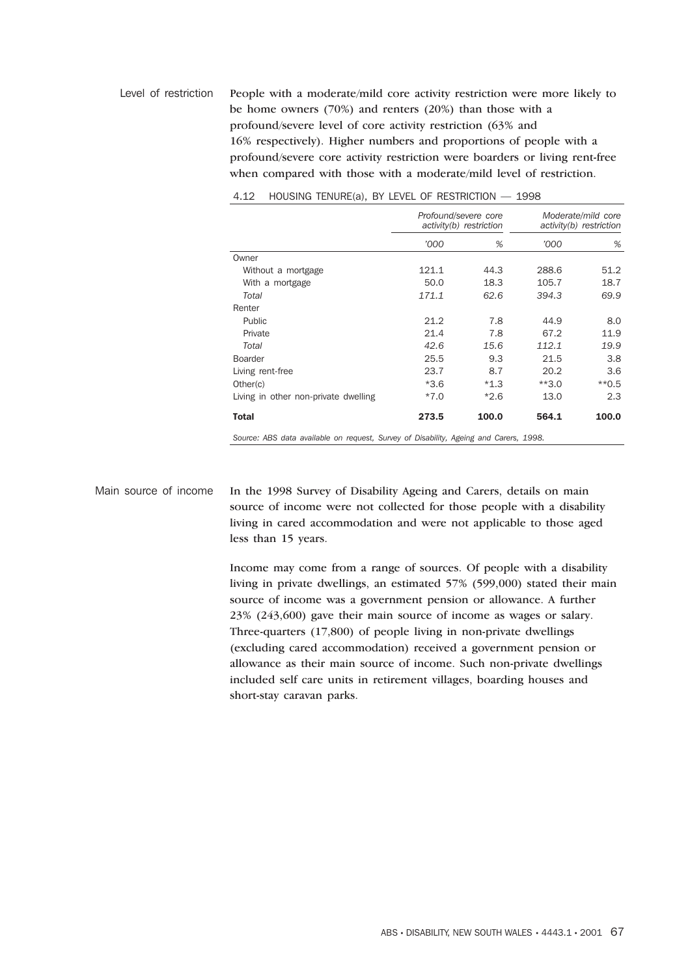Level of restriction People with a moderate/mild core activity restriction were more likely to be home owners (70%) and renters (20%) than those with a profound/severe level of core activity restriction (63% and 16% respectively). Higher numbers and proportions of people with a profound/severe core activity restriction were boarders or living rent-free when compared with those with a moderate/mild level of restriction.

|                                      | Profound/severe core<br>activity(b) restriction |        | Moderate/mild core<br>activity(b) restriction |         |
|--------------------------------------|-------------------------------------------------|--------|-----------------------------------------------|---------|
|                                      | '000                                            | %      | '000                                          | %       |
| Owner                                |                                                 |        |                                               |         |
| Without a mortgage                   | 121.1                                           | 44.3   | 288.6                                         | 51.2    |
| With a mortgage                      | 50.0                                            | 18.3   | 105.7                                         | 18.7    |
| Total                                | 171.1                                           | 62.6   | 394.3                                         | 69.9    |
| Renter                               |                                                 |        |                                               |         |
| Public                               | 21.2                                            | 7.8    | 44.9                                          | 8.0     |
| Private                              | 21.4                                            | 7.8    | 67.2                                          | 11.9    |
| Total                                | 42.6                                            | 15.6   | 112.1                                         | 19.9    |
| <b>Boarder</b>                       | 25.5                                            | 9.3    | 21.5                                          | 3.8     |
| Living rent-free                     | 23.7                                            | 8.7    | 20.2                                          | 3.6     |
| Other(c)                             | $*3.6$                                          | $*1.3$ | $**3.0$                                       | $*$ 0.5 |
| Living in other non-private dwelling | $*7.0$                                          | $*2.6$ | 13.0                                          | 2.3     |
| <b>Total</b>                         | 273.5                                           | 100.0  | 564.1                                         | 100.0   |

4.12 HOUSING TENURE(a), BY LEVEL OF RESTRICTION — 1998

*Source: ABS data available on request, Survey of Disability, Ageing and Carers, 1998.*

Main source of income In the 1998 Survey of Disability Ageing and Carers, details on main source of income were not collected for those people with a disability living in cared accommodation and were not applicable to those aged less than 15 years.

> Income may come from a range of sources. Of people with a disability living in private dwellings, an estimated 57% (599,000) stated their main source of income was a government pension or allowance. A further 23% (243,600) gave their main source of income as wages or salary. Three-quarters (17,800) of people living in non-private dwellings (excluding cared accommodation) received a government pension or allowance as their main source of income. Such non-private dwellings included self care units in retirement villages, boarding houses and short-stay caravan parks.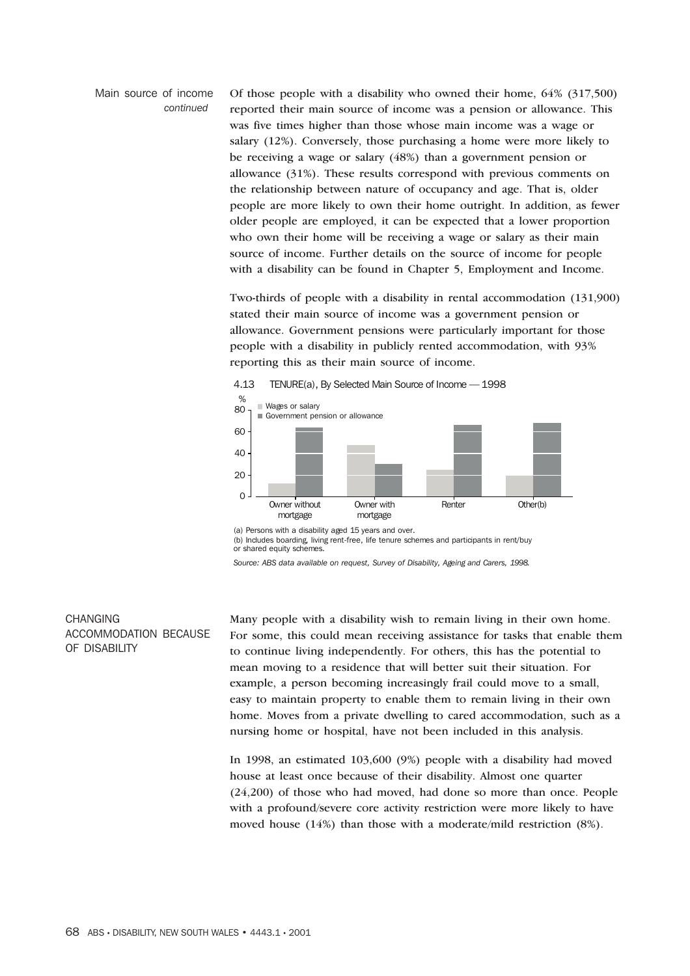#### Main source of income *continued*

Of those people with a disability who owned their home, 64% (317,500) reported their main source of income was a pension or allowance. This was five times higher than those whose main income was a wage or salary (12%). Conversely, those purchasing a home were more likely to be receiving a wage or salary (48%) than a government pension or allowance (31%). These results correspond with previous comments on the relationship between nature of occupancy and age. That is, older people are more likely to own their home outright. In addition, as fewer older people are employed, it can be expected that a lower proportion who own their home will be receiving a wage or salary as their main source of income. Further details on the source of income for people with a disability can be found in Chapter 5, Employment and Income.

Two-thirds of people with a disability in rental accommodation (131,900) stated their main source of income was a government pension or allowance. Government pensions were particularly important for those people with a disability in publicly rented accommodation, with 93% reporting this as their main source of income.



(a) Persons with a disability aged 15 years and over.

(b) Includes boarding, living rent-free, life tenure schemes and participants in rent/buy or shared equity schemes.

*Source: ABS data available on request, Survey of Disability, Ageing and Carers, 1998.*

# **CHANGING** ACCOMMODATION BECAUSE OF DISABILITY

Many people with a disability wish to remain living in their own home. For some, this could mean receiving assistance for tasks that enable them to continue living independently. For others, this has the potential to mean moving to a residence that will better suit their situation. For example, a person becoming increasingly frail could move to a small, easy to maintain property to enable them to remain living in their own home. Moves from a private dwelling to cared accommodation, such as a nursing home or hospital, have not been included in this analysis.

In 1998, an estimated 103,600 (9%) people with a disability had moved house at least once because of their disability. Almost one quarter (24,200) of those who had moved, had done so more than once. People with a profound/severe core activity restriction were more likely to have moved house (14%) than those with a moderate/mild restriction (8%).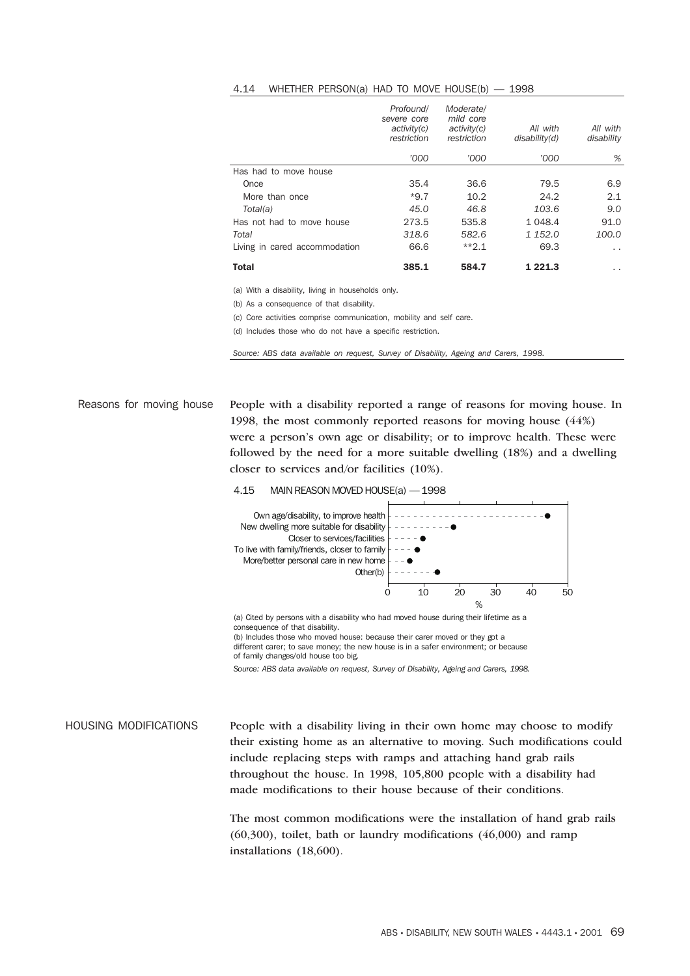#### 4.14 WHETHER PERSON(a) HAD TO MOVE HOUSE(b) — 1998

|                               | Profound/<br>severe core<br>activity(c)<br>restriction | Moderate/<br>mild core<br>activity(c)<br>restriction | All with<br>disability(d) | All with<br>disability |
|-------------------------------|--------------------------------------------------------|------------------------------------------------------|---------------------------|------------------------|
|                               | '000                                                   | '000                                                 | '000                      | %                      |
| Has had to move house         |                                                        |                                                      |                           |                        |
| Once                          | 35.4                                                   | 36.6                                                 | 79.5                      | 6.9                    |
| More than once                | $*9.7$                                                 | 10.2                                                 | 24.2                      | 2.1                    |
| Total(a)                      | 45.0                                                   | 46.8                                                 | 103.6                     | 9.0                    |
| Has not had to move house     | 273.5                                                  | 535.8                                                | 1 048.4                   | 91.0                   |
| Total                         | 318.6                                                  | 582.6                                                | 1 152.0                   | 100.0                  |
| Living in cared accommodation | 66.6                                                   | $*2.1$                                               | 69.3                      | $\sim$                 |
| <b>Total</b>                  | 385.1                                                  | 584.7                                                | 1 221.3                   | . .                    |

(a) With a disability, living in households only.

(b) As a consequence of that disability.

(c) Core activities comprise communication, mobility and self care.

(d) Includes those who do not have a specific restriction.

*Source: ABS data available on request, Survey of Disability, Ageing and Carers, 1998.*

Reasons for moving house People with a disability reported a range of reasons for moving house. In 1998, the most commonly reported reasons for moving house (44%) were a person's own age or disability; or to improve health. These were followed by the need for a more suitable dwelling (18%) and a dwelling closer to services and/or facilities (10%).





(a) Cited by persons with a disability who had moved house during their lifetime as a consequence of that disability. (b) Includes those who moved house: because their carer moved or they got a different carer; to save money; the new house is in a safer environment; or because of family changes/old house too big.

*Source: ABS data available on request, Survey of Disability, Ageing and Carers, 1998.*

HOUSING MODIFICATIONS People with a disability living in their own home may choose to modify their existing home as an alternative to moving. Such modifications could include replacing steps with ramps and attaching hand grab rails throughout the house. In 1998, 105,800 people with a disability had made modifications to their house because of their conditions.

> The most common modifications were the installation of hand grab rails (60,300), toilet, bath or laundry modifications (46,000) and ramp installations (18,600).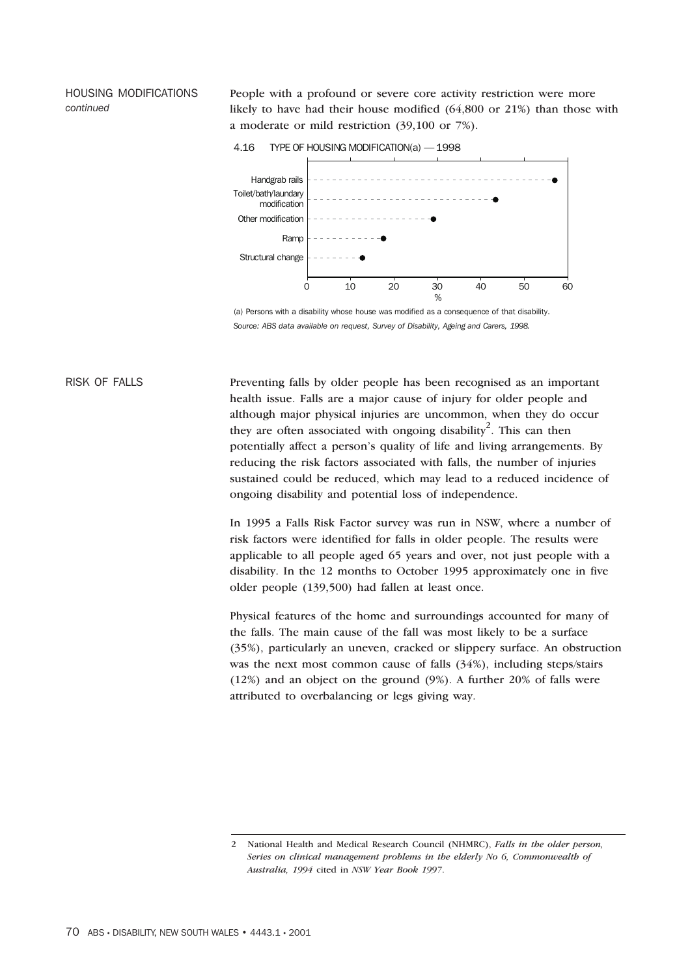HOUSING MODIFICATIONS *continued*

People with a profound or severe core activity restriction were more likely to have had their house modified (64,800 or 21%) than those with a moderate or mild restriction (39,100 or 7%).

4.16 TYPE OF HOUSING MODIFICATION(a) — 1998



(a) Persons with a disability whose house was modified as a consequence of that disability. *Source: ABS data available on request, Survey of Disability, Ageing and Carers, 1998.*

RISK OF FALLS Preventing falls by older people has been recognised as an important health issue. Falls are a major cause of injury for older people and although major physical injuries are uncommon, when they do occur they are often associated with ongoing disability<sup>2</sup>. This can then potentially affect a person's quality of life and living arrangements. By reducing the risk factors associated with falls, the number of injuries sustained could be reduced, which may lead to a reduced incidence of ongoing disability and potential loss of independence.

> In 1995 a Falls Risk Factor survey was run in NSW, where a number of risk factors were identified for falls in older people. The results were applicable to all people aged 65 years and over, not just people with a disability. In the 12 months to October 1995 approximately one in five older people (139,500) had fallen at least once.

Physical features of the home and surroundings accounted for many of the falls. The main cause of the fall was most likely to be a surface (35%), particularly an uneven, cracked or slippery surface. An obstruction was the next most common cause of falls (34%), including steps/stairs (12%) and an object on the ground (9%). A further 20% of falls were attributed to overbalancing or legs giving way.

<sup>2</sup> National Health and Medical Research Council (NHMRC), *Falls in the older person, Series on clinical management problems in the elderly No 6, Commonwealth of Australia, 1994* cited in *NSW Year Book 1997*.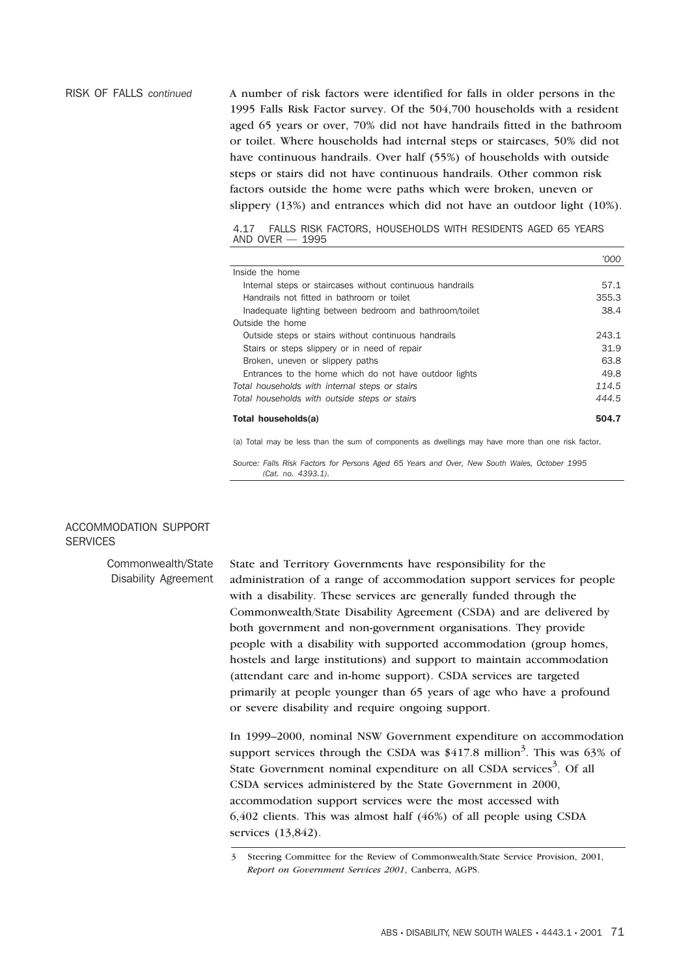RISK OF FALLS *continued* A number of risk factors were identified for falls in older persons in the 1995 Falls Risk Factor survey. Of the 504,700 households with a resident aged 65 years or over, 70% did not have handrails fitted in the bathroom or toilet. Where households had internal steps or staircases, 50% did not have continuous handrails. Over half (55%) of households with outside steps or stairs did not have continuous handrails. Other common risk factors outside the home were paths which were broken, uneven or slippery (13%) and entrances which did not have an outdoor light (10%).

> 4.17 FALLS RISK FACTORS, HOUSEHOLDS WITH RESIDENTS AGED 65 YEARS AND OVER — 1995

|                                                           | חחזי  |
|-----------------------------------------------------------|-------|
| Inside the home                                           |       |
| Internal steps or staircases without continuous handrails | 57.1  |
| Handrails not fitted in bathroom or toilet                | 355.3 |
| Inadequate lighting between bedroom and bathroom/toilet   | 38.4  |
| Outside the home                                          |       |
| Outside steps or stairs without continuous handrails      | 243.1 |
| Stairs or steps slippery or in need of repair             | 31.9  |
| Broken, uneven or slippery paths                          | 63.8  |
| Entrances to the home which do not have outdoor lights    | 49.8  |
| Total households with internal steps or stairs            | 114.5 |
| Total households with outside steps or stairs             | 444.5 |
| Total households(a)                                       | 504.7 |

(a) Total may be less than the sum of components as dwellings may have more than one risk factor.

*Source: Falls Risk Factors for Persons Aged 65 Years and Over, New South Wales, October 1995 (Cat. no. 4393.1).*

# ACCOMMODATION SUPPORT **SERVICES**

Commonwealth/State Disability Agreement State and Territory Governments have responsibility for the administration of a range of accommodation support services for people with a disability. These services are generally funded through the Commonwealth/State Disability Agreement (CSDA) and are delivered by both government and non-government organisations. They provide people with a disability with supported accommodation (group homes, hostels and large institutions) and support to maintain accommodation (attendant care and in-home support). CSDA services are targeted primarily at people younger than 65 years of age who have a profound or severe disability and require ongoing support.

> In 1999–2000, nominal NSW Government expenditure on accommodation support services through the CSDA was  $$417.8$  million<sup>3</sup>. This was 63% of State Government nominal expenditure on all CSDA services<sup>3</sup>. Of all CSDA services administered by the State Government in 2000, accommodation support services were the most accessed with 6,402 clients. This was almost half (46%) of all people using CSDA services (13,842).

3 Steering Committee for the Review of Commonwealth/State Service Provision, 2001, *Report on Government Services 2001*, Canberra, AGPS.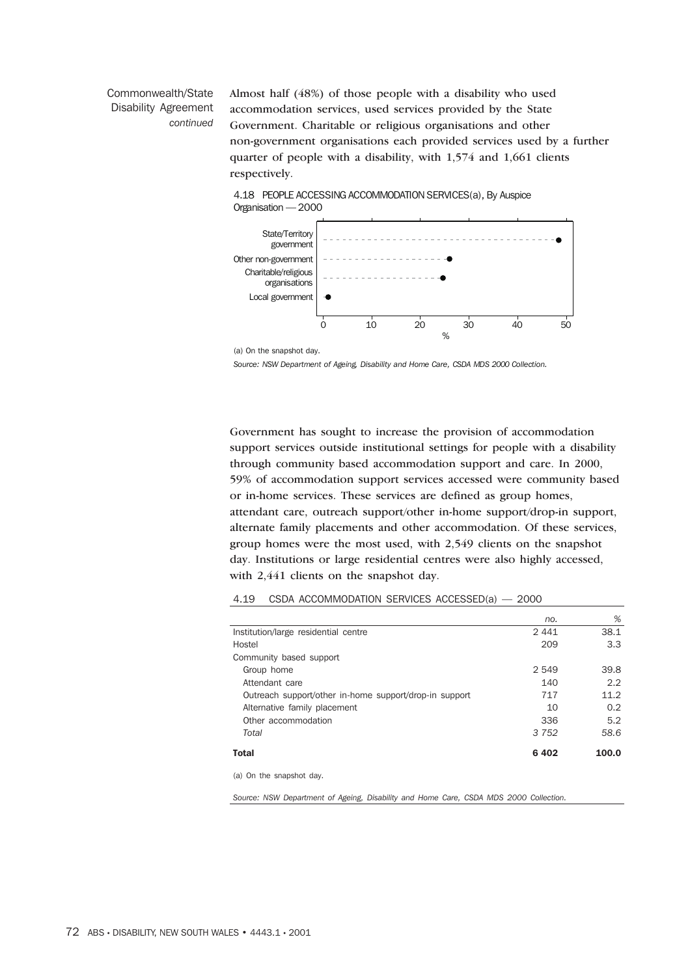# Commonwealth/State Disability Agreement *continued*

Almost half (48%) of those people with a disability who used accommodation services, used services provided by the State Government. Charitable or religious organisations and other non-government organisations each provided services used by a further quarter of people with a disability, with 1,574 and 1,661 clients respectively.



4.18 PEOPLE ACCESSING ACCOMMODATION SERVICES(a), By Auspice

*Source: NSW Department of Ageing, Disability and Home Care, CSDA MDS 2000 Collection.*

Government has sought to increase the provision of accommodation support services outside institutional settings for people with a disability through community based accommodation support and care. In 2000, 59% of accommodation support services accessed were community based or in-home services. These services are defined as group homes, attendant care, outreach support/other in-home support/drop-in support, alternate family placements and other accommodation. Of these services, group homes were the most used, with 2,549 clients on the snapshot day. Institutions or large residential centres were also highly accessed, with 2,441 clients on the snapshot day.

#### 4.19 CSDA ACCOMMODATION SERVICES ACCESSED(a) — 2000

|                                                         | no.     | %             |
|---------------------------------------------------------|---------|---------------|
| Institution/large residential centre                    | 2441    | 38.1          |
| Hostel                                                  | 209     | 3.3           |
| Community based support                                 |         |               |
| Group home                                              | 2 549   | 39.8          |
| Attendant care                                          | 140     | 2.2           |
| Outreach support/other in-home support/drop-in support  | 717     | 11.2          |
| Alternative family placement                            | 10      | $0.2^{\circ}$ |
| Other accommodation                                     | 336     | 5.2           |
| Total                                                   | 3 7 5 2 | 58.6          |
| <b>Total</b>                                            | 6402    | 100.0         |
| $\sim$ $\sim$ $\sim$ $\sim$ $\sim$ $\sim$ $\sim$ $\sim$ |         |               |

(a) On the snapshot day.

*Source: NSW Department of Ageing, Disability and Home Care, CSDA MDS 2000 Collection.*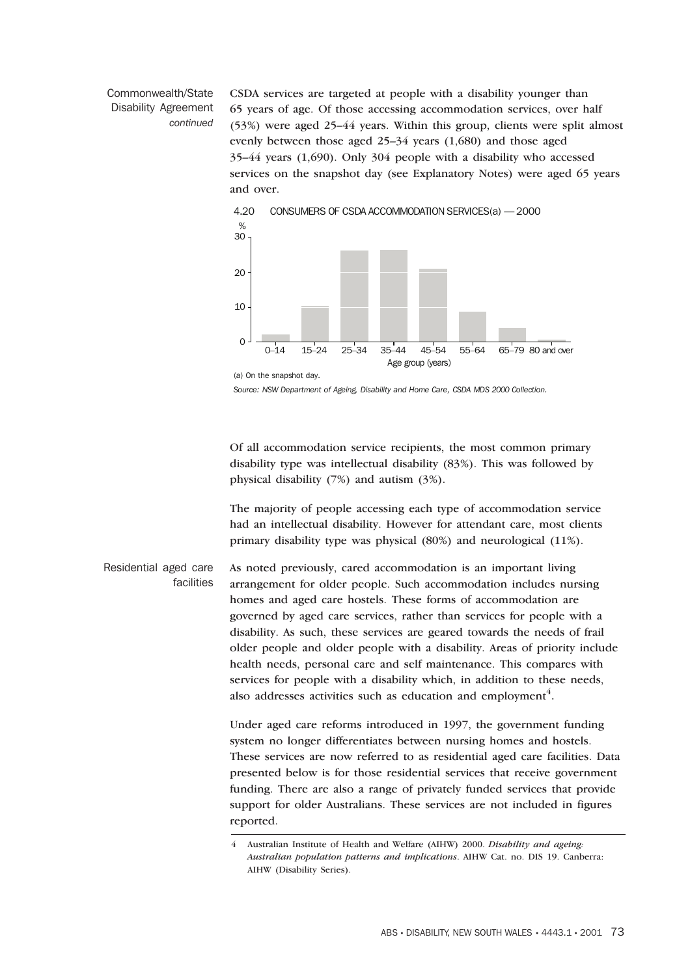# Commonwealth/State Disability Agreement *continued*

CSDA services are targeted at people with a disability younger than 65 years of age. Of those accessing accommodation services, over half (53%) were aged 25–44 years. Within this group, clients were split almost evenly between those aged 25–34 years (1,680) and those aged 35–44 years (1,690). Only 304 people with a disability who accessed services on the snapshot day (see Explanatory Notes) were aged 65 years and over.



4.20 CONSUMERS OF CSDA ACCOMMODATION SERVICES(a) — 2000

*Source: NSW Department of Ageing, Disability and Home Care, CSDA MDS 2000 Collection.*

(a) On the snapshot day.

Of all accommodation service recipients, the most common primary disability type was intellectual disability (83%). This was followed by physical disability (7%) and autism (3%).

The majority of people accessing each type of accommodation service had an intellectual disability. However for attendant care, most clients primary disability type was physical (80%) and neurological (11%).

Residential aged care facilities As noted previously, cared accommodation is an important living arrangement for older people. Such accommodation includes nursing homes and aged care hostels. These forms of accommodation are governed by aged care services, rather than services for people with a disability. As such, these services are geared towards the needs of frail older people and older people with a disability. Areas of priority include health needs, personal care and self maintenance. This compares with services for people with a disability which, in addition to these needs, also addresses activities such as education and employment<sup>4</sup>.

> Under aged care reforms introduced in 1997, the government funding system no longer differentiates between nursing homes and hostels. These services are now referred to as residential aged care facilities. Data presented below is for those residential services that receive government funding. There are also a range of privately funded services that provide support for older Australians. These services are not included in figures reported.

<sup>4</sup> Australian Institute of Health and Welfare (AIHW) 2000. *Disability and ageing: Australian population patterns and implications*. AIHW Cat. no. DIS 19. Canberra: AIHW (Disability Series).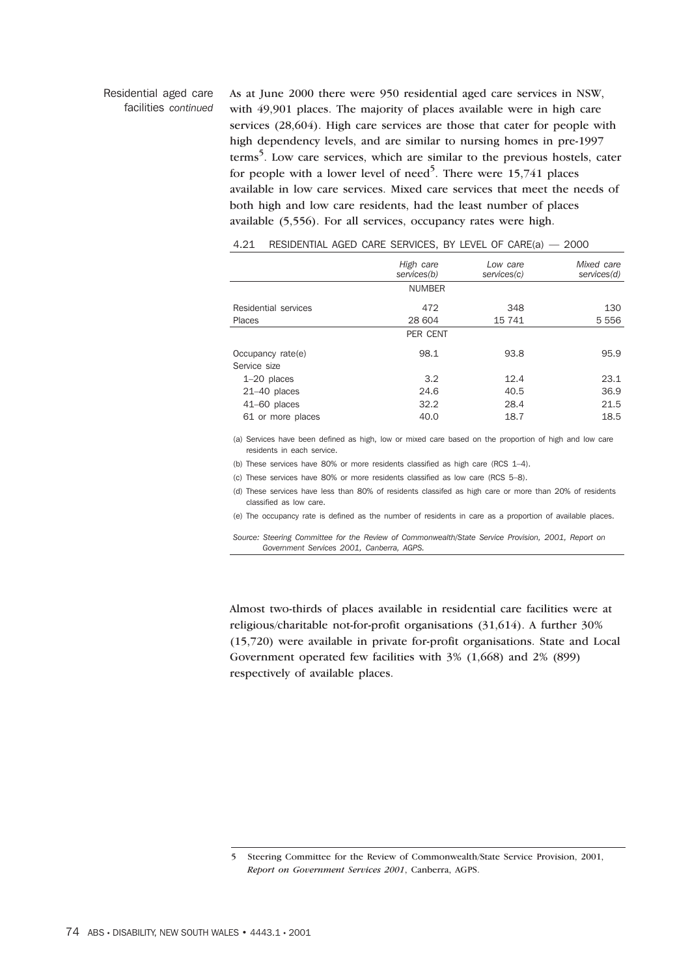# Residential aged care facilities *continued*

As at June 2000 there were 950 residential aged care services in NSW, with 49,901 places. The majority of places available were in high care services (28,604). High care services are those that cater for people with high dependency levels, and are similar to nursing homes in pre-1997 terms<sup>5</sup>. Low care services, which are similar to the previous hostels, cater for people with a lower level of need<sup>5</sup>. There were  $15,741$  places available in low care services. Mixed care services that meet the needs of both high and low care residents, had the least number of places available (5,556). For all services, occupancy rates were high.

|                      | High care       | Low care    | Mixed care  |
|----------------------|-----------------|-------------|-------------|
|                      | services(b)     | services(c) | services(d) |
|                      | <b>NUMBER</b>   |             |             |
| Residential services | 472             | 348         | 130         |
| Places               | 28 604          | 15 741      | 5 5 5 6     |
|                      | <b>PER CENT</b> |             |             |
| Occupancy rate(e)    | 98.1            | 93.8        | 95.9        |
| Service size         |                 |             |             |
| $1-20$ places        | 3.2             | 12.4        | 23.1        |
| $21-40$ places       | 24.6            | 40.5        | 36.9        |
| $41-60$ places       | 32.2            | 28.4        | 21.5        |
| 61 or more places    | 40.0            | 18.7        | 18.5        |
|                      |                 |             |             |

## 4.21 RESIDENTIAL AGED CARE SERVICES, BY LEVEL OF CARE(a) — 2000

(a) Services have been defined as high, low or mixed care based on the proportion of high and low care residents in each service.

(b) These services have 80% or more residents classified as high care (RCS  $1-4$ ).

(c) These services have 80% or more residents classified as low care (RCS 5–8).

(d) These services have less than 80% of residents classifed as high care or more than 20% of residents classified as low care.

(e) The occupancy rate is defined as the number of residents in care as a proportion of available places.

*Source: Steering Committee for the Review of Commonwealth/State Service Provision, 2001, Report on Government Services 2001, Canberra, AGPS.*

Almost two-thirds of places available in residential care facilities were at religious/charitable not-for-profit organisations (31,614). A further 30% (15,720) were available in private for-profit organisations. State and Local Government operated few facilities with 3% (1,668) and 2% (899) respectively of available places.

<sup>5</sup> Steering Committee for the Review of Commonwealth/State Service Provision, 2001, *Report on Government Services 2001*, Canberra, AGPS.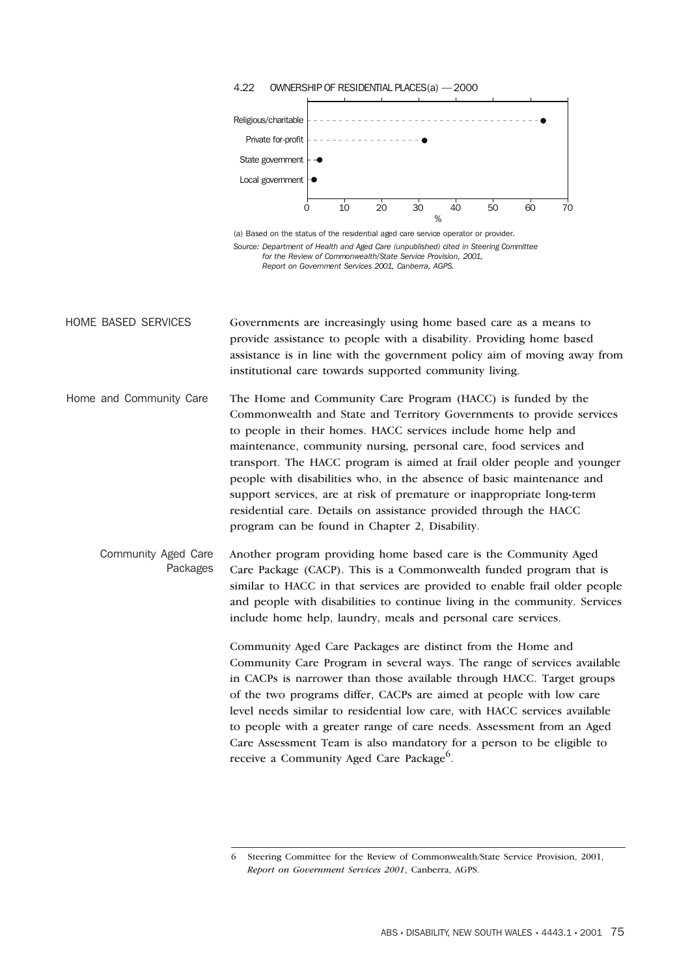

<sup>6</sup> Steering Committee for the Review of Commonwealth/State Service Provision, 2001, *Report on Government Services 2001*, Canberra, AGPS.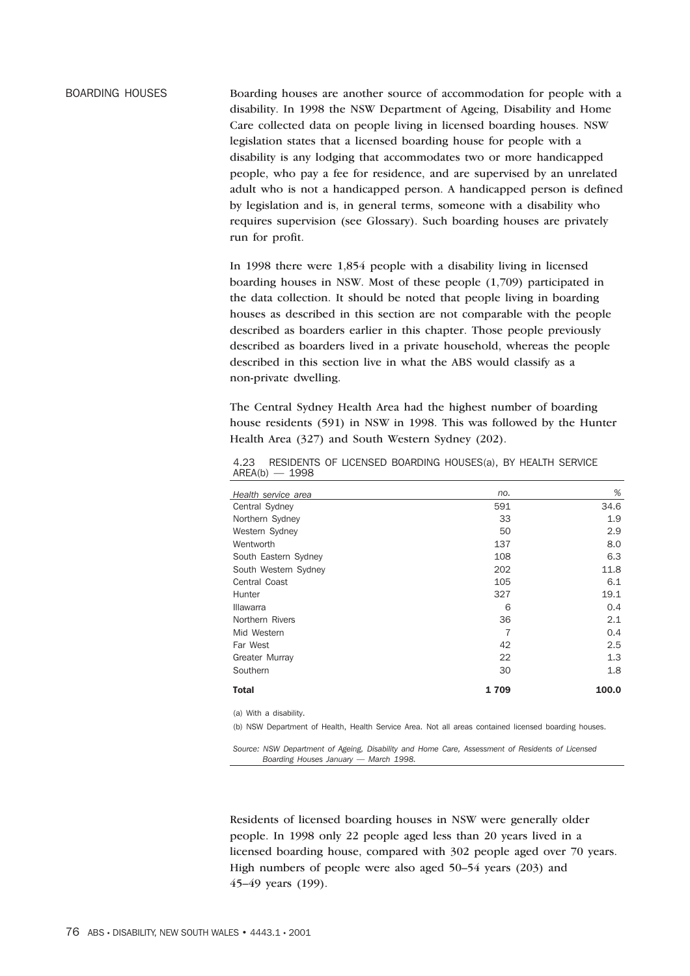BOARDING HOUSES Boarding houses are another source of accommodation for people with a disability. In 1998 the NSW Department of Ageing, Disability and Home Care collected data on people living in licensed boarding houses. NSW legislation states that a licensed boarding house for people with a disability is any lodging that accommodates two or more handicapped people, who pay a fee for residence, and are supervised by an unrelated adult who is not a handicapped person. A handicapped person is defined by legislation and is, in general terms, someone with a disability who requires supervision (see Glossary). Such boarding houses are privately run for profit.

> In 1998 there were 1,854 people with a disability living in licensed boarding houses in NSW. Most of these people (1,709) participated in the data collection. It should be noted that people living in boarding houses as described in this section are not comparable with the people described as boarders earlier in this chapter. Those people previously described as boarders lived in a private household, whereas the people described in this section live in what the ABS would classify as a non-private dwelling.

The Central Sydney Health Area had the highest number of boarding house residents (591) in NSW in 1998. This was followed by the Hunter Health Area (327) and South Western Sydney (202).

| Health service area    | no.  | %     |
|------------------------|------|-------|
| Central Sydney         | 591  | 34.6  |
| Northern Sydney        | 33   | 1.9   |
| Western Sydney         | 50   | 2.9   |
| Wentworth              | 137  | 8.0   |
| South Eastern Sydney   | 108  | 6.3   |
| South Western Sydney   | 202  | 11.8  |
| Central Coast          | 105  | 6.1   |
| Hunter                 | 327  | 19.1  |
| <b>Illawarra</b>       | 6    | 0.4   |
| Northern Rivers        | 36   | 2.1   |
| Mid Western            | 7    | 0.4   |
| Far West               | 42   | 2.5   |
| Greater Murray         | 22   | 1.3   |
| Southern               | 30   | 1.8   |
| <b>Total</b>           | 1709 | 100.0 |
| (a) With a disability. |      |       |

4.23 RESIDENTS OF LICENSED BOARDING HOUSES(a), BY HEALTH SERVICE AREA(b) — 1998

(b) NSW Department of Health, Health Service Area. Not all areas contained licensed boarding houses.

*Source: NSW Department of Ageing, Disability and Home Care, Assessment of Residents of Licensed Boarding Houses January — March 1998.*

Residents of licensed boarding houses in NSW were generally older people. In 1998 only 22 people aged less than 20 years lived in a licensed boarding house, compared with 302 people aged over 70 years. High numbers of people were also aged 50–54 years (203) and 45–49 years (199).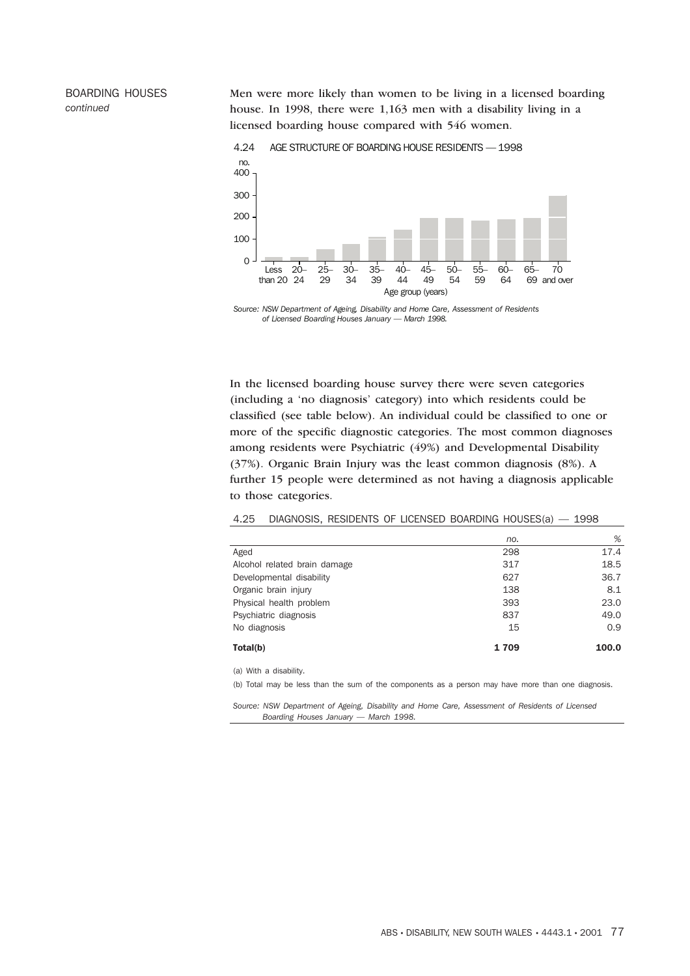Men were more likely than women to be living in a licensed boarding house. In 1998, there were 1,163 men with a disability living in a licensed boarding house compared with 546 women.



4.24 AGE STRUCTURE OF BOARDING HOUSE RESIDENTS — 1998

*Source: NSW Department of Ageing, Disability and Home Care, Assessment of Residents of Licensed Boarding Houses January — March 1998.*

In the licensed boarding house survey there were seven categories (including a 'no diagnosis' category) into which residents could be classified (see table below). An individual could be classified to one or more of the specific diagnostic categories. The most common diagnoses among residents were Psychiatric (49%) and Developmental Disability (37%). Organic Brain Injury was the least common diagnosis (8%). A further 15 people were determined as not having a diagnosis applicable to those categories.

4.25 DIAGNOSIS, RESIDENTS OF LICENSED BOARDING HOUSES(a) — 1998

|                              | no.  | %     |
|------------------------------|------|-------|
| Aged                         | 298  | 17.4  |
| Alcohol related brain damage | 317  | 18.5  |
| Developmental disability     | 627  | 36.7  |
| Organic brain injury         | 138  | 8.1   |
| Physical health problem      | 393  | 23.0  |
| Psychiatric diagnosis        | 837  | 49.0  |
| No diagnosis                 | 15   | 0.9   |
| Total(b)                     | 1709 | 100.0 |

(a) With a disability.

BOARDING HOUSES

*continued*

(b) Total may be less than the sum of the components as a person may have more than one diagnosis.

*Source: NSW Department of Ageing, Disability and Home Care, Assessment of Residents of Licensed Boarding Houses January — March 1998.*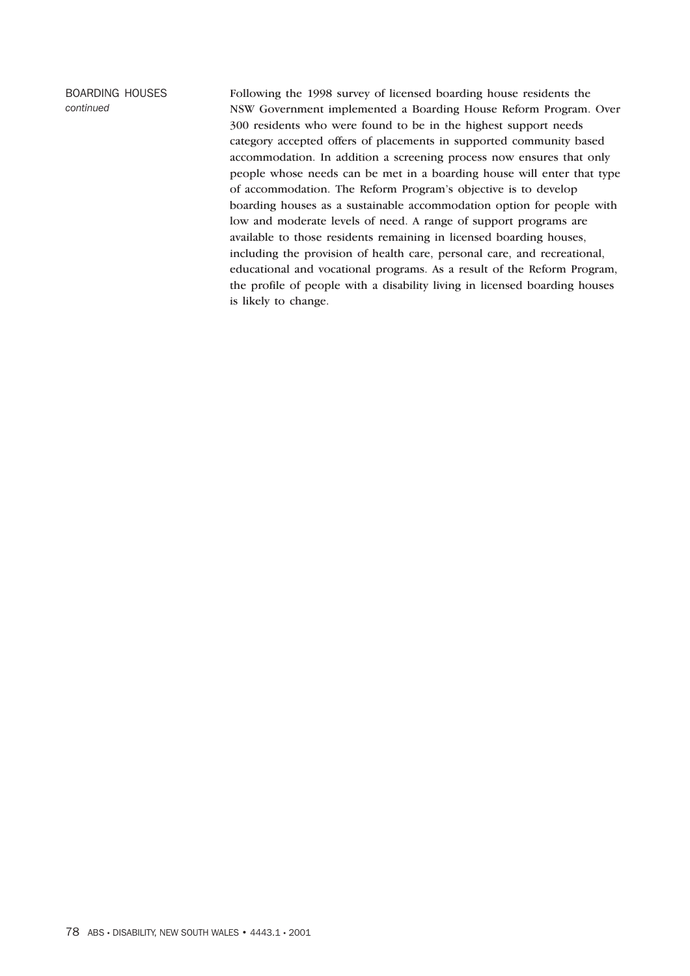BOARDING HOUSES *continued*

Following the 1998 survey of licensed boarding house residents the NSW Government implemented a Boarding House Reform Program. Over 300 residents who were found to be in the highest support needs category accepted offers of placements in supported community based accommodation. In addition a screening process now ensures that only people whose needs can be met in a boarding house will enter that type of accommodation. The Reform Program's objective is to develop boarding houses as a sustainable accommodation option for people with low and moderate levels of need. A range of support programs are available to those residents remaining in licensed boarding houses, including the provision of health care, personal care, and recreational, educational and vocational programs. As a result of the Reform Program, the profile of people with a disability living in licensed boarding houses is likely to change.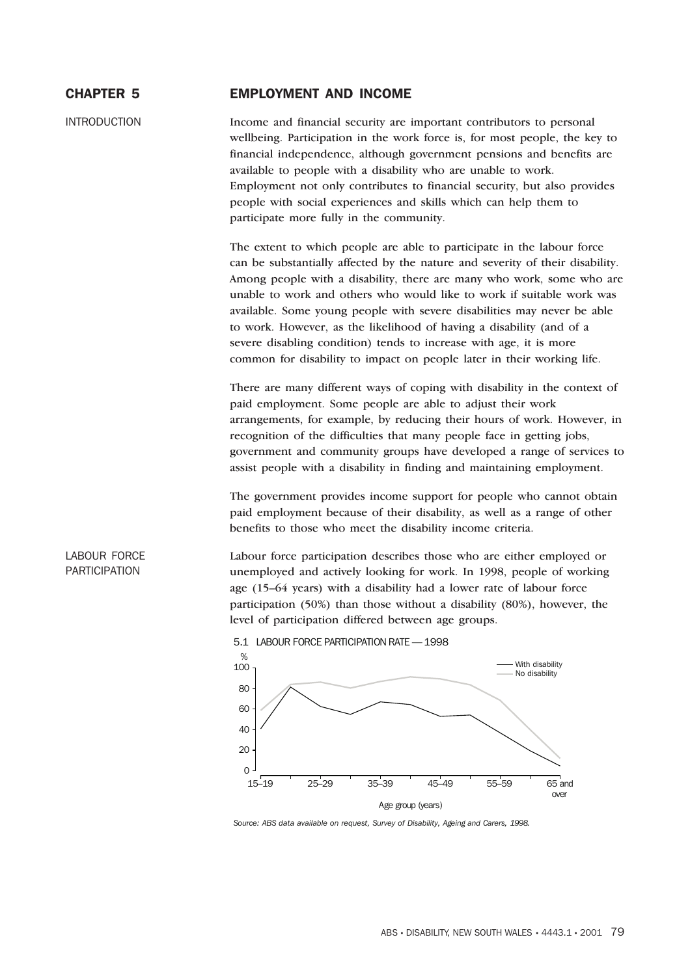# CHAPTER 5 EMPLOYMENT AND INCOME

INTRODUCTION Income and financial security are important contributors to personal wellbeing. Participation in the work force is, for most people, the key to financial independence, although government pensions and benefits are available to people with a disability who are unable to work. Employment not only contributes to financial security, but also provides people with social experiences and skills which can help them to participate more fully in the community.

> The extent to which people are able to participate in the labour force can be substantially affected by the nature and severity of their disability. Among people with a disability, there are many who work, some who are unable to work and others who would like to work if suitable work was available. Some young people with severe disabilities may never be able to work. However, as the likelihood of having a disability (and of a severe disabling condition) tends to increase with age, it is more common for disability to impact on people later in their working life.

> There are many different ways of coping with disability in the context of paid employment. Some people are able to adjust their work arrangements, for example, by reducing their hours of work. However, in recognition of the difficulties that many people face in getting jobs, government and community groups have developed a range of services to assist people with a disability in finding and maintaining employment.

The government provides income support for people who cannot obtain paid employment because of their disability, as well as a range of other benefits to those who meet the disability income criteria.

Labour force participation describes those who are either employed or unemployed and actively looking for work. In 1998, people of working age (15–64 years) with a disability had a lower rate of labour force participation (50%) than those without a disability (80%), however, the level of participation differed between age groups.





*Source: ABS data available on request, Survey of Disability, Ageing and Carers, 1998.*

# LABOUR FORCE PARTICIPATION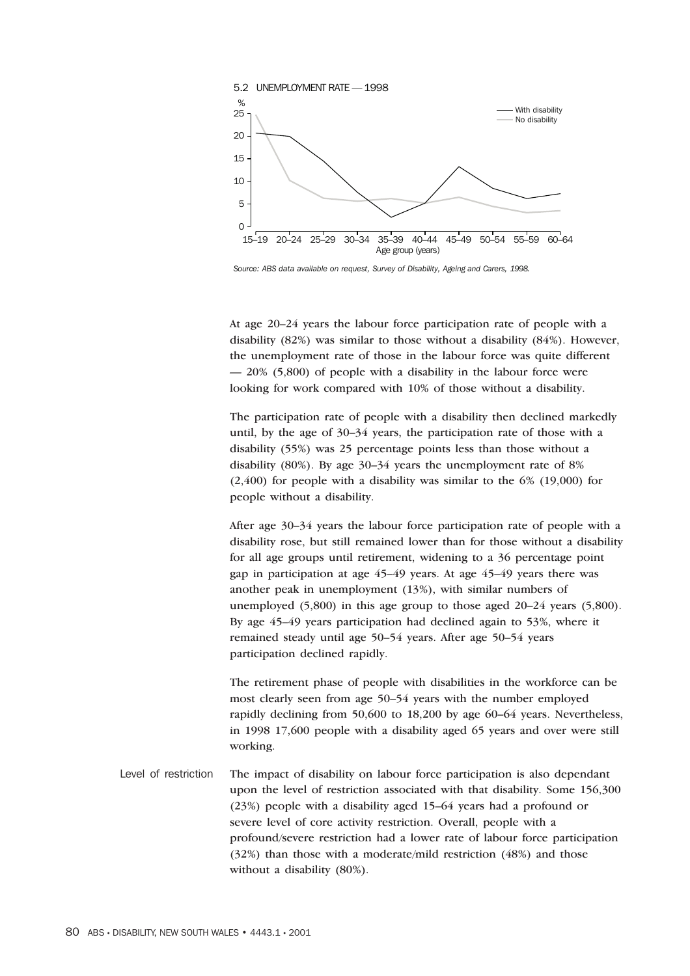

*Source: ABS data available on request, Survey of Disability, Ageing and Carers, 1998.*

At age 20–24 years the labour force participation rate of people with a disability (82%) was similar to those without a disability (84%). However, the unemployment rate of those in the labour force was quite different — 20% (5,800) of people with a disability in the labour force were looking for work compared with 10% of those without a disability.

The participation rate of people with a disability then declined markedly until, by the age of 30–34 years, the participation rate of those with a disability (55%) was 25 percentage points less than those without a disability (80%). By age 30–34 years the unemployment rate of 8%  $(2,400)$  for people with a disability was similar to the 6%  $(19,000)$  for people without a disability.

After age 30–34 years the labour force participation rate of people with a disability rose, but still remained lower than for those without a disability for all age groups until retirement, widening to a 36 percentage point gap in participation at age 45–49 years. At age 45–49 years there was another peak in unemployment (13%), with similar numbers of unemployed (5,800) in this age group to those aged 20–24 years (5,800). By age 45–49 years participation had declined again to 53%, where it remained steady until age 50–54 years. After age 50–54 years participation declined rapidly.

The retirement phase of people with disabilities in the workforce can be most clearly seen from age 50–54 years with the number employed rapidly declining from 50,600 to 18,200 by age 60–64 years. Nevertheless, in 1998 17,600 people with a disability aged 65 years and over were still working.

Level of restriction The impact of disability on labour force participation is also dependant upon the level of restriction associated with that disability. Some 156,300 (23%) people with a disability aged 15–64 years had a profound or severe level of core activity restriction. Overall, people with a profound/severe restriction had a lower rate of labour force participation (32%) than those with a moderate/mild restriction (48%) and those without a disability (80%).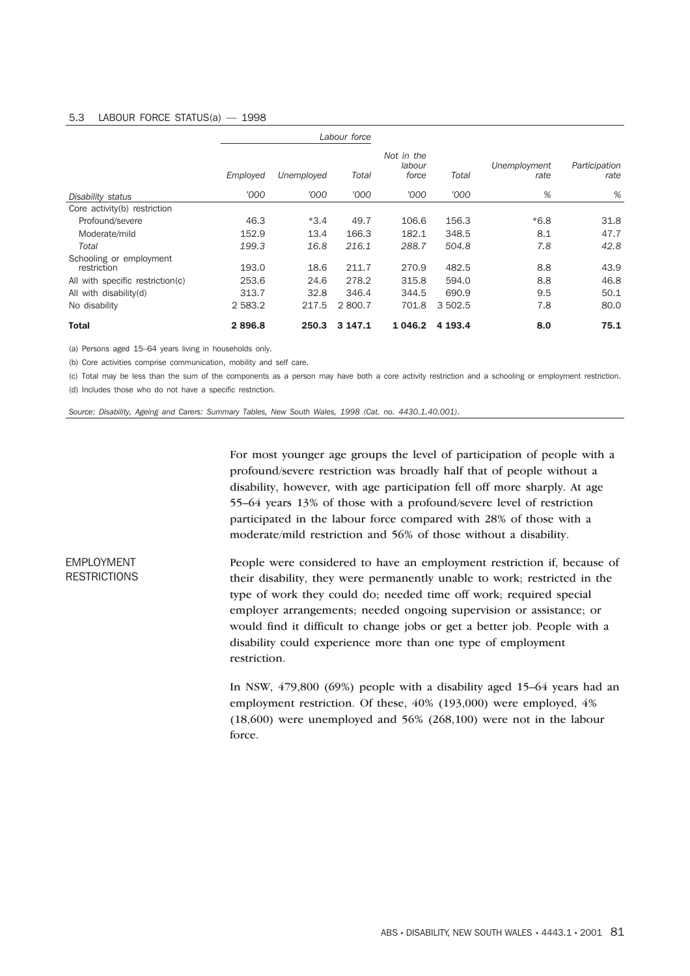## 5.3 LABOUR FORCE STATUS(a) — 1998

|                                        |          |            | Labour force |                               |         |                      |                       |
|----------------------------------------|----------|------------|--------------|-------------------------------|---------|----------------------|-----------------------|
|                                        | Employed | Unemployed | Total        | Not in the<br>labour<br>force | Total   | Unemployment<br>rate | Participation<br>rate |
| Disability status                      | '000     | '000       | '000         | '000                          | '000    | %                    | %                     |
| Core activity(b) restriction           |          |            |              |                               |         |                      |                       |
| Profound/severe                        | 46.3     | $*3.4$     | 49.7         | 106.6                         | 156.3   | $*6.8$               | 31.8                  |
| Moderate/mild                          | 152.9    | 13.4       | 166.3        | 182.1                         | 348.5   | 8.1                  | 47.7                  |
| Total                                  | 199.3    | 16.8       | 216.1        | 288.7                         | 504.8   | 7.8                  | 42.8                  |
| Schooling or employment<br>restriction | 193.0    | 18.6       | 211.7        | 270.9                         | 482.5   | 8.8                  | 43.9                  |
| All with specific restriction(c)       | 253.6    | 24.6       | 278.2        | 315.8                         | 594.0   | 8.8                  | 46.8                  |
| All with disability(d)                 | 313.7    | 32.8       | 346.4        | 344.5                         | 690.9   | 9.5                  | 50.1                  |
| No disability                          | 2 583.2  | 217.5      | 2 800.7      | 701.8                         | 3 502.5 | 7.8                  | 80.0                  |
| <b>Total</b>                           | 2896.8   | 250.3      | 3 147.1      | 1 0 4 6 .2                    | 4 193.4 | 8.0                  | 75.1                  |

(a) Persons aged 15–64 years living in households only.

(b) Core activities comprise communication, mobility and self care.

(c) Total may be less than the sum of the components as a person may have both a core activity restriction and a schooling or employment restriction. (d) Includes those who do not have a specific restriction.

*Source: Disability, Ageing and Carers: Summary Tables, New South Wales, 1998 (Cat. no. 4430.1.40.001).*

For most younger age groups the level of participation of people with a profound/severe restriction was broadly half that of people without a disability, however, with age participation fell off more sharply. At age 55–64 years 13% of those with a profound/severe level of restriction participated in the labour force compared with 28% of those with a moderate/mild restriction and 56% of those without a disability.

People were considered to have an employment restriction if, because of their disability, they were permanently unable to work; restricted in the type of work they could do; needed time off work; required special employer arrangements; needed ongoing supervision or assistance; or would find it difficult to change jobs or get a better job. People with a disability could experience more than one type of employment restriction.

> In NSW, 479,800 (69%) people with a disability aged 15–64 years had an employment restriction. Of these, 40% (193,000) were employed, 4% (18,600) were unemployed and 56% (268,100) were not in the labour force.

# EMPLOYMENT **RESTRICTIONS**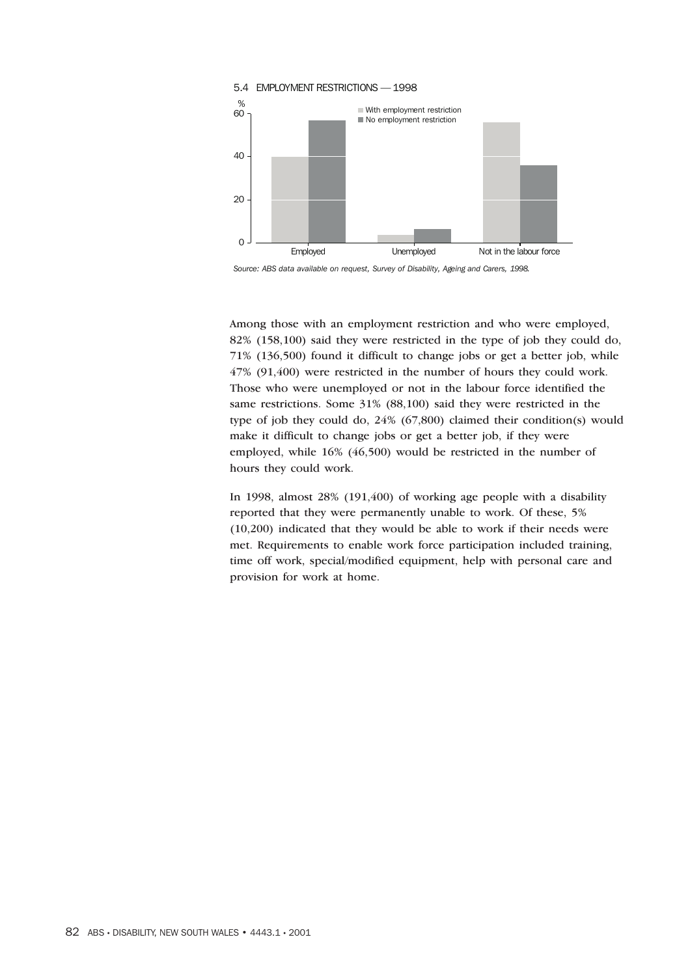

*Source: ABS data available on request, Survey of Disability, Ageing and Carers, 1998.*

Among those with an employment restriction and who were employed, 82% (158,100) said they were restricted in the type of job they could do, 71% (136,500) found it difficult to change jobs or get a better job, while 47% (91,400) were restricted in the number of hours they could work. Those who were unemployed or not in the labour force identified the same restrictions. Some 31% (88,100) said they were restricted in the type of job they could do, 24% (67,800) claimed their condition(s) would make it difficult to change jobs or get a better job, if they were employed, while 16% (46,500) would be restricted in the number of hours they could work.

In 1998, almost 28% (191,400) of working age people with a disability reported that they were permanently unable to work. Of these, 5% (10,200) indicated that they would be able to work if their needs were met. Requirements to enable work force participation included training, time off work, special/modified equipment, help with personal care and provision for work at home.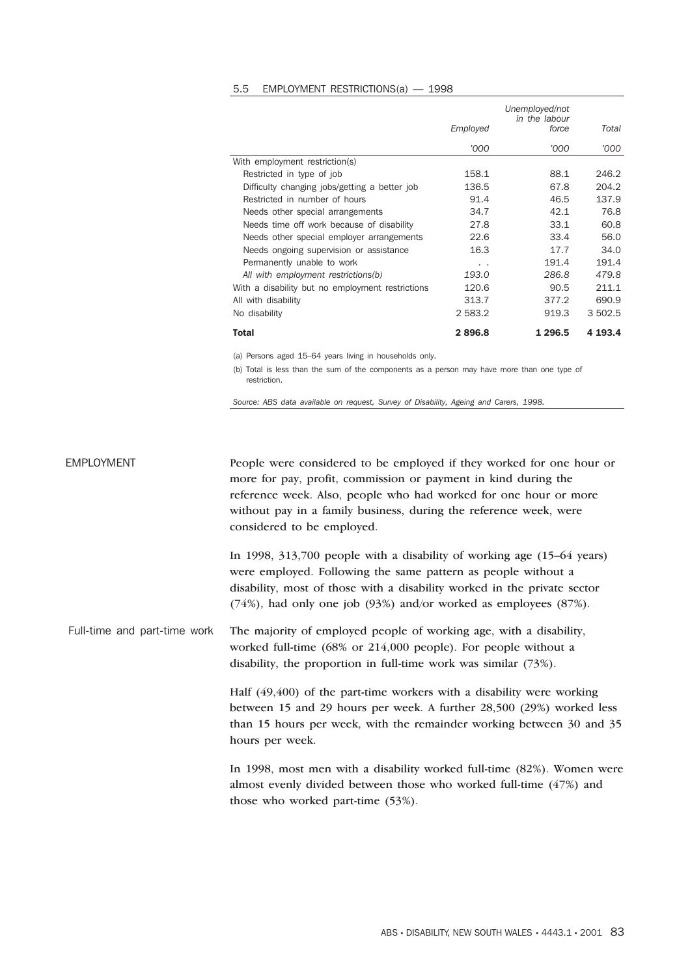#### 5.5 EMPLOYMENT RESTRICTIONS(a) — 1998

|                                                  | Employed | Total         |         |
|--------------------------------------------------|----------|---------------|---------|
|                                                  | '000     | force<br>'000 | '000    |
| With employment restriction(s)                   |          |               |         |
| Restricted in type of job                        | 158.1    | 88.1          | 246.2   |
| Difficulty changing jobs/getting a better job    | 136.5    | 67.8          | 204.2   |
| Restricted in number of hours                    | 91.4     | 46.5          | 137.9   |
| Needs other special arrangements                 | 34.7     | 42.1          | 76.8    |
| Needs time off work because of disability        | 27.8     | 33.1          | 60.8    |
| Needs other special employer arrangements        | 22.6     | 33.4          | 56.0    |
| Needs ongoing supervision or assistance          | 16.3     | 17.7          | 34.0    |
| Permanently unable to work                       | . .      | 191.4         | 191.4   |
| All with employment restrictions(b)              | 193.0    | 286.8         | 479.8   |
| With a disability but no employment restrictions | 120.6    | 90.5          | 211.1   |
| All with disability                              | 313.7    | 377.2         | 690.9   |
| No disability                                    | 2 583.2  | 919.3         | 3 502.5 |
| Total                                            | 2896.8   | 1 296.5       | 4 193.4 |

(a) Persons aged 15–64 years living in households only.

(b) Total is less than the sum of the components as a person may have more than one type of restriction.

*Source: ABS data available on request, Survey of Disability, Ageing and Carers, 1998.*

EMPLOYMENT People were considered to be employed if they worked for one hour or more for pay, profit, commission or payment in kind during the reference week. Also, people who had worked for one hour or more without pay in a family business, during the reference week, were considered to be employed.

> In 1998, 313,700 people with a disability of working age (15–64 years) were employed. Following the same pattern as people without a disability, most of those with a disability worked in the private sector (74%), had only one job (93%) and/or worked as employees (87%).

Full-time and part-time work The majority of employed people of working age, with a disability, worked full-time (68% or 214,000 people). For people without a disability, the proportion in full-time work was similar (73%).

> Half (49,400) of the part-time workers with a disability were working between 15 and 29 hours per week. A further 28,500 (29%) worked less than 15 hours per week, with the remainder working between 30 and 35 hours per week.

> In 1998, most men with a disability worked full-time (82%). Women were almost evenly divided between those who worked full-time (47%) and those who worked part-time (53%).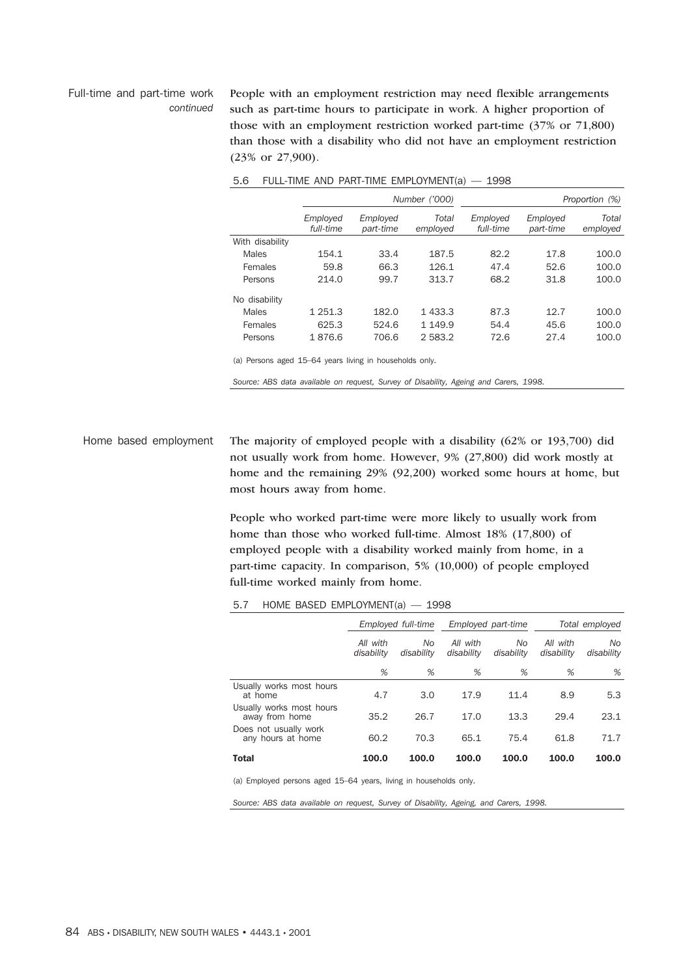#### Full-time and part-time work *continued*

People with an employment restriction may need flexible arrangements such as part-time hours to participate in work. A higher proportion of those with an employment restriction worked part-time (37% or 71,800) than those with a disability who did not have an employment restriction (23% or 27,900).

|                 | Number ('000)         |                       |                   |                       |                       | Proportion (%)    |
|-----------------|-----------------------|-----------------------|-------------------|-----------------------|-----------------------|-------------------|
|                 | Employed<br>full-time | Employed<br>part-time | Total<br>employed | Employed<br>full-time | Employed<br>part-time | Total<br>employed |
| With disability |                       |                       |                   |                       |                       |                   |
| Males           | 154.1                 | 33.4                  | 187.5             | 82.2                  | 17.8                  | 100.0             |
| Females         | 59.8                  | 66.3                  | 126.1             | 47.4                  | 52.6                  | 100.0             |
| Persons         | 214.0                 | 99.7                  | 313.7             | 68.2                  | 31.8                  | 100.0             |
| No disability   |                       |                       |                   |                       |                       |                   |
| Males           | 1 251.3               | 182.0                 | 1433.3            | 87.3                  | 12.7                  | 100.0             |
| Females         | 625.3                 | 524.6                 | 1 1 4 9 9         | 54.4                  | 45.6                  | 100.0             |
| Persons         | 1876.6                | 706.6                 | 2583.2            | 72.6                  | 27.4                  | 100.0             |

| 5.6 |  |  |  | FULL-TIME AND PART-TIME EMPLOYMENT(a) $-$ | 1998 |
|-----|--|--|--|-------------------------------------------|------|
|-----|--|--|--|-------------------------------------------|------|

(a) Persons aged 15–64 years living in households only.

*Source: ABS data available on request, Survey of Disability, Ageing and Carers, 1998.*

Home based employment The majority of employed people with a disability (62% or 193,700) did not usually work from home. However, 9% (27,800) did work mostly at home and the remaining 29% (92,200) worked some hours at home, but most hours away from home.

> People who worked part-time were more likely to usually work from home than those who worked full-time. Almost 18% (17,800) of employed people with a disability worked mainly from home, in a part-time capacity. In comparison, 5% (10,000) of people employed full-time worked mainly from home.

# 5.7 HOME BASED EMPLOYMENT(a) — 1998

|                                            | Employed full-time<br>All with<br>No<br>disability<br>disability |       | Employed part-time     |                   | Total employed         |                   |
|--------------------------------------------|------------------------------------------------------------------|-------|------------------------|-------------------|------------------------|-------------------|
|                                            |                                                                  |       | All with<br>disability | No.<br>disability | All with<br>disability | No.<br>disability |
|                                            | %                                                                | %     | %                      | %                 | %                      | %                 |
| Usually works most hours<br>at home        | 4.7                                                              | 3.0   | 17.9                   | 11.4              | 8.9                    | 5.3               |
| Usually works most hours<br>away from home | 35.2                                                             | 26.7  | 17.0                   | 13.3              | 29.4                   | 23.1              |
| Does not usually work<br>any hours at home | 60.2                                                             | 70.3  | 65.1                   | 75.4              | 61.8                   | 71.7              |
| <b>Total</b>                               | 100.0                                                            | 100.0 | 100.0                  | 100.0             | 100.0                  | 100.0             |

(a) Employed persons aged 15–64 years, living in households only.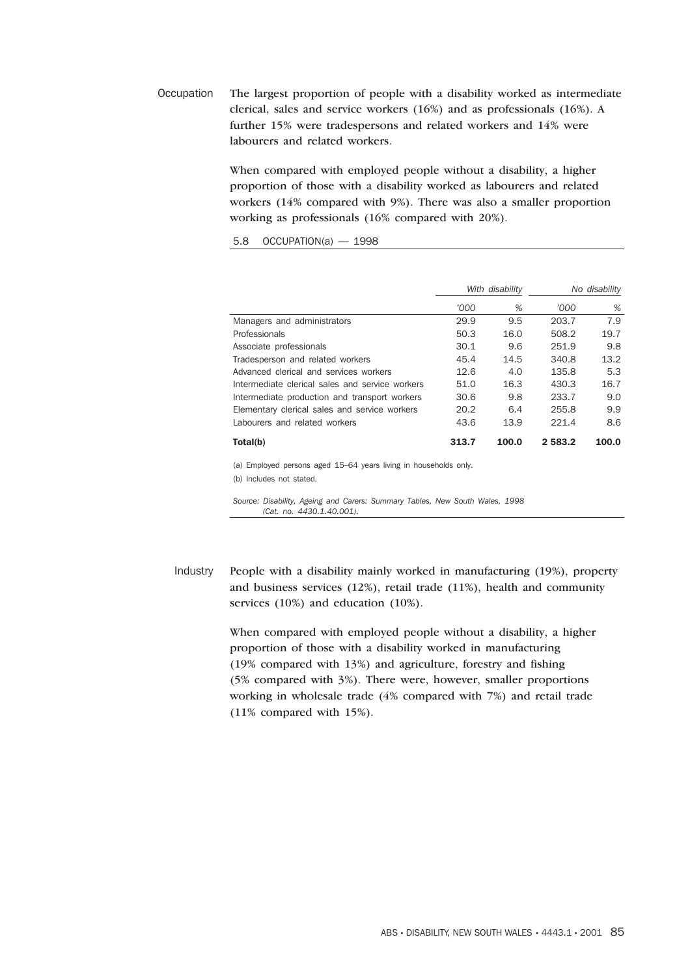Occupation The largest proportion of people with a disability worked as intermediate clerical, sales and service workers (16%) and as professionals (16%). A further 15% were tradespersons and related workers and 14% were labourers and related workers.

> When compared with employed people without a disability, a higher proportion of those with a disability worked as labourers and related workers (14% compared with 9%). There was also a smaller proportion working as professionals (16% compared with 20%).

5.8 OCCUPATION(a) — 1998

|                                                 | With disability |       |             | No disability |
|-------------------------------------------------|-----------------|-------|-------------|---------------|
|                                                 | '000            | %     | '000        | %             |
| Managers and administrators                     | 29.9            | 9.5   | 203.7       | 7.9           |
| Professionals                                   | 50.3            | 16.0  | 508.2       | 19.7          |
| Associate professionals                         | 30.1            | 9.6   | 251.9       | 9.8           |
| Tradesperson and related workers                | 45.4            | 14.5  | 340.8       | 13.2          |
| Advanced clerical and services workers          | 12.6            | 4.0   | 135.8       | 5.3           |
| Intermediate clerical sales and service workers | 51.0            | 16.3  | 430.3       | 16.7          |
| Intermediate production and transport workers   | 30.6            | 9.8   | 233.7       | 9.0           |
| Elementary clerical sales and service workers   | 20.2            | 6.4   | 255.8       | 9.9           |
| Labourers and related workers                   | 43.6            | 13.9  | 221.4       | 8.6           |
| Total(b)                                        | 313.7           | 100.0 | 2 5 8 3 . 2 | 100.0         |

(a) Employed persons aged 15–64 years living in households only. (b) Includes not stated.

*Source: Disability, Ageing and Carers: Summary Tables, New South Wales, 1998 (Cat. no. 4430.1.40.001).*

Industry People with a disability mainly worked in manufacturing (19%), property and business services (12%), retail trade (11%), health and community services (10%) and education (10%).

> When compared with employed people without a disability, a higher proportion of those with a disability worked in manufacturing (19% compared with 13%) and agriculture, forestry and fishing (5% compared with 3%). There were, however, smaller proportions working in wholesale trade (4% compared with 7%) and retail trade (11% compared with 15%).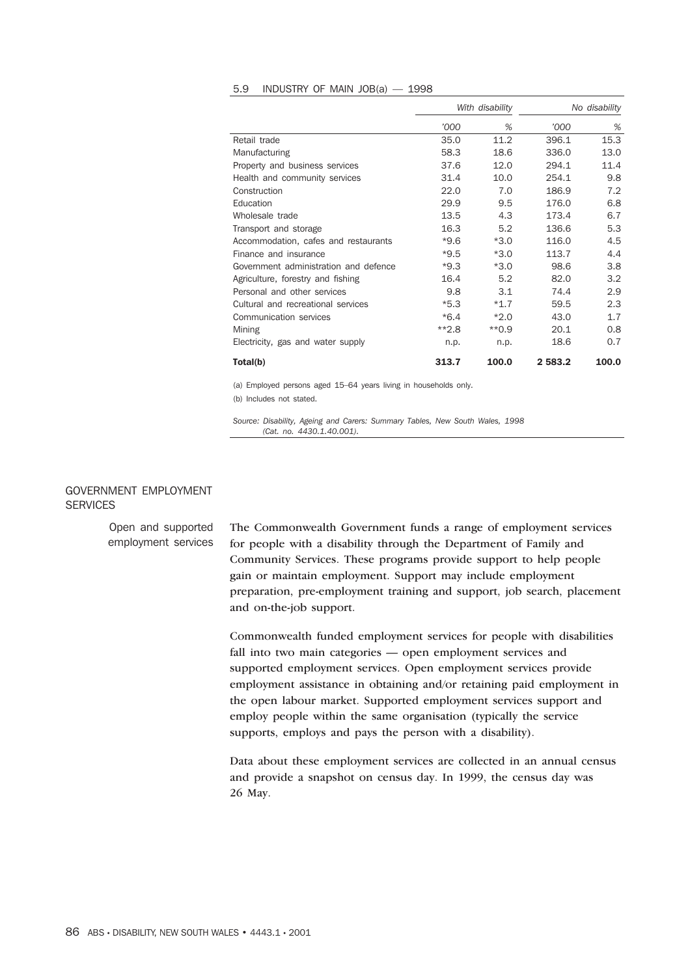#### 5.9 INDUSTRY OF MAIN JOB(a) — 1998

|                                       | With disability |         |         | No disability |
|---------------------------------------|-----------------|---------|---------|---------------|
|                                       | '000            | %       | '000    | %             |
| Retail trade                          | 35.0            | 11.2    | 396.1   | 15.3          |
| Manufacturing                         | 58.3            | 18.6    | 336.0   | 13.0          |
| Property and business services        | 37.6            | 12.0    | 294.1   | 11.4          |
| Health and community services         | 31.4            | 10.0    | 254.1   | 9.8           |
| Construction                          | 22.0            | 7.0     | 186.9   | 7.2           |
| Education                             | 29.9            | 9.5     | 176.0   | 6.8           |
| Wholesale trade                       | 13.5            | 4.3     | 173.4   | 6.7           |
| Transport and storage                 | 16.3            | 5.2     | 136.6   | 5.3           |
| Accommodation, cafes and restaurants  | $*9.6$          | $*3.0$  | 116.0   | 4.5           |
| Finance and insurance                 | $*9.5$          | $*3.0$  | 113.7   | 4.4           |
| Government administration and defence | $*9.3$          | $*3.0$  | 98.6    | 3.8           |
| Agriculture, forestry and fishing     | 16.4            | 5.2     | 82.0    | 3.2           |
| Personal and other services           | 9.8             | 3.1     | 74.4    | 2.9           |
| Cultural and recreational services    | $*5.3$          | $*1.7$  | 59.5    | 2.3           |
| Communication services                | $*6.4$          | $*2.0$  | 43.0    | 1.7           |
| Mining                                | $*2.8$          | $**0.9$ | 20.1    | 0.8           |
| Electricity, gas and water supply     | n.p.            | n.p.    | 18.6    | 0.7           |
| Total(b)                              | 313.7           | 100.0   | 2 583.2 | 100.0         |

(a) Employed persons aged 15–64 years living in households only. (b) Includes not stated.

*Source: Disability, Ageing and Carers: Summary Tables, New South Wales, 1998 (Cat. no. 4430.1.40.001).*

# GOVERNMENT EMPLOYMENT **SERVICES**

Open and supported employment services The Commonwealth Government funds a range of employment services for people with a disability through the Department of Family and Community Services. These programs provide support to help people gain or maintain employment. Support may include employment preparation, pre-employment training and support, job search, placement and on-the-job support.

> Commonwealth funded employment services for people with disabilities fall into two main categories — open employment services and supported employment services. Open employment services provide employment assistance in obtaining and/or retaining paid employment in the open labour market. Supported employment services support and employ people within the same organisation (typically the service supports, employs and pays the person with a disability).

> Data about these employment services are collected in an annual census and provide a snapshot on census day. In 1999, the census day was 26 May.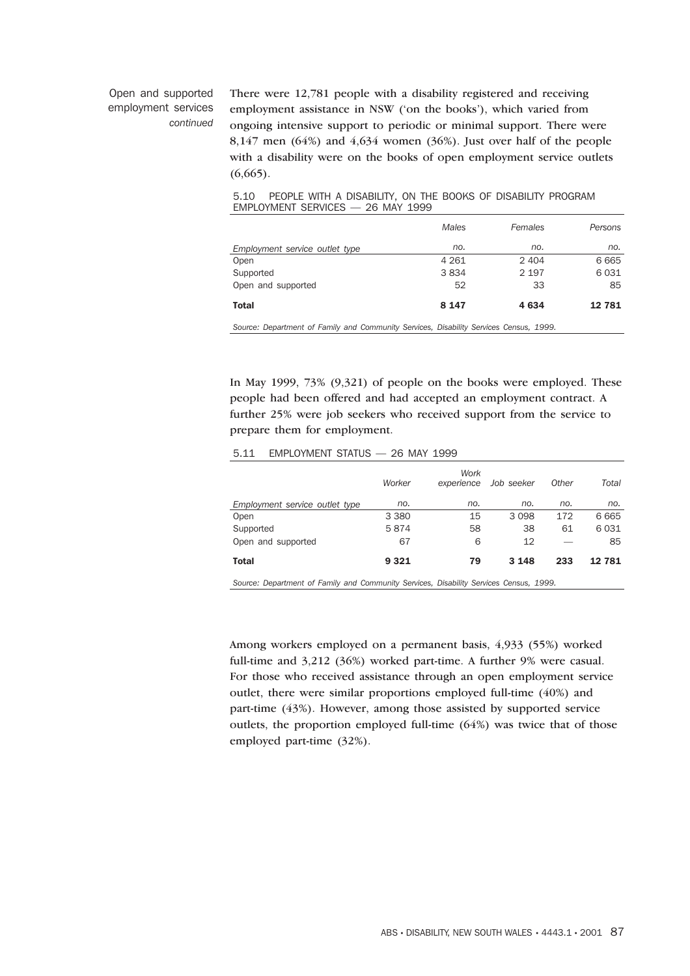# Open and supported employment services *continued*

There were 12,781 people with a disability registered and receiving employment assistance in NSW ('on the books'), which varied from ongoing intensive support to periodic or minimal support. There were 8,147 men (64%) and 4,634 women (36%). Just over half of the people with a disability were on the books of open employment service outlets  $(6,665)$ .

## 5.10 PEOPLE WITH A DISABILITY, ON THE BOOKS OF DISABILITY PROGRAM EMPLOYMENT SERVICES — 26 MAY 1999

| Employment service outlet type<br>Open | no.<br>4 2 6 1           | no.<br>2 4 0 4          | no.<br>6 6 6 5 |
|----------------------------------------|--------------------------|-------------------------|----------------|
| Supported                              | 3834                     | 2 1 9 7                 | 6 0 3 1        |
| Open and supported                     | 52                       | 33                      | 85             |
| <b>Total</b>                           | 8 1 4 7                  | 4 6 3 4                 | 12 781         |
| $\sim$<br>$\sim$                       | $\cdots$ $\sim$ $\cdots$ | $\lambda$ $\sim$ $\sim$ |                |

*Source: Department of Family and Community Services, Disability Services Census, 1999.*

In May 1999, 73% (9,321) of people on the books were employed. These people had been offered and had accepted an employment contract. A further 25% were job seekers who received support from the service to prepare them for employment.

# 5.11 EMPLOYMENT STATUS — 26 MAY 1999

|                                | Worker  | Work<br>experience | Job seeker | Other | Total   |  |  |  |
|--------------------------------|---------|--------------------|------------|-------|---------|--|--|--|
| Employment service outlet type | no.     | no.                | no.        | no.   | no.     |  |  |  |
| Open                           | 3 3 8 0 | 15                 | 3098       | 172   | 6 6 6 5 |  |  |  |
| Supported                      | 5874    | 58                 | 38         | 61    | 6 0 3 1 |  |  |  |
| Open and supported             | 67      | 6                  | 12         |       | 85      |  |  |  |
| <b>Total</b>                   | 9 3 2 1 | 79                 | 3 1 4 8    | 233   | 12781   |  |  |  |
|                                |         |                    |            |       |         |  |  |  |

*Source: Department of Family and Community Services, Disability Services Census, 1999.*

Among workers employed on a permanent basis, 4,933 (55%) worked full-time and 3,212 (36%) worked part-time. A further 9% were casual. For those who received assistance through an open employment service outlet, there were similar proportions employed full-time (40%) and part-time (43%). However, among those assisted by supported service outlets, the proportion employed full-time (64%) was twice that of those employed part-time (32%).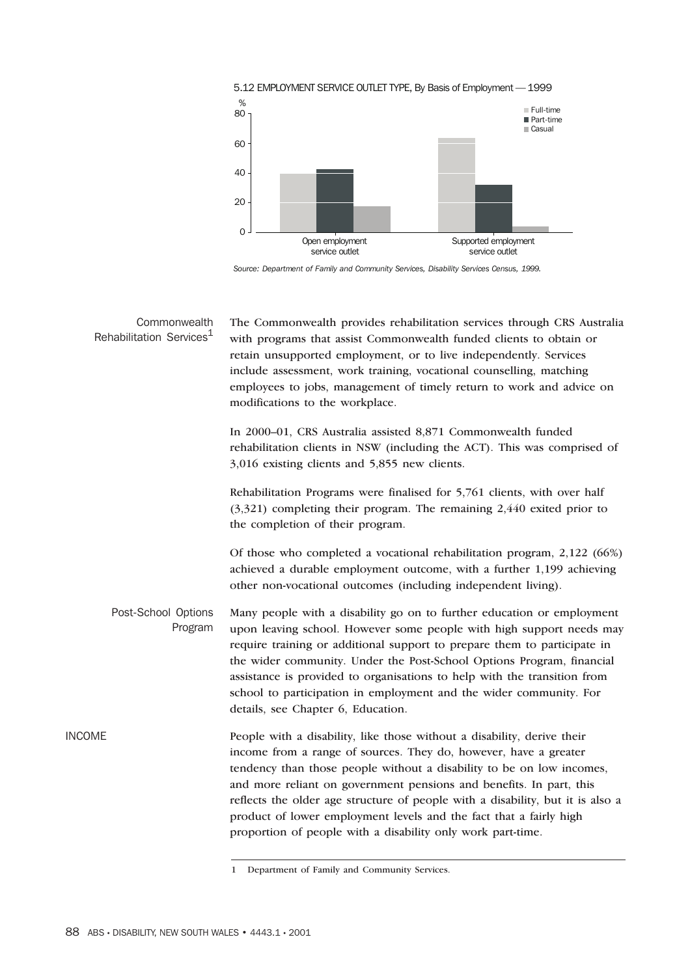

*Source: Department of Family and Community Services, Disability Services Census, 1999.*

| Commonwealth<br>Rehabilitation Services <sup>1</sup> | The Commonwealth provides rehabilitation services through CRS Australia<br>with programs that assist Commonwealth funded clients to obtain or<br>retain unsupported employment, or to live independently. Services<br>include assessment, work training, vocational counselling, matching<br>employees to jobs, management of timely return to work and advice on<br>modifications to the workplace.                                                                                                               |
|------------------------------------------------------|--------------------------------------------------------------------------------------------------------------------------------------------------------------------------------------------------------------------------------------------------------------------------------------------------------------------------------------------------------------------------------------------------------------------------------------------------------------------------------------------------------------------|
|                                                      | In 2000-01, CRS Australia assisted 8,871 Commonwealth funded<br>rehabilitation clients in NSW (including the ACT). This was comprised of<br>3,016 existing clients and 5,855 new clients.                                                                                                                                                                                                                                                                                                                          |
|                                                      | Rehabilitation Programs were finalised for 5,761 clients, with over half<br>$(3,321)$ completing their program. The remaining 2,440 exited prior to<br>the completion of their program.                                                                                                                                                                                                                                                                                                                            |
|                                                      | Of those who completed a vocational rehabilitation program, 2,122 (66%)<br>achieved a durable employment outcome, with a further 1,199 achieving<br>other non-vocational outcomes (including independent living).                                                                                                                                                                                                                                                                                                  |
| Post-School Options<br>Program                       | Many people with a disability go on to further education or employment<br>upon leaving school. However some people with high support needs may<br>require training or additional support to prepare them to participate in<br>the wider community. Under the Post-School Options Program, financial<br>assistance is provided to organisations to help with the transition from<br>school to participation in employment and the wider community. For<br>details, see Chapter 6, Education.                        |
| INCOME                                               | People with a disability, like those without a disability, derive their<br>income from a range of sources. They do, however, have a greater<br>tendency than those people without a disability to be on low incomes,<br>and more reliant on government pensions and benefits. In part, this<br>reflects the older age structure of people with a disability, but it is also a<br>product of lower employment levels and the fact that a fairly high<br>proportion of people with a disability only work part-time. |

<sup>1</sup> Department of Family and Community Services.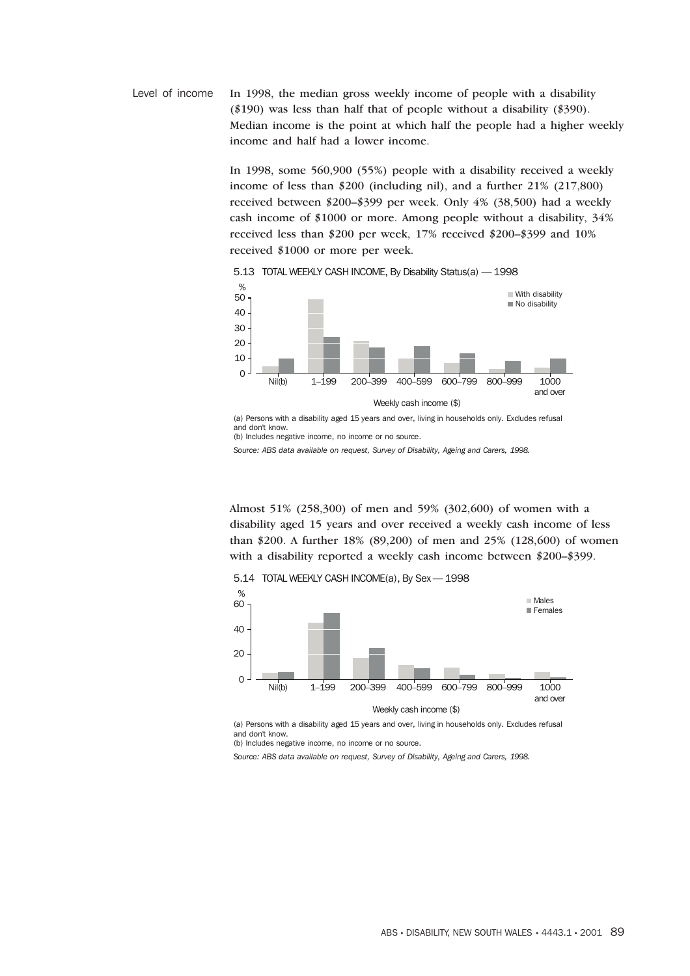Level of income In 1998, the median gross weekly income of people with a disability (\$190) was less than half that of people without a disability (\$390). Median income is the point at which half the people had a higher weekly income and half had a lower income.

> In 1998, some 560,900 (55%) people with a disability received a weekly income of less than \$200 (including nil), and a further 21% (217,800) received between \$200–\$399 per week. Only 4% (38,500) had a weekly cash income of \$1000 or more. Among people without a disability, 34% received less than \$200 per week, 17% received \$200–\$399 and 10% received \$1000 or more per week.

Nil(b) 1–199 200–399 400–599 600–799 800–999 1000 and over Weekly cash income (\$) % 0 10 20 30 40  $\blacksquare$  With disability  $\blacksquare$ No disability

5.13 TOTAL WEEKLY CASH INCOME, By Disability Status(a) — 1998

(a) Persons with a disability aged 15 years and over, living in households only. Excludes refusal and don't know. (b) Includes negative income, no income or no source.

*Source: ABS data available on request, Survey of Disability, Ageing and Carers, 1998.*

Almost 51% (258,300) of men and 59% (302,600) of women with a disability aged 15 years and over received a weekly cash income of less than \$200. A further 18% (89,200) of men and 25% (128,600) of women with a disability reported a weekly cash income between \$200–\$399.

5.14 TOTAL WEEKLY CASH INCOME(a), By Sex —1998



(a) Persons with a disability aged 15 years and over, living in households only. Excludes refusal and don't know.

(b) Includes negative income, no income or no source.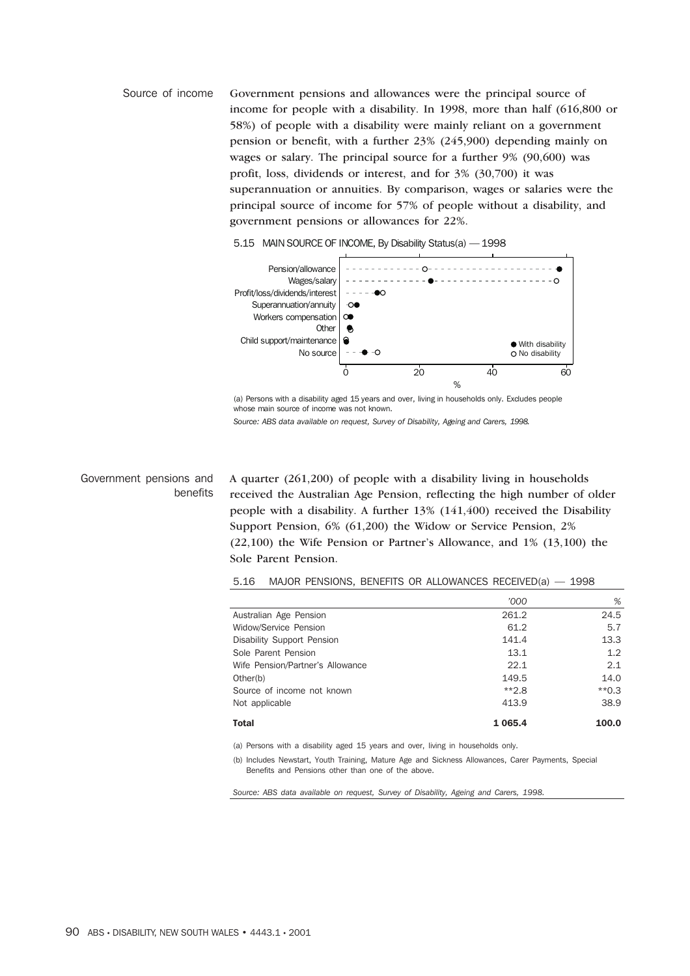Source of income Government pensions and allowances were the principal source of income for people with a disability. In 1998, more than half (616,800 or 58%) of people with a disability were mainly reliant on a government pension or benefit, with a further 23% (245,900) depending mainly on wages or salary. The principal source for a further 9% (90,600) was profit, loss, dividends or interest, and for 3% (30,700) it was superannuation or annuities. By comparison, wages or salaries were the principal source of income for 57% of people without a disability, and government pensions or allowances for 22%.



5.15 MAIN SOURCE OF INCOME, By Disability Status(a) — 1998

(a) Persons with a disability aged 15 years and over, living in households only. Excludes people whose main source of income was not known.

*Source: ABS data available on request, Survey of Disability, Ageing and Carers, 1998.*

# Government pensions and benefits

A quarter (261,200) of people with a disability living in households received the Australian Age Pension, reflecting the high number of older people with a disability. A further 13% (141,400) received the Disability Support Pension, 6% (61,200) the Widow or Service Pension, 2% (22,100) the Wife Pension or Partner's Allowance, and 1% (13,100) the Sole Parent Pension.

*'000 %*

5.16 MAJOR PENSIONS, BENEFITS OR ALLOWANCES RECEIVED(a) — 1998

| <b>Total</b>                      | 1 0 6 5 . 4 | 100.0                    |
|-----------------------------------|-------------|--------------------------|
| Not applicable                    | 413.9       | 38.9                     |
| Source of income not known        | $*2.8$      | $*$ 0.3                  |
| Other(b)                          | 149.5       | 14.0                     |
| Wife Pension/Partner's Allowance  | 22.1        | 2.1                      |
| Sole Parent Pension               | 13.1        | 1.2                      |
| <b>Disability Support Pension</b> | 141.4       | 13.3                     |
| Widow/Service Pension             | 61.2        | 5.7                      |
| Australian Age Pension            | 261.2       | 24.5                     |
|                                   |             | $\overline{\phantom{a}}$ |

(a) Persons with a disability aged 15 years and over, living in households only.

(b) Includes Newstart, Youth Training, Mature Age and Sickness Allowances, Carer Payments, Special Benefits and Pensions other than one of the above.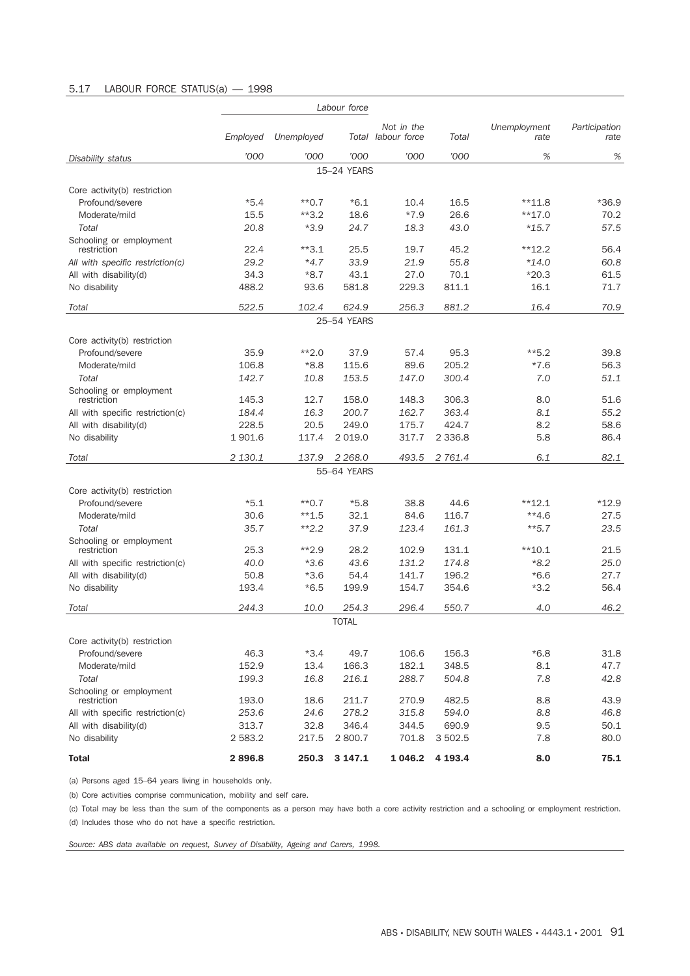# 5.17 LABOUR FORCE STATUS(a) — 1998

|                                        | Labour force |            |              |                                  |           |                      |                       |
|----------------------------------------|--------------|------------|--------------|----------------------------------|-----------|----------------------|-----------------------|
|                                        | Employed     | Unemployed |              | Not in the<br>Total labour force | Total     | Unemployment<br>rate | Participation<br>rate |
| Disability status                      | '000         | '000       | '000         | '000                             | '000      | %                    | %                     |
|                                        |              |            | 15-24 YEARS  |                                  |           |                      |                       |
| Core activity(b) restriction           |              |            |              |                                  |           |                      |                       |
| Profound/severe                        | $*5.4$       | $*$ *0.7   | $*6.1$       | 10.4                             | 16.5      | $**11.8$             | $*36.9$               |
| Moderate/mild                          | 15.5         | $*3.2$     | 18.6         | $*7.9$                           | 26.6      | $**17.0$             | 70.2                  |
| Total                                  | 20.8         | $*3.9$     | 24.7         | 18.3                             | 43.0      | $*15.7$              | 57.5                  |
| Schooling or employment<br>restriction | 22.4         | $*3.1$     | 25.5         | 19.7                             | 45.2      | $*12.2$              | 56.4                  |
| All with specific restriction(c)       | 29.2         | $*4.7$     | 33.9         | 21.9                             | 55.8      | *14.0                | 60.8                  |
| All with disability(d)                 | 34.3         | $*8.7$     | 43.1         | 27.0                             | 70.1      | $*20.3$              | 61.5                  |
| No disability                          | 488.2        | 93.6       | 581.8        | 229.3                            | 811.1     | 16.1                 | 71.7                  |
| Total                                  | 522.5        | 102.4      | 624.9        | 256.3                            | 881.2     | 16.4                 | 70.9                  |
|                                        |              |            | 25-54 YEARS  |                                  |           |                      |                       |
| Core activity(b) restriction           |              |            |              |                                  |           |                      |                       |
| Profound/severe                        | 35.9         | $*2.0$     | 37.9         | 57.4                             | 95.3      | $**5.2$              | 39.8                  |
| Moderate/mild                          | 106.8        | $*8.8$     | 115.6        | 89.6                             | 205.2     | $*7.6$               | 56.3                  |
| Total                                  | 142.7        | 10.8       | 153.5        | 147.0                            | 300.4     | 7.0                  | 51.1                  |
| Schooling or employment<br>restriction | 145.3        | 12.7       | 158.0        | 148.3                            | 306.3     | 8.0                  | 51.6                  |
| All with specific restriction(c)       | 184.4        | 16.3       | 200.7        | 162.7                            | 363.4     | 8.1                  | 55.2                  |
| All with disability(d)                 | 228.5        | 20.5       | 249.0        | 175.7                            | 424.7     | 8.2                  | 58.6                  |
| No disability                          | 1 901.6      | 117.4      | 2 0 1 9.0    | 317.7                            | 2 3 3 6.8 | 5.8                  | 86.4                  |
| Total                                  | 2 130.1      | 137.9      | 2 2 68.0     | 493.5                            | 2 761.4   | 6.1                  | 82.1                  |
|                                        |              |            | 55-64 YEARS  |                                  |           |                      |                       |
| Core activity(b) restriction           |              |            |              |                                  |           |                      |                       |
| Profound/severe                        | $*5.1$       | $*$ *0.7   | $*5.8$       | 38.8                             | 44.6      | $*$ *12.1            | $*12.9$               |
| Moderate/mild                          | 30.6         | $**1.5$    | 32.1         | 84.6                             | 116.7     | $**4.6$              | 27.5                  |
| Total                                  | 35.7         | $**2.2$    | 37.9         | 123.4                            | 161.3     | $**5.7$              | 23.5                  |
| Schooling or employment                |              |            |              |                                  |           |                      |                       |
| restriction                            | 25.3         | $**2.9$    | 28.2         | 102.9                            | 131.1     | $*$ *10.1            | 21.5                  |
| All with specific restriction(c)       | 40.0         | $*3.6$     | 43.6         | 131.2                            | 174.8     | $*8.2$               | 25.0                  |
| All with disability(d)                 | 50.8         | $*3.6$     | 54.4         | 141.7                            | 196.2     | $*6.6$               | 27.7                  |
| No disability                          | 193.4        | $*6.5$     | 199.9        | 154.7                            | 354.6     | $*3.2$               | 56.4                  |
| Total                                  | 244.3        | 10.0       | 254.3        | 296.4                            | 550.7     | 4.0                  | 46.2                  |
|                                        |              |            | <b>TOTAL</b> |                                  |           |                      |                       |
| Core activity(b) restriction           |              |            |              |                                  |           |                      |                       |
| Profound/severe                        | 46.3         | $*3.4$     | 49.7         | 106.6                            | 156.3     | $*6.8$               | 31.8                  |
| Moderate/mild                          | 152.9        | 13.4       | 166.3        | 182.1                            | 348.5     | 8.1                  | 47.7                  |
| Total                                  | 199.3        | 16.8       | 216.1        | 288.7                            | 504.8     | 7.8                  | 42.8                  |
| Schooling or employment<br>restriction | 193.0        | 18.6       | 211.7        | 270.9                            | 482.5     | 8.8                  | 43.9                  |
| All with specific restriction(c)       | 253.6        | 24.6       | 278.2        | 315.8                            | 594.0     | 8.8                  | 46.8                  |
| All with disability(d)                 | 313.7        | 32.8       | 346.4        | 344.5                            | 690.9     | 9.5                  | 50.1                  |
| No disability                          | 2 5 8 3.2    | 217.5      | 2 800.7      | 701.8                            | 3 502.5   | 7.8                  | 80.0                  |
| <b>Total</b>                           | 2896.8       | 250.3      | 3 147.1      | 1 0 4 6.2                        | 4 193.4   | 8.0                  | 75.1                  |

(a) Persons aged 15–64 years living in households only.

(b) Core activities comprise communication, mobility and self care.

(c) Total may be less than the sum of the components as a person may have both a core activity restriction and a schooling or employment restriction. (d) Includes those who do not have a specific restriction.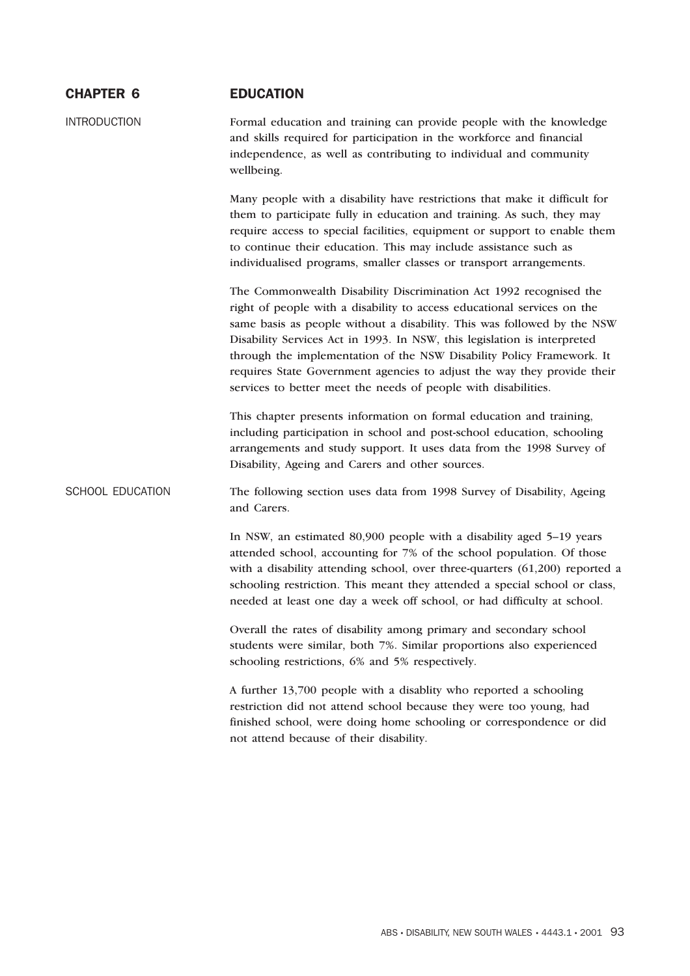| <b>INTRODUCTION</b><br>Formal education and training can provide people with the knowledge<br>and skills required for participation in the workforce and financial<br>independence, as well as contributing to individual and community<br>wellbeing.<br>Many people with a disability have restrictions that make it difficult for<br>them to participate fully in education and training. As such, they may<br>require access to special facilities, equipment or support to enable them<br>to continue their education. This may include assistance such as<br>individualised programs, smaller classes or transport arrangements. |  |
|---------------------------------------------------------------------------------------------------------------------------------------------------------------------------------------------------------------------------------------------------------------------------------------------------------------------------------------------------------------------------------------------------------------------------------------------------------------------------------------------------------------------------------------------------------------------------------------------------------------------------------------|--|
|                                                                                                                                                                                                                                                                                                                                                                                                                                                                                                                                                                                                                                       |  |
|                                                                                                                                                                                                                                                                                                                                                                                                                                                                                                                                                                                                                                       |  |
| The Commonwealth Disability Discrimination Act 1992 recognised the<br>right of people with a disability to access educational services on the<br>same basis as people without a disability. This was followed by the NSW<br>Disability Services Act in 1993. In NSW, this legislation is interpreted<br>through the implementation of the NSW Disability Policy Framework. It<br>requires State Government agencies to adjust the way they provide their<br>services to better meet the needs of people with disabilities.                                                                                                            |  |
| This chapter presents information on formal education and training,<br>including participation in school and post-school education, schooling<br>arrangements and study support. It uses data from the 1998 Survey of<br>Disability, Ageing and Carers and other sources.                                                                                                                                                                                                                                                                                                                                                             |  |
| SCHOOL EDUCATION<br>The following section uses data from 1998 Survey of Disability, Ageing<br>and Carers.                                                                                                                                                                                                                                                                                                                                                                                                                                                                                                                             |  |
| In NSW, an estimated 80,900 people with a disability aged 5-19 years<br>attended school, accounting for 7% of the school population. Of those<br>with a disability attending school, over three-quarters (61,200) reported a<br>schooling restriction. This meant they attended a special school or class,<br>needed at least one day a week off school, or had difficulty at school.                                                                                                                                                                                                                                                 |  |
| Overall the rates of disability among primary and secondary school<br>students were similar, both 7%. Similar proportions also experienced<br>schooling restrictions, 6% and 5% respectively.                                                                                                                                                                                                                                                                                                                                                                                                                                         |  |
| A further 13,700 people with a disablity who reported a schooling<br>restriction did not attend school because they were too young, had<br>finished school, were doing home schooling or correspondence or did<br>not attend because of their disability.                                                                                                                                                                                                                                                                                                                                                                             |  |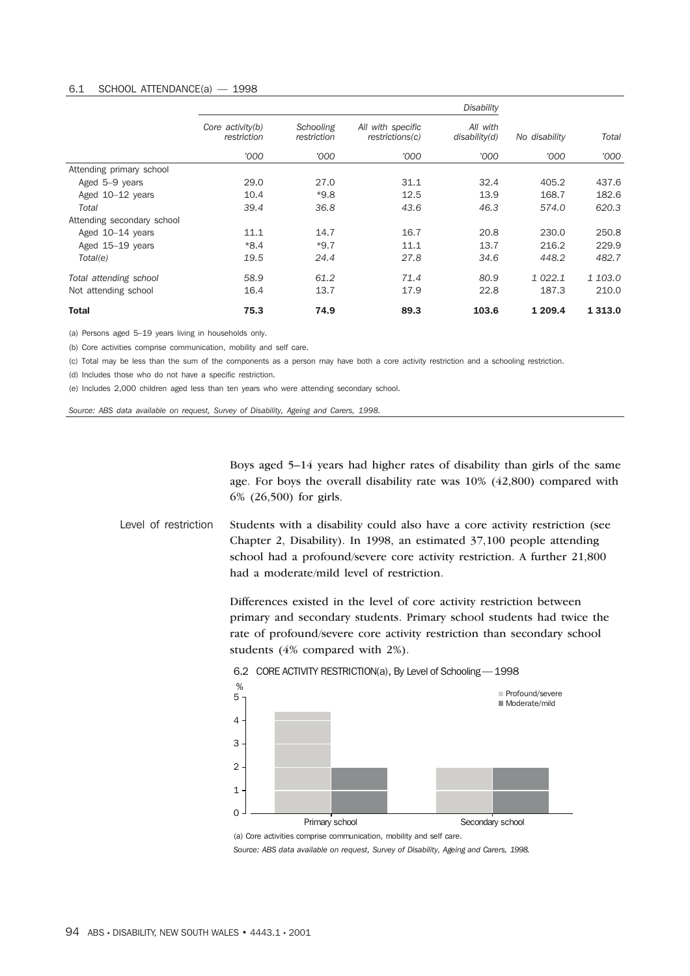#### 6.1 SCHOOL ATTENDANCE(a) — 1998

|                            |                                 | <b>Disability</b>        |                                      |                           |               |            |
|----------------------------|---------------------------------|--------------------------|--------------------------------------|---------------------------|---------------|------------|
|                            | Core activity(b)<br>restriction | Schooling<br>restriction | All with specific<br>restrictions(c) | All with<br>disability(d) | No disability | Total      |
|                            | '000                            | '000                     | '000                                 | '000'                     | '000          | '000       |
| Attending primary school   |                                 |                          |                                      |                           |               |            |
| Aged 5-9 years             | 29.0                            | 27.0                     | 31.1                                 | 32.4                      | 405.2         | 437.6      |
| Aged 10-12 years           | 10.4                            | $*9.8$                   | 12.5                                 | 13.9                      | 168.7         | 182.6      |
| Total                      | 39.4                            | 36.8                     | 43.6                                 | 46.3                      | 574.0         | 620.3      |
| Attending secondary school |                                 |                          |                                      |                           |               |            |
| Aged 10-14 years           | 11.1                            | 14.7                     | 16.7                                 | 20.8                      | 230.0         | 250.8      |
| Aged 15-19 years           | $*8.4$                          | $*9.7$                   | 11.1                                 | 13.7                      | 216.2         | 229.9      |
| Total(e)                   | 19.5                            | 24.4                     | 27.8                                 | 34.6                      | 448.2         | 482.7      |
| Total attending school     | 58.9                            | 61.2                     | 71.4                                 | 80.9                      | 1 0 2 2.1     | 1 103.0    |
| Not attending school       | 16.4                            | 13.7                     | 17.9                                 | 22.8                      | 187.3         | 210.0      |
| <b>Total</b>               | 75.3                            | 74.9                     | 89.3                                 | 103.6                     | 1 209.4       | 1 3 1 3 .0 |

(a) Persons aged 5–19 years living in households only.

(b) Core activities comprise communication, mobility and self care.

(c) Total may be less than the sum of the components as a person may have both a core activity restriction and a schooling restriction.

(d) Includes those who do not have a specific restriction.

(e) Includes 2,000 children aged less than ten years who were attending secondary school.

*Source: ABS data available on request, Survey of Disability, Ageing and Carers, 1998.*

Boys aged 5–14 years had higher rates of disability than girls of the same age. For boys the overall disability rate was 10% (42,800) compared with 6% (26,500) for girls.

Level of restriction Students with a disability could also have a core activity restriction (see Chapter 2, Disability). In 1998, an estimated 37,100 people attending school had a profound/severe core activity restriction. A further 21,800 had a moderate/mild level of restriction.

> Differences existed in the level of core activity restriction between primary and secondary students. Primary school students had twice the rate of profound/severe core activity restriction than secondary school students (4% compared with 2%).



(a) Core activities comprise communication, mobility and self care.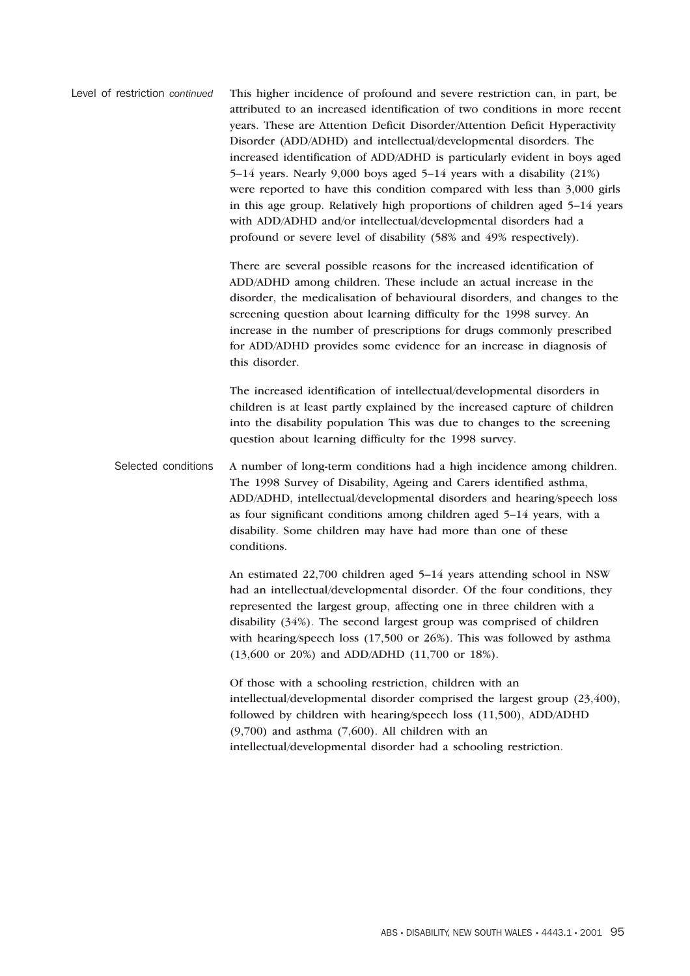Level of restriction *continued* This higher incidence of profound and severe restriction can, in part, be attributed to an increased identification of two conditions in more recent years. These are Attention Deficit Disorder/Attention Deficit Hyperactivity Disorder (ADD/ADHD) and intellectual/developmental disorders. The increased identification of ADD/ADHD is particularly evident in boys aged 5–14 years. Nearly 9,000 boys aged 5–14 years with a disability (21%) were reported to have this condition compared with less than 3,000 girls in this age group. Relatively high proportions of children aged 5–14 years with ADD/ADHD and/or intellectual/developmental disorders had a profound or severe level of disability (58% and 49% respectively).

> There are several possible reasons for the increased identification of ADD/ADHD among children. These include an actual increase in the disorder, the medicalisation of behavioural disorders, and changes to the screening question about learning difficulty for the 1998 survey. An increase in the number of prescriptions for drugs commonly prescribed for ADD/ADHD provides some evidence for an increase in diagnosis of this disorder.

The increased identification of intellectual/developmental disorders in children is at least partly explained by the increased capture of children into the disability population This was due to changes to the screening question about learning difficulty for the 1998 survey.

Selected conditions A number of long-term conditions had a high incidence among children. The 1998 Survey of Disability, Ageing and Carers identified asthma, ADD/ADHD, intellectual/developmental disorders and hearing/speech loss as four significant conditions among children aged 5–14 years, with a disability. Some children may have had more than one of these conditions.

> An estimated 22,700 children aged 5–14 years attending school in NSW had an intellectual/developmental disorder. Of the four conditions, they represented the largest group, affecting one in three children with a disability (34%). The second largest group was comprised of children with hearing/speech loss (17,500 or 26%). This was followed by asthma (13,600 or 20%) and ADD/ADHD (11,700 or 18%).

Of those with a schooling restriction, children with an intellectual/developmental disorder comprised the largest group (23,400), followed by children with hearing/speech loss (11,500), ADD/ADHD (9,700) and asthma (7,600). All children with an intellectual/developmental disorder had a schooling restriction.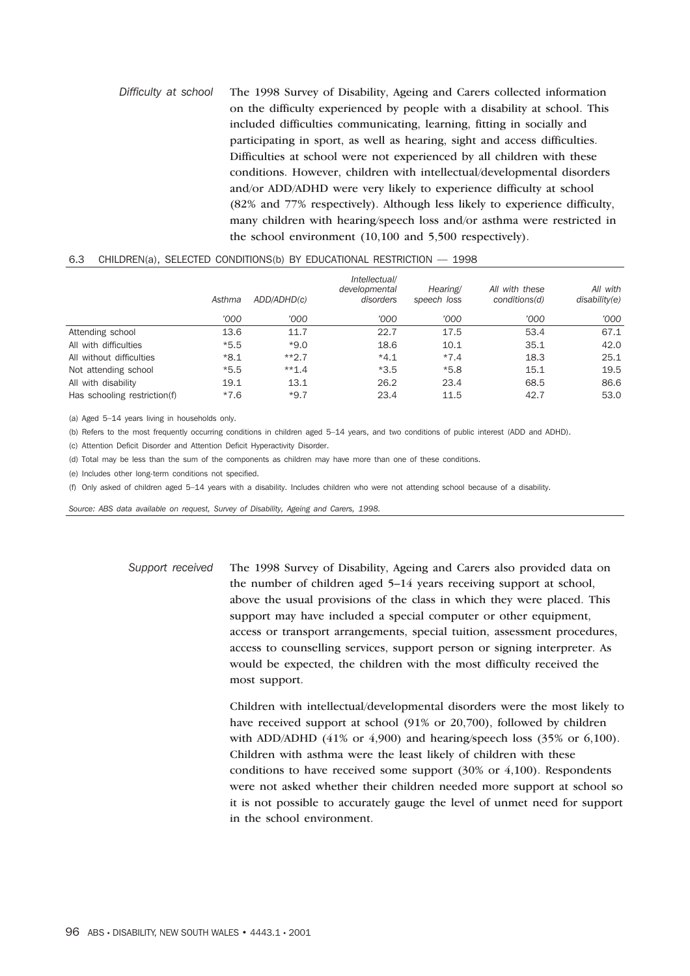*Difficulty at school* The 1998 Survey of Disability, Ageing and Carers collected information on the difficulty experienced by people with a disability at school. This included difficulties communicating, learning, fitting in socially and participating in sport, as well as hearing, sight and access difficulties. Difficulties at school were not experienced by all children with these conditions. However, children with intellectual/developmental disorders and/or ADD/ADHD were very likely to experience difficulty at school (82% and 77% respectively). Although less likely to experience difficulty, many children with hearing/speech loss and/or asthma were restricted in the school environment (10,100 and 5,500 respectively).

# 6.3 CHILDREN(a), SELECTED CONDITIONS(b) BY EDUCATIONAL RESTRICTION — 1998

|                              | Asthma | ADD/ADHD(c) | Intellectual/<br>developmental<br>disorders | Hearing/<br>speech loss | All with these<br>conditions(d) | All with<br>disability(e) |
|------------------------------|--------|-------------|---------------------------------------------|-------------------------|---------------------------------|---------------------------|
|                              | '000   | '000        | '000                                        | '000                    | '000                            | '000                      |
| Attending school             | 13.6   | 11.7        | 22.7                                        | 17.5                    | 53.4                            | 67.1                      |
| All with difficulties        | $*5.5$ | $*9.0$      | 18.6                                        | 10.1                    | 35.1                            | 42.0                      |
| All without difficulties     | $*8.1$ | $**2.7$     | $*4.1$                                      | $*7.4$                  | 18.3                            | 25.1                      |
| Not attending school         | $*5.5$ | $**1.4$     | $*3.5$                                      | $*5.8$                  | 15.1                            | 19.5                      |
| All with disability          | 19.1   | 13.1        | 26.2                                        | 23.4                    | 68.5                            | 86.6                      |
| Has schooling restriction(f) | $*7.6$ | $*9.7$      | 23.4                                        | 11.5                    | 42.7                            | 53.0                      |

(a) Aged 5–14 years living in households only.

(b) Refers to the most frequently occurring conditions in children aged 5–14 years, and two conditions of public interest (ADD and ADHD).

(c) Attention Deficit Disorder and Attention Deficit Hyperactivity Disorder.

(d) Total may be less than the sum of the components as children may have more than one of these conditions.

(e) Includes other long-term conditions not specified.

(f) Only asked of children aged 5–14 years with a disability. Includes children who were not attending school because of a disability.

*Source: ABS data available on request, Survey of Disability, Ageing and Carers, 1998.*

*Support received* The 1998 Survey of Disability, Ageing and Carers also provided data on the number of children aged 5–14 years receiving support at school, above the usual provisions of the class in which they were placed. This support may have included a special computer or other equipment, access or transport arrangements, special tuition, assessment procedures, access to counselling services, support person or signing interpreter. As would be expected, the children with the most difficulty received the most support.

> Children with intellectual/developmental disorders were the most likely to have received support at school (91% or 20,700), followed by children with ADD/ADHD  $(41\% \text{ or } 4,900)$  and hearing/speech loss  $(35\% \text{ or } 6,100)$ . Children with asthma were the least likely of children with these conditions to have received some support  $(30\% \text{ or } 4,100)$ . Respondents were not asked whether their children needed more support at school so it is not possible to accurately gauge the level of unmet need for support in the school environment.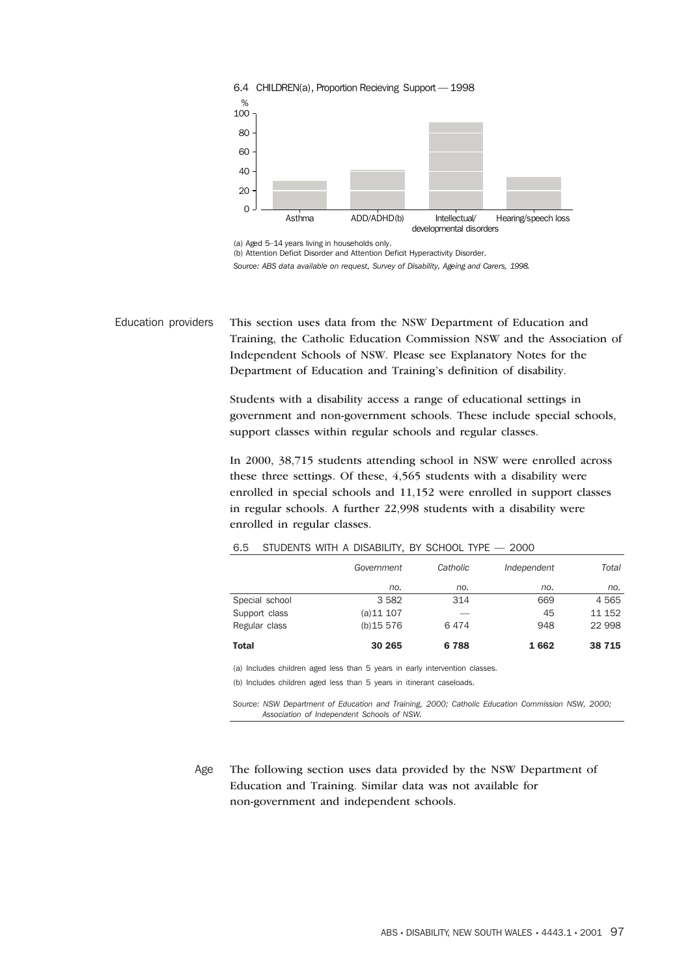

<sup>(</sup>a) Aged 5–14 years living in households only.

(b) Attention Deficit Disorder and Attention Deficit Hyperactivity Disorder.

*Source: ABS data available on request, Survey of Disability, Ageing and Carers, 1998.*

Education providers This section uses data from the NSW Department of Education and Training, the Catholic Education Commission NSW and the Association of Independent Schools of NSW. Please see Explanatory Notes for the Department of Education and Training's definition of disability.

> Students with a disability access a range of educational settings in government and non-government schools. These include special schools, support classes within regular schools and regular classes.

> In 2000, 38,715 students attending school in NSW were enrolled across these three settings. Of these, 4,565 students with a disability were enrolled in special schools and 11,152 were enrolled in support classes in regular schools. A further 22,998 students with a disability were enrolled in regular classes.

|                | Government | Catholic | Independent | Total   |
|----------------|------------|----------|-------------|---------|
|                | no.        | no.      | no.         | no.     |
| Special school | 3582       | 314      | 669         | 4565    |
| Support class  | (a)11 107  |          | 45          | 11 152  |
| Regular class  | (b)15576   | 6474     | 948         | 22 998  |
| <b>Total</b>   | 30 265     | 6788     | 1662        | 38 7 15 |

6.5 STUDENTS WITH A DISABILITY, BY SCHOOL TYPE — 2000

(a) Includes children aged less than 5 years in early intervention classes. (b) Includes children aged less than 5 years in itinerant caseloads.

*Source: NSW Department of Education and Training, 2000; Catholic Education Commission NSW, 2000; Association of Independent Schools of NSW.*

Age The following section uses data provided by the NSW Department of Education and Training. Similar data was not available for non-government and independent schools.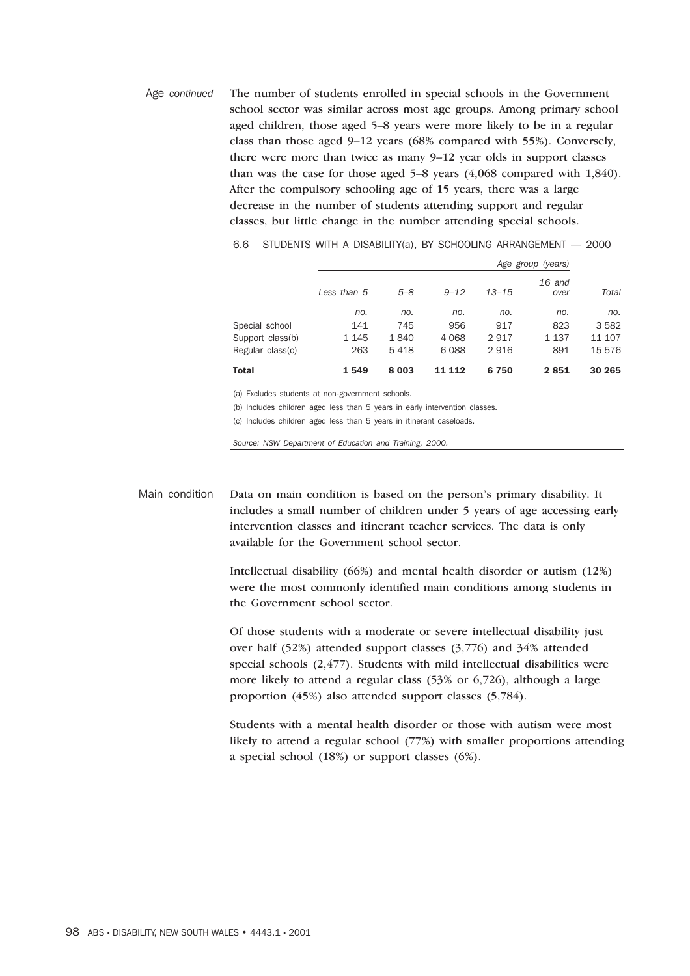Age *continued* The number of students enrolled in special schools in the Government school sector was similar across most age groups. Among primary school aged children, those aged 5–8 years were more likely to be in a regular class than those aged 9–12 years (68% compared with 55%). Conversely, there were more than twice as many 9–12 year olds in support classes than was the case for those aged 5–8 years (4,068 compared with 1,840). After the compulsory schooling age of 15 years, there was a large decrease in the number of students attending support and regular classes, but little change in the number attending special schools.

|                  | Less than 5 | $5 - 8$ | $9 - 12$         | $13 - 15$ | $16$ and<br>over | Total  |
|------------------|-------------|---------|------------------|-----------|------------------|--------|
|                  | no.         | no.     | no.              | no.       | no.              | no.    |
| Special school   | 141         | 745     | 956              | 917       | 823              | 3582   |
| Support class(b) | 1 1 4 5     | 1840    | 4 0 6 8          | 2917      | 1 137            | 11 107 |
| Regular class(c) | 263         | 5418    | 6088             | 2916      | 891              | 15 576 |
| <b>Total</b>     | 1549        | 8 0 0 3 | <b>112</b><br>11 | 6750      | 2851             | 30 265 |

| 6.6 |  |  |  |  |  | STUDENTS WITH A DISABILITY(a), BY SCHOOLING ARRANGEMENT $-$ 2000 |  |  |
|-----|--|--|--|--|--|------------------------------------------------------------------|--|--|
|-----|--|--|--|--|--|------------------------------------------------------------------|--|--|

(a) Excludes students at non-government schools.

(b) Includes children aged less than 5 years in early intervention classes.

(c) Includes children aged less than 5 years in itinerant caseloads.

*Source: NSW Department of Education and Training, 2000.*

Main condition Data on main condition is based on the person's primary disability. It includes a small number of children under 5 years of age accessing early intervention classes and itinerant teacher services. The data is only available for the Government school sector.

> Intellectual disability (66%) and mental health disorder or autism (12%) were the most commonly identified main conditions among students in the Government school sector.

Of those students with a moderate or severe intellectual disability just over half (52%) attended support classes (3,776) and 34% attended special schools (2,477). Students with mild intellectual disabilities were more likely to attend a regular class (53% or 6,726), although a large proportion (45%) also attended support classes (5,784).

Students with a mental health disorder or those with autism were most likely to attend a regular school (77%) with smaller proportions attending a special school (18%) or support classes (6%).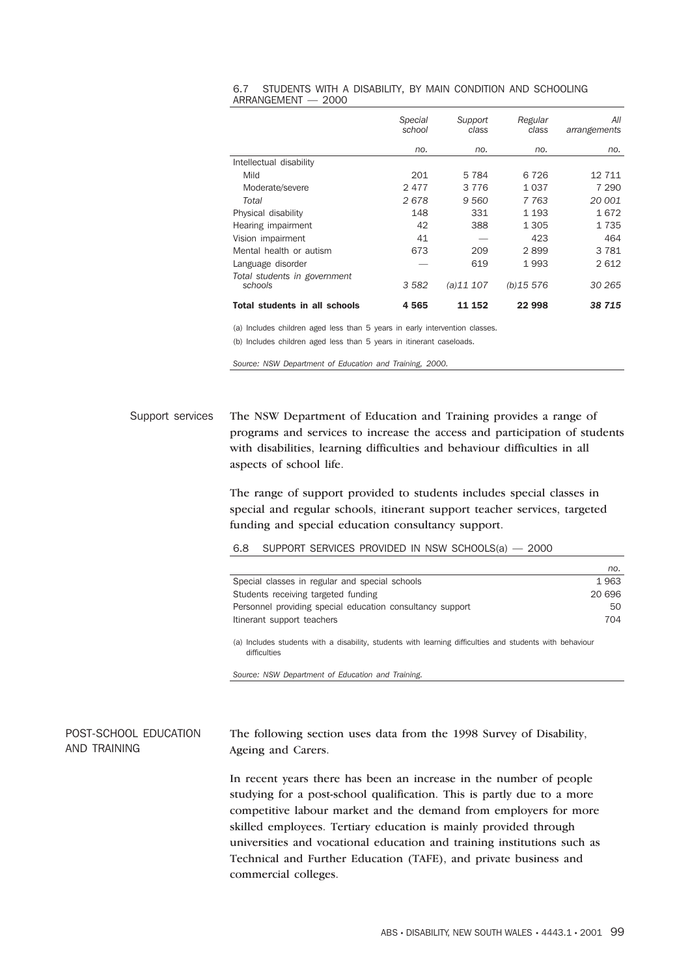|                                         | <b>Special</b><br>school | Support<br>class | Regular<br>class | All<br>arrangements |
|-----------------------------------------|--------------------------|------------------|------------------|---------------------|
|                                         | no.                      | no.              | no.              | no.                 |
| Intellectual disability                 |                          |                  |                  |                     |
| Mild                                    | 201                      | 5784             | 6726             | 12 711              |
| Moderate/severe                         | 2477                     | 3 7 7 6          | 1 0 3 7          | 7 2 9 0             |
| Total                                   | 2678                     | 9 5 6 0          | 7 7 6 3          | 20 001              |
| Physical disability                     | 148                      | 331              | 1 1 9 3          | 1672                |
| Hearing impairment                      | 42                       | 388              | 1 3 0 5          | 1735                |
| Vision impairment                       | 41                       |                  | 423              | 464                 |
| Mental health or autism                 | 673                      | 209              | 2899             | 3781                |
| Language disorder                       |                          | 619              | 1993             | 2 6 1 2             |
| Total students in government<br>schools | 3582                     | (a)11 107        | (b)15576         | 30 265              |
| <b>Total students in all schools</b>    | 4565                     | 11 152           | 22 998           | 38 715              |

#### 6.7 STUDENTS WITH A DISABILITY, BY MAIN CONDITION AND SCHOOLING ARRANGEMENT — 2000

(a) Includes children aged less than 5 years in early intervention classes. (b) Includes children aged less than 5 years in itinerant caseloads.

*Source: NSW Department of Education and Training, 2000.*

Support services The NSW Department of Education and Training provides a range of programs and services to increase the access and participation of students with disabilities, learning difficulties and behaviour difficulties in all aspects of school life.

> The range of support provided to students includes special classes in special and regular schools, itinerant support teacher services, targeted funding and special education consultancy support.

6.8 SUPPORT SERVICES PROVIDED IN NSW SCHOOLS(a) — 2000

|                                                                                                                          | no.    |
|--------------------------------------------------------------------------------------------------------------------------|--------|
| Special classes in regular and special schools                                                                           | 1963   |
| Students receiving targeted funding                                                                                      | 20 696 |
| Personnel providing special education consultancy support                                                                | 50     |
| Itinerant support teachers                                                                                               | 704    |
| (a) Includes students with a disability, students with learning difficulties and students with behaviour<br>difficulties |        |

POST-SCHOOL EDUCATION AND TRAINING The following section uses data from the 1998 Survey of Disability, Ageing and Carers.

*Source: NSW Department of Education and Training.*

In recent years there has been an increase in the number of people studying for a post-school qualification. This is partly due to a more competitive labour market and the demand from employers for more skilled employees. Tertiary education is mainly provided through universities and vocational education and training institutions such as Technical and Further Education (TAFE), and private business and commercial colleges.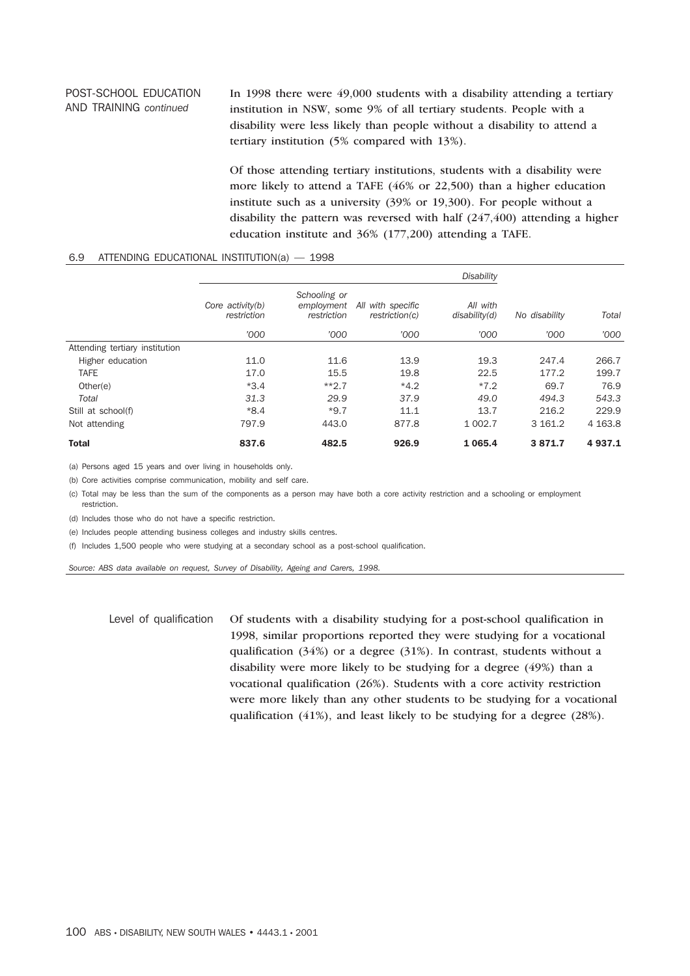#### POST-SCHOOL EDUCATION AND TRAINING *continued* In 1998 there were 49,000 students with a disability attending a tertiary institution in NSW, some 9% of all tertiary students. People with a disability were less likely than people without a disability to attend a tertiary institution (5% compared with 13%).

Of those attending tertiary institutions, students with a disability were more likely to attend a TAFE (46% or 22,500) than a higher education institute such as a university (39% or 19,300). For people without a disability the pattern was reversed with half  $(247, 400)$  attending a higher education institute and 36% (177,200) attending a TAFE.

#### 6.9 ATTENDING EDUCATIONAL INSTITUTION(a) — 1998

|                                |                                 |                                           |                                     | <b>Disability</b>         |               |           |
|--------------------------------|---------------------------------|-------------------------------------------|-------------------------------------|---------------------------|---------------|-----------|
|                                | Core activity(b)<br>restriction | Schooling or<br>employment<br>restriction | All with specific<br>restriction(c) | All with<br>disability(d) | No disability | Total     |
|                                | '000                            | '000                                      | '000                                | '000                      | '000          | '000      |
| Attending tertiary institution |                                 |                                           |                                     |                           |               |           |
| Higher education               | 11.0                            | 11.6                                      | 13.9                                | 19.3                      | 247.4         | 266.7     |
| <b>TAFE</b>                    | 17.0                            | 15.5                                      | 19.8                                | 22.5                      | 177.2         | 199.7     |
| Other(e)                       | $*3.4$                          | $**2.7$                                   | $*4.2$                              | $*7.2$                    | 69.7          | 76.9      |
| Total                          | 31.3                            | 29.9                                      | 37.9                                | 49.0                      | 494.3         | 543.3     |
| Still at school(f)             | $*8.4$                          | $*9.7$                                    | 11.1                                | 13.7                      | 216.2         | 229.9     |
| Not attending                  | 797.9                           | 443.0                                     | 877.8                               | 1 0 0 2.7                 | 3 161.2       | 4 1 6 3.8 |
| <b>Total</b>                   | 837.6                           | 482.5                                     | 926.9                               | 1 0 6 5.4                 | 3871.7        | 4937.1    |

(a) Persons aged 15 years and over living in households only.

(b) Core activities comprise communication, mobility and self care.

(c) Total may be less than the sum of the components as a person may have both a core activity restriction and a schooling or employment restriction.

(d) Includes those who do not have a specific restriction.

(e) Includes people attending business colleges and industry skills centres.

(f) Includes 1,500 people who were studying at a secondary school as a post-school qualification.

*Source: ABS data available on request, Survey of Disability, Ageing and Carers, 1998.*

Level of qualification Of students with a disability studying for a post-school qualification in 1998, similar proportions reported they were studying for a vocational qualification (34%) or a degree (31%). In contrast, students without a disability were more likely to be studying for a degree (49%) than a vocational qualification (26%). Students with a core activity restriction were more likely than any other students to be studying for a vocational qualification (41%), and least likely to be studying for a degree (28%).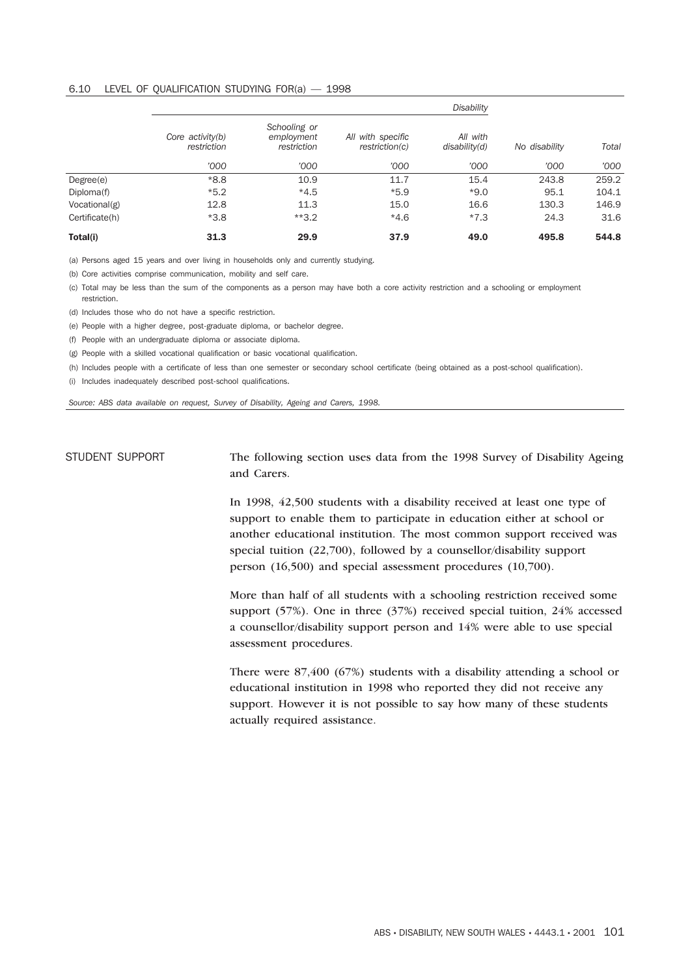#### 6.10 LEVEL OF QUALIFICATION STUDYING FOR(a) — 1998

|                |                                 |                                           |                                     | <b>Disability</b>         |               |       |
|----------------|---------------------------------|-------------------------------------------|-------------------------------------|---------------------------|---------------|-------|
|                | Core activity(b)<br>restriction | Schooling or<br>employment<br>restriction | All with specific<br>restriction(c) | All with<br>disability(d) | No disability | Total |
|                | '000                            | '000                                      | '000                                | '000                      | '000          | '000  |
| Degree(e)      | $*8.8$                          | 10.9                                      | 11.7                                | 15.4                      | 243.8         | 259.2 |
| Diploma(f)     | $*5.2$                          | $*4.5$                                    | $*5.9$                              | $*9.0$                    | 95.1          | 104.1 |
| Vocational(g)  | 12.8                            | 11.3                                      | 15.0                                | 16.6                      | 130.3         | 146.9 |
| Certificate(h) | $*3.8$                          | $*3.2$                                    | $*4.6$                              | $*7.3$                    | 24.3          | 31.6  |
| Total(i)       | 31.3                            | 29.9                                      | 37.9                                | 49.0                      | 495.8         | 544.8 |

(a) Persons aged 15 years and over living in households only and currently studying.

(b) Core activities comprise communication, mobility and self care.

(c) Total may be less than the sum of the components as a person may have both a core activity restriction and a schooling or employment restriction.

(d) Includes those who do not have a specific restriction.

(e) People with a higher degree, post-graduate diploma, or bachelor degree.

(f) People with an undergraduate diploma or associate diploma.

(g) People with a skilled vocational qualification or basic vocational qualification.

(h) Includes people with a certificate of less than one semester or secondary school certificate (being obtained as a post-school qualification).

(i) Includes inadequately described post-school qualifications.

*Source: ABS data available on request, Survey of Disability, Ageing and Carers, 1998.*

STUDENT SUPPORT The following section uses data from the 1998 Survey of Disability Ageing and Carers.

> In 1998, 42,500 students with a disability received at least one type of support to enable them to participate in education either at school or another educational institution. The most common support received was special tuition (22,700), followed by a counsellor/disability support person (16,500) and special assessment procedures (10,700).

More than half of all students with a schooling restriction received some support (57%). One in three (37%) received special tuition, 24% accessed a counsellor/disability support person and 14% were able to use special assessment procedures.

There were 87,400 (67%) students with a disability attending a school or educational institution in 1998 who reported they did not receive any support. However it is not possible to say how many of these students actually required assistance.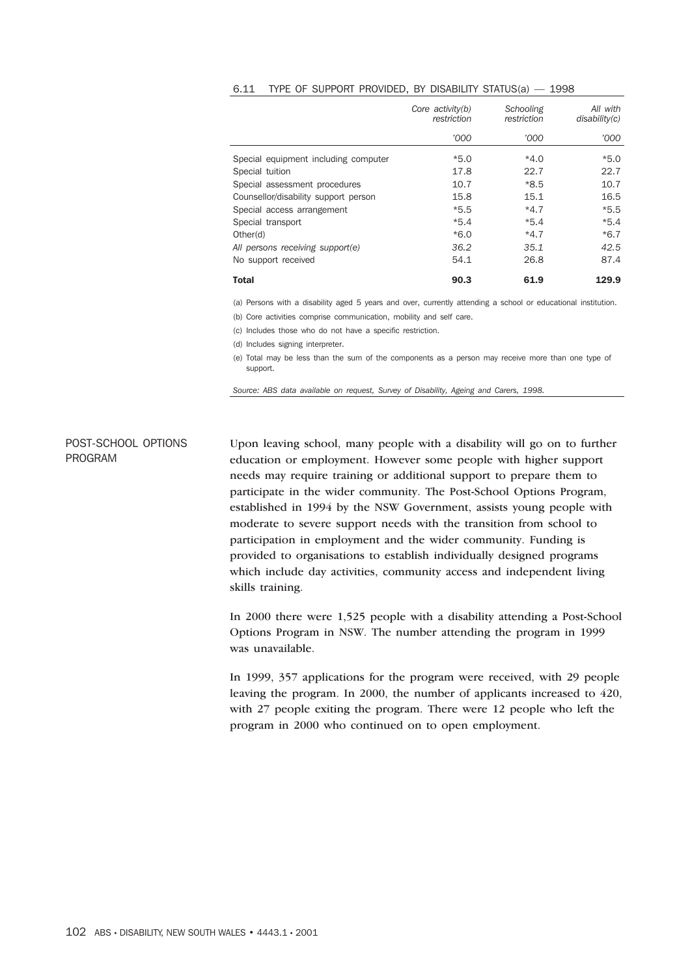|                                      | Core activity(b)<br>restriction | Schooling<br>restriction | All with<br>disability(c) |
|--------------------------------------|---------------------------------|--------------------------|---------------------------|
|                                      | '000                            | '000                     | '000                      |
| Special equipment including computer | $*5.0$                          | $*4.0$                   | $*5.0$                    |
| Special tuition                      | 17.8                            | 22.7                     | 22.7                      |
| Special assessment procedures        | 10.7                            | *8.5                     | 10.7                      |
| Counsellor/disability support person | 15.8                            | 15.1                     | 16.5                      |
| Special access arrangement           | $*5.5$                          | $*4.7$                   | $*5.5$                    |
| Special transport                    | $*5.4$                          | $*5.4$                   | $*5.4$                    |
| Other(d)                             | $*6.0$                          | $*4.7$                   | $*6.7$                    |
| All persons receiving support(e)     | 36.2                            | 35.1                     | 42.5                      |
| No support received                  | 54.1                            | 26.8                     | 87.4                      |
| <b>Total</b>                         | 90.3                            | 61.9                     | 129.9                     |

#### 6.11 TYPE OF SUPPORT PROVIDED, BY DISABILITY STATUS(a) — 1998

(a) Persons with a disability aged 5 years and over, currently attending a school or educational institution.

(b) Core activities comprise communication, mobility and self care.

(c) Includes those who do not have a specific restriction.

(d) Includes signing interpreter.

(e) Total may be less than the sum of the components as a person may receive more than one type of support.

*Source: ABS data available on request, Survey of Disability, Ageing and Carers, 1998.*

# POST-SCHOOL OPTIONS PROGRAM

Upon leaving school, many people with a disability will go on to further education or employment. However some people with higher support needs may require training or additional support to prepare them to participate in the wider community. The Post-School Options Program, established in 1994 by the NSW Government, assists young people with moderate to severe support needs with the transition from school to participation in employment and the wider community. Funding is provided to organisations to establish individually designed programs which include day activities, community access and independent living skills training.

In 2000 there were 1,525 people with a disability attending a Post-School Options Program in NSW. The number attending the program in 1999 was unavailable.

In 1999, 357 applications for the program were received, with 29 people leaving the program. In 2000, the number of applicants increased to 420, with 27 people exiting the program. There were 12 people who left the program in 2000 who continued on to open employment.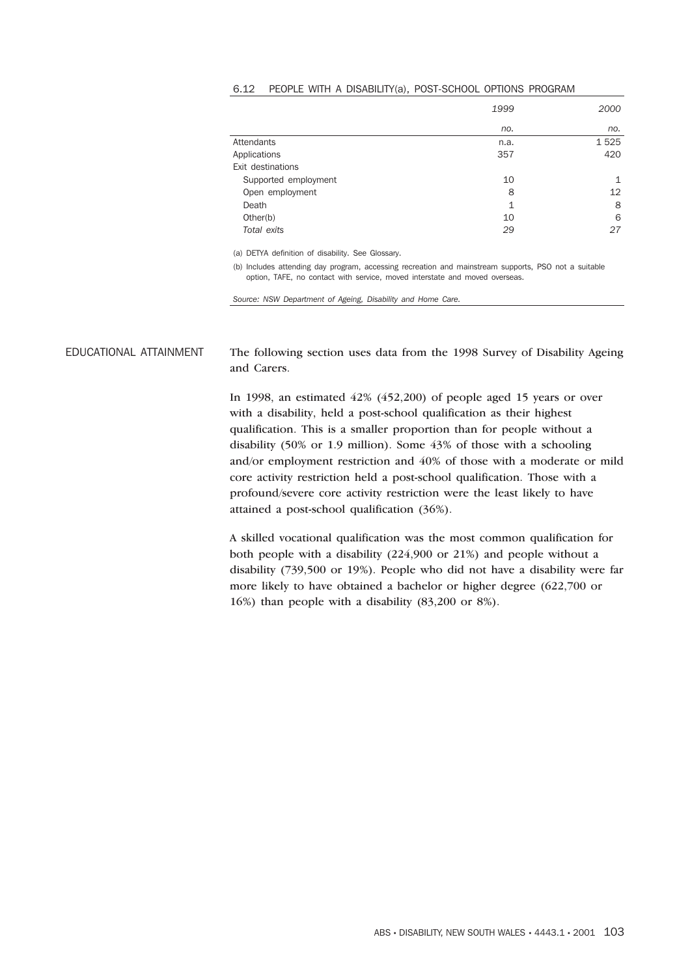|                      | 1999 | 2000 |
|----------------------|------|------|
|                      | no.  | no.  |
| <b>Attendants</b>    | n.a. | 1525 |
| Applications         | 357  | 420  |
| Exit destinations    |      |      |
| Supported employment | 10   | 1    |
| Open employment      | 8    | 12   |
| Death                | 1    | 8    |
| Other(b)             | 10   | 6    |
| Total exits          | 29   | 27   |

#### 6.12 PEOPLE WITH A DISABILITY(a), POST-SCHOOL OPTIONS PROGRAM

(a) DETYA definition of disability. See Glossary.

(b) Includes attending day program, accessing recreation and mainstream supports, PSO not a suitable option, TAFE, no contact with service, moved interstate and moved overseas.

*Source: NSW Department of Ageing, Disability and Home Care.*

EDUCATIONAL ATTAINMENT The following section uses data from the 1998 Survey of Disability Ageing and Carers.

> In 1998, an estimated 42% (452,200) of people aged 15 years or over with a disability, held a post-school qualification as their highest qualification. This is a smaller proportion than for people without a disability (50% or 1.9 million). Some 43% of those with a schooling and/or employment restriction and 40% of those with a moderate or mild core activity restriction held a post-school qualification. Those with a profound/severe core activity restriction were the least likely to have attained a post-school qualification (36%).

> A skilled vocational qualification was the most common qualification for both people with a disability (224,900 or 21%) and people without a disability (739,500 or 19%). People who did not have a disability were far more likely to have obtained a bachelor or higher degree (622,700 or 16%) than people with a disability (83,200 or 8%).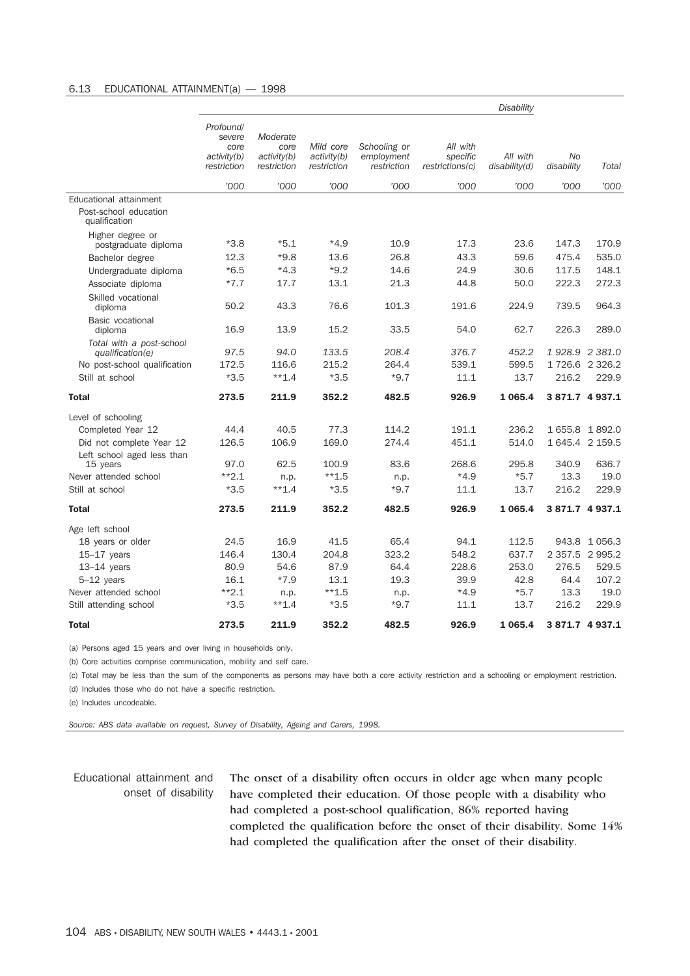#### 6.13 EDUCATIONAL ATTAINMENT(a) — 1998

|                                              |                                                           |                                                |                                         |                                           |                                         | <b>Disability</b>         |                  |                 |
|----------------------------------------------|-----------------------------------------------------------|------------------------------------------------|-----------------------------------------|-------------------------------------------|-----------------------------------------|---------------------------|------------------|-----------------|
|                                              | Profound/<br>severe<br>core<br>activity(b)<br>restriction | Moderate<br>core<br>activity(b)<br>restriction | Mild core<br>activity(b)<br>restriction | Schooling or<br>employment<br>restriction | All with<br>specific<br>restrictions(c) | All with<br>disability(d) | No<br>disability | Total           |
|                                              | '000                                                      | '000                                           | '000                                    | '000                                      | '000                                    | '000                      | '000             | '000            |
| Educational attainment                       |                                                           |                                                |                                         |                                           |                                         |                           |                  |                 |
| Post-school education<br>qualification       |                                                           |                                                |                                         |                                           |                                         |                           |                  |                 |
| Higher degree or<br>postgraduate diploma     | $*3.8$                                                    | $*5.1$                                         | $*4.9$                                  | 10.9                                      | 17.3                                    | 23.6                      | 147.3            | 170.9           |
| Bachelor degree                              | 12.3                                                      | $*9.8$                                         | 13.6                                    | 26.8                                      | 43.3                                    | 59.6                      | 475.4            | 535.0           |
| Undergraduate diploma                        | $*6.5$                                                    | $*4.3$                                         | $*9.2$                                  | 14.6                                      | 24.9                                    | 30.6                      | 117.5            | 148.1           |
| Associate diploma                            | $*7.7$                                                    | 17.7                                           | 13.1                                    | 21.3                                      | 44.8                                    | 50.0                      | 222.3            | 272.3           |
| Skilled vocational<br>diploma                | 50.2                                                      | 43.3                                           | 76.6                                    | 101.3                                     | 191.6                                   | 224.9                     | 739.5            | 964.3           |
| Basic vocational<br>diploma                  | 16.9                                                      | 13.9                                           | 15.2                                    | 33.5                                      | 54.0                                    | 62.7                      | 226.3            | 289.0           |
| Total with a post-school<br>qualification(e) | 97.5                                                      | 94.0                                           | 133.5                                   | 208.4                                     | 376.7                                   | 452.2                     |                  | 1928.9 2381.0   |
| No post-school qualification                 | 172.5                                                     | 116.6                                          | 215.2                                   | 264.4                                     | 539.1                                   | 599.5                     |                  | 1726.6 2326.2   |
| Still at school                              | $*3.5$                                                    | $**1.4$                                        | $*3.5$                                  | $*9.7$                                    | 11.1                                    | 13.7                      | 216.2            | 229.9           |
| <b>Total</b>                                 | 273.5                                                     | 211.9                                          | 352.2                                   | 482.5                                     | 926.9                                   | 1 0 6 5.4                 |                  | 3 871.7 4 937.1 |
| Level of schooling                           |                                                           |                                                |                                         |                                           |                                         |                           |                  |                 |
| Completed Year 12                            | 44.4                                                      | 40.5                                           | 77.3                                    | 114.2                                     | 191.1                                   | 236.2                     |                  | 1655.8 1892.0   |
| Did not complete Year 12                     | 126.5                                                     | 106.9                                          | 169.0                                   | 274.4                                     | 451.1                                   | 514.0                     |                  | 1 645.4 2 159.5 |
| Left school aged less than                   |                                                           |                                                |                                         |                                           |                                         |                           |                  |                 |
| 15 years                                     | 97.0<br>$*2.1$                                            | 62.5                                           | 100.9                                   | 83.6                                      | 268.6                                   | 295.8                     | 340.9            | 636.7           |
| Never attended school<br>Still at school     | $*3.5$                                                    | n.p.<br>$**1.4$                                | $**1.5$<br>$*3.5$                       | n.p.<br>$*9.7$                            | $*4.9$<br>11.1                          | $*5.7$<br>13.7            | 13.3<br>216.2    | 19.0<br>229.9   |
|                                              |                                                           |                                                |                                         |                                           |                                         |                           |                  |                 |
| <b>Total</b>                                 | 273.5                                                     | 211.9                                          | 352.2                                   | 482.5                                     | 926.9                                   | 1 0 6 5.4                 |                  | 3 871.7 4 937.1 |
| Age left school                              |                                                           |                                                |                                         |                                           |                                         |                           |                  |                 |
| 18 years or older                            | 24.5                                                      | 16.9                                           | 41.5                                    | 65.4                                      | 94.1                                    | 112.5                     |                  | 943.8 1056.3    |
| $15-17$ years                                | 146.4                                                     | 130.4                                          | 204.8                                   | 323.2                                     | 548.2                                   | 637.7                     |                  | 2 357.5 2 995.2 |
| $13-14$ years                                | 80.9                                                      | 54.6                                           | 87.9                                    | 64.4                                      | 228.6                                   | 253.0                     | 276.5            | 529.5           |
| $5-12$ years                                 | 16.1                                                      | $*7.9$                                         | 13.1                                    | 19.3                                      | 39.9                                    | 42.8                      | 64.4             | 107.2           |
| Never attended school                        | $*2.1$                                                    | n.p.                                           | $**1.5$                                 | n.p.                                      | $*4.9$                                  | $*5.7$                    | 13.3             | 19.0            |
| Still attending school                       | $*3.5$                                                    | $**1.4$                                        | $*3.5$                                  | $*9.7$                                    | 11.1                                    | 13.7                      | 216.2            | 229.9           |
| <b>Total</b>                                 | 273.5                                                     | 211.9                                          | 352.2                                   | 482.5                                     | 926.9                                   | 1 0 6 5 . 4               |                  | 3871.7 4937.1   |

(a) Persons aged 15 years and over living in households only.

(b) Core activities comprise communication, mobility and self care.

(c) Total may be less than the sum of the components as persons may have both a core activity restriction and a schooling or employment restriction.

(d) Includes those who do not have a specific restriction.

(e) Includes uncodeable.

*Source: ABS data available on request, Survey of Disability, Ageing and Carers, 1998.*

# Educational attainment and onset of disability

The onset of a disability often occurs in older age when many people have completed their education. Of those people with a disability who had completed a post-school qualification, 86% reported having completed the qualification before the onset of their disability. Some 14% had completed the qualification after the onset of their disability.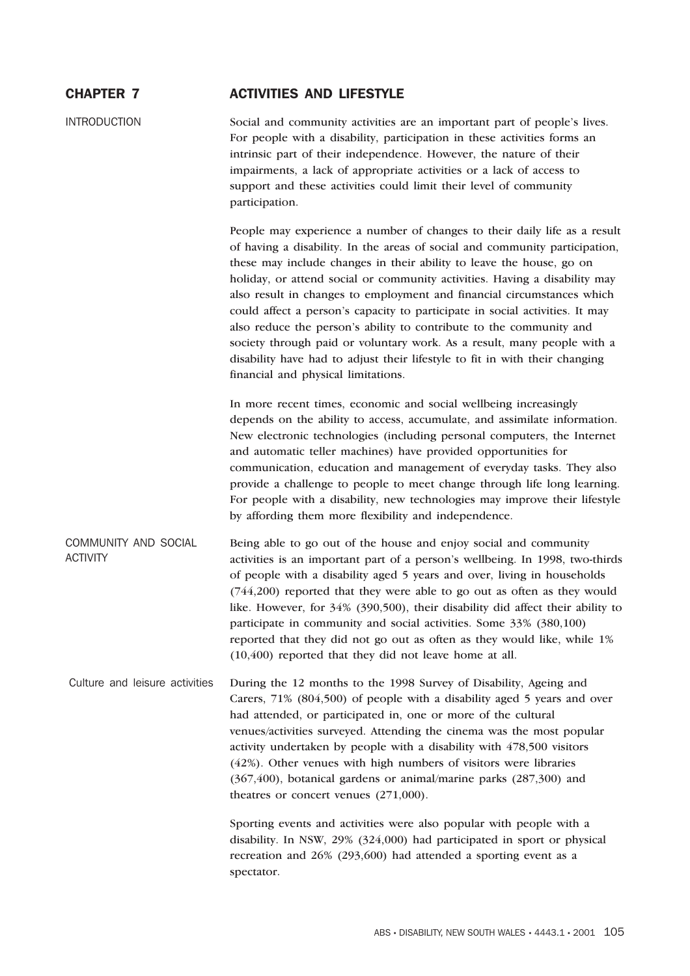# CHAPTER 7 ACTIVITIES AND LIFESTYLE

INTRODUCTION Social and community activities are an important part of people's lives. For people with a disability, participation in these activities forms an intrinsic part of their independence. However, the nature of their impairments, a lack of appropriate activities or a lack of access to support and these activities could limit their level of community participation.

> People may experience a number of changes to their daily life as a result of having a disability. In the areas of social and community participation, these may include changes in their ability to leave the house, go on holiday, or attend social or community activities. Having a disability may also result in changes to employment and financial circumstances which could affect a person's capacity to participate in social activities. It may also reduce the person's ability to contribute to the community and society through paid or voluntary work. As a result, many people with a disability have had to adjust their lifestyle to fit in with their changing financial and physical limitations.

> In more recent times, economic and social wellbeing increasingly depends on the ability to access, accumulate, and assimilate information. New electronic technologies (including personal computers, the Internet and automatic teller machines) have provided opportunities for communication, education and management of everyday tasks. They also provide a challenge to people to meet change through life long learning. For people with a disability, new technologies may improve their lifestyle by affording them more flexibility and independence.

COMMUNITY AND SOCIAL ACTIVITY Being able to go out of the house and enjoy social and community activities is an important part of a person's wellbeing. In 1998, two-thirds of people with a disability aged 5 years and over, living in households (744,200) reported that they were able to go out as often as they would like. However, for 34% (390,500), their disability did affect their ability to participate in community and social activities. Some 33% (380,100) reported that they did not go out as often as they would like, while 1% (10,400) reported that they did not leave home at all.

Culture and leisure activities During the 12 months to the 1998 Survey of Disability, Ageing and Carers, 71% (804,500) of people with a disability aged 5 years and over had attended, or participated in, one or more of the cultural venues/activities surveyed. Attending the cinema was the most popular activity undertaken by people with a disability with 478,500 visitors (42%). Other venues with high numbers of visitors were libraries (367,400), botanical gardens or animal/marine parks (287,300) and theatres or concert venues (271,000).

> Sporting events and activities were also popular with people with a disability. In NSW, 29% (324,000) had participated in sport or physical recreation and 26% (293,600) had attended a sporting event as a spectator.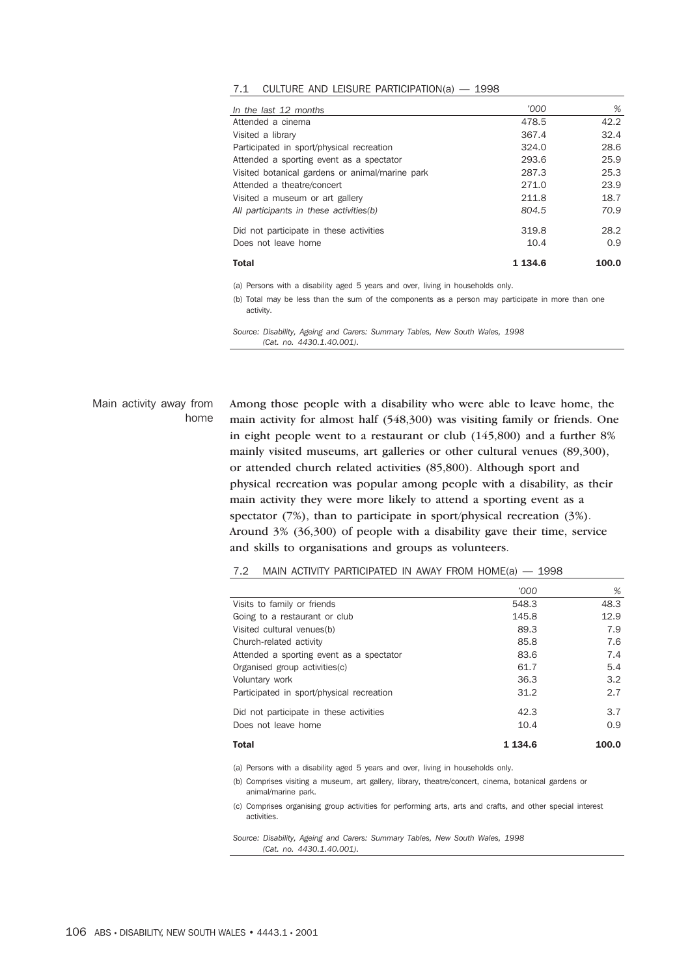| 7.1 |  |  |  | CULTURE AND LEISURE PARTICIPATION(a) $-$ |  | 1998 |
|-----|--|--|--|------------------------------------------|--|------|
|-----|--|--|--|------------------------------------------|--|------|

| In the last 12 months                           | '000        | %     |
|-------------------------------------------------|-------------|-------|
| Attended a cinema                               | 478.5       | 42.2  |
| Visited a library                               | 367.4       | 32.4  |
| Participated in sport/physical recreation       | 324.0       | 28.6  |
| Attended a sporting event as a spectator        | 293.6       | 25.9  |
| Visited botanical gardens or animal/marine park | 287.3       | 25.3  |
| Attended a theatre/concert                      | 271.0       | 23.9  |
| Visited a museum or art gallery                 | 211.8       | 18.7  |
| All participants in these activities(b)         | 804.5       | 70.9  |
| Did not participate in these activities         | 319.8       | 28.2  |
| Does not leave home                             | 10.4        | 0.9   |
| <b>Total</b>                                    | 1 1 3 4 . 6 | 100.0 |

(a) Persons with a disability aged 5 years and over, living in households only.

(b) Total may be less than the sum of the components as a person may participate in more than one activity.

*Source: Disability, Ageing and Carers: Summary Tables, New South Wales, 1998 (Cat. no. 4430.1.40.001).*

Main activity away from home Among those people with a disability who were able to leave home, the main activity for almost half (548,300) was visiting family or friends. One in eight people went to a restaurant or club (145,800) and a further 8% mainly visited museums, art galleries or other cultural venues (89,300), or attended church related activities (85,800). Although sport and physical recreation was popular among people with a disability, as their main activity they were more likely to attend a sporting event as a spectator (7%), than to participate in sport/physical recreation (3%). Around 3% (36,300) of people with a disability gave their time, service and skills to organisations and groups as volunteers.

|                                           | '000        | %     |
|-------------------------------------------|-------------|-------|
| Visits to family or friends               | 548.3       | 48.3  |
| Going to a restaurant or club             | 145.8       | 12.9  |
| Visited cultural venues(b)                | 89.3        | 7.9   |
| Church-related activity                   | 85.8        | 7.6   |
| Attended a sporting event as a spectator  | 83.6        | 7.4   |
| Organised group activities (c)            | 61.7        | 5.4   |
| Voluntary work                            | 36.3        | 3.2   |
| Participated in sport/physical recreation | 31.2        | 2.7   |
| Did not participate in these activities   | 42.3        | 3.7   |
| Does not leave home                       | 10.4        | 0.9   |
| <b>Total</b>                              | 1 1 3 4 . 6 | 100.0 |

|  |  | MAIN ACTIVITY PARTICIPATED IN AWAY FROM HOME(a) - |  |  |  |  | — 1998 |
|--|--|---------------------------------------------------|--|--|--|--|--------|
|--|--|---------------------------------------------------|--|--|--|--|--------|

(a) Persons with a disability aged 5 years and over, living in households only.

(b) Comprises visiting a museum, art gallery, library, theatre/concert, cinema, botanical gardens or animal/marine park.

(c) Comprises organising group activities for performing arts, arts and crafts, and other special interest activities.

*Source: Disability, Ageing and Carers: Summary Tables, New South Wales, 1998 (Cat. no. 4430.1.40.001).*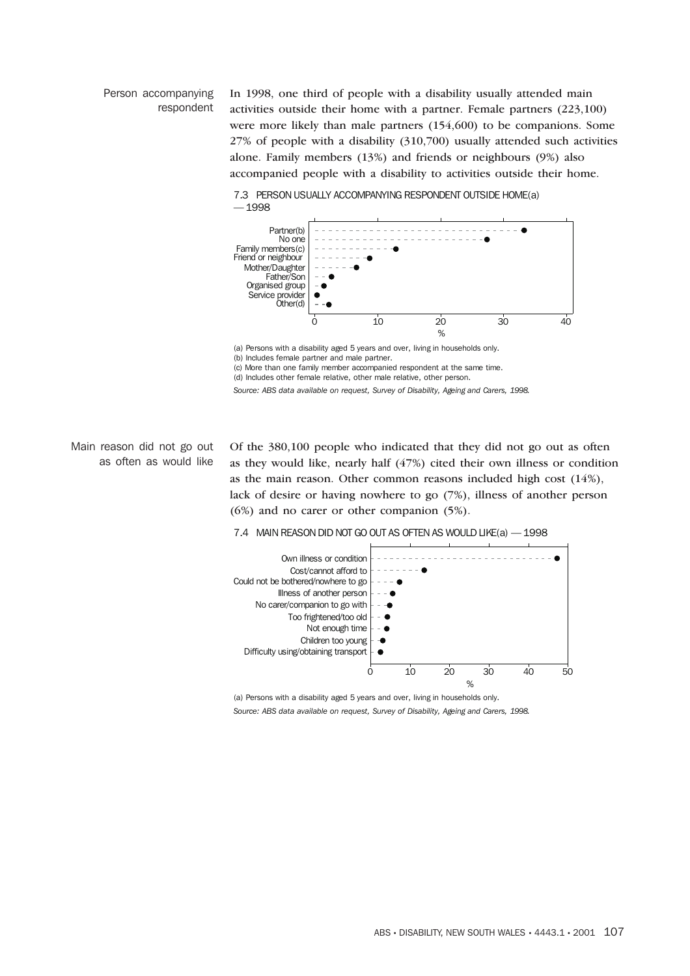### Person accompanying respondent

In 1998, one third of people with a disability usually attended main activities outside their home with a partner. Female partners (223,100) were more likely than male partners (154,600) to be companions. Some 27% of people with a disability (310,700) usually attended such activities alone. Family members (13%) and friends or neighbours (9%) also accompanied people with a disability to activities outside their home.

7.3 PERSON USUALLY ACCOMPANYING RESPONDENT OUTSIDE HOME(a) — 1998



(a) Persons with a disability aged 5 years and over, living in households only. (b) Includes female partner and male partner.

(c) More than one family member accompanied respondent at the same time.

(d) Includes other female relative, other male relative, other person.

*Source: ABS data available on request, Survey of Disability, Ageing and Carers, 1998.*

Main reason did not go out as often as would like

Of the 380,100 people who indicated that they did not go out as often as they would like, nearly half (47%) cited their own illness or condition as the main reason. Other common reasons included high cost (14%), lack of desire or having nowhere to go (7%), illness of another person (6%) and no carer or other companion (5%).

7.4 MAIN REASON DID NOT GO OUT AS OFTEN AS WOULD LIKE(a) — 1998



(a) Persons with a disability aged 5 years and over, living in households only.

*Source: ABS data available on request, Survey of Disability, Ageing and Carers, 1998.*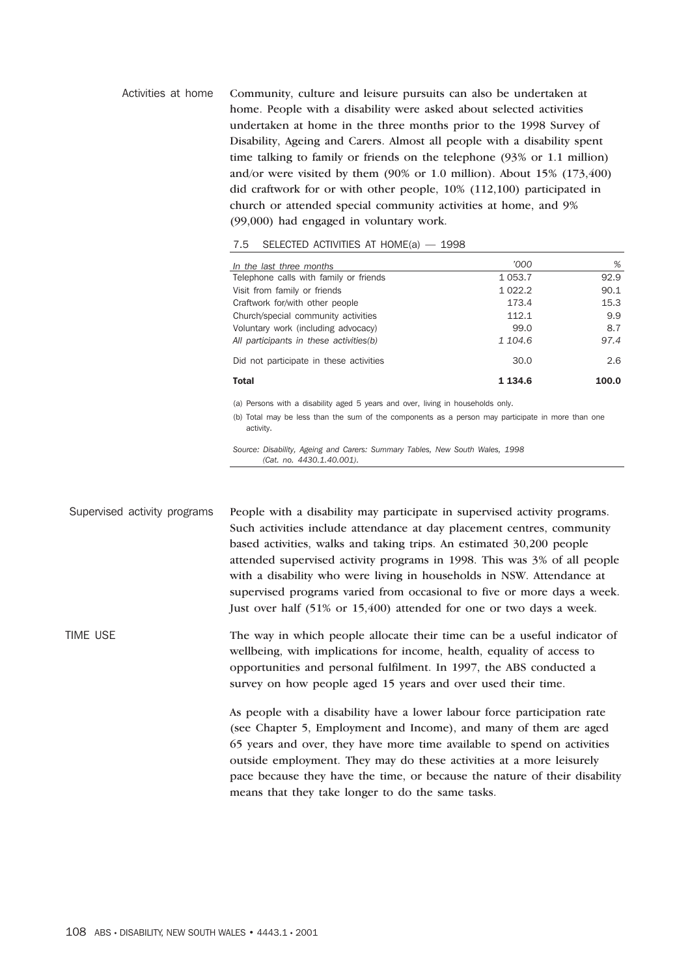Activities at home Community, culture and leisure pursuits can also be undertaken at home. People with a disability were asked about selected activities undertaken at home in the three months prior to the 1998 Survey of Disability, Ageing and Carers. Almost all people with a disability spent time talking to family or friends on the telephone (93% or 1.1 million) and/or were visited by them (90% or 1.0 million). About 15% (173,400) did craftwork for or with other people, 10% (112,100) participated in church or attended special community activities at home, and 9% (99,000) had engaged in voluntary work.

| In the last three months                | '000        | %     |
|-----------------------------------------|-------------|-------|
| Telephone calls with family or friends  | 1 0 5 3.7   | 92.9  |
| Visit from family or friends            | 1 0 2 2.2   | 90.1  |
| Craftwork for/with other people         | 173.4       | 15.3  |
| Church/special community activities     | 112.1       | 9.9   |
| Voluntary work (including advocacy)     | 99.0        | 8.7   |
| All participants in these activities(b) | 1 104.6     | 97.4  |
| Did not participate in these activities | 30.0        | 2.6   |
| <b>Total</b>                            | 1 1 3 4 . 6 | 100.0 |

#### 7.5 SELECTED ACTIVITIES AT HOME(a) — 1998

(a) Persons with a disability aged 5 years and over, living in households only.

(b) Total may be less than the sum of the components as a person may participate in more than one activity.

*Source: Disability, Ageing and Carers: Summary Tables, New South Wales, 1998 (Cat. no. 4430.1.40.001).*

Supervised activity programs People with a disability may participate in supervised activity programs. Such activities include attendance at day placement centres, community based activities, walks and taking trips. An estimated 30,200 people attended supervised activity programs in 1998. This was 3% of all people with a disability who were living in households in NSW. Attendance at supervised programs varied from occasional to five or more days a week. Just over half (51% or 15,400) attended for one or two days a week.

TIME USE The way in which people allocate their time can be a useful indicator of wellbeing, with implications for income, health, equality of access to opportunities and personal fulfilment. In 1997, the ABS conducted a survey on how people aged 15 years and over used their time.

> As people with a disability have a lower labour force participation rate (see Chapter 5, Employment and Income), and many of them are aged 65 years and over, they have more time available to spend on activities outside employment. They may do these activities at a more leisurely pace because they have the time, or because the nature of their disability means that they take longer to do the same tasks.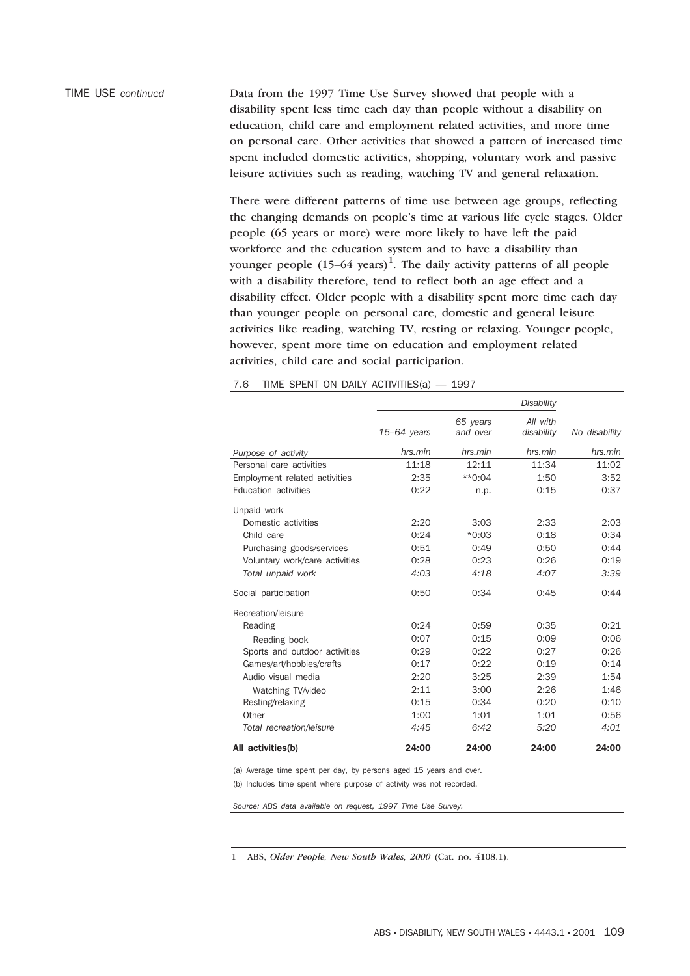TIME USE *continued* Data from the 1997 Time Use Survey showed that people with a disability spent less time each day than people without a disability on education, child care and employment related activities, and more time on personal care. Other activities that showed a pattern of increased time spent included domestic activities, shopping, voluntary work and passive leisure activities such as reading, watching TV and general relaxation.

> There were different patterns of time use between age groups, reflecting the changing demands on people's time at various life cycle stages. Older people (65 years or more) were more likely to have left the paid workforce and the education system and to have a disability than younger people  $(15-64 \text{ years})^1$ . The daily activity patterns of all people with a disability therefore, tend to reflect both an age effect and a disability effect. Older people with a disability spent more time each day than younger people on personal care, domestic and general leisure activities like reading, watching TV, resting or relaxing. Younger people, however, spent more time on education and employment related activities, child care and social participation.

|                                |               |                      | <b>Disability</b>      |               |
|--------------------------------|---------------|----------------------|------------------------|---------------|
|                                | $15-64$ years | 65 years<br>and over | All with<br>disability | No disability |
| Purpose of activity            | hrs.min       | hrs.min              | hrs.min                | hrs.min       |
| Personal care activities       | 11:18         | 12:11                | 11:34                  | 11:02         |
| Employment related activities  | 2:35          | $*0:04$              | 1:50                   | 3:52          |
| Education activities           | 0:22          | n.p.                 | 0:15                   | 0:37          |
| Unpaid work                    |               |                      |                        |               |
| Domestic activities            | 2:20          | 3:03                 | 2:33                   | 2:03          |
| Child care                     | 0:24          | $*0:03$              | 0:18                   | 0:34          |
| Purchasing goods/services      | 0:51          | 0:49                 | 0:50                   | 0:44          |
| Voluntary work/care activities | 0:28          | 0:23                 | 0:26                   | 0:19          |
| Total unpaid work              | 4:03          | 4:18                 | 4:07                   | 3:39          |
| Social participation           | 0:50          | 0:34                 | 0:45                   | 0:44          |
| Recreation/leisure             |               |                      |                        |               |
| Reading                        | 0:24          | 0:59                 | 0:35                   | 0:21          |
| Reading book                   | 0:07          | 0:15                 | 0:09                   | 0:06          |
| Sports and outdoor activities  | 0:29          | 0:22                 | 0:27                   | 0:26          |
| Games/art/hobbies/crafts       | 0:17          | 0:22                 | 0:19                   | 0:14          |
| Audio visual media             | 2:20          | 3:25                 | 2:39                   | 1:54          |
| Watching TV/video              | 2:11          | 3:00                 | 2:26                   | 1:46          |
| Resting/relaxing               | 0:15          | 0:34                 | 0:20                   | 0:10          |
| Other                          | 1:00          | 1:01                 | 1:01                   | 0:56          |
| Total recreation/leisure       | 4:45          | 6:42                 | 5:20                   | 4:01          |
| All activities(b)              | 24:00         | 24:00                | 24:00                  | 24:00         |

7.6 TIME SPENT ON DAILY ACTIVITIES(a) — 1997

(a) Average time spent per day, by persons aged 15 years and over. (b) Includes time spent where purpose of activity was not recorded.

*Source: ABS data available on request, 1997 Time Use Survey.*

1 ABS, *Older People, New South Wales, 2000* (Cat. no. 4108.1).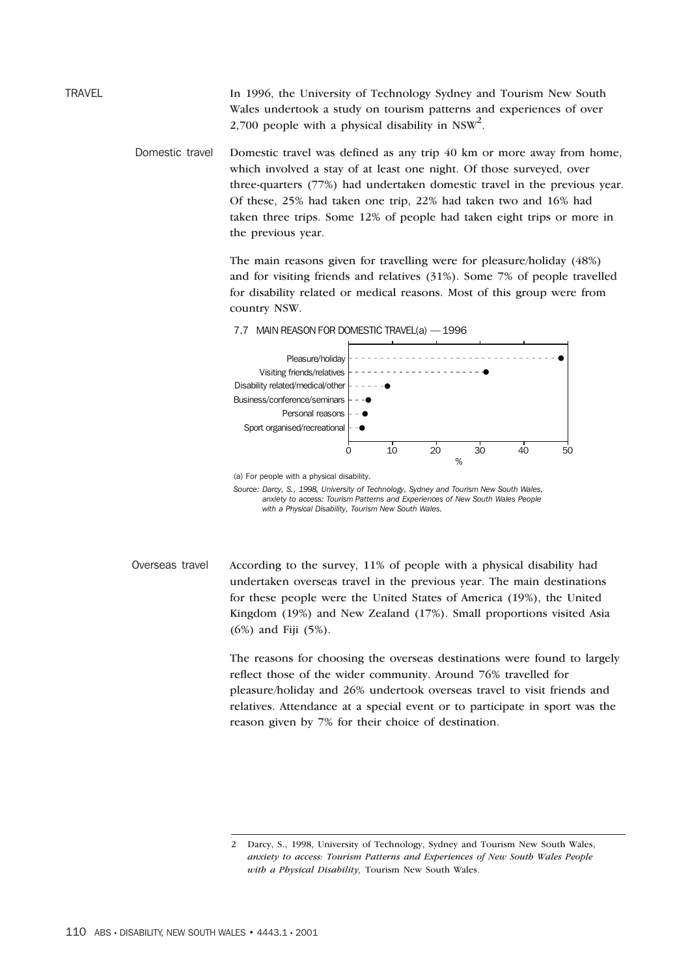TRAVEL In 1996, the University of Technology Sydney and Tourism New South Wales undertook a study on tourism patterns and experiences of over 2,700 people with a physical disability in  $NSW^2$ .

> Domestic travel Domestic travel was defined as any trip 40 km or more away from home, which involved a stay of at least one night. Of those surveyed, over three-quarters (77%) had undertaken domestic travel in the previous year. Of these, 25% had taken one trip, 22% had taken two and 16% had taken three trips. Some 12% of people had taken eight trips or more in the previous year.

> > The main reasons given for travelling were for pleasure/holiday (48%) and for visiting friends and relatives (31%). Some 7% of people travelled for disability related or medical reasons. Most of this group were from country NSW.





<sup>(</sup>a) For people with a physical disability.

*Source: Darcy, S., 1998, University of Technology, Sydney and Tourism New South Wales, anxiety to access: Tourism Patterns and Experiences of New South Wales People with a Physical Disability, Tourism New South Wales.*

Overseas travel According to the survey, 11% of people with a physical disability had undertaken overseas travel in the previous year. The main destinations for these people were the United States of America (19%), the United Kingdom (19%) and New Zealand (17%). Small proportions visited Asia (6%) and Fiji (5%).

> The reasons for choosing the overseas destinations were found to largely reflect those of the wider community. Around 76% travelled for pleasure/holiday and 26% undertook overseas travel to visit friends and relatives. Attendance at a special event or to participate in sport was the reason given by 7% for their choice of destination.

<sup>2</sup> Darcy, S., 1998, University of Technology, Sydney and Tourism New South Wales, *anxiety to access: Tourism Patterns and Experiences of New South Wales People with a Physical Disability,* Tourism New South Wales.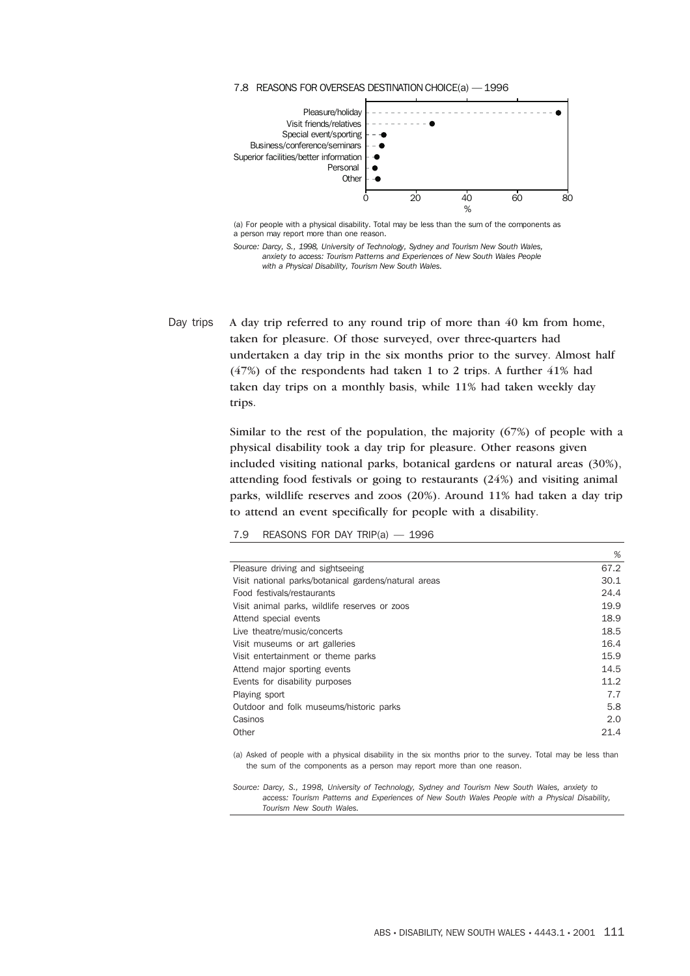

(a) For people with a physical disability. Total may be less than the sum of the components as a person may report more than one reason.

*Source: Darcy, S., 1998, University of Technology, Sydney and Tourism New South Wales, anxiety to access: Tourism Patterns and Experiences of New South Wales People with a Physical Disability, Tourism New South Wales.*

Day trips A day trip referred to any round trip of more than 40 km from home, taken for pleasure. Of those surveyed, over three-quarters had undertaken a day trip in the six months prior to the survey. Almost half (47%) of the respondents had taken 1 to 2 trips. A further 41% had taken day trips on a monthly basis, while 11% had taken weekly day trips.

> Similar to the rest of the population, the majority (67%) of people with a physical disability took a day trip for pleasure. Other reasons given included visiting national parks, botanical gardens or natural areas (30%), attending food festivals or going to restaurants (24%) and visiting animal parks, wildlife reserves and zoos (20%). Around 11% had taken a day trip to attend an event specifically for people with a disability.

#### 7.9 REASONS FOR DAY TRIP(a) — 1996

|                                                      | %    |
|------------------------------------------------------|------|
| Pleasure driving and sightseeing                     | 67.2 |
| Visit national parks/botanical gardens/natural areas | 30.1 |
| Food festivals/restaurants                           | 24.4 |
| Visit animal parks, wildlife reserves or zoos        | 19.9 |
| Attend special events                                | 18.9 |
| Live theatre/music/concerts                          | 18.5 |
| Visit museums or art galleries                       | 16.4 |
| Visit entertainment or theme parks                   | 15.9 |
| Attend major sporting events                         | 14.5 |
| Events for disability purposes                       | 11.2 |
| Playing sport                                        | 7.7  |
| Outdoor and folk museums/historic parks              | 5.8  |
| Casinos                                              | 2.0  |
| Other                                                | 21.4 |
|                                                      |      |

(a) Asked of people with a physical disability in the six months prior to the survey. Total may be less than the sum of the components as a person may report more than one reason.

*Source: Darcy, S., 1998, University of Technology, Sydney and Tourism New South Wales, anxiety to access: Tourism Patterns and Experiences of New South Wales People with a Physical Disability, Tourism New South Wales.*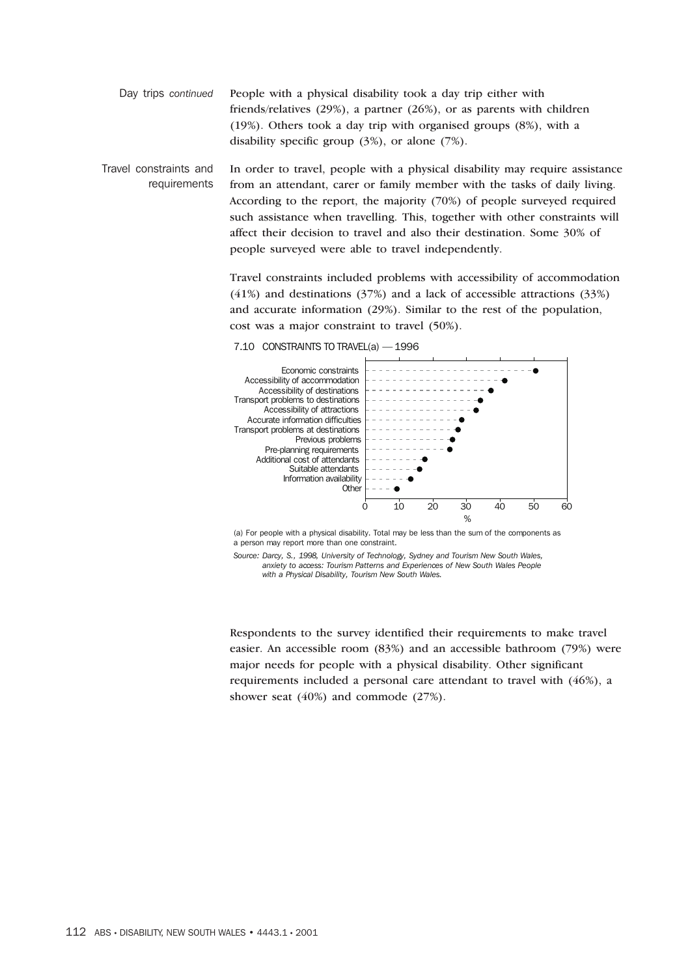Day trips *continued* People with a physical disability took a day trip either with friends/relatives (29%), a partner (26%), or as parents with children (19%). Others took a day trip with organised groups (8%), with a disability specific group (3%), or alone (7%).

Travel constraints and requirements In order to travel, people with a physical disability may require assistance from an attendant, carer or family member with the tasks of daily living. According to the report, the majority (70%) of people surveyed required such assistance when travelling. This, together with other constraints will affect their decision to travel and also their destination. Some 30% of people surveyed were able to travel independently.

> Travel constraints included problems with accessibility of accommodation (41%) and destinations (37%) and a lack of accessible attractions (33%) and accurate information (29%). Similar to the rest of the population, cost was a major constraint to travel (50%).



7.10 CONSTRAINTS TO TRAVEL(a) — 1996

(a) For people with a physical disability. Total may be less than the sum of the components as a person may report more than one constraint.

*Source: Darcy, S., 1998, University of Technology, Sydney and Tourism New South Wales, anxiety to access: Tourism Patterns and Experiences of New South Wales People with a Physical Disability, Tourism New South Wales.*

Respondents to the survey identified their requirements to make travel easier. An accessible room (83%) and an accessible bathroom (79%) were major needs for people with a physical disability. Other significant requirements included a personal care attendant to travel with (46%), a shower seat (40%) and commode (27%).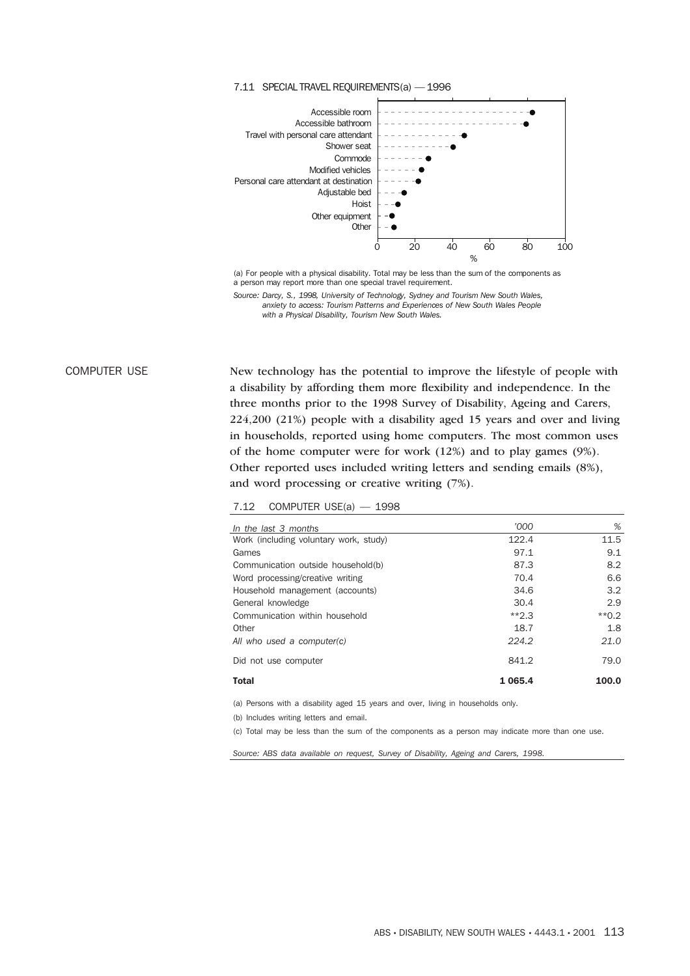

7.11 SPECIAL TRAVEL REQUIREMENTS(a) — 1996

(a) For people with a physical disability. Total may be less than the sum of the components as a person may report more than one special travel requirement.

*Source: Darcy, S., 1998, University of Technology, Sydney and Tourism New South Wales, anxiety to access: Tourism Patterns and Experiences of New South Wales People with a Physical Disability, Tourism New South Wales.*

COMPUTER USE New technology has the potential to improve the lifestyle of people with a disability by affording them more flexibility and independence. In the three months prior to the 1998 Survey of Disability, Ageing and Carers, 224,200 (21%) people with a disability aged 15 years and over and living in households, reported using home computers. The most common uses of the home computer were for work (12%) and to play games (9%). Other reported uses included writing letters and sending emails (8%), and word processing or creative writing (7%).

| 7.12 | COMPUTER USE(a) |  | 1998 |
|------|-----------------|--|------|
|------|-----------------|--|------|

| In the last 3 months                   | '000        | %       |
|----------------------------------------|-------------|---------|
| Work (including voluntary work, study) | 122.4       | 11.5    |
| Games                                  | 97.1        | 9.1     |
| Communication outside household(b)     | 87.3        | 8.2     |
| Word processing/creative writing       | 70.4        | 6.6     |
| Household management (accounts)        | 34.6        | 3.2     |
| General knowledge                      | 30.4        | 2.9     |
| Communication within household         | $*2.3$      | $*$ 0.2 |
| Other                                  | 18.7        | 1.8     |
| All who used a computer(c)             | 224.2       | 21.0    |
| Did not use computer                   | 841.2       | 79.0    |
| <b>Total</b>                           | 1 0 6 5 . 4 | 100.0   |

(a) Persons with a disability aged 15 years and over, living in households only.

(b) Includes writing letters and email.

(c) Total may be less than the sum of the components as a person may indicate more than one use.

*Source: ABS data available on request, Survey of Disability, Ageing and Carers, 1998.*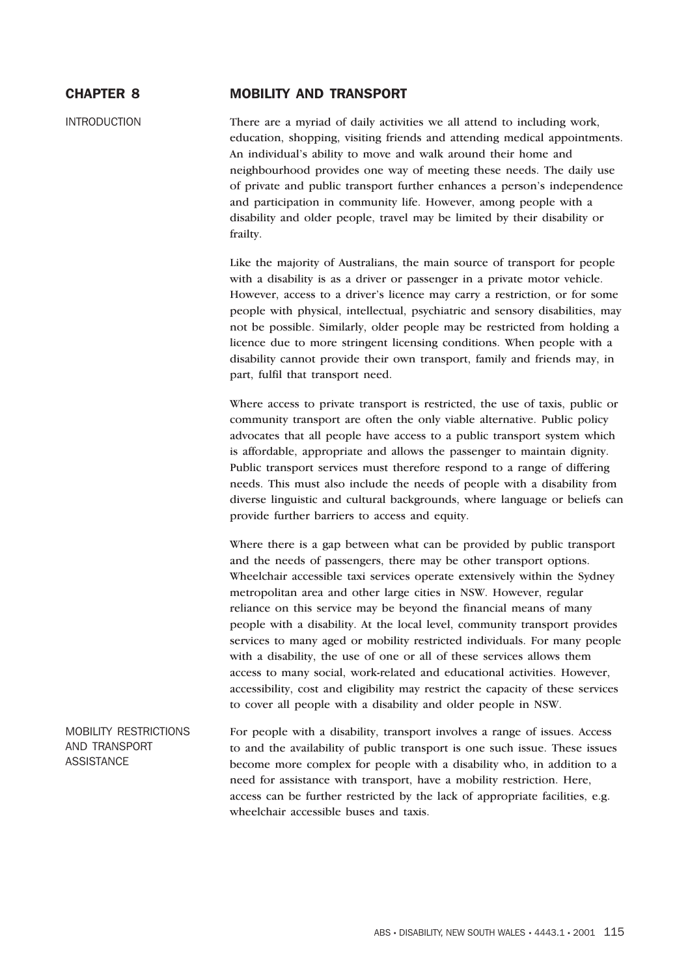# CHAPTER 8 MOBILITY AND TRANSPORT

INTRODUCTION There are a myriad of daily activities we all attend to including work, education, shopping, visiting friends and attending medical appointments. An individual's ability to move and walk around their home and neighbourhood provides one way of meeting these needs. The daily use of private and public transport further enhances a person's independence and participation in community life. However, among people with a disability and older people, travel may be limited by their disability or frailty.

> Like the majority of Australians, the main source of transport for people with a disability is as a driver or passenger in a private motor vehicle. However, access to a driver's licence may carry a restriction, or for some people with physical, intellectual, psychiatric and sensory disabilities, may not be possible. Similarly, older people may be restricted from holding a licence due to more stringent licensing conditions. When people with a disability cannot provide their own transport, family and friends may, in part, fulfil that transport need.

> Where access to private transport is restricted, the use of taxis, public or community transport are often the only viable alternative. Public policy advocates that all people have access to a public transport system which is affordable, appropriate and allows the passenger to maintain dignity. Public transport services must therefore respond to a range of differing needs. This must also include the needs of people with a disability from diverse linguistic and cultural backgrounds, where language or beliefs can provide further barriers to access and equity.

> Where there is a gap between what can be provided by public transport and the needs of passengers, there may be other transport options. Wheelchair accessible taxi services operate extensively within the Sydney metropolitan area and other large cities in NSW. However, regular reliance on this service may be beyond the financial means of many people with a disability. At the local level, community transport provides services to many aged or mobility restricted individuals. For many people with a disability, the use of one or all of these services allows them access to many social, work-related and educational activities. However, accessibility, cost and eligibility may restrict the capacity of these services to cover all people with a disability and older people in NSW.

MOBILITY RESTRICTIONS AND TRANSPORT **ASSISTANCE** For people with a disability, transport involves a range of issues. Access to and the availability of public transport is one such issue. These issues become more complex for people with a disability who, in addition to a need for assistance with transport, have a mobility restriction. Here, access can be further restricted by the lack of appropriate facilities, e.g. wheelchair accessible buses and taxis.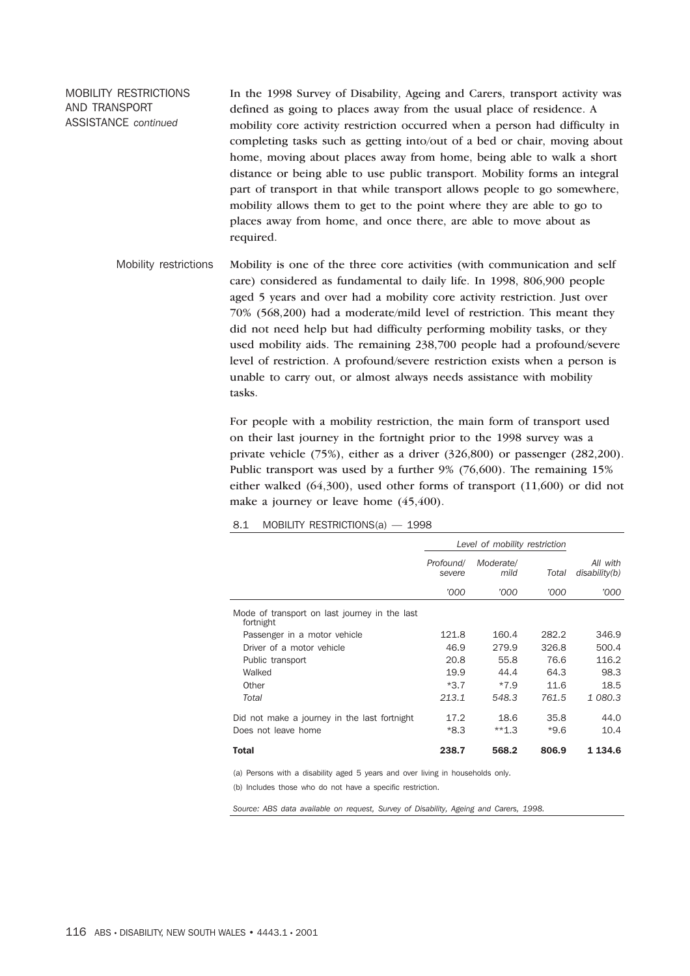MOBILITY RESTRICTIONS AND TRANSPORT ASSISTANCE *continued*

In the 1998 Survey of Disability, Ageing and Carers, transport activity was defined as going to places away from the usual place of residence. A mobility core activity restriction occurred when a person had difficulty in completing tasks such as getting into/out of a bed or chair, moving about home, moving about places away from home, being able to walk a short distance or being able to use public transport. Mobility forms an integral part of transport in that while transport allows people to go somewhere, mobility allows them to get to the point where they are able to go to places away from home, and once there, are able to move about as required.

Mobility restrictions Mobility is one of the three core activities (with communication and self care) considered as fundamental to daily life. In 1998, 806,900 people aged 5 years and over had a mobility core activity restriction. Just over 70% (568,200) had a moderate/mild level of restriction. This meant they did not need help but had difficulty performing mobility tasks, or they used mobility aids. The remaining 238,700 people had a profound/severe level of restriction. A profound/severe restriction exists when a person is unable to carry out, or almost always needs assistance with mobility tasks.

> For people with a mobility restriction, the main form of transport used on their last journey in the fortnight prior to the 1998 survey was a private vehicle (75%), either as a driver (326,800) or passenger (282,200). Public transport was used by a further 9% (76,600). The remaining 15% either walked (64,300), used other forms of transport (11,600) or did not make a journey or leave home  $(45, 400)$ .

8.1 MOBILITY RESTRICTIONS(a) — 1998

|                                                            |                     | Level of mobility restriction |        |                           |  |
|------------------------------------------------------------|---------------------|-------------------------------|--------|---------------------------|--|
|                                                            | Profound/<br>severe | Moderate/<br>mild             | Total  | All with<br>disability(b) |  |
|                                                            | '000                | '000                          | '000   | '000                      |  |
| Mode of transport on last journey in the last<br>fortnight |                     |                               |        |                           |  |
| Passenger in a motor vehicle                               | 121.8               | 160.4                         | 282.2  | 346.9                     |  |
| Driver of a motor vehicle                                  | 46.9                | 279.9                         | 326.8  | 500.4                     |  |
| Public transport                                           | 20.8                | 55.8                          | 76.6   | 116.2                     |  |
| Walked                                                     | 19.9                | 44.4                          | 64.3   | 98.3                      |  |
| Other                                                      | $*3.7$              | $*7.9$                        | 11.6   | 18.5                      |  |
| Total                                                      | 213.1               | 548.3                         | 761.5  | 1 080.3                   |  |
| Did not make a journey in the last fortnight               | 17.2                | 18.6                          | 35.8   | 44.0                      |  |
| Does not leave home                                        | *8.3                | $**1.3$                       | $*9.6$ | 10.4                      |  |
| Total                                                      | 238.7               | 568.2                         | 806.9  | 1 134.6                   |  |

(a) Persons with a disability aged 5 years and over living in households only. (b) Includes those who do not have a specific restriction.

*Source: ABS data available on request, Survey of Disability, Ageing and Carers, 1998.*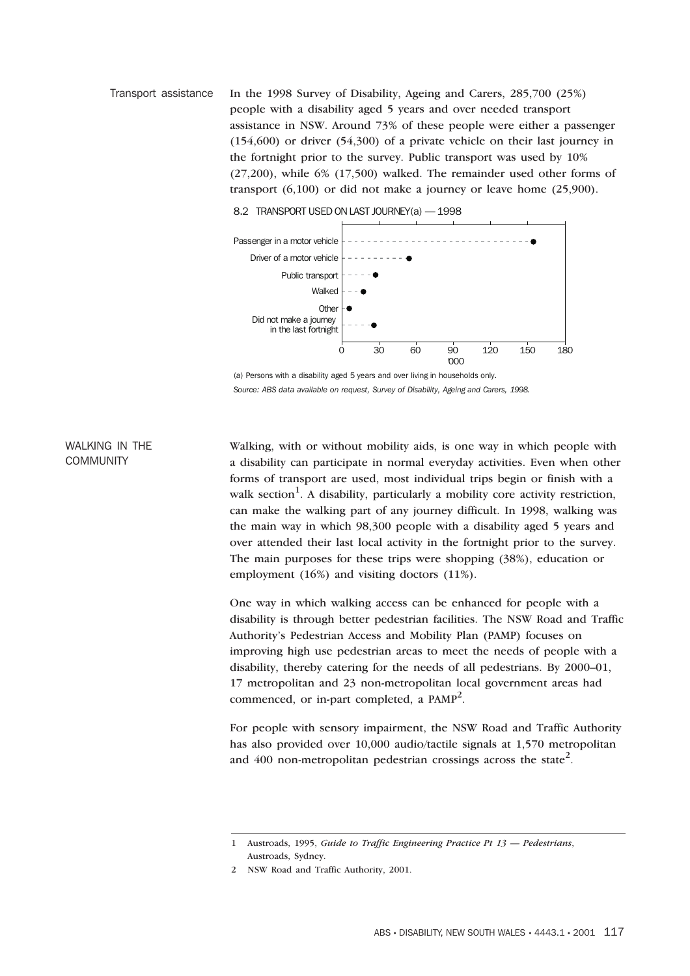Transport assistance In the 1998 Survey of Disability, Ageing and Carers, 285,700 (25%) people with a disability aged 5 years and over needed transport assistance in NSW. Around 73% of these people were either a passenger (154,600) or driver (54,300) of a private vehicle on their last journey in the fortnight prior to the survey. Public transport was used by 10% (27,200), while 6% (17,500) walked. The remainder used other forms of transport (6,100) or did not make a journey or leave home (25,900).



8.2 TRANSPORT USED ON LAST JOURNEY(a) — 1998

## WALKING IN THE **COMMUNITY**

Walking, with or without mobility aids, is one way in which people with a disability can participate in normal everyday activities. Even when other forms of transport are used, most individual trips begin or finish with a walk section<sup>1</sup>. A disability, particularly a mobility core activity restriction, can make the walking part of any journey difficult. In 1998, walking was the main way in which 98,300 people with a disability aged 5 years and over attended their last local activity in the fortnight prior to the survey. The main purposes for these trips were shopping (38%), education or employment (16%) and visiting doctors (11%).

One way in which walking access can be enhanced for people with a disability is through better pedestrian facilities. The NSW Road and Traffic Authority's Pedestrian Access and Mobility Plan (PAMP) focuses on improving high use pedestrian areas to meet the needs of people with a disability, thereby catering for the needs of all pedestrians. By 2000–01, 17 metropolitan and 23 non-metropolitan local government areas had commenced, or in-part completed, a  $PAMP^2$ .

For people with sensory impairment, the NSW Road and Traffic Authority has also provided over 10,000 audio/tactile signals at 1,570 metropolitan and 400 non-metropolitan pedestrian crossings across the state<sup>2</sup>.

<sup>(</sup>a) Persons with a disability aged 5 years and over living in households only. *Source: ABS data available on request, Survey of Disability, Ageing and Carers, 1998.*

<sup>1</sup> Austroads, 1995, *Guide to Traffic Engineering Practice Pt 13 — Pedestrians*, Austroads, Sydney.

<sup>2</sup> NSW Road and Traffic Authority, 2001.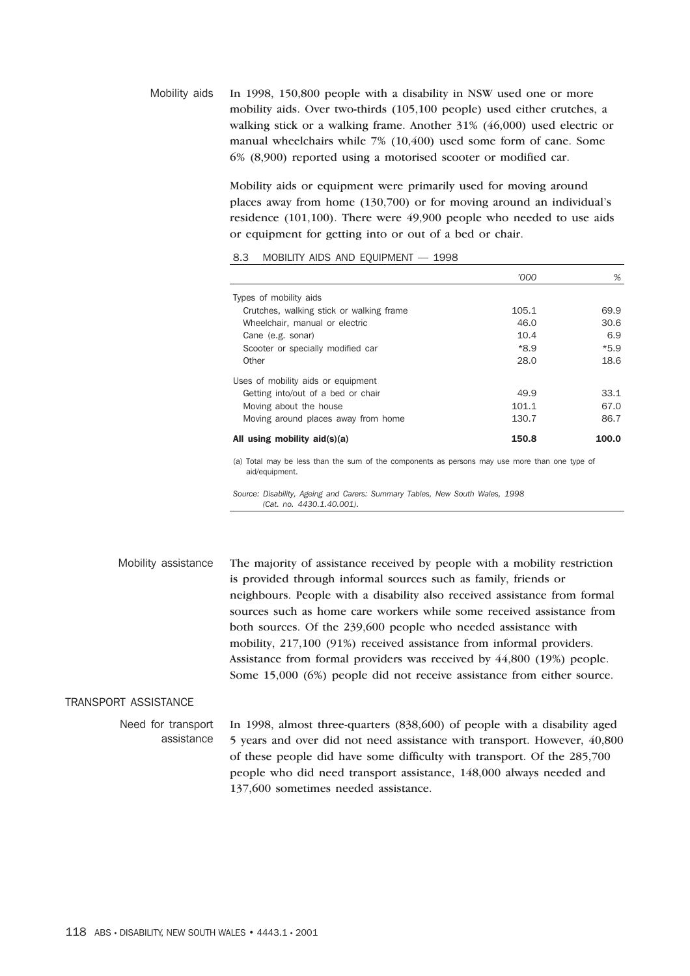Mobility aids In 1998, 150,800 people with a disability in NSW used one or more mobility aids. Over two-thirds (105,100 people) used either crutches, a walking stick or a walking frame. Another 31% (46,000) used electric or manual wheelchairs while 7% (10,400) used some form of cane. Some 6% (8,900) reported using a motorised scooter or modified car.

> Mobility aids or equipment were primarily used for moving around places away from home (130,700) or for moving around an individual's residence (101,100). There were 49,900 people who needed to use aids or equipment for getting into or out of a bed or chair.

#### 8.3 MOBILITY AIDS AND EQUIPMENT — 1998

|                                          | '000  | %      |
|------------------------------------------|-------|--------|
| Types of mobility aids                   |       |        |
| Crutches, walking stick or walking frame | 105.1 | 69.9   |
| Wheelchair, manual or electric           | 46.0  | 30.6   |
| Cane (e.g. sonar)                        | 10.4  | 6.9    |
| Scooter or specially modified car        | *8.9  | $*5.9$ |
| Other                                    | 28.0  | 18.6   |
| Uses of mobility aids or equipment       |       |        |
| Getting into/out of a bed or chair       | 49.9  | 33.1   |
| Moving about the house                   | 101.1 | 67.0   |
| Moving around places away from home      | 130.7 | 86.7   |
| All using mobility aid(s)(a)             | 150.8 | 100.0  |

(a) Total may be less than the sum of the components as persons may use more than one type of aid/equipment.

*Source: Disability, Ageing and Carers: Summary Tables, New South Wales, 1998 (Cat. no. 4430.1.40.001).*

Mobility assistance The majority of assistance received by people with a mobility restriction is provided through informal sources such as family, friends or neighbours. People with a disability also received assistance from formal sources such as home care workers while some received assistance from both sources. Of the 239,600 people who needed assistance with mobility, 217,100 (91%) received assistance from informal providers. Assistance from formal providers was received by 44,800 (19%) people. Some 15,000 (6%) people did not receive assistance from either source.

### TRANSPORT ASSISTANCE

Need for transport assistance In 1998, almost three-quarters (838,600) of people with a disability aged 5 years and over did not need assistance with transport. However, 40,800 of these people did have some difficulty with transport. Of the 285,700 people who did need transport assistance, 148,000 always needed and 137,600 sometimes needed assistance.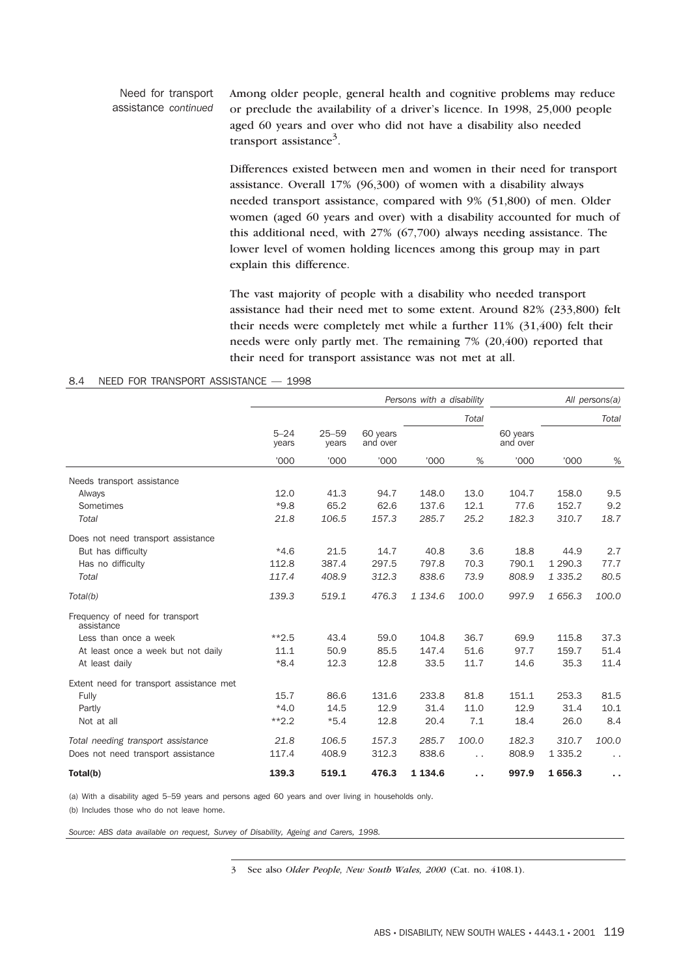#### Need for transport assistance *continued* Among older people, general health and cognitive problems may reduce or preclude the availability of a driver's licence. In 1998, 25,000 people aged 60 years and over who did not have a disability also needed transport assistance<sup>3</sup>.

Differences existed between men and women in their need for transport assistance. Overall 17% (96,300) of women with a disability always needed transport assistance, compared with 9% (51,800) of men. Older women (aged 60 years and over) with a disability accounted for much of this additional need, with 27% (67,700) always needing assistance. The lower level of women holding licences among this group may in part explain this difference.

The vast majority of people with a disability who needed transport assistance had their need met to some extent. Around 82% (233,800) felt their needs were completely met while a further 11% (31,400) felt their needs were only partly met. The remaining 7% (20,400) reported that their need for transport assistance was not met at all.

|                                               | Persons with a disability |                    |                      |             |       |                      | All persons(a) |                      |
|-----------------------------------------------|---------------------------|--------------------|----------------------|-------------|-------|----------------------|----------------|----------------------|
|                                               |                           |                    |                      |             | Total |                      |                | Total                |
|                                               | $5 - 24$<br>years         | $25 - 59$<br>years | 60 years<br>and over |             |       | 60 years<br>and over |                |                      |
|                                               | '000                      | '000               | '000                 | '000        | %     | '000                 | '000           | $\%$                 |
| Needs transport assistance                    |                           |                    |                      |             |       |                      |                |                      |
| Always                                        | 12.0                      | 41.3               | 94.7                 | 148.0       | 13.0  | 104.7                | 158.0          | 9.5                  |
| Sometimes                                     | $*9.8$                    | 65.2               | 62.6                 | 137.6       | 12.1  | 77.6                 | 152.7          | 9.2                  |
| Total                                         | 21.8                      | 106.5              | 157.3                | 285.7       | 25.2  | 182.3                | 310.7          | 18.7                 |
| Does not need transport assistance            |                           |                    |                      |             |       |                      |                |                      |
| But has difficulty                            | $*4.6$                    | 21.5               | 14.7                 | 40.8        | 3.6   | 18.8                 | 44.9           | 2.7                  |
| Has no difficulty                             | 112.8                     | 387.4              | 297.5                | 797.8       | 70.3  | 790.1                | 1 2 9 0.3      | 77.7                 |
| Total                                         | 117.4                     | 408.9              | 312.3                | 838.6       | 73.9  | 808.9                | 1 3 3 5 . 2    | 80.5                 |
| Total(b)                                      | 139.3                     | 519.1              | 476.3                | 1 1 3 4.6   | 100.0 | 997.9                | 1 656.3        | 100.0                |
| Frequency of need for transport<br>assistance |                           |                    |                      |             |       |                      |                |                      |
| Less than once a week                         | $*2.5$                    | 43.4               | 59.0                 | 104.8       | 36.7  | 69.9                 | 115.8          | 37.3                 |
| At least once a week but not daily            | 11.1                      | 50.9               | 85.5                 | 147.4       | 51.6  | 97.7                 | 159.7          | 51.4                 |
| At least daily                                | $*8.4$                    | 12.3               | 12.8                 | 33.5        | 11.7  | 14.6                 | 35.3           | 11.4                 |
| Extent need for transport assistance met      |                           |                    |                      |             |       |                      |                |                      |
| Fully                                         | 15.7                      | 86.6               | 131.6                | 233.8       | 81.8  | 151.1                | 253.3          | 81.5                 |
| Partly                                        | $*4.0$                    | 14.5               | 12.9                 | 31.4        | 11.0  | 12.9                 | 31.4           | 10.1                 |
| Not at all                                    | $**2.2$                   | $*5.4$             | 12.8                 | 20.4        | 7.1   | 18.4                 | 26.0           | 8.4                  |
| Total needing transport assistance            | 21.8                      | 106.5              | 157.3                | 285.7       | 100.0 | 182.3                | 310.7          | 100.0                |
| Does not need transport assistance            | 117.4                     | 408.9              | 312.3                | 838.6       | .,    | 808.9                | 1 3 3 5 . 2    | $\ddot{\phantom{0}}$ |
| Total(b)                                      | 139.3                     | 519.1              | 476.3                | 1 1 3 4 . 6 | . .   | 997.9                | 1656.3         | ×,                   |

#### 8.4 NEED FOR TRANSPORT ASSISTANCE — 1998

(a) With a disability aged 5–59 years and persons aged 60 years and over living in households only.

(b) Includes those who do not leave home.

*Source: ABS data available on request, Survey of Disability, Ageing and Carers, 1998.*

3 See also *Older People, New South Wales, 2000* (Cat. no. 4108.1).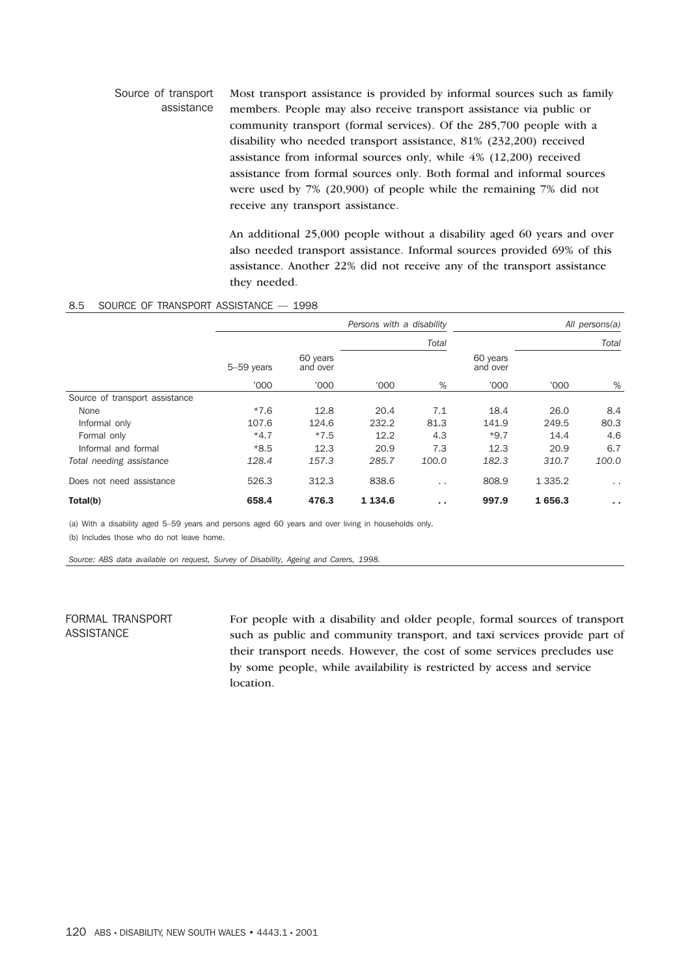#### Source of transport assistance Most transport assistance is provided by informal sources such as family members. People may also receive transport assistance via public or community transport (formal services). Of the 285,700 people with a disability who needed transport assistance, 81% (232,200) received assistance from informal sources only, while 4% (12,200) received assistance from formal sources only. Both formal and informal sources were used by 7% (20,900) of people while the remaining 7% did not receive any transport assistance.

An additional 25,000 people without a disability aged 60 years and over also needed transport assistance. Informal sources provided 69% of this assistance. Another 22% did not receive any of the transport assistance they needed.

#### 8.5 SOURCE OF TRANSPORT ASSISTANCE — 1998

|                                |            |                      | Persons with a disability | All persons(a)       |                      |           |                      |
|--------------------------------|------------|----------------------|---------------------------|----------------------|----------------------|-----------|----------------------|
|                                |            |                      |                           | Total                |                      |           | Total                |
|                                | 5-59 years | 60 years<br>and over |                           |                      | 60 years<br>and over |           |                      |
|                                | '000       | '000                 | '000                      | %                    | '000                 | '000      | %                    |
| Source of transport assistance |            |                      |                           |                      |                      |           |                      |
| None                           | $*7.6$     | 12.8                 | 20.4                      | 7.1                  | 18.4                 | 26.0      | 8.4                  |
| Informal only                  | 107.6      | 124.6                | 232.2                     | 81.3                 | 141.9                | 249.5     | 80.3                 |
| Formal only                    | $*4.7$     | $*7.5$               | 12.2                      | 4.3                  | $*9.7$               | 14.4      | 4.6                  |
| Informal and formal            | $*8.5$     | 12.3                 | 20.9                      | 7.3                  | 12.3                 | 20.9      | 6.7                  |
| Total needing assistance       | 128.4      | 157.3                | 285.7                     | 100.0                | 182.3                | 310.7     | 100.0                |
| Does not need assistance       | 526.3      | 312.3                | 838.6                     | $\ddot{\phantom{0}}$ | 808.9                | 1 3 3 5.2 | $\ddot{\phantom{1}}$ |
| Total(b)                       | 658.4      | 476.3                | 1 1 3 4 . 6               | . .                  | 997.9                | 1656.3    | $\sim$ $\sim$        |

(a) With a disability aged 5–59 years and persons aged 60 years and over living in households only. (b) Includes those who do not leave home.

*Source: ABS data available on request, Survey of Disability, Ageing and Carers, 1998.*

# FORMAL TRANSPORT ASSISTANCE

For people with a disability and older people, formal sources of transport such as public and community transport, and taxi services provide part of their transport needs. However, the cost of some services precludes use by some people, while availability is restricted by access and service location.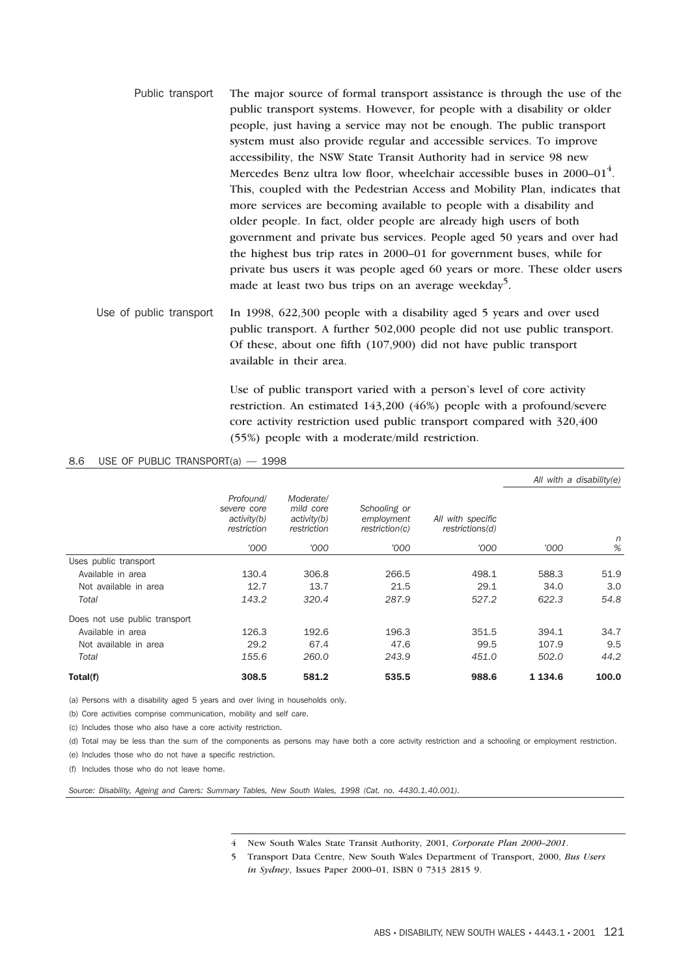- Public transport The major source of formal transport assistance is through the use of the public transport systems. However, for people with a disability or older people, just having a service may not be enough. The public transport system must also provide regular and accessible services. To improve accessibility, the NSW State Transit Authority had in service 98 new Mercedes Benz ultra low floor, wheelchair accessible buses in 2000–01<sup>4</sup>. This, coupled with the Pedestrian Access and Mobility Plan, indicates that more services are becoming available to people with a disability and older people. In fact, older people are already high users of both government and private bus services. People aged 50 years and over had the highest bus trip rates in 2000–01 for government buses, while for private bus users it was people aged 60 years or more. These older users made at least two bus trips on an average weekday<sup>5</sup>.
- Use of public transport In 1998, 622,300 people with a disability aged 5 years and over used public transport. A further 502,000 people did not use public transport. Of these, about one fifth (107,900) did not have public transport available in their area.

Use of public transport varied with a person's level of core activity restriction. An estimated 143,200 (46%) people with a profound/severe core activity restriction used public transport compared with 320,400 (55%) people with a moderate/mild restriction.

#### 8.6 USE OF PUBLIC TRANSPORT(a) — 1998

|                               |                                                        |                                                      |                                              |                                      | All with a disability(e) |        |
|-------------------------------|--------------------------------------------------------|------------------------------------------------------|----------------------------------------------|--------------------------------------|--------------------------|--------|
|                               | Profound/<br>severe core<br>activity(b)<br>restriction | Moderate/<br>mild core<br>activity(b)<br>restriction | Schooling or<br>employment<br>restriction(c) | All with specific<br>restrictions(d) |                          |        |
|                               | '000                                                   | '000                                                 | '000                                         | '000                                 | '000                     | n<br>% |
| Uses public transport         |                                                        |                                                      |                                              |                                      |                          |        |
| Available in area             | 130.4                                                  | 306.8                                                | 266.5                                        | 498.1                                | 588.3                    | 51.9   |
| Not available in area         | 12.7                                                   | 13.7                                                 | 21.5                                         | 29.1                                 | 34.0                     | 3.0    |
| Total                         | 143.2                                                  | 320.4                                                | 287.9                                        | 527.2                                | 622.3                    | 54.8   |
| Does not use public transport |                                                        |                                                      |                                              |                                      |                          |        |
| Available in area             | 126.3                                                  | 192.6                                                | 196.3                                        | 351.5                                | 394.1                    | 34.7   |
| Not available in area         | 29.2                                                   | 67.4                                                 | 47.6                                         | 99.5                                 | 107.9                    | 9.5    |
| Total                         | 155.6                                                  | 260.0                                                | 243.9                                        | 451.0                                | 502.0                    | 44.2   |
| Total(f)                      | 308.5                                                  | 581.2                                                | 535.5                                        | 988.6                                | 1 1 3 4 . 6              | 100.0  |

(a) Persons with a disability aged 5 years and over living in households only.

(b) Core activities comprise communication, mobility and self care.

(c) Includes those who also have a core activity restriction.

(d) Total may be less than the sum of the components as persons may have both a core activity restriction and a schooling or employment restriction.

(e) Includes those who do not have a specific restriction.

(f) Includes those who do not leave home.

*Source: Disability, Ageing and Carers: Summary Tables, New South Wales, 1998 (Cat. no. 4430.1.40.001).*

4 New South Wales State Transit Authority, 2001, *Corporate Plan 2000–2001*.

5 Transport Data Centre, New South Wales Department of Transport, 2000, *Bus Users in Sydney*, Issues Paper 2000–01, ISBN 0 7313 2815 9.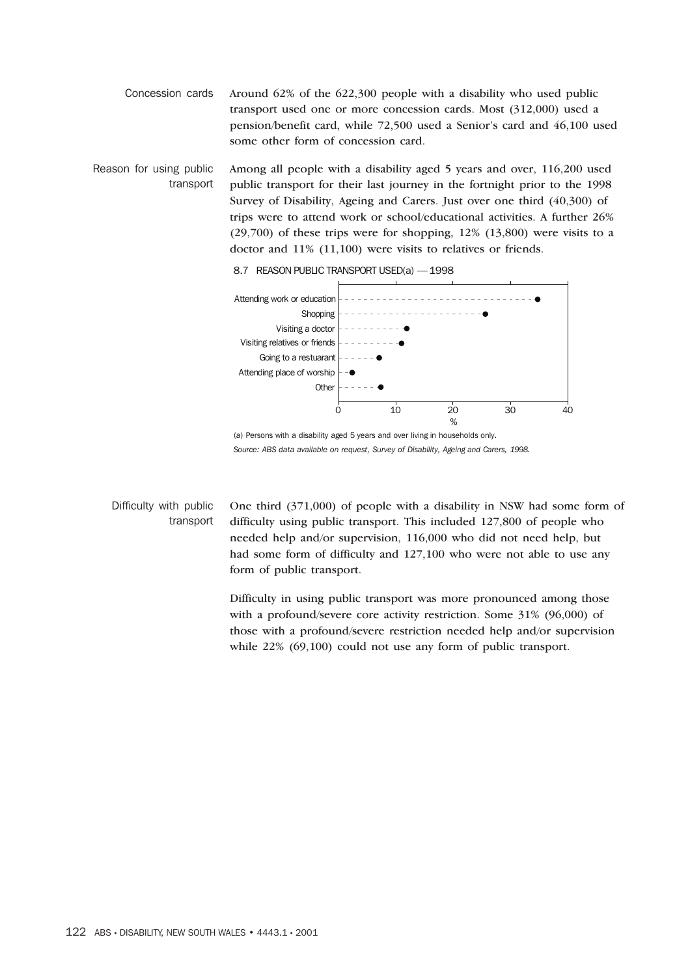Concession cards Around 62% of the 622,300 people with a disability who used public transport used one or more concession cards. Most (312,000) used a pension/benefit card, while 72,500 used a Senior's card and 46,100 used some other form of concession card.

Reason for using public transport Among all people with a disability aged 5 years and over, 116,200 used public transport for their last journey in the fortnight prior to the 1998 Survey of Disability, Ageing and Carers. Just over one third (40,300) of trips were to attend work or school/educational activities. A further 26%  $(29,700)$  of these trips were for shopping,  $12\%$   $(13,800)$  were visits to a doctor and 11% (11,100) were visits to relatives or friends.



8.7 REASON PUBLIC TRANSPORT USED(a) — 1998

(a) Persons with a disability aged 5 years and over living in households only. *Source: ABS data available on request, Survey of Disability, Ageing and Carers, 1998.*

Difficulty with public transport One third (371,000) of people with a disability in NSW had some form of difficulty using public transport. This included 127,800 of people who needed help and/or supervision, 116,000 who did not need help, but had some form of difficulty and 127,100 who were not able to use any form of public transport.

> Difficulty in using public transport was more pronounced among those with a profound/severe core activity restriction. Some 31% (96,000) of those with a profound/severe restriction needed help and/or supervision while  $22\%$  (69,100) could not use any form of public transport.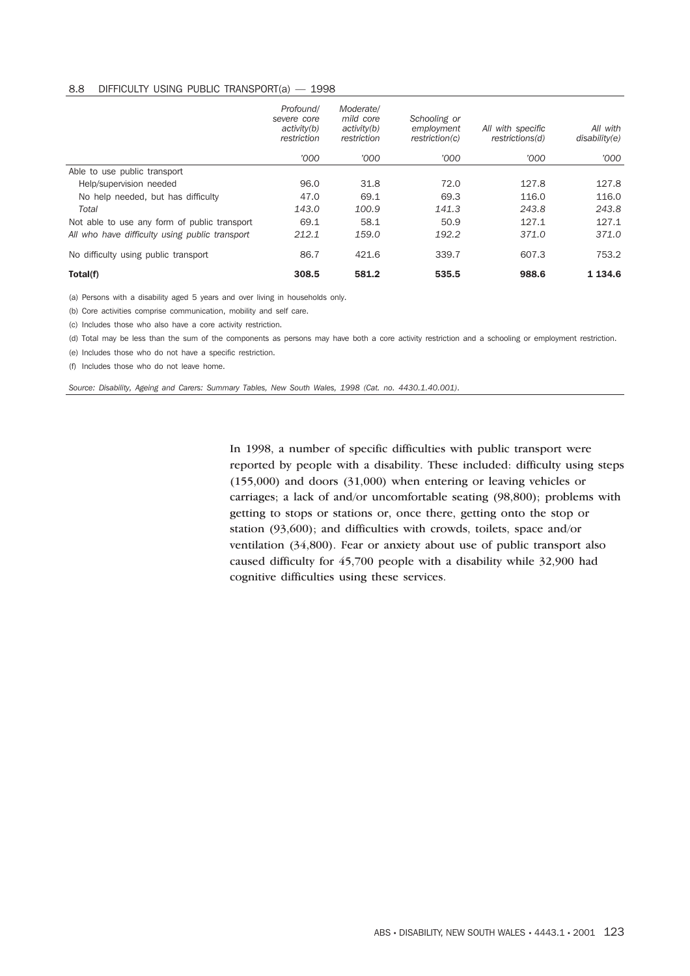#### 8.8 DIFFICULTY USING PUBLIC TRANSPORT(a) — 1998

|                                                | Profound/<br>severe core<br>activity(b)<br>restriction | Moderate/<br>mild core<br>activity(b)<br>restriction | Schooling or<br>employment<br>restriction(c) | All with specific<br>restrictions(d) | All with<br>disability(e) |
|------------------------------------------------|--------------------------------------------------------|------------------------------------------------------|----------------------------------------------|--------------------------------------|---------------------------|
|                                                | '000                                                   | '000                                                 | '000                                         | '000                                 | '000                      |
| Able to use public transport                   |                                                        |                                                      |                                              |                                      |                           |
| Help/supervision needed                        | 96.0                                                   | 31.8                                                 | 72.0                                         | 127.8                                | 127.8                     |
| No help needed, but has difficulty             | 47.0                                                   | 69.1                                                 | 69.3                                         | 116.0                                | 116.0                     |
| Total                                          | 143.0                                                  | 100.9                                                | 141.3                                        | 243.8                                | 243.8                     |
| Not able to use any form of public transport   | 69.1                                                   | 58.1                                                 | 50.9                                         | 127.1                                | 127.1                     |
| All who have difficulty using public transport | 212.1                                                  | 159.0                                                | 192.2                                        | 371.0                                | 371.0                     |
| No difficulty using public transport           | 86.7                                                   | 421.6                                                | 339.7                                        | 607.3                                | 753.2                     |
| Total(f)                                       | 308.5                                                  | 581.2                                                | 535.5                                        | 988.6                                | 1 1 3 4 . 6               |

(a) Persons with a disability aged 5 years and over living in households only.

(b) Core activities comprise communication, mobility and self care.

(c) Includes those who also have a core activity restriction.

(d) Total may be less than the sum of the components as persons may have both a core activity restriction and a schooling or employment restriction.

(e) Includes those who do not have a specific restriction.

(f) Includes those who do not leave home.

*Source: Disability, Ageing and Carers: Summary Tables, New South Wales, 1998 (Cat. no. 4430.1.40.001).*

In 1998, a number of specific difficulties with public transport were reported by people with a disability. These included: difficulty using steps (155,000) and doors (31,000) when entering or leaving vehicles or carriages; a lack of and/or uncomfortable seating (98,800); problems with getting to stops or stations or, once there, getting onto the stop or station (93,600); and difficulties with crowds, toilets, space and/or ventilation (34,800). Fear or anxiety about use of public transport also caused difficulty for 45,700 people with a disability while 32,900 had cognitive difficulties using these services.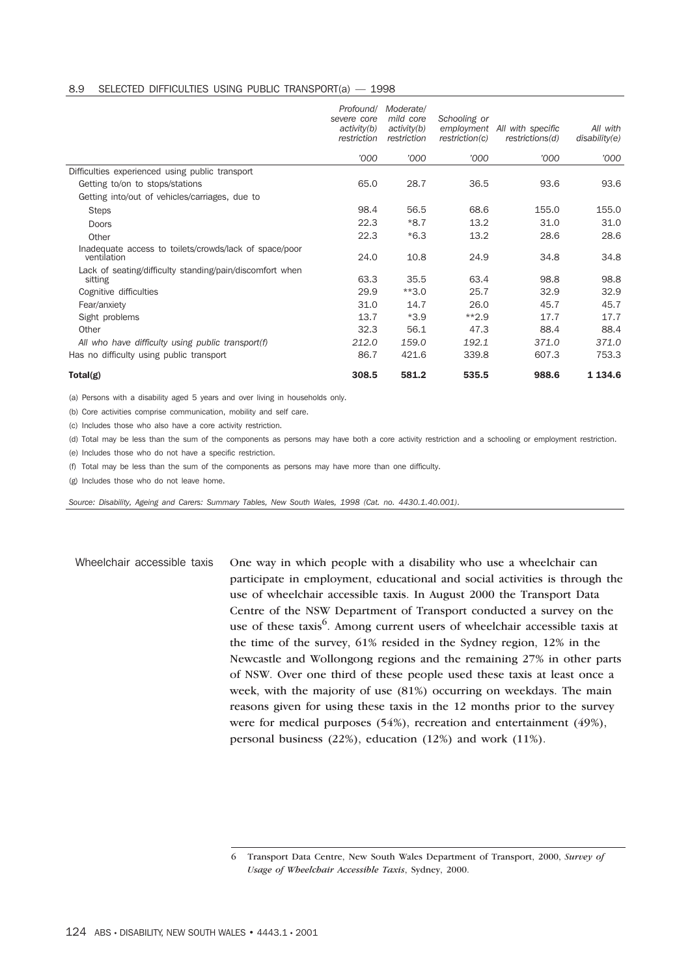#### 8.9 SELECTED DIFFICULTIES USING PUBLIC TRANSPORT(a) — 1998

|                                                                       | Profound/<br>severe core<br>activity(b)<br>restriction | Moderate/<br>mild core<br>activity(b)<br>restriction | Schooling or<br>employment<br>restriction(c) | All with specific<br>restrictions(d) | All with<br>disability(e) |
|-----------------------------------------------------------------------|--------------------------------------------------------|------------------------------------------------------|----------------------------------------------|--------------------------------------|---------------------------|
|                                                                       | '000                                                   | '000                                                 | '000                                         | '000                                 | '000                      |
| Difficulties experienced using public transport                       |                                                        |                                                      |                                              |                                      |                           |
| Getting to/on to stops/stations                                       | 65.0                                                   | 28.7                                                 | 36.5                                         | 93.6                                 | 93.6                      |
| Getting into/out of vehicles/carriages, due to                        |                                                        |                                                      |                                              |                                      |                           |
| <b>Steps</b>                                                          | 98.4                                                   | 56.5                                                 | 68.6                                         | 155.0                                | 155.0                     |
| <b>Doors</b>                                                          | 22.3                                                   | $*8.7$                                               | 13.2                                         | 31.0                                 | 31.0                      |
| Other                                                                 | 22.3                                                   | $*6.3$                                               | 13.2                                         | 28.6                                 | 28.6                      |
| Inadequate access to toilets/crowds/lack of space/poor<br>ventilation | 24.0                                                   | 10.8                                                 | 24.9                                         | 34.8                                 | 34.8                      |
| Lack of seating/difficulty standing/pain/discomfort when<br>sitting   | 63.3                                                   | 35.5                                                 | 63.4                                         | 98.8                                 | 98.8                      |
| Cognitive difficulties                                                | 29.9                                                   | $**3.0$                                              | 25.7                                         | 32.9                                 | 32.9                      |
| Fear/anxiety                                                          | 31.0                                                   | 14.7                                                 | 26.0                                         | 45.7                                 | 45.7                      |
| Sight problems                                                        | 13.7                                                   | $*3.9$                                               | $**2.9$                                      | 17.7                                 | 17.7                      |
| Other                                                                 | 32.3                                                   | 56.1                                                 | 47.3                                         | 88.4                                 | 88.4                      |
| All who have difficulty using public transport(f)                     | 212.0                                                  | 159.0                                                | 192.1                                        | 371.0                                | 371.0                     |
| Has no difficulty using public transport                              | 86.7                                                   | 421.6                                                | 339.8                                        | 607.3                                | 753.3                     |
| Total(g)                                                              | 308.5                                                  | 581.2                                                | 535.5                                        | 988.6                                | 1 1 3 4 . 6               |

(a) Persons with a disability aged 5 years and over living in households only.

(b) Core activities comprise communication, mobility and self care.

(c) Includes those who also have a core activity restriction.

(d) Total may be less than the sum of the components as persons may have both a core activity restriction and a schooling or employment restriction.

(e) Includes those who do not have a specific restriction.

(f) Total may be less than the sum of the components as persons may have more than one difficulty.

(g) Includes those who do not leave home.

*Source: Disability, Ageing and Carers: Summary Tables, New South Wales, 1998 (Cat. no. 4430.1.40.001).*

Wheelchair accessible taxis One way in which people with a disability who use a wheelchair can participate in employment, educational and social activities is through the use of wheelchair accessible taxis. In August 2000 the Transport Data Centre of the NSW Department of Transport conducted a survey on the use of these taxis<sup>6</sup>. Among current users of wheelchair accessible taxis at the time of the survey, 61% resided in the Sydney region, 12% in the Newcastle and Wollongong regions and the remaining 27% in other parts of NSW. Over one third of these people used these taxis at least once a week, with the majority of use (81%) occurring on weekdays. The main reasons given for using these taxis in the 12 months prior to the survey were for medical purposes (54%), recreation and entertainment (49%), personal business (22%), education (12%) and work (11%).

<sup>6</sup> Transport Data Centre, New South Wales Department of Transport, 2000, *Survey of Usage of Wheelchair Accessible Taxis*, Sydney, 2000.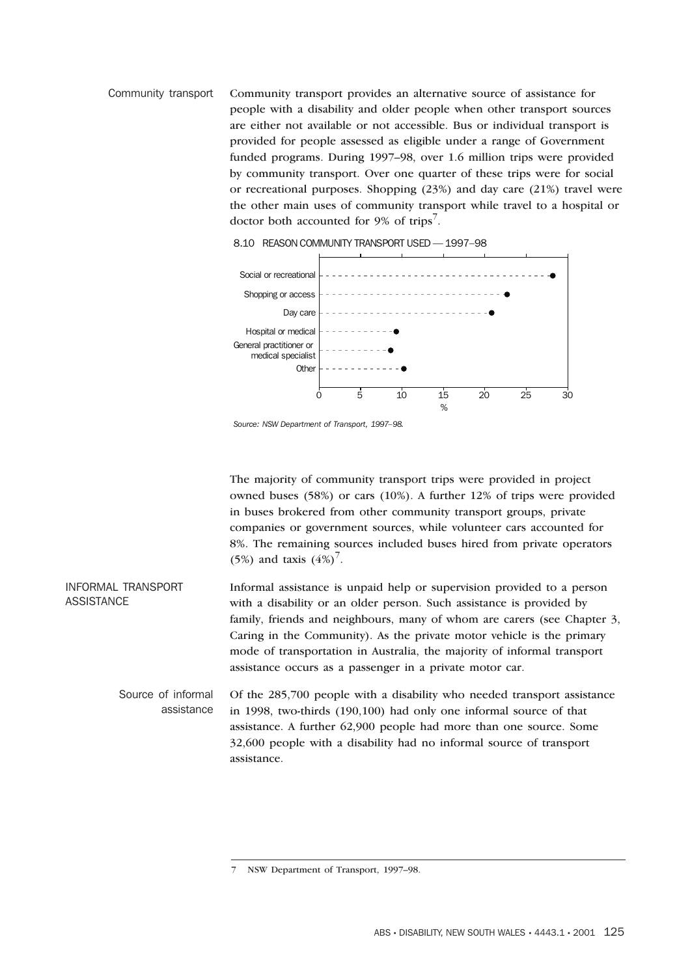Community transport Community transport provides an alternative source of assistance for people with a disability and older people when other transport sources are either not available or not accessible. Bus or individual transport is provided for people assessed as eligible under a range of Government funded programs. During 1997–98, over 1.6 million trips were provided by community transport. Over one quarter of these trips were for social or recreational purposes. Shopping (23%) and day care (21%) travel were the other main uses of community transport while travel to a hospital or doctor both accounted for 9% of trips<sup>7</sup>.





The majority of community transport trips were provided in project owned buses (58%) or cars (10%). A further 12% of trips were provided in buses brokered from other community transport groups, private companies or government sources, while volunteer cars accounted for 8%. The remaining sources included buses hired from private operators (5%) and taxis  $(4%)^{7}$ .

INFORMAL TRANSPORT ASSISTANCE Informal assistance is unpaid help or supervision provided to a person with a disability or an older person. Such assistance is provided by family, friends and neighbours, many of whom are carers (see Chapter 3, Caring in the Community). As the private motor vehicle is the primary mode of transportation in Australia, the majority of informal transport assistance occurs as a passenger in a private motor car.

Source of informal assistance Of the 285,700 people with a disability who needed transport assistance in 1998, two-thirds (190,100) had only one informal source of that assistance. A further 62,900 people had more than one source. Some 32,600 people with a disability had no informal source of transport assistance.

*Source: NSW Department of Transport, 1997–98.*

<sup>7</sup> NSW Department of Transport, 1997–98.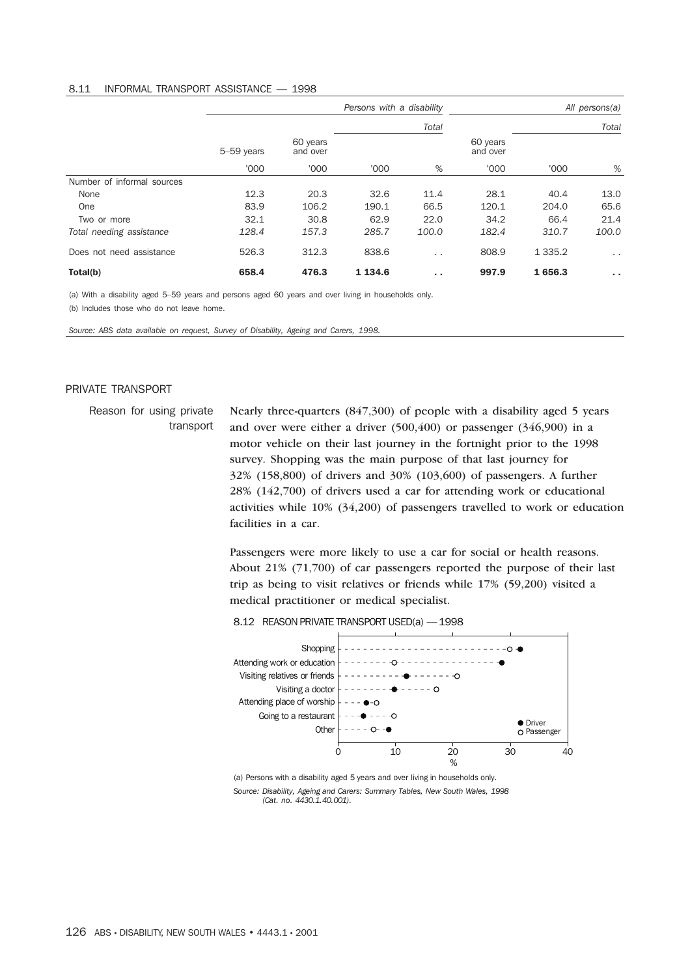### 8.11 INFORMAL TRANSPORT ASSISTANCE — 1998

|                            |            |                      | Persons with a disability |                 |                      | All persons(a) |               |
|----------------------------|------------|----------------------|---------------------------|-----------------|----------------------|----------------|---------------|
|                            |            |                      |                           | Total           |                      | Total          |               |
|                            | 5-59 years | 60 years<br>and over |                           |                 | 60 years<br>and over |                |               |
|                            | '000       | '000                 | '000                      | %               | '000                 | '000           | %             |
| Number of informal sources |            |                      |                           |                 |                      |                |               |
| None                       | 12.3       | 20.3                 | 32.6                      | 11.4            | 28.1                 | 40.4           | 13.0          |
| One                        | 83.9       | 106.2                | 190.1                     | 66.5            | 120.1                | 204.0          | 65.6          |
| Two or more                | 32.1       | 30.8                 | 62.9                      | 22.0            | 34.2                 | 66.4           | 21.4          |
| Total needing assistance   | 128.4      | 157.3                | 285.7                     | 100.0           | 182.4                | 310.7          | 100.0         |
| Does not need assistance   | 526.3      | 312.3                | 838.6                     | $\cdot$ $\cdot$ | 808.9                | 1 3 3 5.2      | $\cdot$ .     |
| Total(b)                   | 658.4      | 476.3                | 1 1 3 4 . 6               | $\sim$          | 997.9                | 1656.3         | $\sim$ $\sim$ |

(a) With a disability aged 5–59 years and persons aged 60 years and over living in households only.

(b) Includes those who do not leave home.

*Source: ABS data available on request, Survey of Disability, Ageing and Carers, 1998.*

### PRIVATE TRANSPORT

Reason for using private transport Nearly three-quarters (847,300) of people with a disability aged 5 years and over were either a driver (500,400) or passenger (346,900) in a motor vehicle on their last journey in the fortnight prior to the 1998 survey. Shopping was the main purpose of that last journey for 32% (158,800) of drivers and 30% (103,600) of passengers. A further 28% (142,700) of drivers used a car for attending work or educational activities while 10% (34,200) of passengers travelled to work or education facilities in a car.

> Passengers were more likely to use a car for social or health reasons. About 21% (71,700) of car passengers reported the purpose of their last trip as being to visit relatives or friends while 17% (59,200) visited a medical practitioner or medical specialist.

8.12 REASON PRIVATE TRANSPORT USED(a) - 1998



(a) Persons with a disability aged 5 years and over living in households only. *Source: Disability, Ageing and Carers: Summary Tables, New South Wales, 1998 (Cat. no. 4430.1.40.001).*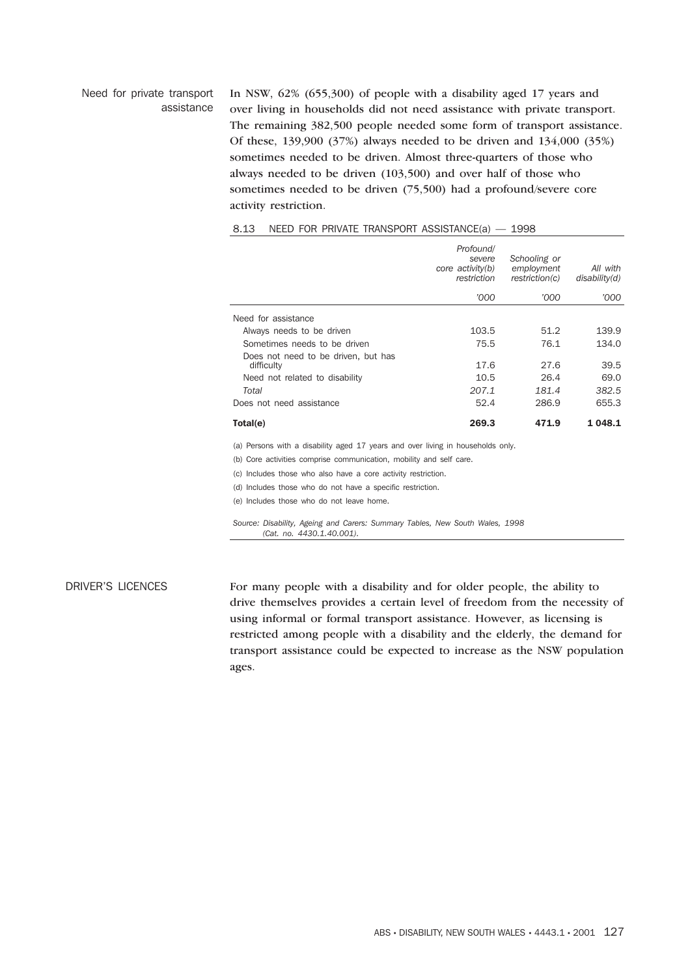#### Need for private transport assistance

In NSW, 62% (655,300) of people with a disability aged 17 years and over living in households did not need assistance with private transport. The remaining 382,500 people needed some form of transport assistance. Of these, 139,900 (37%) always needed to be driven and 134,000 (35%) sometimes needed to be driven. Almost three-quarters of those who always needed to be driven (103,500) and over half of those who sometimes needed to be driven (75,500) had a profound/severe core activity restriction.

|                                                                                 | Profound/<br>severe<br>core activity(b)<br>restriction | Schooling or<br>employment<br>restriction(c) | All with<br>disability(d) |
|---------------------------------------------------------------------------------|--------------------------------------------------------|----------------------------------------------|---------------------------|
|                                                                                 | '000                                                   | '000                                         | 000'                      |
| Need for assistance                                                             |                                                        |                                              |                           |
| Always needs to be driven                                                       | 103.5                                                  | 51.2                                         | 139.9                     |
| Sometimes needs to be driven                                                    | 75.5                                                   | 76.1                                         | 134.0                     |
| Does not need to be driven, but has<br>difficulty                               | 17.6                                                   | 27.6                                         | 39.5                      |
| Need not related to disability                                                  | 10.5                                                   | 26.4                                         | 69.0                      |
| Total                                                                           | 207.1                                                  | 181.4                                        | 382.5                     |
| Does not need assistance                                                        | 52.4                                                   | 286.9                                        | 655.3                     |
| Total(e)                                                                        | 269.3                                                  | 471.9                                        | 1 048.1                   |
| (a) Persons with a disability aged 17 years and over living in households only. |                                                        |                                              |                           |
| (b) Core activities comprise communication, mobility and self care.             |                                                        |                                              |                           |
| (c) Includes those who also have a core activity restriction.                   |                                                        |                                              |                           |
| (d) Includes those who do not have a specific restriction.                      |                                                        |                                              |                           |
| (e) Includes those who do not leave home.                                       |                                                        |                                              |                           |
| Source: Disability, Ageing and Carers: Summary Tables, New South Wales, 1998    |                                                        |                                              |                           |

# 8.13 NEED FOR PRIVATE TRANSPORT ASSISTANCE(a) — 1998

*(Cat. no. 4430.1.40.001).*

DRIVER'S LICENCES For many people with a disability and for older people, the ability to drive themselves provides a certain level of freedom from the necessity of using informal or formal transport assistance. However, as licensing is restricted among people with a disability and the elderly, the demand for transport assistance could be expected to increase as the NSW population ages.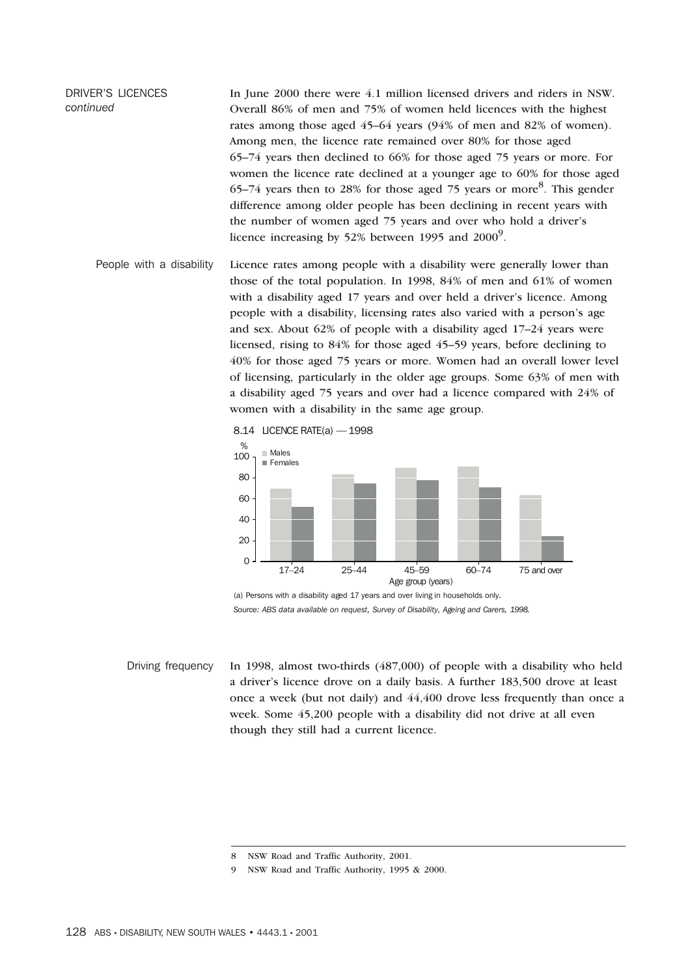DRIVER'S LICENCES *continued* In June 2000 there were 4.1 million licensed drivers and riders in NSW. Overall 86% of men and 75% of women held licences with the highest rates among those aged 45–64 years (94% of men and 82% of women). Among men, the licence rate remained over 80% for those aged 65–74 years then declined to 66% for those aged 75 years or more. For women the licence rate declined at a younger age to 60% for those aged 65–74 years then to 28% for those aged 75 years or more<sup>8</sup>. This gender difference among older people has been declining in recent years with the number of women aged 75 years and over who hold a driver's licence increasing by 52% between 1995 and 2000 $^9$ .

People with a disability Licence rates among people with a disability were generally lower than those of the total population. In 1998, 84% of men and 61% of women with a disability aged 17 years and over held a driver's licence. Among people with a disability, licensing rates also varied with a person's age and sex. About 62% of people with a disability aged 17–24 years were licensed, rising to 84% for those aged 45–59 years, before declining to 40% for those aged 75 years or more. Women had an overall lower level of licensing, particularly in the older age groups. Some 63% of men with a disability aged 75 years and over had a licence compared with 24% of women with a disability in the same age group.

8.14 LICENCE RATE(a) — 1998



(a) Persons with a disability aged 17 years and over living in households only. *Source: ABS data available on request, Survey of Disability, Ageing and Carers, 1998.*

Driving frequency In 1998, almost two-thirds (487,000) of people with a disability who held a driver's licence drove on a daily basis. A further 183,500 drove at least once a week (but not daily) and 44,400 drove less frequently than once a week. Some 45,200 people with a disability did not drive at all even though they still had a current licence.

<sup>8</sup> NSW Road and Traffic Authority, 2001.

<sup>9</sup> NSW Road and Traffic Authority, 1995 & 2000.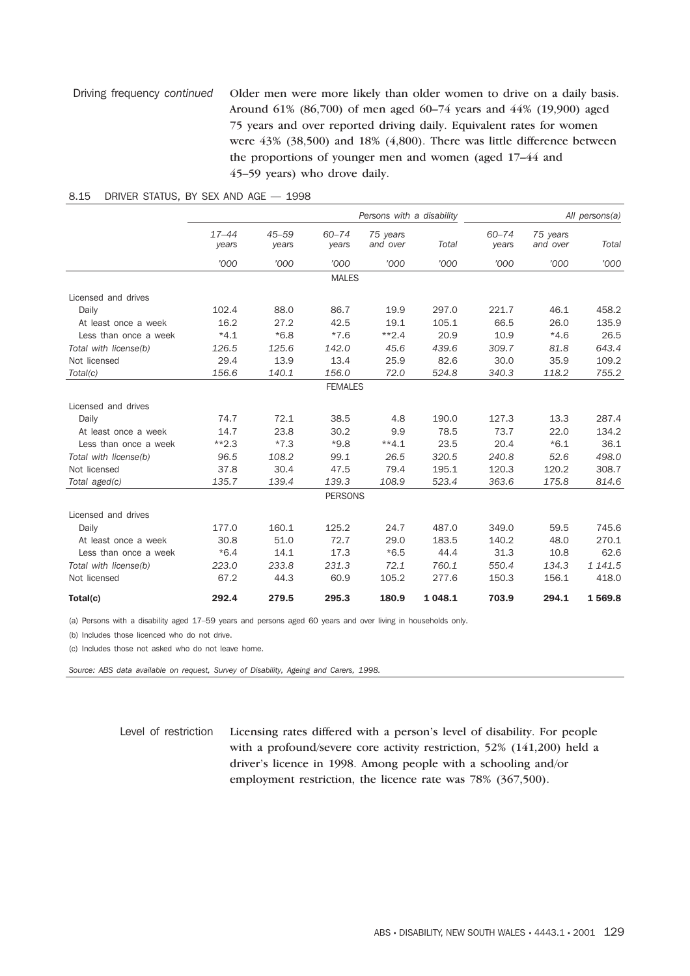# Driving frequency *continued* Older men were more likely than older women to drive on a daily basis. Around 61% (86,700) of men aged 60–74 years and 44% (19,900) aged 75 years and over reported driving daily. Equivalent rates for women were 43% (38,500) and 18% (4,800). There was little difference between the proportions of younger men and women (aged 17–44 and 45–59 years) who drove daily.

|                       |                    |                    |                    | Persons with a disability |          |                    |                      | All persons(a) |
|-----------------------|--------------------|--------------------|--------------------|---------------------------|----------|--------------------|----------------------|----------------|
|                       | $17 - 44$<br>years | $45 - 59$<br>years | $60 - 74$<br>years | 75 years<br>and over      | Total    | $60 - 74$<br>years | 75 years<br>and over | Total          |
|                       | '000               | '000               | '000'              | '000                      | '000     | '000               | '000                 | '000           |
|                       |                    |                    | <b>MALES</b>       |                           |          |                    |                      |                |
| Licensed and drives   |                    |                    |                    |                           |          |                    |                      |                |
| Daily                 | 102.4              | 88.0               | 86.7               | 19.9                      | 297.0    | 221.7              | 46.1                 | 458.2          |
| At least once a week  | 16.2               | 27.2               | 42.5               | 19.1                      | 105.1    | 66.5               | 26.0                 | 135.9          |
| Less than once a week | $*4.1$             | $*6.8$             | $*7.6$             | $**2.4$                   | 20.9     | 10.9               | $*4.6$               | 26.5           |
| Total with license(b) | 126.5              | 125.6              | 142.0              | 45.6                      | 439.6    | 309.7              | 81.8                 | 643.4          |
| Not licensed          | 29.4               | 13.9               | 13.4               | 25.9                      | 82.6     | 30.0               | 35.9                 | 109.2          |
| Total(c)              | 156.6              | 140.1              | 156.0              | 72.0                      | 524.8    | 340.3              | 118.2                | 755.2          |
|                       |                    |                    | <b>FEMALES</b>     |                           |          |                    |                      |                |
| Licensed and drives   |                    |                    |                    |                           |          |                    |                      |                |
| Daily                 | 74.7               | 72.1               | 38.5               | 4.8                       | 190.0    | 127.3              | 13.3                 | 287.4          |
| At least once a week  | 14.7               | 23.8               | 30.2               | 9.9                       | 78.5     | 73.7               | 22.0                 | 134.2          |
| Less than once a week | $*2.3$             | $*7.3$             | $*9.8$             | $**4.1$                   | 23.5     | 20.4               | $*6.1$               | 36.1           |
| Total with license(b) | 96.5               | 108.2              | 99.1               | 26.5                      | 320.5    | 240.8              | 52.6                 | 498.0          |
| Not licensed          | 37.8               | 30.4               | 47.5               | 79.4                      | 195.1    | 120.3              | 120.2                | 308.7          |
| Total aged(c)         | 135.7              | 139.4              | 139.3              | 108.9                     | 523.4    | 363.6              | 175.8                | 814.6          |
|                       |                    |                    | <b>PERSONS</b>     |                           |          |                    |                      |                |
| Licensed and drives   |                    |                    |                    |                           |          |                    |                      |                |
| Daily                 | 177.0              | 160.1              | 125.2              | 24.7                      | 487.0    | 349.0              | 59.5                 | 745.6          |
| At least once a week  | 30.8               | 51.0               | 72.7               | 29.0                      | 183.5    | 140.2              | 48.0                 | 270.1          |
| Less than once a week | $*6.4$             | 14.1               | 17.3               | $*6.5$                    | 44.4     | 31.3               | 10.8                 | 62.6           |
| Total with license(b) | 223.0              | 233.8              | 231.3              | 72.1                      | 760.1    | 550.4              | 134.3                | 1 141.5        |
| Not licensed          | 67.2               | 44.3               | 60.9               | 105.2                     | 277.6    | 150.3              | 156.1                | 418.0          |
| Total(c)              | 292.4              | 279.5              | 295.3              | 180.9                     | 1 0 48.1 | 703.9              | 294.1                | 1569.8         |

#### 8.15 DRIVER STATUS, BY SEX AND AGE — 1998

(a) Persons with a disability aged 17–59 years and persons aged 60 years and over living in households only.

(b) Includes those licenced who do not drive.

(c) Includes those not asked who do not leave home.

*Source: ABS data available on request, Survey of Disability, Ageing and Carers, 1998.*

Level of restriction Licensing rates differed with a person's level of disability. For people with a profound/severe core activity restriction, 52% (141,200) held a driver's licence in 1998. Among people with a schooling and/or employment restriction, the licence rate was 78% (367,500).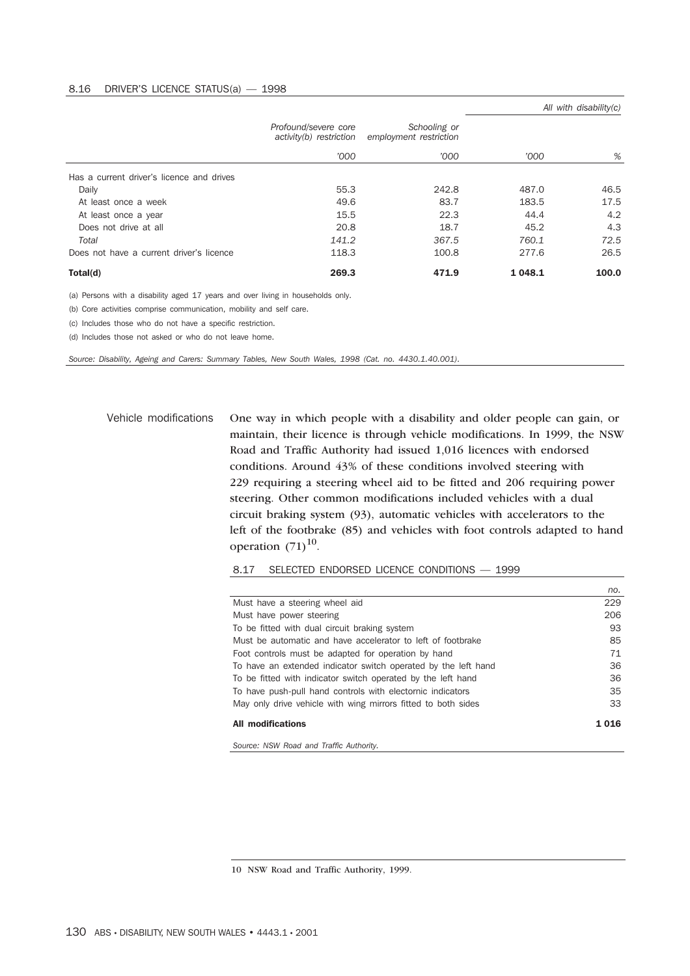#### 8.16 DRIVER'S LICENCE STATUS(a) — 1998

|                                           |                                                 |                                        |           | All with disability $(c)$ |
|-------------------------------------------|-------------------------------------------------|----------------------------------------|-----------|---------------------------|
|                                           | Profound/severe core<br>activity(b) restriction | Schooling or<br>employment restriction |           |                           |
|                                           | '000                                            | '000                                   | '000      | %                         |
| Has a current driver's licence and drives |                                                 |                                        |           |                           |
| Daily                                     | 55.3                                            | 242.8                                  | 487.0     | 46.5                      |
| At least once a week                      | 49.6                                            | 83.7                                   | 183.5     | 17.5                      |
| At least once a year                      | 15.5                                            | 22.3                                   | 44.4      | 4.2                       |
| Does not drive at all                     | 20.8                                            | 18.7                                   | 45.2      | 4.3                       |
| Total                                     | 141.2                                           | 367.5                                  | 760.1     | 72.5                      |
| Does not have a current driver's licence  | 118.3                                           | 100.8                                  | 277.6     | 26.5                      |
| Total(d)                                  | 269.3                                           | 471.9                                  | 1 0 4 8.1 | 100.0                     |

(a) Persons with a disability aged 17 years and over living in households only.

(b) Core activities comprise communication, mobility and self care.

(c) Includes those who do not have a specific restriction.

(d) Includes those not asked or who do not leave home.

*Source: Disability, Ageing and Carers: Summary Tables, New South Wales, 1998 (Cat. no. 4430.1.40.001).*

Vehicle modifications One way in which people with a disability and older people can gain, or maintain, their licence is through vehicle modifications. In 1999, the NSW Road and Traffic Authority had issued 1,016 licences with endorsed conditions. Around 43% of these conditions involved steering with 229 requiring a steering wheel aid to be fitted and 206 requiring power steering. Other common modifications included vehicles with a dual circuit braking system (93), automatic vehicles with accelerators to the left of the footbrake (85) and vehicles with foot controls adapted to hand operation  $(71)^{10}$ .

8.17 SELECTED ENDORSED LICENCE CONDITIONS — 1999

|                                                                | no.  |
|----------------------------------------------------------------|------|
| Must have a steering wheel aid                                 | 229  |
| Must have power steering                                       | 206  |
| To be fitted with dual circuit braking system                  | 93   |
| Must be automatic and have accelerator to left of footbrake    | 85   |
| Foot controls must be adapted for operation by hand            | 71   |
| To have an extended indicator switch operated by the left hand | 36   |
| To be fitted with indicator switch operated by the left hand   | 36   |
| To have push-pull hand controls with electornic indicators     | 35   |
| May only drive vehicle with wing mirrors fitted to both sides  | 33   |
| <b>All modifications</b>                                       | 1016 |

*Source: NSW Road and Traffic Authority.*

10 NSW Road and Traffic Authority, 1999.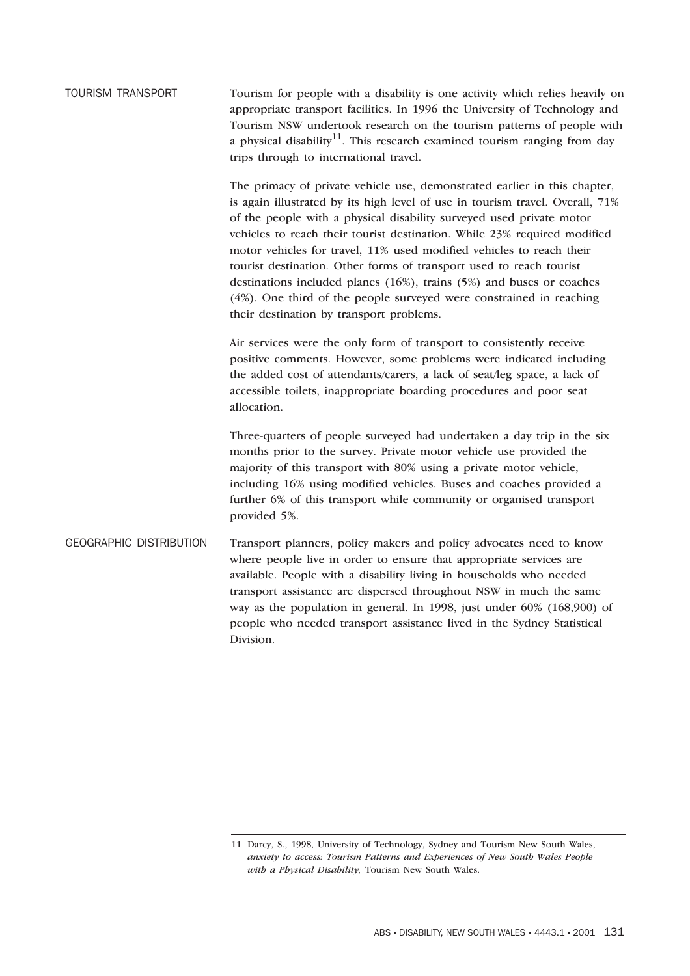TOURISM TRANSPORT Tourism for people with a disability is one activity which relies heavily on appropriate transport facilities. In 1996 the University of Technology and Tourism NSW undertook research on the tourism patterns of people with a physical disability<sup>11</sup>. This research examined tourism ranging from day trips through to international travel.

> The primacy of private vehicle use, demonstrated earlier in this chapter, is again illustrated by its high level of use in tourism travel. Overall, 71% of the people with a physical disability surveyed used private motor vehicles to reach their tourist destination. While 23% required modified motor vehicles for travel, 11% used modified vehicles to reach their tourist destination. Other forms of transport used to reach tourist destinations included planes (16%), trains (5%) and buses or coaches (4%). One third of the people surveyed were constrained in reaching their destination by transport problems.

Air services were the only form of transport to consistently receive positive comments. However, some problems were indicated including the added cost of attendants/carers, a lack of seat/leg space, a lack of accessible toilets, inappropriate boarding procedures and poor seat allocation.

Three-quarters of people surveyed had undertaken a day trip in the six months prior to the survey. Private motor vehicle use provided the majority of this transport with 80% using a private motor vehicle, including 16% using modified vehicles. Buses and coaches provided a further 6% of this transport while community or organised transport provided 5%.

GEOGRAPHIC DISTRIBUTION Transport planners, policy makers and policy advocates need to know where people live in order to ensure that appropriate services are available. People with a disability living in households who needed transport assistance are dispersed throughout NSW in much the same way as the population in general. In 1998, just under 60% (168,900) of people who needed transport assistance lived in the Sydney Statistical Division.

<sup>11</sup> Darcy, S., 1998, University of Technology, Sydney and Tourism New South Wales, *anxiety to access: Tourism Patterns and Experiences of New South Wales People with a Physical Disability,* Tourism New South Wales.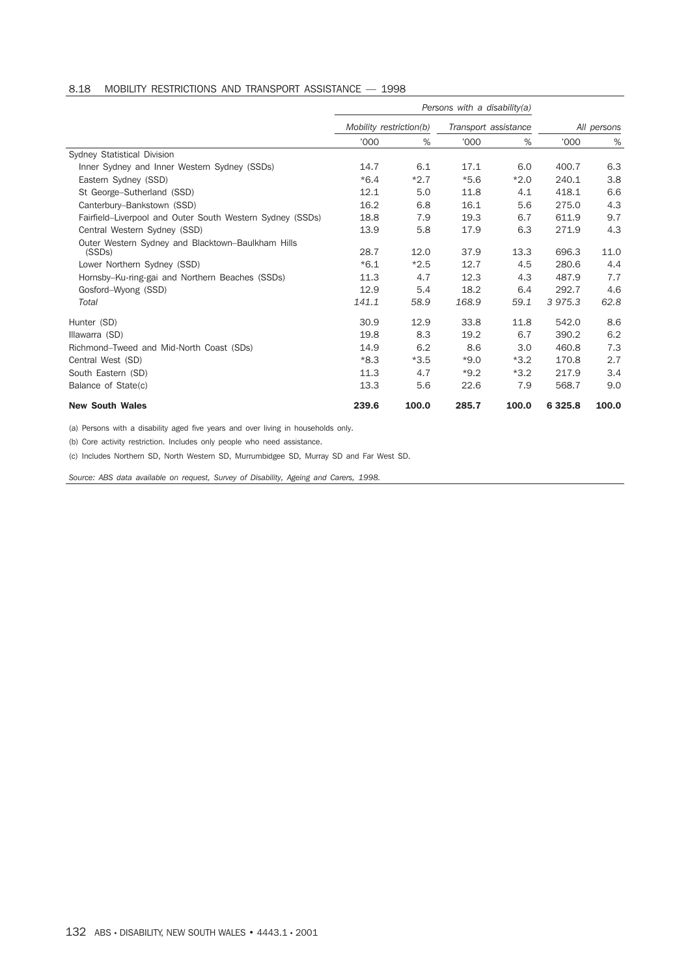# 8.18 MOBILITY RESTRICTIONS AND TRANSPORT ASSISTANCE — 1998

|                                                                          |                         |        | Persons with a disability(a) |        |             |             |
|--------------------------------------------------------------------------|-------------------------|--------|------------------------------|--------|-------------|-------------|
|                                                                          | Mobility restriction(b) |        | Transport assistance         |        |             | All persons |
|                                                                          | '000                    | %      | '000                         | %      | '000        | %           |
| Sydney Statistical Division                                              |                         |        |                              |        |             |             |
| Inner Sydney and Inner Western Sydney (SSDs)                             | 14.7                    | 6.1    | 17.1                         | 6.0    | 400.7       | 6.3         |
| Eastern Sydney (SSD)                                                     | $*6.4$                  | $*2.7$ | $*5.6$                       | $*2.0$ | 240.1       | 3.8         |
| St George-Sutherland (SSD)                                               | 12.1                    | 5.0    | 11.8                         | 4.1    | 418.1       | 6.6         |
| Canterbury-Bankstown (SSD)                                               | 16.2                    | 6.8    | 16.1                         | 5.6    | 275.0       | 4.3         |
| Fairfield-Liverpool and Outer South Western Sydney (SSDs)                | 18.8                    | 7.9    | 19.3                         | 6.7    | 611.9       | 9.7         |
| Central Western Sydney (SSD)                                             | 13.9                    | 5.8    | 17.9                         | 6.3    | 271.9       | 4.3         |
| Outer Western Sydney and Blacktown-Baulkham Hills<br>(SSD <sub>s</sub> ) | 28.7                    | 12.0   | 37.9                         | 13.3   | 696.3       | 11.0        |
| Lower Northern Sydney (SSD)                                              | $*6.1$                  | $*2.5$ | 12.7                         | 4.5    | 280.6       | 4.4         |
| Hornsby-Ku-ring-gai and Northern Beaches (SSDs)                          | 11.3                    | 4.7    | 12.3                         | 4.3    | 487.9       | 7.7         |
| Gosford-Wyong (SSD)                                                      | 12.9                    | 5.4    | 18.2                         | 6.4    | 292.7       | 4.6         |
| Total                                                                    | 141.1                   | 58.9   | 168.9                        | 59.1   | 3975.3      | 62.8        |
| Hunter (SD)                                                              | 30.9                    | 12.9   | 33.8                         | 11.8   | 542.0       | 8.6         |
| Illawarra (SD)                                                           | 19.8                    | 8.3    | 19.2                         | 6.7    | 390.2       | 6.2         |
| Richmond-Tweed and Mid-North Coast (SDs)                                 | 14.9                    | 6.2    | 8.6                          | 3.0    | 460.8       | 7.3         |
| Central West (SD)                                                        | $*8.3$                  | $*3.5$ | $*9.0$                       | $*3.2$ | 170.8       | 2.7         |
| South Eastern (SD)                                                       | 11.3                    | 4.7    | $*9.2$                       | $*3.2$ | 217.9       | 3.4         |
| Balance of State(c)                                                      | 13.3                    | 5.6    | 22.6                         | 7.9    | 568.7       | 9.0         |
| <b>New South Wales</b>                                                   | 239.6                   | 100.0  | 285.7                        | 100.0  | 6 3 2 5 . 8 | 100.0       |

(a) Persons with a disability aged five years and over living in households only.

(b) Core activity restriction. Includes only people who need assistance.

(c) Includes Northern SD, North Western SD, Murrumbidgee SD, Murray SD and Far West SD.

*Source: ABS data available on request, Survey of Disability, Ageing and Carers, 1998.*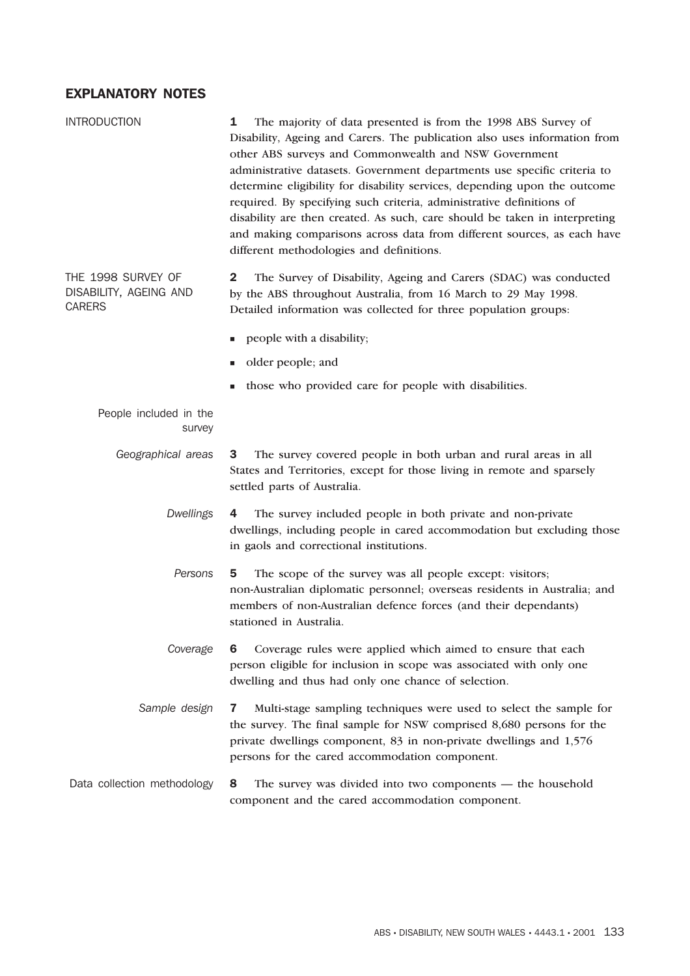# EXPLANATORY NOTES

| <b>INTRODUCTION</b>                                           | The majority of data presented is from the 1998 ABS Survey of<br>1<br>Disability, Ageing and Carers. The publication also uses information from<br>other ABS surveys and Commonwealth and NSW Government<br>administrative datasets. Government departments use specific criteria to<br>determine eligibility for disability services, depending upon the outcome<br>required. By specifying such criteria, administrative definitions of<br>disability are then created. As such, care should be taken in interpreting<br>and making comparisons across data from different sources, as each have<br>different methodologies and definitions. |
|---------------------------------------------------------------|------------------------------------------------------------------------------------------------------------------------------------------------------------------------------------------------------------------------------------------------------------------------------------------------------------------------------------------------------------------------------------------------------------------------------------------------------------------------------------------------------------------------------------------------------------------------------------------------------------------------------------------------|
| THE 1998 SURVEY OF<br>DISABILITY, AGEING AND<br><b>CARERS</b> | 2<br>The Survey of Disability, Ageing and Carers (SDAC) was conducted<br>by the ABS throughout Australia, from 16 March to 29 May 1998.<br>Detailed information was collected for three population groups:                                                                                                                                                                                                                                                                                                                                                                                                                                     |
|                                                               | people with a disability;<br>ш                                                                                                                                                                                                                                                                                                                                                                                                                                                                                                                                                                                                                 |
|                                                               | older people; and<br>ш                                                                                                                                                                                                                                                                                                                                                                                                                                                                                                                                                                                                                         |
|                                                               | those who provided care for people with disabilities.                                                                                                                                                                                                                                                                                                                                                                                                                                                                                                                                                                                          |
| People included in the<br>survey                              |                                                                                                                                                                                                                                                                                                                                                                                                                                                                                                                                                                                                                                                |
| Geographical areas                                            | The survey covered people in both urban and rural areas in all<br>3<br>States and Territories, except for those living in remote and sparsely<br>settled parts of Australia.                                                                                                                                                                                                                                                                                                                                                                                                                                                                   |
| <b>Dwellings</b>                                              | The survey included people in both private and non-private<br>4<br>dwellings, including people in cared accommodation but excluding those<br>in gaols and correctional institutions.                                                                                                                                                                                                                                                                                                                                                                                                                                                           |
| Persons                                                       | The scope of the survey was all people except: visitors;<br>5<br>non-Australian diplomatic personnel; overseas residents in Australia; and<br>members of non-Australian defence forces (and their dependants)<br>stationed in Australia.                                                                                                                                                                                                                                                                                                                                                                                                       |
| Coverage                                                      | Coverage rules were applied which aimed to ensure that each<br>6<br>person eligible for inclusion in scope was associated with only one<br>dwelling and thus had only one chance of selection.                                                                                                                                                                                                                                                                                                                                                                                                                                                 |
| Sample design                                                 | Multi-stage sampling techniques were used to select the sample for<br>7<br>the survey. The final sample for NSW comprised 8,680 persons for the<br>private dwellings component, 83 in non-private dwellings and 1,576<br>persons for the cared accommodation component.                                                                                                                                                                                                                                                                                                                                                                        |
| Data collection methodology                                   | 8<br>The survey was divided into two components — the household<br>component and the cared accommodation component.                                                                                                                                                                                                                                                                                                                                                                                                                                                                                                                            |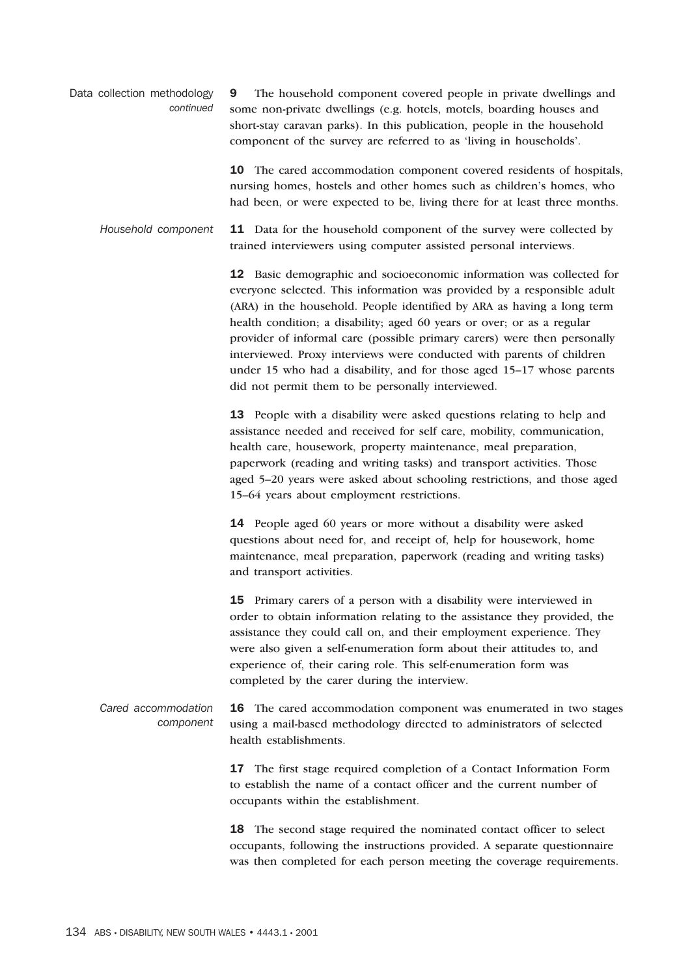Data collection methodology *continued* 9 The household component covered people in private dwellings and some non-private dwellings (e.g. hotels, motels, boarding houses and short-stay caravan parks). In this publication, people in the household component of the survey are referred to as 'living in households'.

> 10 The cared accommodation component covered residents of hospitals, nursing homes, hostels and other homes such as children's homes, who had been, or were expected to be, living there for at least three months.

*Household component* 11 Data for the household component of the survey were collected by trained interviewers using computer assisted personal interviews.

> 12 Basic demographic and socioeconomic information was collected for everyone selected. This information was provided by a responsible adult (ARA) in the household. People identified by ARA as having a long term health condition; a disability; aged 60 years or over; or as a regular provider of informal care (possible primary carers) were then personally interviewed. Proxy interviews were conducted with parents of children under 15 who had a disability, and for those aged 15–17 whose parents did not permit them to be personally interviewed.

> 13 People with a disability were asked questions relating to help and assistance needed and received for self care, mobility, communication, health care, housework, property maintenance, meal preparation, paperwork (reading and writing tasks) and transport activities. Those aged 5–20 years were asked about schooling restrictions, and those aged 15–64 years about employment restrictions.

14 People aged 60 years or more without a disability were asked questions about need for, and receipt of, help for housework, home maintenance, meal preparation, paperwork (reading and writing tasks) and transport activities.

15 Primary carers of a person with a disability were interviewed in order to obtain information relating to the assistance they provided, the assistance they could call on, and their employment experience. They were also given a self-enumeration form about their attitudes to, and experience of, their caring role. This self-enumeration form was completed by the carer during the interview.

*Cared accommodation component* 16 The cared accommodation component was enumerated in two stages using a mail-based methodology directed to administrators of selected health establishments.

> 17 The first stage required completion of a Contact Information Form to establish the name of a contact officer and the current number of occupants within the establishment.

18 The second stage required the nominated contact officer to select occupants, following the instructions provided. A separate questionnaire was then completed for each person meeting the coverage requirements.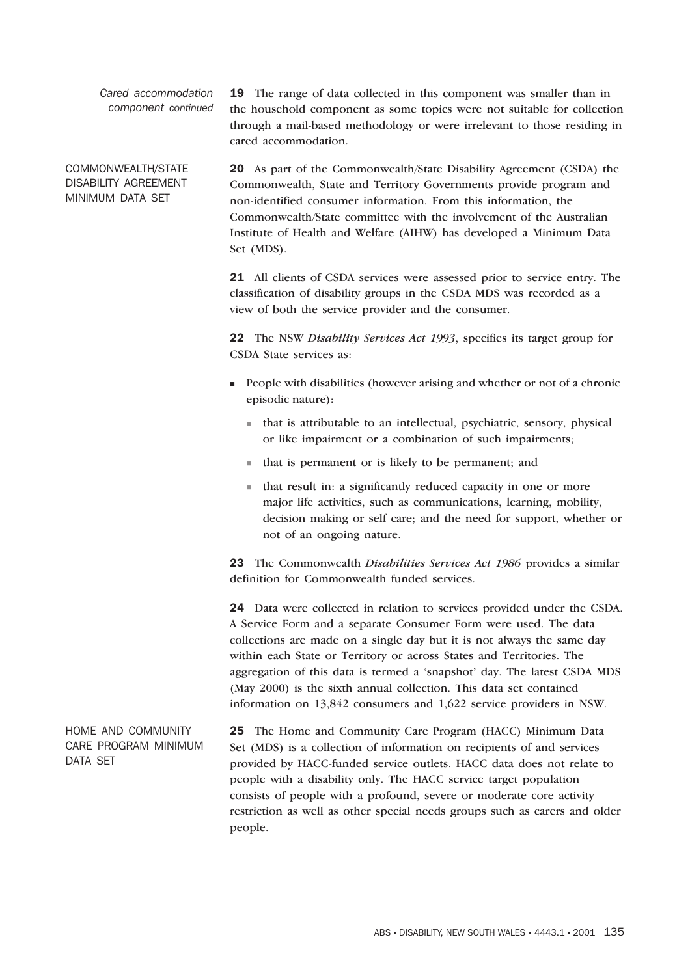*Cared accommodation component continued*

COMMONWEALTH/STATE DISABILITY AGREEMENT MINIMUM DATA SET

19 The range of data collected in this component was smaller than in the household component as some topics were not suitable for collection through a mail-based methodology or were irrelevant to those residing in cared accommodation.

20 As part of the Commonwealth/State Disability Agreement (CSDA) the Commonwealth, State and Territory Governments provide program and non-identified consumer information. From this information, the Commonwealth/State committee with the involvement of the Australian Institute of Health and Welfare (AIHW) has developed a Minimum Data Set (MDS).

21 All clients of CSDA services were assessed prior to service entry. The classification of disability groups in the CSDA MDS was recorded as a view of both the service provider and the consumer.

22 The NSW *Disability Services Act 1993*, specifies its target group for CSDA State services as:

- People with disabilities (however arising and whether or not of a chronic episodic nature):
	- that is attributable to an intellectual, psychiatric, sensory, physical or like impairment or a combination of such impairments;
	- that is permanent or is likely to be permanent; and
	- that result in: a significantly reduced capacity in one or more major life activities, such as communications, learning, mobility, decision making or self care; and the need for support, whether or not of an ongoing nature.

23 The Commonwealth *Disabilities Services Act 1986* provides a similar definition for Commonwealth funded services.

24 Data were collected in relation to services provided under the CSDA. A Service Form and a separate Consumer Form were used. The data collections are made on a single day but it is not always the same day within each State or Territory or across States and Territories. The aggregation of this data is termed a 'snapshot' day. The latest CSDA MDS (May 2000) is the sixth annual collection. This data set contained information on 13,842 consumers and 1,622 service providers in NSW.

HOME AND COMMUNITY CARE PROGRAM MINIMUM DATA SET 25 The Home and Community Care Program (HACC) Minimum Data Set (MDS) is a collection of information on recipients of and services provided by HACC-funded service outlets. HACC data does not relate to people with a disability only. The HACC service target population consists of people with a profound, severe or moderate core activity restriction as well as other special needs groups such as carers and older people.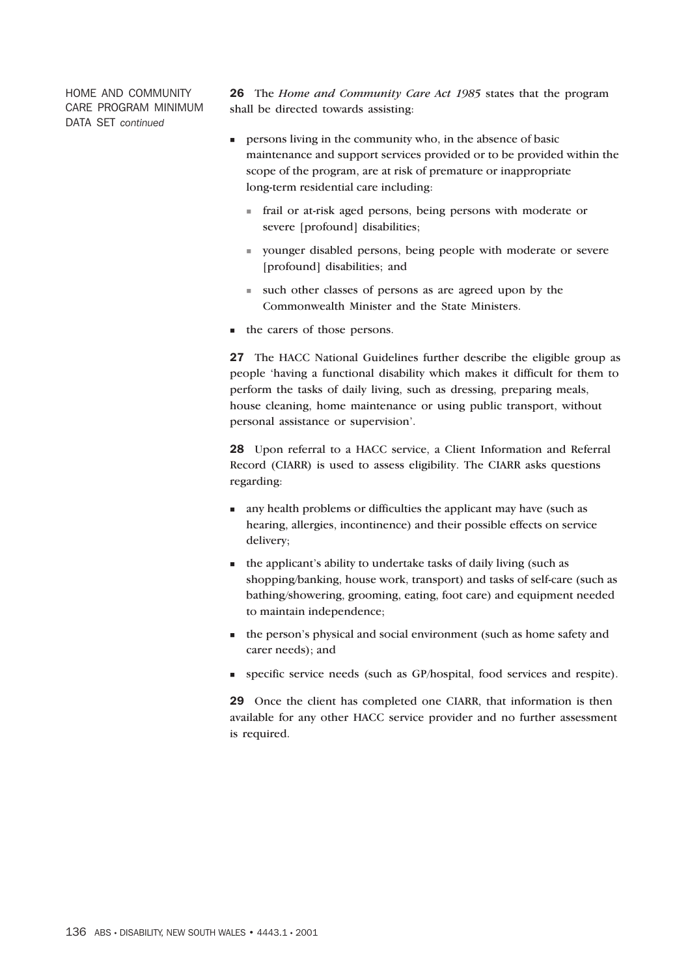HOME AND COMMUNITY CARE PROGRAM MINIMUM DATA SET *continued*

26 The *Home and Community Care Act 1985* states that the program shall be directed towards assisting:

- persons living in the community who, in the absence of basic maintenance and support services provided or to be provided within the scope of the program, are at risk of premature or inappropriate long-term residential care including:
	- frail or at-risk aged persons, being persons with moderate or severe [profound] disabilities;
	- younger disabled persons, being people with moderate or severe [profound] disabilities; and
	- such other classes of persons as are agreed upon by the Commonwealth Minister and the State Ministers.
- the carers of those persons.

27 The HACC National Guidelines further describe the eligible group as people 'having a functional disability which makes it difficult for them to perform the tasks of daily living, such as dressing, preparing meals, house cleaning, home maintenance or using public transport, without personal assistance or supervision'.

28 Upon referral to a HACC service, a Client Information and Referral Record (CIARR) is used to assess eligibility. The CIARR asks questions regarding:

- any health problems or difficulties the applicant may have (such as hearing, allergies, incontinence) and their possible effects on service delivery;
- the applicant's ability to undertake tasks of daily living (such as shopping/banking, house work, transport) and tasks of self-care (such as bathing/showering, grooming, eating, foot care) and equipment needed to maintain independence;
- the person's physical and social environment (such as home safety and carer needs); and
- specific service needs (such as GP/hospital, food services and respite).

29 Once the client has completed one CIARR, that information is then available for any other HACC service provider and no further assessment is required.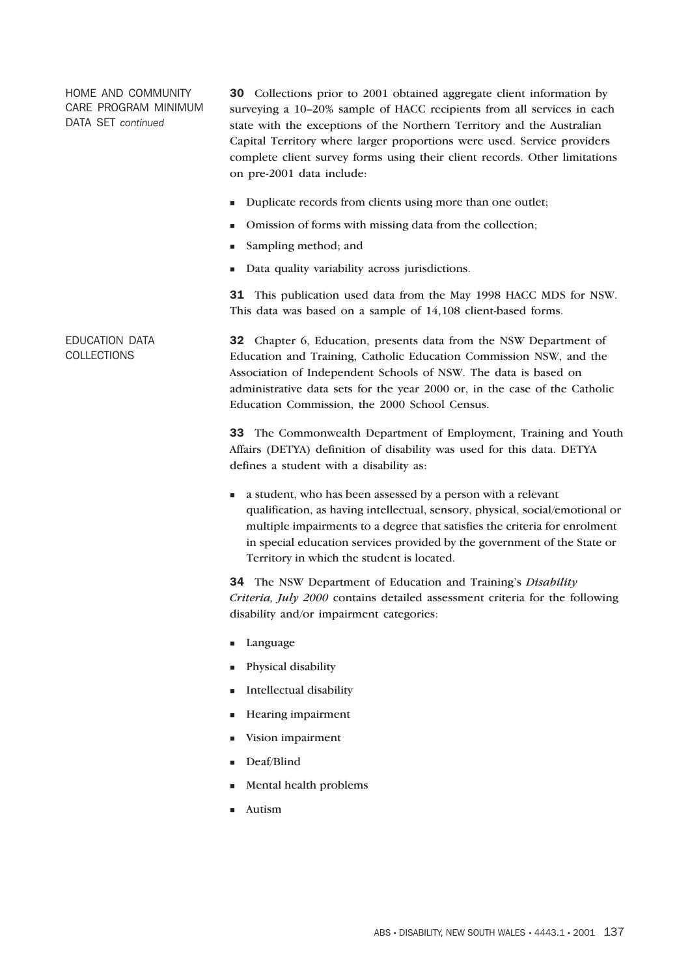HOME AND COMMUNITY CARE PROGRAM MINIMUM DATA SET *continued*

30 Collections prior to 2001 obtained aggregate client information by surveying a 10–20% sample of HACC recipients from all services in each state with the exceptions of the Northern Territory and the Australian Capital Territory where larger proportions were used. Service providers complete client survey forms using their client records. Other limitations on pre-2001 data include:

- Duplicate records from clients using more than one outlet;
- -Omission of forms with missing data from the collection;
- -Sampling method; and
- -Data quality variability across jurisdictions.

31 This publication used data from the May 1998 HACC MDS for NSW. This data was based on a sample of 14,108 client-based forms.

EDUCATION DATA 32 Chapter 6, Education, presents data from the NSW Department of Education and Training, Catholic Education Commission NSW, and the Association of Independent Schools of NSW. The data is based on administrative data sets for the year 2000 or, in the case of the Catholic Education Commission, the 2000 School Census.

> 33 The Commonwealth Department of Employment, Training and Youth Affairs (DETYA) definition of disability was used for this data. DETYA defines a student with a disability as:

> - a student, who has been assessed by a person with a relevant qualification, as having intellectual, sensory, physical, social/emotional or multiple impairments to a degree that satisfies the criteria for enrolment in special education services provided by the government of the State or Territory in which the student is located.

> 34 The NSW Department of Education and Training's *Disability Criteria, July 2000* contains detailed assessment criteria for the following disability and/or impairment categories:

- Language
- -Physical disability
- -Intellectual disability
- -Hearing impairment
- -Vision impairment
- Deaf/Blind
- -Mental health problems
- -Autism

# **COLLECTIONS**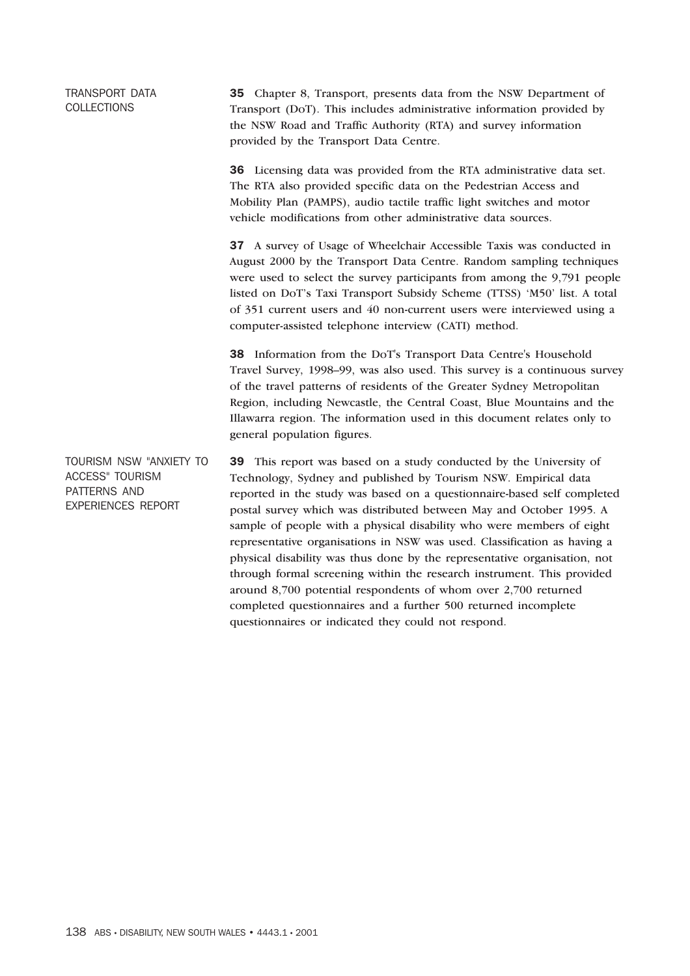# TRANSPORT DATA **COLLECTIONS**

35 Chapter 8, Transport, presents data from the NSW Department of Transport (DoT). This includes administrative information provided by the NSW Road and Traffic Authority (RTA) and survey information provided by the Transport Data Centre.

36 Licensing data was provided from the RTA administrative data set. The RTA also provided specific data on the Pedestrian Access and Mobility Plan (PAMPS), audio tactile traffic light switches and motor vehicle modifications from other administrative data sources.

37 A survey of Usage of Wheelchair Accessible Taxis was conducted in August 2000 by the Transport Data Centre. Random sampling techniques were used to select the survey participants from among the 9,791 people listed on DoT's Taxi Transport Subsidy Scheme (TTSS) 'M50' list. A total of 351 current users and 40 non-current users were interviewed using a computer-assisted telephone interview (CATI) method.

38 Information from the DoT's Transport Data Centre's Household Travel Survey, 1998–99, was also used. This survey is a continuous survey of the travel patterns of residents of the Greater Sydney Metropolitan Region, including Newcastle, the Central Coast, Blue Mountains and the Illawarra region. The information used in this document relates only to general population figures.

TOURISM NSW "ANXIETY TO ACCESS" TOURISM PATTERNS AND EXPERIENCES REPORT 39 This report was based on a study conducted by the University of Technology, Sydney and published by Tourism NSW. Empirical data reported in the study was based on a questionnaire-based self completed postal survey which was distributed between May and October 1995. A sample of people with a physical disability who were members of eight representative organisations in NSW was used. Classification as having a physical disability was thus done by the representative organisation, not through formal screening within the research instrument. This provided around 8,700 potential respondents of whom over 2,700 returned completed questionnaires and a further 500 returned incomplete questionnaires or indicated they could not respond.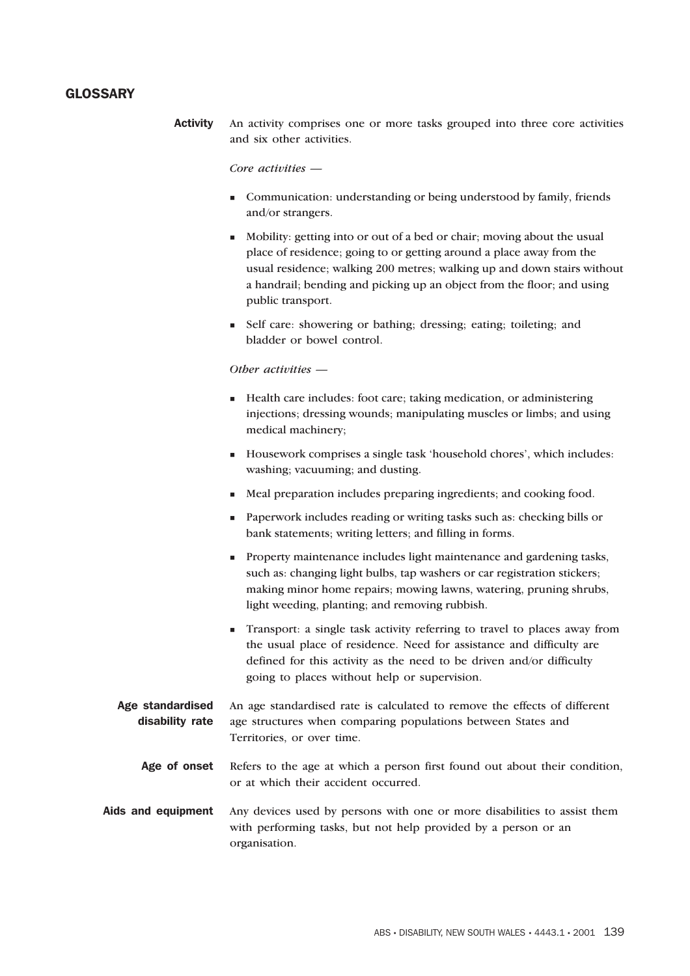## **GLOSSARY**

Activity An activity comprises one or more tasks grouped into three core activities and six other activities.

#### *Core activities —*

- Communication: understanding or being understood by family, friends and/or strangers.
- Mobility: getting into or out of a bed or chair; moving about the usual place of residence; going to or getting around a place away from the usual residence; walking 200 metres; walking up and down stairs without a handrail; bending and picking up an object from the floor; and using public transport.
- Self care: showering or bathing; dressing; eating; toileting; and bladder or bowel control.

#### *Other activities —*

- Health care includes: foot care; taking medication, or administering injections; dressing wounds; manipulating muscles or limbs; and using medical machinery;
- Housework comprises a single task 'household chores', which includes: washing; vacuuming; and dusting.
- Meal preparation includes preparing ingredients; and cooking food.
- Paperwork includes reading or writing tasks such as: checking bills or bank statements; writing letters; and filling in forms.
- **Property maintenance includes light maintenance and gardening tasks,** such as: changing light bulbs, tap washers or car registration stickers; making minor home repairs; mowing lawns, watering, pruning shrubs, light weeding, planting; and removing rubbish.
- Transport: a single task activity referring to travel to places away from the usual place of residence. Need for assistance and difficulty are defined for this activity as the need to be driven and/or difficulty going to places without help or supervision.
- Age standardised disability rate An age standardised rate is calculated to remove the effects of different age structures when comparing populations between States and Territories, or over time.
	- Age of onset Refers to the age at which a person first found out about their condition, or at which their accident occurred.
- Aids and equipment Any devices used by persons with one or more disabilities to assist them with performing tasks, but not help provided by a person or an organisation.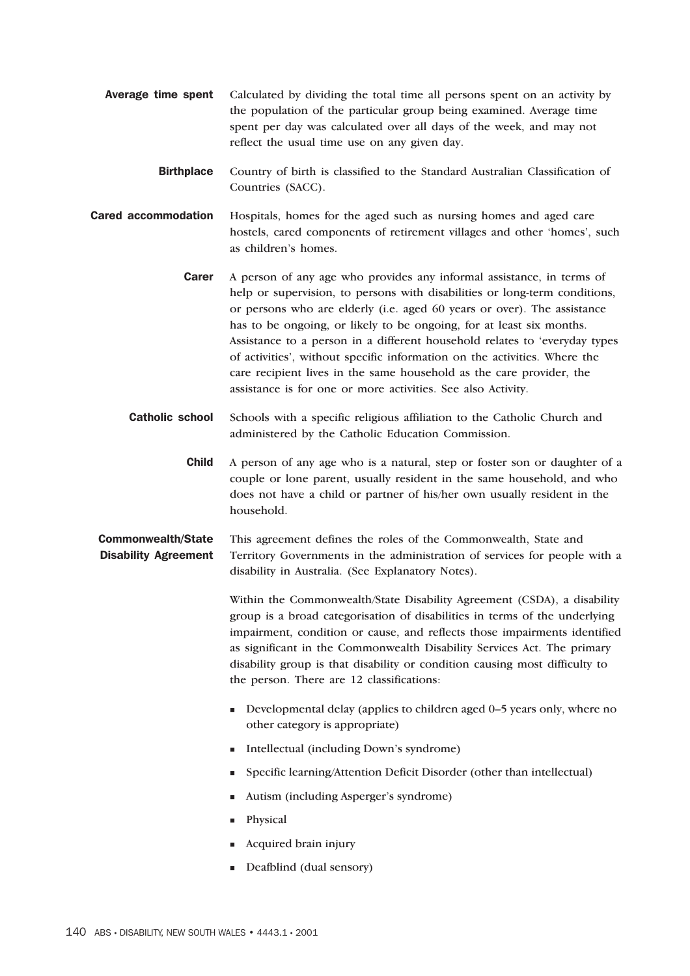- Average time spent Calculated by dividing the total time all persons spent on an activity by the population of the particular group being examined. Average time spent per day was calculated over all days of the week, and may not reflect the usual time use on any given day.
	- Birthplace Country of birth is classified to the Standard Australian Classification of Countries (SACC).
- Cared accommodation Hospitals, homes for the aged such as nursing homes and aged care hostels, cared components of retirement villages and other 'homes', such as children's homes.
	- **Carer** A person of any age who provides any informal assistance, in terms of help or supervision, to persons with disabilities or long-term conditions, or persons who are elderly (i.e. aged 60 years or over). The assistance has to be ongoing, or likely to be ongoing, for at least six months. Assistance to a person in a different household relates to 'everyday types of activities', without specific information on the activities. Where the care recipient lives in the same household as the care provider, the assistance is for one or more activities. See also Activity.
	- Catholic school Schools with a specific religious affiliation to the Catholic Church and administered by the Catholic Education Commission.
		- Child A person of any age who is a natural, step or foster son or daughter of a couple or lone parent, usually resident in the same household, and who does not have a child or partner of his/her own usually resident in the household.

#### Commonwealth/State Disability Agreement This agreement defines the roles of the Commonwealth, State and Territory Governments in the administration of services for people with a disability in Australia. (See Explanatory Notes).

Within the Commonwealth/State Disability Agreement (CSDA), a disability group is a broad categorisation of disabilities in terms of the underlying impairment, condition or cause, and reflects those impairments identified as significant in the Commonwealth Disability Services Act. The primary disability group is that disability or condition causing most difficulty to the person. There are 12 classifications:

- Developmental delay (applies to children aged 0–5 years only, where no other category is appropriate)
- Intellectual (including Down's syndrome)
- Specific learning/Attention Deficit Disorder (other than intellectual)
- Autism (including Asperger's syndrome)
- -Physical
- **Example 1** Acquired brain injury
- Deafblind (dual sensory)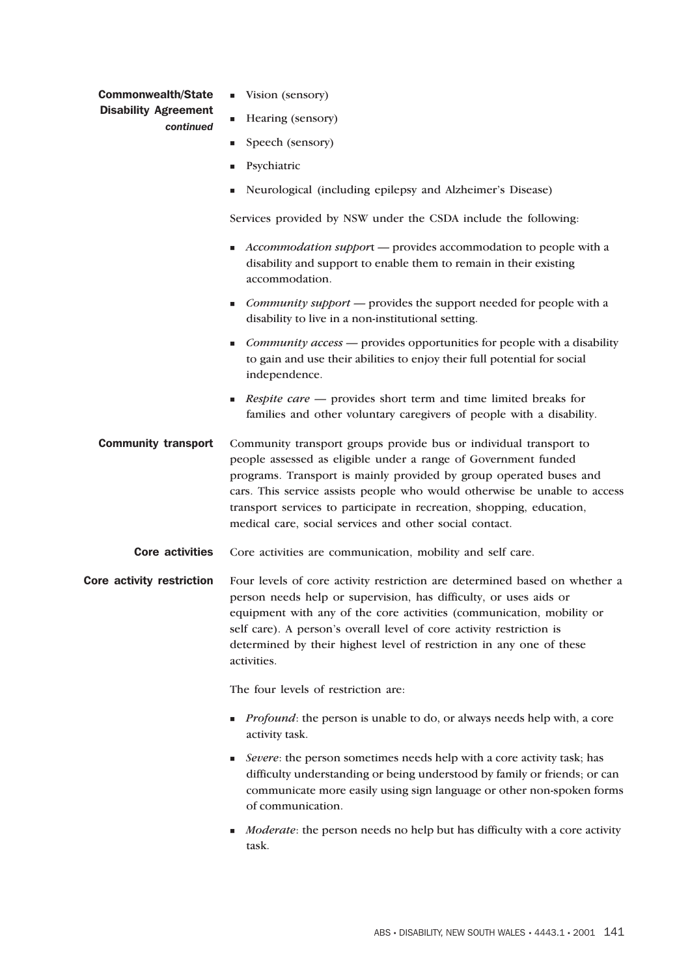### Commonwealth/State Disability Agreement *continued*

- **U** Vision (sensory)
- **Example 1** Hearing (sensory)
- **Speech** (sensory)
- -Psychiatric
- -Neurological (including epilepsy and Alzheimer's Disease)

Services provided by NSW under the CSDA include the following:

- **Accommodation support** provides accommodation to people with a disability and support to enable them to remain in their existing accommodation.
- **Community support** provides the support needed for people with a disability to live in a non-institutional setting.
- *Community access* provides opportunities for people with a disability to gain and use their abilities to enjoy their full potential for social independence.
- **Respite care** provides short term and time limited breaks for families and other voluntary caregivers of people with a disability.
- Community transport Community transport groups provide bus or individual transport to people assessed as eligible under a range of Government funded programs. Transport is mainly provided by group operated buses and cars. This service assists people who would otherwise be unable to access transport services to participate in recreation, shopping, education, medical care, social services and other social contact.
	- Core activities Core activities are communication, mobility and self care.
- Core activity restriction Four levels of core activity restriction are determined based on whether a person needs help or supervision, has difficulty, or uses aids or equipment with any of the core activities (communication, mobility or self care). A person's overall level of core activity restriction is determined by their highest level of restriction in any one of these activities.

The four levels of restriction are:

- **Profound:** the person is unable to do, or always needs help with, a core activity task.
- **Example 3 Figure**: the person sometimes needs help with a core activity task; has difficulty understanding or being understood by family or friends; or can communicate more easily using sign language or other non-spoken forms of communication.
- **Moderate:** the person needs no help but has difficulty with a core activity task.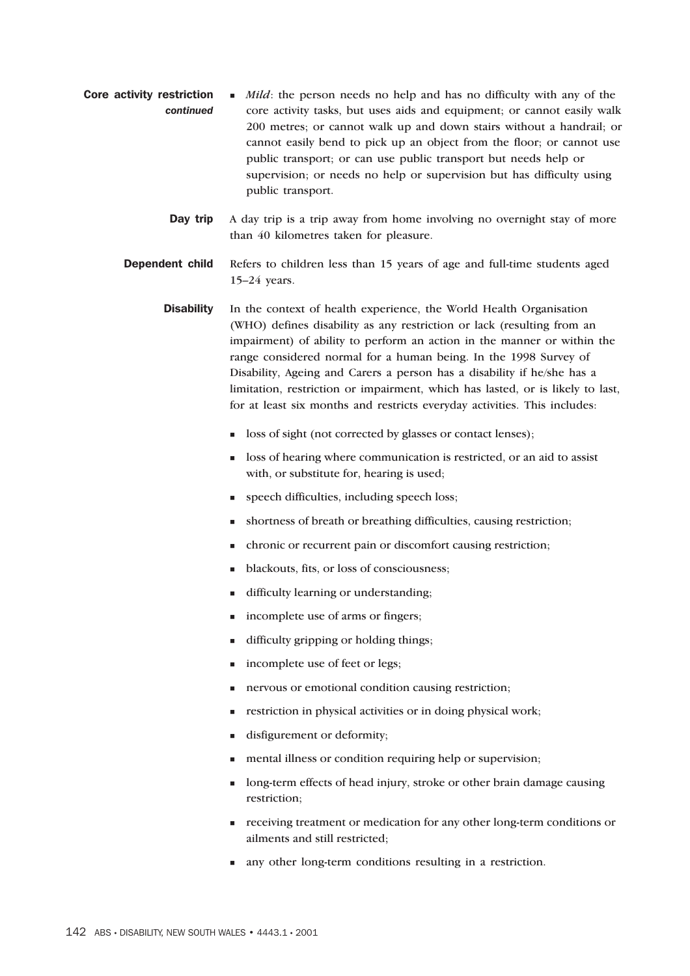- Core activity restriction *continued* If *Mild*: the person needs no help and has no difficulty with any of the core activity tasks, but uses aids and equipment; or cannot easily walk 200 metres; or cannot walk up and down stairs without a handrail; or cannot easily bend to pick up an object from the floor; or cannot use public transport; or can use public transport but needs help or supervision; or needs no help or supervision but has difficulty using public transport.
	- Day trip A day trip is a trip away from home involving no overnight stay of more than 40 kilometres taken for pleasure.
	- **Dependent child** Refers to children less than 15 years of age and full-time students aged 15–24 years.
		- Disability In the context of health experience, the World Health Organisation (WHO) defines disability as any restriction or lack (resulting from an impairment) of ability to perform an action in the manner or within the range considered normal for a human being. In the 1998 Survey of Disability, Ageing and Carers a person has a disability if he/she has a limitation, restriction or impairment, which has lasted, or is likely to last, for at least six months and restricts everyday activities. This includes:
			- $\blacksquare$  loss of sight (not corrected by glasses or contact lenses);
			- loss of hearing where communication is restricted, or an aid to assist with, or substitute for, hearing is used;
			- **speech difficulties, including speech loss;**
			- shortness of breath or breathing difficulties, causing restriction;
			- chronic or recurrent pain or discomfort causing restriction;
			- blackouts, fits, or loss of consciousness;
			- difficulty learning or understanding;
			- **n** incomplete use of arms or fingers;
			- difficulty gripping or holding things;
			- incomplete use of feet or legs;
			- nervous or emotional condition causing restriction;
			- restriction in physical activities or in doing physical work;
			- disfigurement or deformity;
			- mental illness or condition requiring help or supervision;
			- long-term effects of head injury, stroke or other brain damage causing restriction;
			- receiving treatment or medication for any other long-term conditions or ailments and still restricted;
			- any other long-term conditions resulting in a restriction.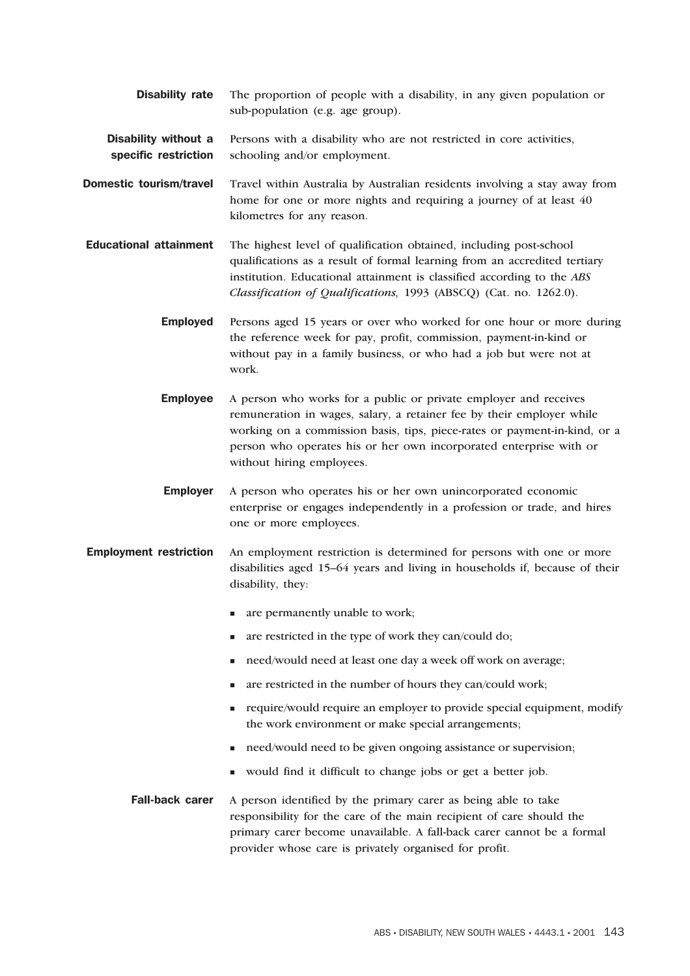- **Disability rate** The proportion of people with a disability, in any given population or sub-population (e.g. age group).
- Disability without a specific restriction Persons with a disability who are not restricted in core activities, schooling and/or employment.
- **Domestic tourism/travel** Travel within Australia by Australian residents involving a stay away from home for one or more nights and requiring a journey of at least 40 kilometres for any reason.
- Educational attainment The highest level of qualification obtained, including post-school qualifications as a result of formal learning from an accredited tertiary institution. Educational attainment is classified according to the *ABS Classification of Qualifications,* 1993 (ABSCQ) (Cat. no. 1262.0).
	- Employed Persons aged 15 years or over who worked for one hour or more during the reference week for pay, profit, commission, payment-in-kind or without pay in a family business, or who had a job but were not at work.
	- **Employee** A person who works for a public or private employer and receives remuneration in wages, salary, a retainer fee by their employer while working on a commission basis, tips, piece-rates or payment-in-kind, or a person who operates his or her own incorporated enterprise with or without hiring employees.
	- Employer A person who operates his or her own unincorporated economic enterprise or engages independently in a profession or trade, and hires one or more employees.
- Employment restriction An employment restriction is determined for persons with one or more disabilities aged 15–64 years and living in households if, because of their disability, they:
	- are permanently unable to work;
	- are restricted in the type of work they can/could do;
	- need/would need at least one day a week off work on average;
	- **a** are restricted in the number of hours they can/could work;
	- require/would require an employer to provide special equipment, modify the work environment or make special arrangements;
	- need/would need to be given ongoing assistance or supervision;
	- would find it difficult to change jobs or get a better job.
	- Fall-back carer A person identified by the primary carer as being able to take responsibility for the care of the main recipient of care should the primary carer become unavailable. A fall-back carer cannot be a formal provider whose care is privately organised for profit.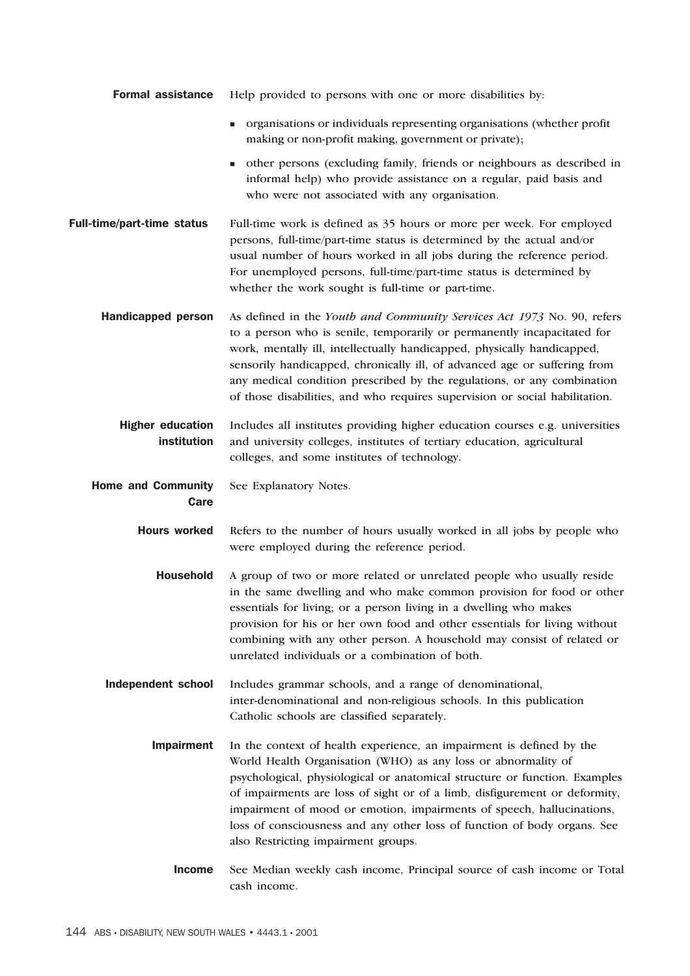| <b>Formal assistance</b>               | Help provided to persons with one or more disabilities by:                                                                                                                                                                                                                                                                                                                                                                                                                                    |
|----------------------------------------|-----------------------------------------------------------------------------------------------------------------------------------------------------------------------------------------------------------------------------------------------------------------------------------------------------------------------------------------------------------------------------------------------------------------------------------------------------------------------------------------------|
|                                        | organisations or individuals representing organisations (whether profit<br>making or non-profit making, government or private);                                                                                                                                                                                                                                                                                                                                                               |
|                                        | other persons (excluding family, friends or neighbours as described in<br>٠<br>informal help) who provide assistance on a regular, paid basis and<br>who were not associated with any organisation.                                                                                                                                                                                                                                                                                           |
| <b>Full-time/part-time status</b>      | Full-time work is defined as 35 hours or more per week. For employed<br>persons, full-time/part-time status is determined by the actual and/or<br>usual number of hours worked in all jobs during the reference period.<br>For unemployed persons, full-time/part-time status is determined by<br>whether the work sought is full-time or part-time.                                                                                                                                          |
| <b>Handicapped person</b>              | As defined in the Youth and Community Services Act 1973 No. 90, refers<br>to a person who is senile, temporarily or permanently incapacitated for<br>work, mentally ill, intellectually handicapped, physically handicapped,<br>sensorily handicapped, chronically ill, of advanced age or suffering from<br>any medical condition prescribed by the regulations, or any combination<br>of those disabilities, and who requires supervision or social habilitation.                           |
| <b>Higher education</b><br>institution | Includes all institutes providing higher education courses e.g. universities<br>and university colleges, institutes of tertiary education, agricultural<br>colleges, and some institutes of technology.                                                                                                                                                                                                                                                                                       |
| <b>Home and Community</b><br>Care      | See Explanatory Notes.                                                                                                                                                                                                                                                                                                                                                                                                                                                                        |
| <b>Hours worked</b>                    | Refers to the number of hours usually worked in all jobs by people who<br>were employed during the reference period.                                                                                                                                                                                                                                                                                                                                                                          |
| <b>Household</b>                       | A group of two or more related or unrelated people who usually reside<br>in the same dwelling and who make common provision for food or other<br>essentials for living; or a person living in a dwelling who makes<br>provision for his or her own food and other essentials for living without<br>combining with any other person. A household may consist of related or<br>unrelated individuals or a combination of both.                                                                  |
| <b>Independent school</b>              | Includes grammar schools, and a range of denominational,<br>inter-denominational and non-religious schools. In this publication<br>Catholic schools are classified separately.                                                                                                                                                                                                                                                                                                                |
| <b>Impairment</b>                      | In the context of health experience, an impairment is defined by the<br>World Health Organisation (WHO) as any loss or abnormality of<br>psychological, physiological or anatomical structure or function. Examples<br>of impairments are loss of sight or of a limb, disfigurement or deformity,<br>impairment of mood or emotion, impairments of speech, hallucinations,<br>loss of consciousness and any other loss of function of body organs. See<br>also Restricting impairment groups. |
| <b>Income</b>                          | See Median weekly cash income, Principal source of cash income or Total<br>cash income.                                                                                                                                                                                                                                                                                                                                                                                                       |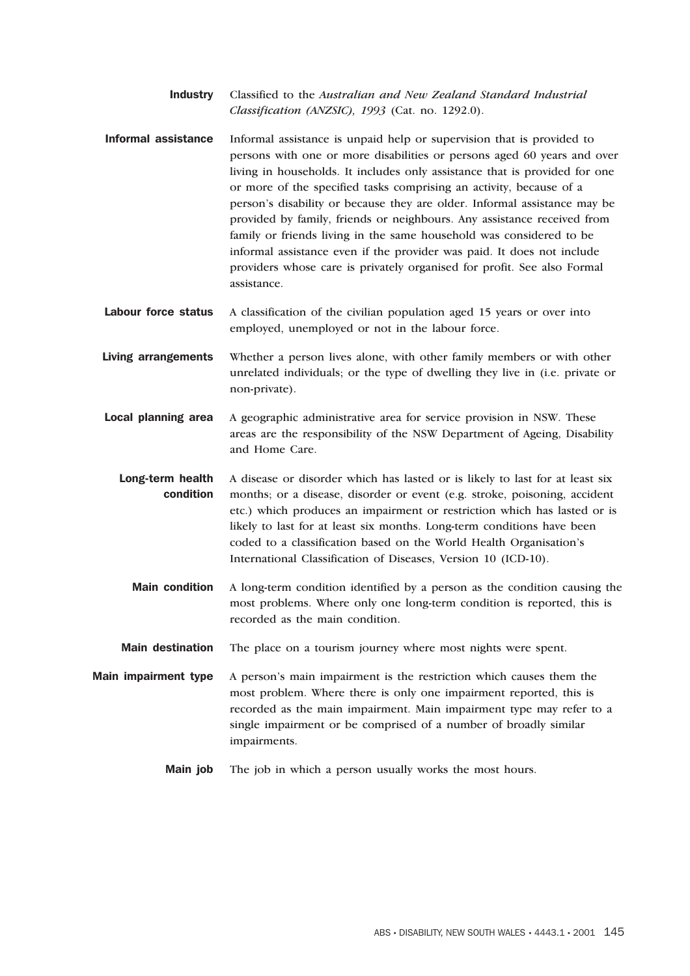Industry Classified to the *Australian and New Zealand Standard Industrial Classification (ANZSIC), 1993* (Cat. no. 1292.0).

- Informal assistance Informal assistance is unpaid help or supervision that is provided to persons with one or more disabilities or persons aged 60 years and over living in households. It includes only assistance that is provided for one or more of the specified tasks comprising an activity, because of a person's disability or because they are older. Informal assistance may be provided by family, friends or neighbours. Any assistance received from family or friends living in the same household was considered to be informal assistance even if the provider was paid. It does not include providers whose care is privately organised for profit. See also Formal assistance.
- Labour force status A classification of the civilian population aged 15 years or over into employed, unemployed or not in the labour force.

Living arrangements Whether a person lives alone, with other family members or with other unrelated individuals; or the type of dwelling they live in (i.e. private or non-private).

- Local planning area A geographic administrative area for service provision in NSW. These areas are the responsibility of the NSW Department of Ageing, Disability and Home Care.
	- Long-term health condition A disease or disorder which has lasted or is likely to last for at least six months; or a disease, disorder or event (e.g. stroke, poisoning, accident etc.) which produces an impairment or restriction which has lasted or is likely to last for at least six months. Long-term conditions have been coded to a classification based on the World Health Organisation's International Classification of Diseases, Version 10 (ICD-10).
		- Main condition A long-term condition identified by a person as the condition causing the most problems. Where only one long-term condition is reported, this is recorded as the main condition.
	- Main destination The place on a tourism journey where most nights were spent.

Main impairment type A person's main impairment is the restriction which causes them the most problem. Where there is only one impairment reported, this is recorded as the main impairment. Main impairment type may refer to a single impairment or be comprised of a number of broadly similar impairments.

Main job The job in which a person usually works the most hours.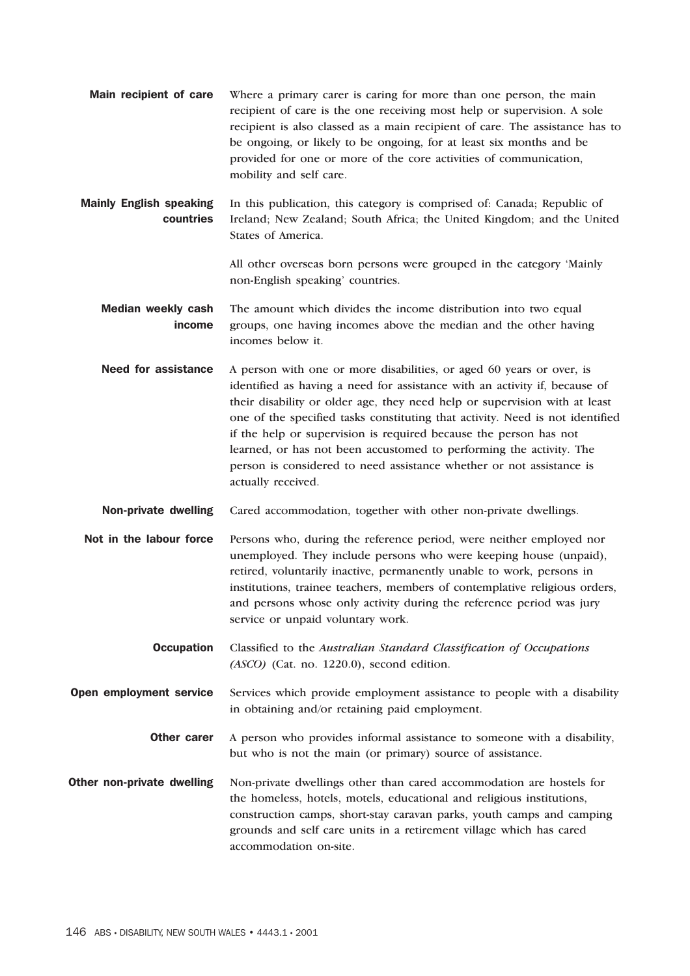Main recipient of care Where a primary carer is caring for more than one person, the main recipient of care is the one receiving most help or supervision. A sole recipient is also classed as a main recipient of care. The assistance has to be ongoing, or likely to be ongoing, for at least six months and be provided for one or more of the core activities of communication, mobility and self care.

Mainly English speaking countries In this publication, this category is comprised of: Canada; Republic of Ireland; New Zealand; South Africa; the United Kingdom; and the United States of America.

> All other overseas born persons were grouped in the category 'Mainly non-English speaking' countries.

Median weekly cash income The amount which divides the income distribution into two equal groups, one having incomes above the median and the other having incomes below it.

Need for assistance A person with one or more disabilities, or aged 60 years or over, is identified as having a need for assistance with an activity if, because of their disability or older age, they need help or supervision with at least one of the specified tasks constituting that activity. Need is not identified if the help or supervision is required because the person has not learned, or has not been accustomed to performing the activity. The person is considered to need assistance whether or not assistance is actually received.

Non-private dwelling Cared accommodation, together with other non-private dwellings.

- Not in the labour force Persons who, during the reference period, were neither employed nor unemployed. They include persons who were keeping house (unpaid), retired, voluntarily inactive, permanently unable to work, persons in institutions, trainee teachers, members of contemplative religious orders, and persons whose only activity during the reference period was jury service or unpaid voluntary work.
	- Occupation Classified to the *Australian Standard Classification of Occupations (ASCO)* (Cat. no. 1220.0), second edition.

**Open employment service** Services which provide employment assistance to people with a disability in obtaining and/or retaining paid employment.

- **Other carer** A person who provides informal assistance to someone with a disability, but who is not the main (or primary) source of assistance.
- **Other non-private dwelling** Non-private dwellings other than cared accommodation are hostels for the homeless, hotels, motels, educational and religious institutions, construction camps, short-stay caravan parks, youth camps and camping grounds and self care units in a retirement village which has cared accommodation on-site.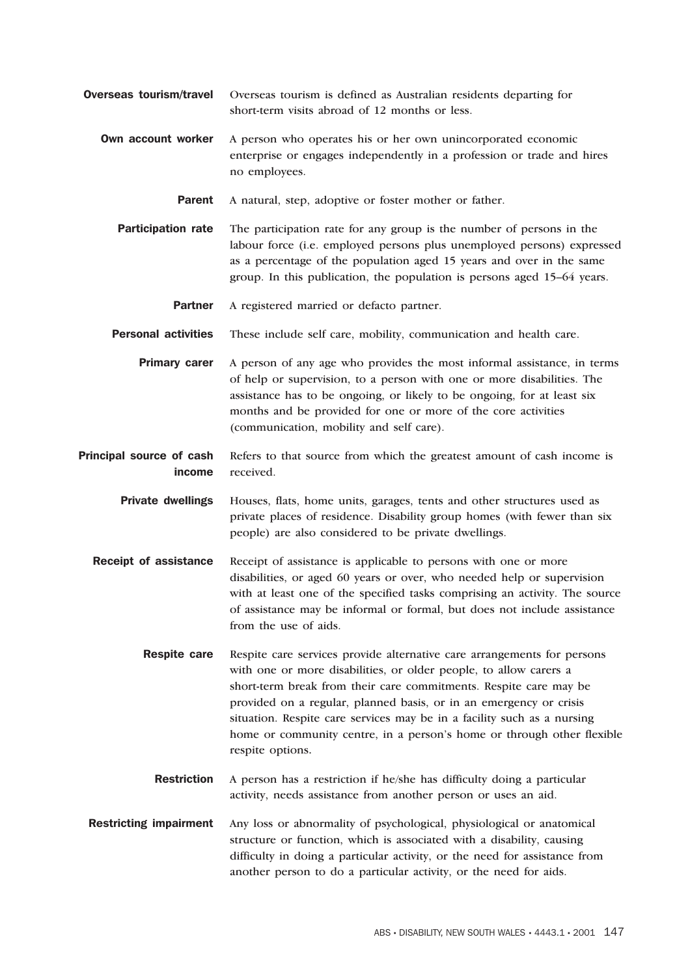- Overseas tourism/travel Overseas tourism is defined as Australian residents departing for short-term visits abroad of 12 months or less.
	- **Own account worker** A person who operates his or her own unincorporated economic enterprise or engages independently in a profession or trade and hires no employees.
		- Parent A natural, step, adoptive or foster mother or father.
		- **Participation rate** The participation rate for any group is the number of persons in the labour force (i.e. employed persons plus unemployed persons) expressed as a percentage of the population aged 15 years and over in the same group. In this publication, the population is persons aged 15–64 years.
			- Partner A registered married or defacto partner.
		- Personal activities These include self care, mobility, communication and health care.
			- **Primary carer** A person of any age who provides the most informal assistance, in terms of help or supervision, to a person with one or more disabilities. The assistance has to be ongoing, or likely to be ongoing, for at least six months and be provided for one or more of the core activities (communication, mobility and self care).
- Principal source of cash income Refers to that source from which the greatest amount of cash income is received.

Private dwellings Houses, flats, home units, garages, tents and other structures used as private places of residence. Disability group homes (with fewer than six people) are also considered to be private dwellings.

- **Receipt of assistance** Receipt of assistance is applicable to persons with one or more disabilities, or aged 60 years or over, who needed help or supervision with at least one of the specified tasks comprising an activity. The source of assistance may be informal or formal, but does not include assistance from the use of aids.
	- **Respite care** Respite care services provide alternative care arrangements for persons with one or more disabilities, or older people, to allow carers a short-term break from their care commitments. Respite care may be provided on a regular, planned basis, or in an emergency or crisis situation. Respite care services may be in a facility such as a nursing home or community centre, in a person's home or through other flexible respite options.
		- Restriction A person has a restriction if he/she has difficulty doing a particular activity, needs assistance from another person or uses an aid.
- Restricting impairment Any loss or abnormality of psychological, physiological or anatomical structure or function, which is associated with a disability, causing difficulty in doing a particular activity, or the need for assistance from another person to do a particular activity, or the need for aids.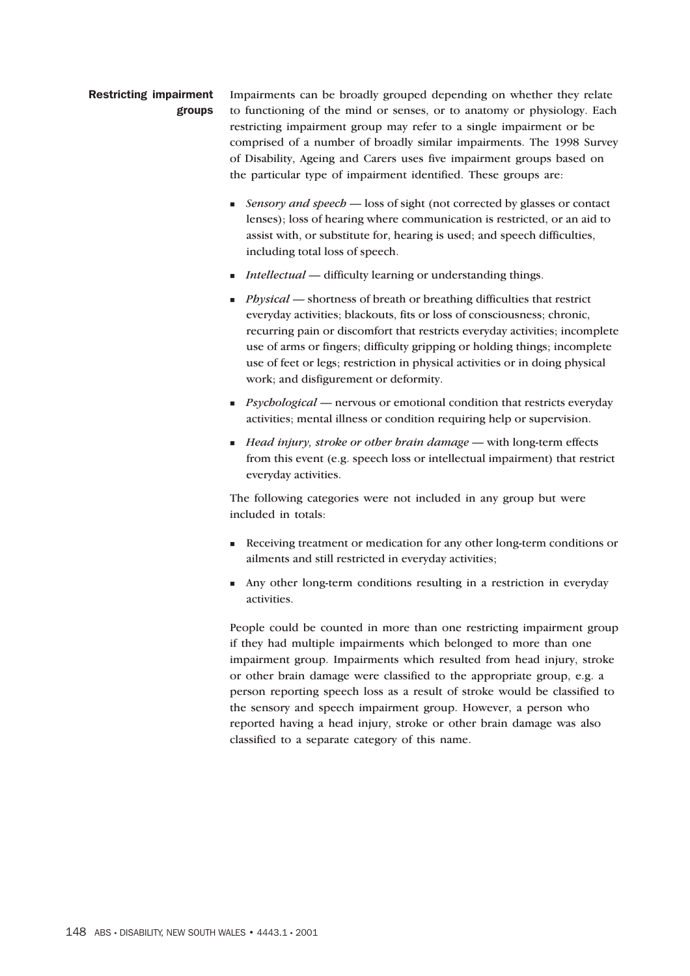#### Restricting impairment groups

Impairments can be broadly grouped depending on whether they relate to functioning of the mind or senses, or to anatomy or physiology. Each restricting impairment group may refer to a single impairment or be comprised of a number of broadly similar impairments. The 1998 Survey of Disability, Ageing and Carers uses five impairment groups based on the particular type of impairment identified. These groups are:

- **Example 3 Sensory and speech loss of sight (not corrected by glasses or contact** lenses); loss of hearing where communication is restricted, or an aid to assist with, or substitute for, hearing is used; and speech difficulties, including total loss of speech.
- *Intellectual* difficulty learning or understanding things.
- **Physical** shortness of breath or breathing difficulties that restrict everyday activities; blackouts, fits or loss of consciousness; chronic, recurring pain or discomfort that restricts everyday activities; incomplete use of arms or fingers; difficulty gripping or holding things; incomplete use of feet or legs; restriction in physical activities or in doing physical work; and disfigurement or deformity.
- **Psychological** nervous or emotional condition that restricts everyday activities; mental illness or condition requiring help or supervision.
- *Head injury, stroke or other brain damage* with long-term effects from this event (e.g. speech loss or intellectual impairment) that restrict everyday activities.

The following categories were not included in any group but were included in totals:

- Receiving treatment or medication for any other long-term conditions or ailments and still restricted in everyday activities;
- Any other long-term conditions resulting in a restriction in everyday activities.

People could be counted in more than one restricting impairment group if they had multiple impairments which belonged to more than one impairment group. Impairments which resulted from head injury, stroke or other brain damage were classified to the appropriate group, e.g. a person reporting speech loss as a result of stroke would be classified to the sensory and speech impairment group. However, a person who reported having a head injury, stroke or other brain damage was also classified to a separate category of this name.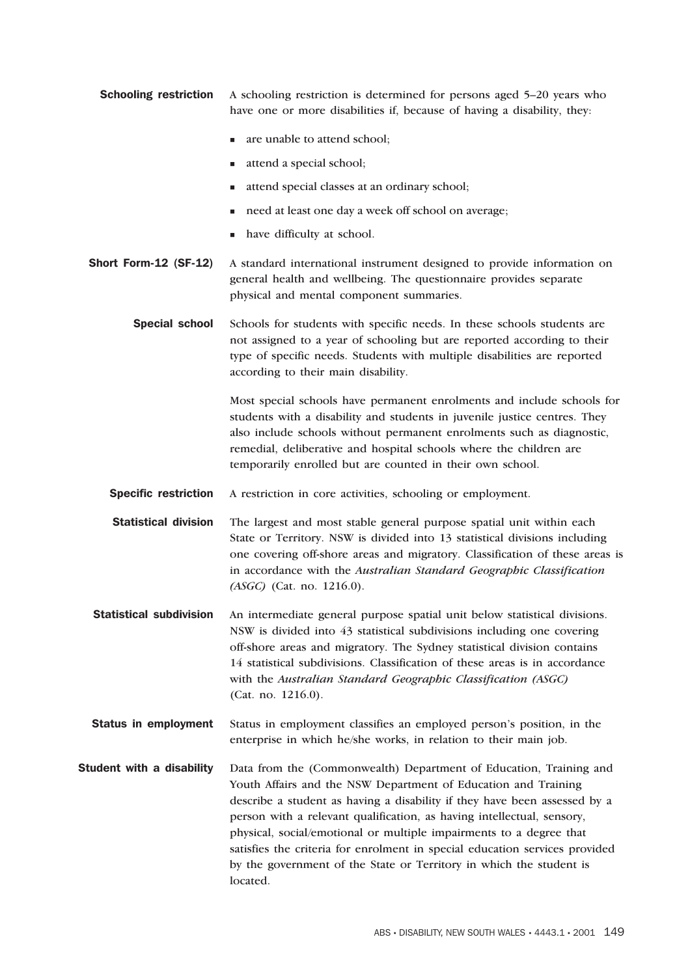**Schooling restriction** A schooling restriction is determined for persons aged 5–20 years who have one or more disabilities if, because of having a disability, they:

- are unable to attend school;
- **a** attend a special school;
- $\blacksquare$  attend special classes at an ordinary school;
- need at least one day a week off school on average;
- have difficulty at school.
- Short Form-12 (SF-12) A standard international instrument designed to provide information on general health and wellbeing. The questionnaire provides separate physical and mental component summaries.
	- Special school Schools for students with specific needs. In these schools students are not assigned to a year of schooling but are reported according to their type of specific needs. Students with multiple disabilities are reported according to their main disability.

Most special schools have permanent enrolments and include schools for students with a disability and students in juvenile justice centres. They also include schools without permanent enrolments such as diagnostic, remedial, deliberative and hospital schools where the children are temporarily enrolled but are counted in their own school.

- Specific restriction A restriction in core activities, schooling or employment.
- Statistical division The largest and most stable general purpose spatial unit within each State or Territory. NSW is divided into 13 statistical divisions including one covering off-shore areas and migratory. Classification of these areas is in accordance with the *Australian Standard Geographic Classification (ASGC)* (Cat. no. 1216.0).
- Statistical subdivision An intermediate general purpose spatial unit below statistical divisions. NSW is divided into 43 statistical subdivisions including one covering off-shore areas and migratory. The Sydney statistical division contains 14 statistical subdivisions. Classification of these areas is in accordance with the *Australian Standard Geographic Classification (ASGC)* (Cat. no. 1216.0).
- Status in employment Status in employment classifies an employed person's position, in the enterprise in which he/she works, in relation to their main job.
- **Student with a disability** Data from the (Commonwealth) Department of Education, Training and Youth Affairs and the NSW Department of Education and Training describe a student as having a disability if they have been assessed by a person with a relevant qualification, as having intellectual, sensory, physical, social/emotional or multiple impairments to a degree that satisfies the criteria for enrolment in special education services provided by the government of the State or Territory in which the student is located.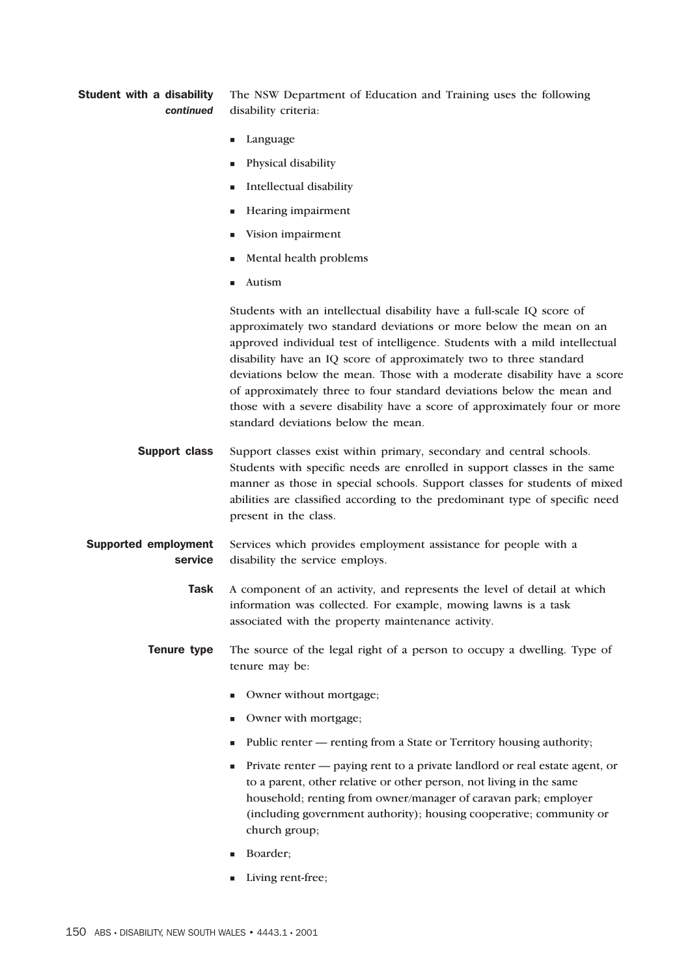#### Student with a disability *continued* The NSW Department of Education and Training uses the following disability criteria:

- -Language
- -Physical disability
- **Intellectual disability**
- -Hearing impairment
- -Vision impairment
- -Mental health problems
- -Autism

Students with an intellectual disability have a full-scale IQ score of approximately two standard deviations or more below the mean on an approved individual test of intelligence. Students with a mild intellectual disability have an IQ score of approximately two to three standard deviations below the mean. Those with a moderate disability have a score of approximately three to four standard deviations below the mean and those with a severe disability have a score of approximately four or more standard deviations below the mean.

- **Support class** Support classes exist within primary, secondary and central schools. Students with specific needs are enrolled in support classes in the same manner as those in special schools. Support classes for students of mixed abilities are classified according to the predominant type of specific need present in the class.
- Supported employment service Services which provides employment assistance for people with a disability the service employs.
	- Task A component of an activity, and represents the level of detail at which information was collected. For example, mowing lawns is a task associated with the property maintenance activity.
	- **Tenure type** The source of the legal right of a person to occupy a dwelling. Type of tenure may be:
		- **I** Owner without mortgage;
		- -Owner with mortgage;
		- Public renter renting from a State or Territory housing authority;
		- Private renter paying rent to a private landlord or real estate agent, or to a parent, other relative or other person, not living in the same household; renting from owner/manager of caravan park; employer (including government authority); housing cooperative; community or church group;
		- Boarder;
		- -Living rent-free;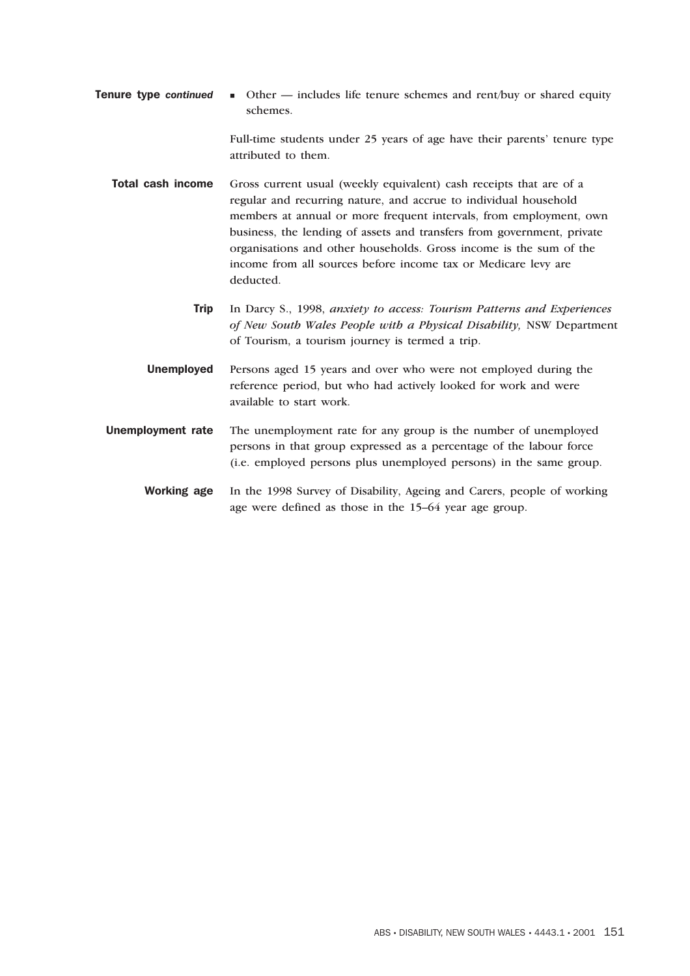**Tenure type continued**  Other — includes life tenure schemes and rent/buy or shared equity schemes.

> Full-time students under 25 years of age have their parents' tenure type attributed to them.

- Total cash income Gross current usual (weekly equivalent) cash receipts that are of a regular and recurring nature, and accrue to individual household members at annual or more frequent intervals, from employment, own business, the lending of assets and transfers from government, private organisations and other households. Gross income is the sum of the income from all sources before income tax or Medicare levy are deducted.
	- Trip In Darcy S., 1998, *anxiety to access: Tourism Patterns and Experiences of New South Wales People with a Physical Disability,* NSW Department of Tourism, a tourism journey is termed a trip.
	- Unemployed Persons aged 15 years and over who were not employed during the reference period, but who had actively looked for work and were available to start work.
- Unemployment rate The unemployment rate for any group is the number of unemployed persons in that group expressed as a percentage of the labour force (i.e. employed persons plus unemployed persons) in the same group.
	- Working age In the 1998 Survey of Disability, Ageing and Carers, people of working age were defined as those in the 15–64 year age group.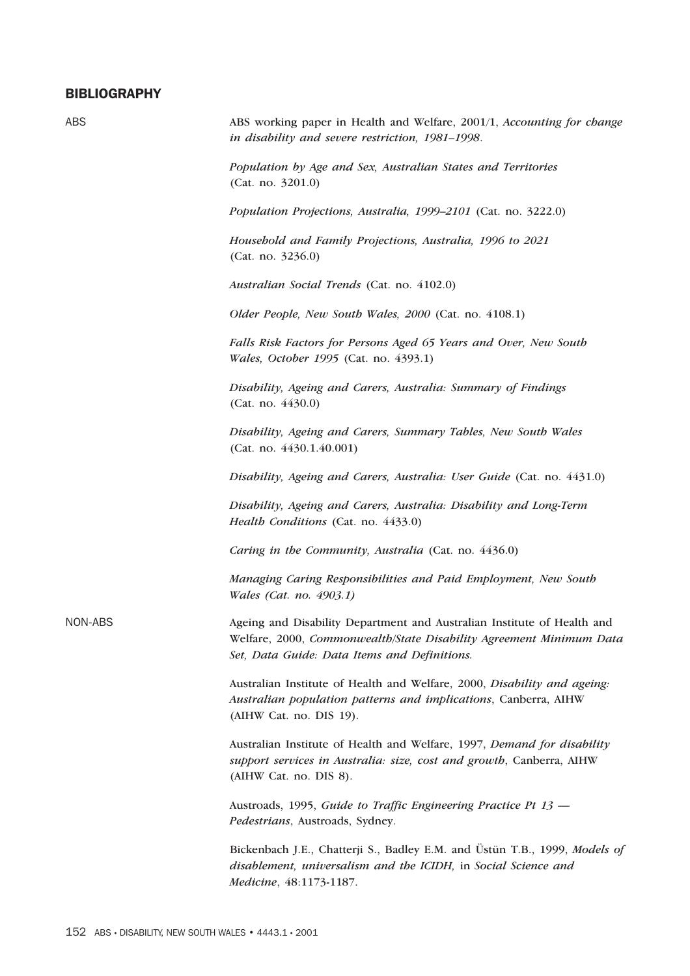# **BIBLIOGRAPHY**

| <b>ABS</b> | ABS working paper in Health and Welfare, 2001/1, Accounting for change<br>in disability and severe restriction, 1981-1998.                                                                     |
|------------|------------------------------------------------------------------------------------------------------------------------------------------------------------------------------------------------|
|            | Population by Age and Sex, Australian States and Territories<br>(Cat. no. 3201.0)                                                                                                              |
|            | Population Projections, Australia, 1999-2101 (Cat. no. 3222.0)                                                                                                                                 |
|            | Household and Family Projections, Australia, 1996 to 2021<br>(Cat. no. 3236.0)                                                                                                                 |
|            | Australian Social Trends (Cat. no. 4102.0)                                                                                                                                                     |
|            | Older People, New South Wales, 2000 (Cat. no. 4108.1)                                                                                                                                          |
|            | Falls Risk Factors for Persons Aged 65 Years and Over, New South<br>Wales, October 1995 (Cat. no. 4393.1)                                                                                      |
|            | Disability, Ageing and Carers, Australia: Summary of Findings<br>(Cat. no. 4430.0)                                                                                                             |
|            | Disability, Ageing and Carers, Summary Tables, New South Wales<br>(Cat. no. 4430.1.40.001)                                                                                                     |
|            | Disability, Ageing and Carers, Australia: User Guide (Cat. no. 4431.0)                                                                                                                         |
|            | Disability, Ageing and Carers, Australia: Disability and Long-Term<br>Health Conditions (Cat. no. 4433.0)                                                                                      |
|            | Caring in the Community, Australia (Cat. no. 4436.0)                                                                                                                                           |
|            | Managing Caring Responsibilities and Paid Employment, New South<br>Wales (Cat. no. 4903.1)                                                                                                     |
| NON-ABS    | Ageing and Disability Department and Australian Institute of Health and<br>Welfare, 2000, Commonwealth/State Disability Agreement Minimum Data<br>Set, Data Guide: Data Items and Definitions. |
|            | Australian Institute of Health and Welfare, 2000, Disability and ageing:<br>Australian population patterns and implications, Canberra, AIHW<br>(AIHW Cat. no. DIS 19).                         |
|            | Australian Institute of Health and Welfare, 1997, Demand for disability<br>support services in Australia: size, cost and growth, Canberra, AIHW<br>(AIHW Cat. no. DIS 8).                      |
|            | Austroads, 1995, Guide to Traffic Engineering Practice Pt 13 -<br>Pedestrians, Austroads, Sydney.                                                                                              |
|            | Bickenbach J.E., Chatterji S., Badley E.M. and Üstün T.B., 1999, Models of<br>disablement, universalism and the ICIDH, in Social Science and<br>Medicine, 48:1173-1187.                        |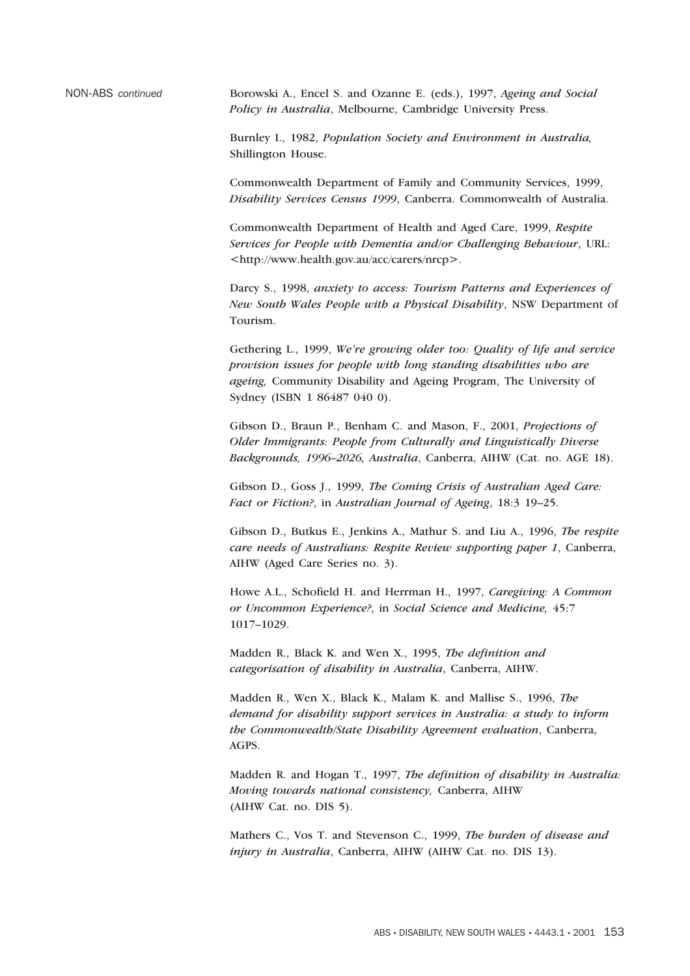NON-ABS *continued* Borowski A., Encel S. and Ozanne E. (eds.), 1997, *Ageing and Social Policy in Australia*, Melbourne, Cambridge University Press.

> Burnley I., 1982, *Population Society and Environment in Australia,* Shillington House.

Commonwealth Department of Family and Community Services, 1999, *Disability Services Census 1999*, Canberra. Commonwealth of Australia.

Commonwealth Department of Health and Aged Care, 1999, *Respite Services for People with Dementia and/or Challenging Behaviour*, URL: <http://www.health.gov.au/acc/carers/nrcp>.

Darcy S., 1998, *anxiety to access: Tourism Patterns and Experiences of New South Wales People with a Physical Disability*, NSW Department of Tourism.

Gethering L., 1999, *We're growing older too: Quality of life and service provision issues for people with long standing disabilities who are ageing,* Community Disability and Ageing Program, The University of Sydney (ISBN 1 86487 040 0).

Gibson D., Braun P., Benham C. and Mason, F., 2001, *Projections of Older Immigrants: People from Culturally and Linguistically Diverse Backgrounds, 1996–2026, Australia*, Canberra, AIHW (Cat. no. AGE 18).

Gibson D., Goss J., 1999, *The Coming Crisis of Australian Aged Care: Fact or Fiction?*, in *Australian Journal of Ageing*, 18:3 19–25.

Gibson D., Butkus E., Jenkins A., Mathur S. and Liu A., 1996, *The respite care needs of Australians: Respite Review supporting paper 1*, Canberra, AIHW (Aged Care Series no. 3).

Howe A.L., Schofield H. and Herrman H., 1997, *Caregiving: A Common or Uncommon Experience?*, in *Social Science and Medicine,* 45:7 1017–1029.

Madden R., Black K. and Wen X., 1995, *The definition and categorisation of disability in Australia*, Canberra, AIHW.

Madden R., Wen X., Black K., Malam K. and Mallise S., 1996, *The demand for disability support services in Australia: a study to inform the Commonwealth/State Disability Agreement evaluation*, Canberra, AGPS.

Madden R. and Hogan T., 1997, *The definition of disability in Australia: Moving towards national consistency,* Canberra, AIHW (AIHW Cat. no. DIS 5).

Mathers C., Vos T. and Stevenson C., 1999, *The burden of disease and injury in Australia*, Canberra, AIHW (AIHW Cat. no. DIS 13).